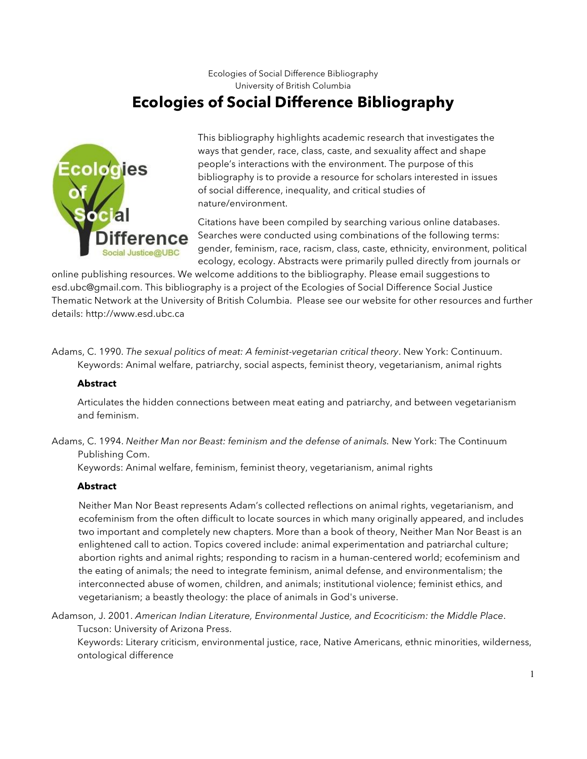# **Ecologies of Social Difference Bibliography**



This bibliography highlights academic research that investigates the ways that gender, race, class, caste, and sexuality affect and shape people's interactions with the environment. The purpose of this bibliography is to provide a resource for scholars interested in issues of social difference, inequality, and critical studies of nature/environment.

Citations have been compiled by searching various online databases. Searches were conducted using combinations of the following terms: gender, feminism, race, racism, class, caste, ethnicity, environment, political ecology, ecology. Abstracts were primarily pulled directly from journals or

online publishing resources. We welcome additions to the bibliography. Please email suggestions to esd.ubc@gmail.com. This bibliography is a project of the Ecologies of Social Difference Social Justice Thematic Network at the University of British Columbia. Please see our website for other resources and further details: http://www.esd.ubc.ca

Adams, C. 1990. *The sexual politics of meat: A feminist-vegetarian critical theory*. New York: Continuum. Keywords: Animal welfare, patriarchy, social aspects, feminist theory, vegetarianism, animal rights

### **Abstract**

Articulates the hidden connections between meat eating and patriarchy, and between vegetarianism and feminism.

Adams, C. 1994. *Neither Man nor Beast: feminism and the defense of animals.* New York: The Continuum Publishing Com.

Keywords: Animal welfare, feminism, feminist theory, vegetarianism, animal rights

### **Abstract**

Neither Man Nor Beast represents Adam's collected reflections on animal rights, vegetarianism, and ecofeminism from the often difficult to locate sources in which many originally appeared, and includes two important and completely new chapters. More than a book of theory, Neither Man Nor Beast is an enlightened call to action. Topics covered include: animal experimentation and patriarchal culture; abortion rights and animal rights; responding to racism in a human-centered world; ecofeminism and the eating of animals; the need to integrate feminism, animal defense, and environmentalism; the interconnected abuse of women, children, and animals; institutional violence; feminist ethics, and vegetarianism; a beastly theology: the place of animals in God's universe.

Adamson, J. 2001. *American Indian Literature, Environmental Justice, and Ecocriticism: the Middle Place*. Tucson: University of Arizona Press.

Keywords: Literary criticism, environmental justice, race, Native Americans, ethnic minorities, wilderness, ontological difference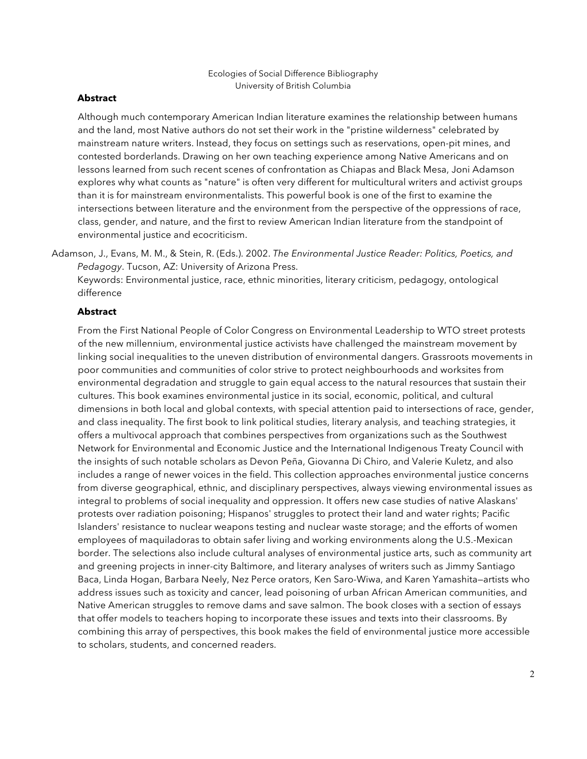#### **Abstract**

Although much contemporary American Indian literature examines the relationship between humans and the land, most Native authors do not set their work in the "pristine wilderness" celebrated by mainstream nature writers. Instead, they focus on settings such as reservations, open-pit mines, and contested borderlands. Drawing on her own teaching experience among Native Americans and on lessons learned from such recent scenes of confrontation as Chiapas and Black Mesa, Joni Adamson explores why what counts as "nature" is often very different for multicultural writers and activist groups than it is for mainstream environmentalists. This powerful book is one of the first to examine the intersections between literature and the environment from the perspective of the oppressions of race, class, gender, and nature, and the first to review American Indian literature from the standpoint of environmental justice and ecocriticism.

Adamson, J., Evans, M. M., & Stein, R. (Eds.). 2002. *The Environmental Justice Reader: Politics, Poetics, and Pedagogy*. Tucson, AZ: University of Arizona Press.

Keywords: Environmental justice, race, ethnic minorities, literary criticism, pedagogy, ontological difference

#### **Abstract**

From the First National People of Color Congress on Environmental Leadership to WTO street protests of the new millennium, environmental justice activists have challenged the mainstream movement by linking social inequalities to the uneven distribution of environmental dangers. Grassroots movements in poor communities and communities of color strive to protect neighbourhoods and worksites from environmental degradation and struggle to gain equal access to the natural resources that sustain their cultures. This book examines environmental justice in its social, economic, political, and cultural dimensions in both local and global contexts, with special attention paid to intersections of race, gender, and class inequality. The first book to link political studies, literary analysis, and teaching strategies, it offers a multivocal approach that combines perspectives from organizations such as the Southwest Network for Environmental and Economic Justice and the International Indigenous Treaty Council with the insights of such notable scholars as Devon Peña, Giovanna Di Chiro, and Valerie Kuletz, and also includes a range of newer voices in the field. This collection approaches environmental justice concerns from diverse geographical, ethnic, and disciplinary perspectives, always viewing environmental issues as integral to problems of social inequality and oppression. It offers new case studies of native Alaskans' protests over radiation poisoning; Hispanos' struggles to protect their land and water rights; Pacific Islanders' resistance to nuclear weapons testing and nuclear waste storage; and the efforts of women employees of maquiladoras to obtain safer living and working environments along the U.S.-Mexican border. The selections also include cultural analyses of environmental justice arts, such as community art and greening projects in inner-city Baltimore, and literary analyses of writers such as Jimmy Santiago Baca, Linda Hogan, Barbara Neely, Nez Perce orators, Ken Saro-Wiwa, and Karen Yamashita—artists who address issues such as toxicity and cancer, lead poisoning of urban African American communities, and Native American struggles to remove dams and save salmon. The book closes with a section of essays that offer models to teachers hoping to incorporate these issues and texts into their classrooms. By combining this array of perspectives, this book makes the field of environmental justice more accessible to scholars, students, and concerned readers.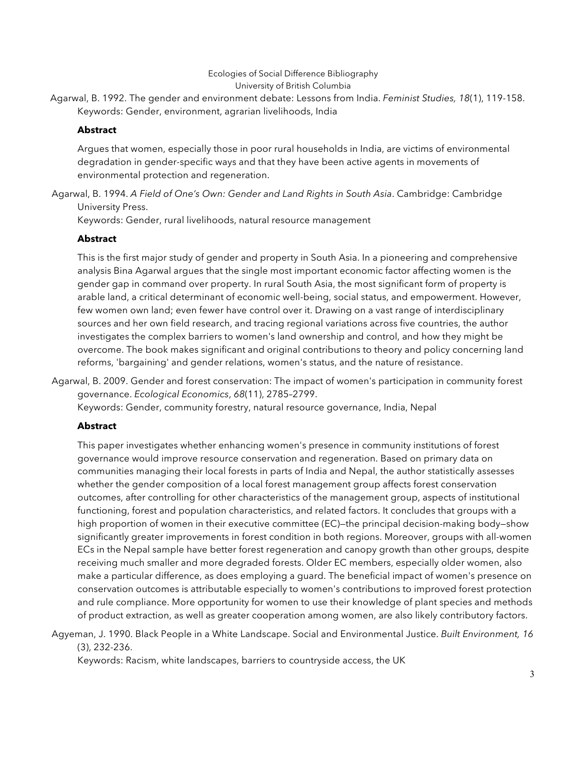Agarwal, B. 1992. The gender and environment debate: Lessons from India. *Feminist Studies, 18*(1), 119-158. Keywords: Gender, environment, agrarian livelihoods, India

#### **Abstract**

Argues that women, especially those in poor rural households in India, are victims of environmental degradation in gender-specific ways and that they have been active agents in movements of environmental protection and regeneration.

Agarwal, B. 1994. *A Field of One's Own: Gender and Land Rights in South Asia*. Cambridge: Cambridge University Press.

Keywords: Gender, rural livelihoods, natural resource management

#### **Abstract**

This is the first major study of gender and property in South Asia. In a pioneering and comprehensive analysis Bina Agarwal argues that the single most important economic factor affecting women is the gender gap in command over property. In rural South Asia, the most significant form of property is arable land, a critical determinant of economic well-being, social status, and empowerment. However, few women own land; even fewer have control over it. Drawing on a vast range of interdisciplinary sources and her own field research, and tracing regional variations across five countries, the author investigates the complex barriers to women's land ownership and control, and how they might be overcome. The book makes significant and original contributions to theory and policy concerning land reforms, 'bargaining' and gender relations, women's status, and the nature of resistance.

Agarwal, B. 2009. Gender and forest conservation: The impact of women's participation in community forest governance. *Ecological Economics*, *68*(11), 2785–2799. Keywords: Gender, community forestry, natural resource governance, India, Nepal

### **Abstract**

This paper investigates whether enhancing women's presence in community institutions of forest governance would improve resource conservation and regeneration. Based on primary data on communities managing their local forests in parts of India and Nepal, the author statistically assesses whether the gender composition of a local forest management group affects forest conservation outcomes, after controlling for other characteristics of the management group, aspects of institutional functioning, forest and population characteristics, and related factors. It concludes that groups with a high proportion of women in their executive committee (EC)-the principal decision-making body-show significantly greater improvements in forest condition in both regions. Moreover, groups with all-women ECs in the Nepal sample have better forest regeneration and canopy growth than other groups, despite receiving much smaller and more degraded forests. Older EC members, especially older women, also make a particular difference, as does employing a guard. The beneficial impact of women's presence on conservation outcomes is attributable especially to women's contributions to improved forest protection and rule compliance. More opportunity for women to use their knowledge of plant species and methods of product extraction, as well as greater cooperation among women, are also likely contributory factors.

Agyeman, J. 1990. Black People in a White Landscape. Social and Environmental Justice. *Built Environment, 16*  (3), 232-236.

Keywords: Racism, white landscapes, barriers to countryside access, the UK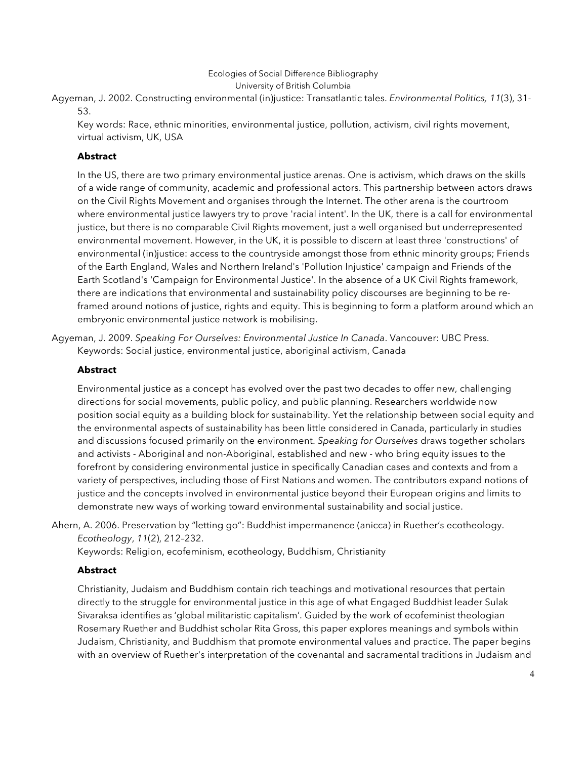Agyeman, J. 2002. Constructing environmental (in)justice: Transatlantic tales. *Environmental Politics, 11*(3), 31- 53.

Key words: Race, ethnic minorities, environmental justice, pollution, activism, civil rights movement, virtual activism, UK, USA

# **Abstract**

In the US, there are two primary environmental justice arenas. One is activism, which draws on the skills of a wide range of community, academic and professional actors. This partnership between actors draws on the Civil Rights Movement and organises through the Internet. The other arena is the courtroom where environmental justice lawyers try to prove 'racial intent'. In the UK, there is a call for environmental justice, but there is no comparable Civil Rights movement, just a well organised but underrepresented environmental movement. However, in the UK, it is possible to discern at least three 'constructions' of environmental (in)justice: access to the countryside amongst those from ethnic minority groups; Friends of the Earth England, Wales and Northern Ireland's 'Pollution Injustice' campaign and Friends of the Earth Scotland's 'Campaign for Environmental Justice'. In the absence of a UK Civil Rights framework, there are indications that environmental and sustainability policy discourses are beginning to be reframed around notions of justice, rights and equity. This is beginning to form a platform around which an embryonic environmental justice network is mobilising.

Agyeman, J. 2009. *Speaking For Ourselves: Environmental Justice In Canada*. Vancouver: UBC Press. Keywords: Social justice, environmental justice, aboriginal activism, Canada

# **Abstract**

Environmental justice as a concept has evolved over the past two decades to offer new, challenging directions for social movements, public policy, and public planning. Researchers worldwide now position social equity as a building block for sustainability. Yet the relationship between social equity and the environmental aspects of sustainability has been little considered in Canada, particularly in studies and discussions focused primarily on the environment. *Speaking for Ourselves* draws together scholars and activists - Aboriginal and non-Aboriginal, established and new - who bring equity issues to the forefront by considering environmental justice in specifically Canadian cases and contexts and from a variety of perspectives, including those of First Nations and women. The contributors expand notions of justice and the concepts involved in environmental justice beyond their European origins and limits to demonstrate new ways of working toward environmental sustainability and social justice.

Ahern, A. 2006. Preservation by "letting go": Buddhist impermanence (anicca) in Ruether's ecotheology. *Ecotheology*, *11*(2), 212–232.

Keywords: Religion, ecofeminism, ecotheology, Buddhism, Christianity

# **Abstract**

Christianity, Judaism and Buddhism contain rich teachings and motivational resources that pertain directly to the struggle for environmental justice in this age of what Engaged Buddhist leader Sulak Sivaraksa identifies as 'global militaristic capitalism'. Guided by the work of ecofeminist theologian Rosemary Ruether and Buddhist scholar Rita Gross, this paper explores meanings and symbols within Judaism, Christianity, and Buddhism that promote environmental values and practice. The paper begins with an overview of Ruether's interpretation of the covenantal and sacramental traditions in Judaism and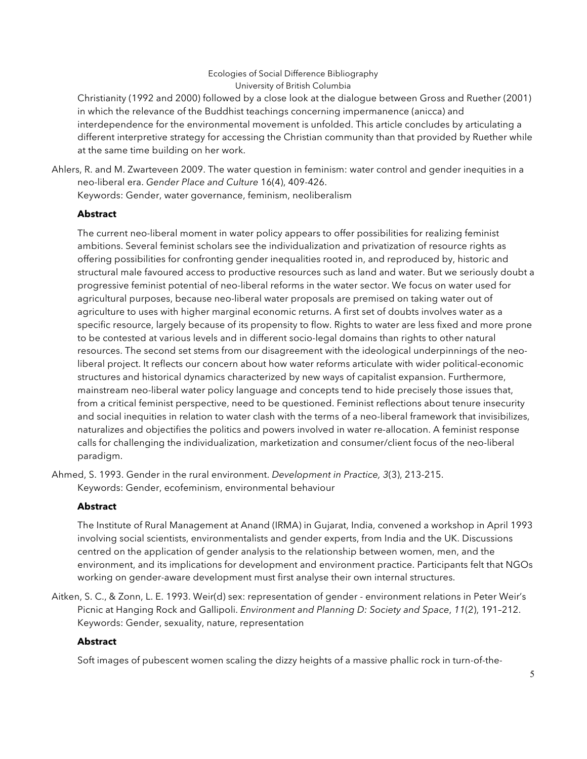Christianity (1992 and 2000) followed by a close look at the dialogue between Gross and Ruether (2001) in which the relevance of the Buddhist teachings concerning impermanence (anicca) and interdependence for the environmental movement is unfolded. This article concludes by articulating a different interpretive strategy for accessing the Christian community than that provided by Ruether while at the same time building on her work.

Ahlers, R. and M. Zwarteveen 2009. The water question in feminism: water control and gender inequities in a neo-liberal era. *Gender Place and Culture* 16(4), 409-426. Keywords: Gender, water governance, feminism, neoliberalism

# **Abstract**

The current neo-liberal moment in water policy appears to offer possibilities for realizing feminist ambitions. Several feminist scholars see the individualization and privatization of resource rights as offering possibilities for confronting gender inequalities rooted in, and reproduced by, historic and structural male favoured access to productive resources such as land and water. But we seriously doubt a progressive feminist potential of neo-liberal reforms in the water sector. We focus on water used for agricultural purposes, because neo-liberal water proposals are premised on taking water out of agriculture to uses with higher marginal economic returns. A first set of doubts involves water as a specific resource, largely because of its propensity to flow. Rights to water are less fixed and more prone to be contested at various levels and in different socio-legal domains than rights to other natural resources. The second set stems from our disagreement with the ideological underpinnings of the neoliberal project. It reflects our concern about how water reforms articulate with wider political-economic structures and historical dynamics characterized by new ways of capitalist expansion. Furthermore, mainstream neo-liberal water policy language and concepts tend to hide precisely those issues that, from a critical feminist perspective, need to be questioned. Feminist reflections about tenure insecurity and social inequities in relation to water clash with the terms of a neo-liberal framework that invisibilizes, naturalizes and objectifies the politics and powers involved in water re-allocation. A feminist response calls for challenging the individualization, marketization and consumer/client focus of the neo-liberal paradigm.

Ahmed, S. 1993. Gender in the rural environment. *Development in Practice, 3*(3), 213-215. Keywords: Gender, ecofeminism, environmental behaviour

### **Abstract**

The Institute of Rural Management at Anand (IRMA) in Gujarat, India, convened a workshop in April 1993 involving social scientists, environmentalists and gender experts, from India and the UK. Discussions centred on the application of gender analysis to the relationship between women, men, and the environment, and its implications for development and environment practice. Participants felt that NGOs working on gender-aware development must first analyse their own internal structures.

Aitken, S. C., & Zonn, L. E. 1993. Weir(d) sex: representation of gender - environment relations in Peter Weir's Picnic at Hanging Rock and Gallipoli. *Environment and Planning D: Society and Space*, *11*(2), 191–212. Keywords: Gender, sexuality, nature, representation

### **Abstract**

Soft images of pubescent women scaling the dizzy heights of a massive phallic rock in turn-of-the-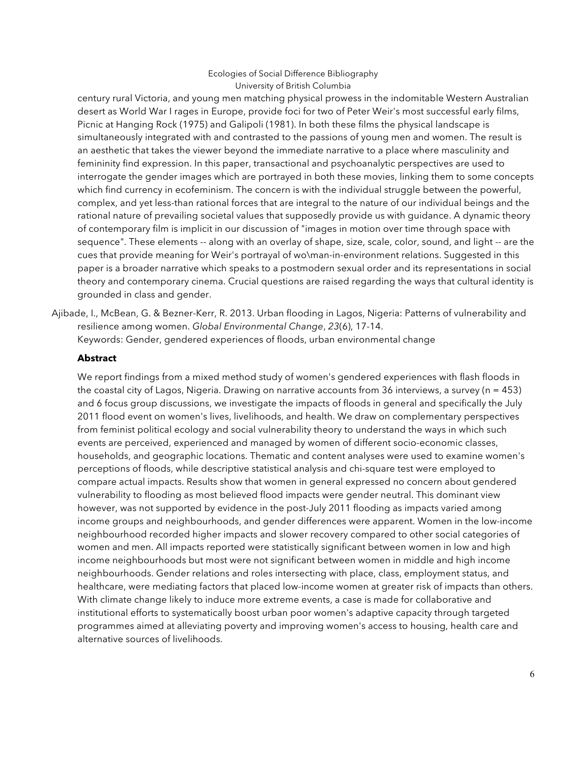century rural Victoria, and young men matching physical prowess in the indomitable Western Australian desert as World War I rages in Europe, provide foci for two of Peter Weir's most successful early films, Picnic at Hanging Rock (1975) and Galipoli (1981). In both these films the physical landscape is simultaneously integrated with and contrasted to the passions of young men and women. The result is an aesthetic that takes the viewer beyond the immediate narrative to a place where masculinity and femininity find expression. In this paper, transactional and psychoanalytic perspectives are used to interrogate the gender images which are portrayed in both these movies, linking them to some concepts which find currency in ecofeminism. The concern is with the individual struggle between the powerful, complex, and yet less-than rational forces that are integral to the nature of our individual beings and the rational nature of prevailing societal values that supposedly provide us with guidance. A dynamic theory of contemporary film is implicit in our discussion of "images in motion over time through space with sequence". These elements -- along with an overlay of shape, size, scale, color, sound, and light -- are the cues that provide meaning for Weir's portrayal of wo\man-in-environment relations. Suggested in this paper is a broader narrative which speaks to a postmodern sexual order and its representations in social theory and contemporary cinema. Crucial questions are raised regarding the ways that cultural identity is grounded in class and gender.

Ajibade, I., McBean, G. & Bezner-Kerr, R. 2013. Urban flooding in Lagos, Nigeria: Patterns of vulnerability and resilience among women. *Global Environmental Change*, *23*(6), 17-14. Keywords: Gender, gendered experiences of floods, urban environmental change

#### **Abstract**

We report findings from a mixed method study of women's gendered experiences with flash floods in the coastal city of Lagos, Nigeria. Drawing on narrative accounts from 36 interviews, a survey ( $n = 453$ ) and 6 focus group discussions, we investigate the impacts of floods in general and specifically the July 2011 flood event on women's lives, livelihoods, and health. We draw on complementary perspectives from feminist political ecology and social vulnerability theory to understand the ways in which such events are perceived, experienced and managed by women of different socio-economic classes, households, and geographic locations. Thematic and content analyses were used to examine women's perceptions of floods, while descriptive statistical analysis and chi-square test were employed to compare actual impacts. Results show that women in general expressed no concern about gendered vulnerability to flooding as most believed flood impacts were gender neutral. This dominant view however, was not supported by evidence in the post-July 2011 flooding as impacts varied among income groups and neighbourhoods, and gender differences were apparent. Women in the low-income neighbourhood recorded higher impacts and slower recovery compared to other social categories of women and men. All impacts reported were statistically significant between women in low and high income neighbourhoods but most were not significant between women in middle and high income neighbourhoods. Gender relations and roles intersecting with place, class, employment status, and healthcare, were mediating factors that placed low-income women at greater risk of impacts than others. With climate change likely to induce more extreme events, a case is made for collaborative and institutional efforts to systematically boost urban poor women's adaptive capacity through targeted programmes aimed at alleviating poverty and improving women's access to housing, health care and alternative sources of livelihoods.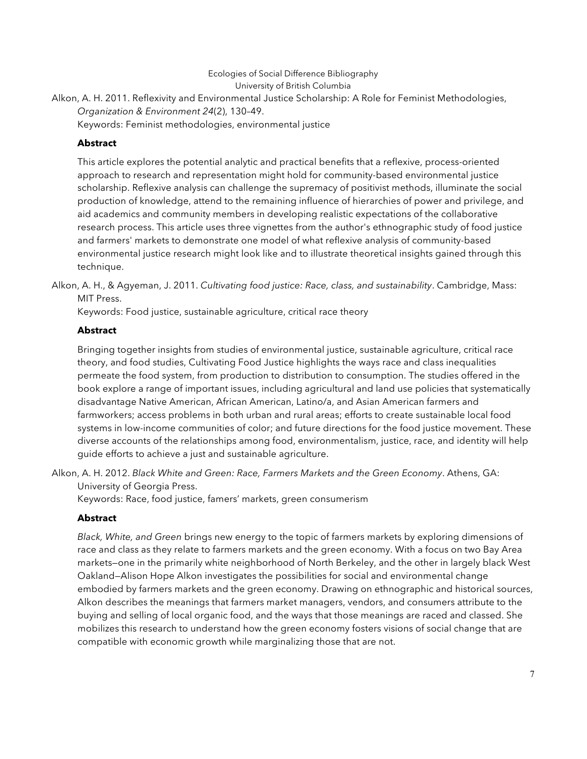Alkon, A. H. 2011. Reflexivity and Environmental Justice Scholarship: A Role for Feminist Methodologies, *Organization & Environment 24*(2), 130–49.

Keywords: Feminist methodologies, environmental justice

# **Abstract**

This article explores the potential analytic and practical benefits that a reflexive, process-oriented approach to research and representation might hold for community-based environmental justice scholarship. Reflexive analysis can challenge the supremacy of positivist methods, illuminate the social production of knowledge, attend to the remaining influence of hierarchies of power and privilege, and aid academics and community members in developing realistic expectations of the collaborative research process. This article uses three vignettes from the author's ethnographic study of food justice and farmers' markets to demonstrate one model of what reflexive analysis of community-based environmental justice research might look like and to illustrate theoretical insights gained through this technique.

Alkon, A. H., & Agyeman, J. 2011. *Cultivating food justice: Race, class, and sustainability*. Cambridge, Mass: MIT Press.

Keywords: Food justice, sustainable agriculture, critical race theory

# **Abstract**

Bringing together insights from studies of environmental justice, sustainable agriculture, critical race theory, and food studies, Cultivating Food Justice highlights the ways race and class inequalities permeate the food system, from production to distribution to consumption. The studies offered in the book explore a range of important issues, including agricultural and land use policies that systematically disadvantage Native American, African American, Latino/a, and Asian American farmers and farmworkers; access problems in both urban and rural areas; efforts to create sustainable local food systems in low-income communities of color; and future directions for the food justice movement. These diverse accounts of the relationships among food, environmentalism, justice, race, and identity will help guide efforts to achieve a just and sustainable agriculture.

Alkon, A. H. 2012. *Black White and Green: Race, Farmers Markets and the Green Economy*. Athens, GA: University of Georgia Press.

Keywords: Race, food justice, famers' markets, green consumerism

# **Abstract**

*Black, White, and Green* brings new energy to the topic of farmers markets by exploring dimensions of race and class as they relate to farmers markets and the green economy. With a focus on two Bay Area markets—one in the primarily white neighborhood of North Berkeley, and the other in largely black West Oakland—Alison Hope Alkon investigates the possibilities for social and environmental change embodied by farmers markets and the green economy. Drawing on ethnographic and historical sources, Alkon describes the meanings that farmers market managers, vendors, and consumers attribute to the buying and selling of local organic food, and the ways that those meanings are raced and classed. She mobilizes this research to understand how the green economy fosters visions of social change that are compatible with economic growth while marginalizing those that are not.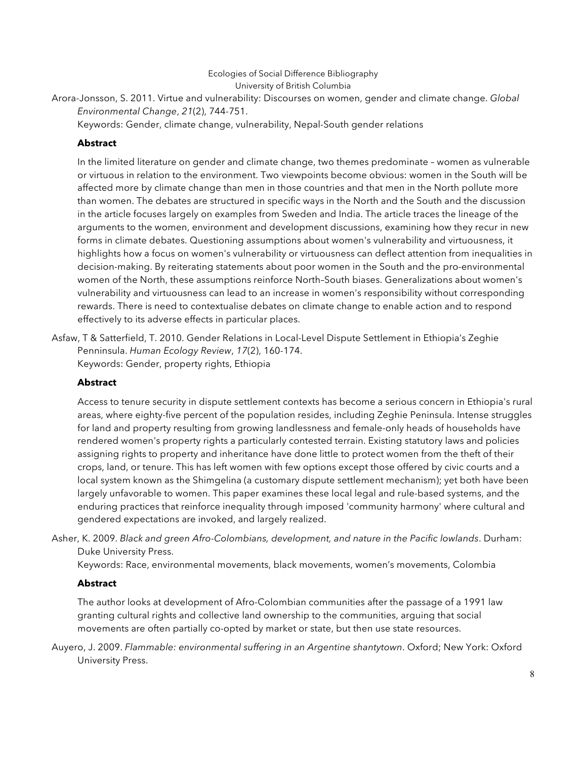Arora-Jonsson, S. 2011. Virtue and vulnerability: Discourses on women, gender and climate change. *Global Environmental Change*, *21*(2), 744-751.

Keywords: Gender, climate change, vulnerability, Nepal-South gender relations

# **Abstract**

In the limited literature on gender and climate change, two themes predominate – women as vulnerable or virtuous in relation to the environment. Two viewpoints become obvious: women in the South will be affected more by climate change than men in those countries and that men in the North pollute more than women. The debates are structured in specific ways in the North and the South and the discussion in the article focuses largely on examples from Sweden and India. The article traces the lineage of the arguments to the women, environment and development discussions, examining how they recur in new forms in climate debates. Questioning assumptions about women's vulnerability and virtuousness, it highlights how a focus on women's vulnerability or virtuousness can deflect attention from inequalities in decision-making. By reiterating statements about poor women in the South and the pro-environmental women of the North, these assumptions reinforce North–South biases. Generalizations about women's vulnerability and virtuousness can lead to an increase in women's responsibility without corresponding rewards. There is need to contextualise debates on climate change to enable action and to respond effectively to its adverse effects in particular places.

Asfaw, T & Satterfield, T. 2010. Gender Relations in Local-Level Dispute Settlement in Ethiopia's Zeghie Penninsula. *Human Ecology Review*, *17*(2), 160-174. Keywords: Gender, property rights, Ethiopia

### **Abstract**

Access to tenure security in dispute settlement contexts has become a serious concern in Ethiopia's rural areas, where eighty-five percent of the population resides, including Zeghie Peninsula. Intense struggles for land and property resulting from growing landlessness and female-only heads of households have rendered women's property rights a particularly contested terrain. Existing statutory laws and policies assigning rights to property and inheritance have done little to protect women from the theft of their crops, land, or tenure. This has left women with few options except those offered by civic courts and a local system known as the Shimgelina (a customary dispute settlement mechanism); yet both have been largely unfavorable to women. This paper examines these local legal and rule-based systems, and the enduring practices that reinforce inequality through imposed 'community harmony' where cultural and gendered expectations are invoked, and largely realized.

Asher, K. 2009. *Black and green Afro-Colombians, development, and nature in the Pacific lowlands*. Durham: Duke University Press.

Keywords: Race, environmental movements, black movements, women's movements, Colombia

# **Abstract**

The author looks at development of Afro-Colombian communities after the passage of a 1991 law granting cultural rights and collective land ownership to the communities, arguing that social movements are often partially co-opted by market or state, but then use state resources.

Auyero, J. 2009. *Flammable: environmental suffering in an Argentine shantytown*. Oxford; New York: Oxford University Press.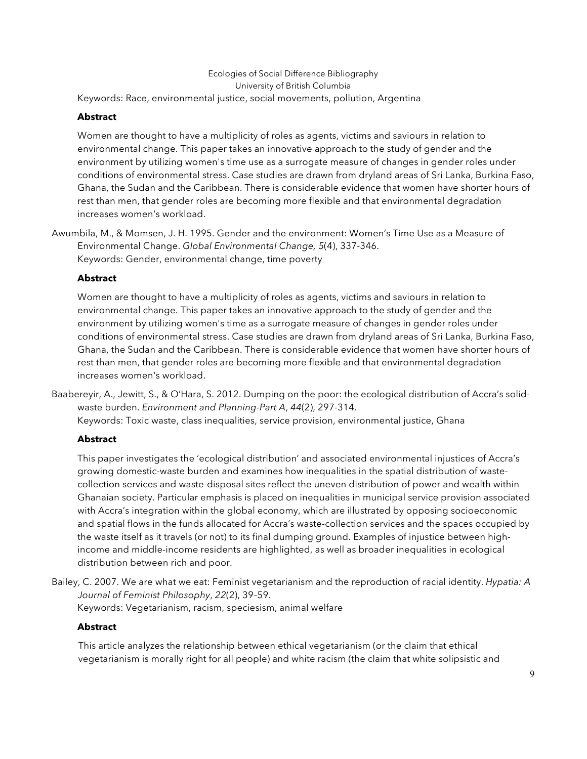#### Ecologies of Social Difference Bibliography University of British Columbia Keywords: Race, environmental justice, social movements, pollution, Argentina

### **Abstract**

Women are thought to have a multiplicity of roles as agents, victims and saviours in relation to environmental change. This paper takes an innovative approach to the study of gender and the environment by utilizing women's time use as a surrogate measure of changes in gender roles under conditions of environmental stress. Case studies are drawn from dryland areas of Sri Lanka, Burkina Faso, Ghana, the Sudan and the Caribbean. There is considerable evidence that women have shorter hours of rest than men, that gender roles are becoming more flexible and that environmental degradation increases women's workload.

Awumbila, M., & Momsen, J. H. 1995. Gender and the environment: Women's Time Use as a Measure of Environmental Change. *Global Environmental Change, 5*(4), 337-346. Keywords: Gender, environmental change, time poverty

### **Abstract**

Women are thought to have a multiplicity of roles as agents, victims and saviours in relation to environmental change. This paper takes an innovative approach to the study of gender and the environment by utilizing women's time as a surrogate measure of changes in gender roles under conditions of environmental stress. Case studies are drawn from dryland areas of Sri Lanka, Burkina Faso, Ghana, the Sudan and the Caribbean. There is considerable evidence that women have shorter hours of rest than men, that gender roles are becoming more flexible and that environmental degradation increases women's workload.

Baabereyir, A., Jewitt, S., & O'Hara, S. 2012. Dumping on the poor: the ecological distribution of Accra's solidwaste burden. *Environment and Planning-Part A*, *44*(2), 297-314.

Keywords: Toxic waste, class inequalities, service provision, environmental justice, Ghana

### **Abstract**

This paper investigates the 'ecological distribution' and associated environmental injustices of Accra's growing domestic-waste burden and examines how inequalities in the spatial distribution of wastecollection services and waste-disposal sites reflect the uneven distribution of power and wealth within Ghanaian society. Particular emphasis is placed on inequalities in municipal service provision associated with Accra's integration within the global economy, which are illustrated by opposing socioeconomic and spatial flows in the funds allocated for Accra's waste-collection services and the spaces occupied by the waste itself as it travels (or not) to its final dumping ground. Examples of injustice between highincome and middle-income residents are highlighted, as well as broader inequalities in ecological distribution between rich and poor.

Bailey, C. 2007. We are what we eat: Feminist vegetarianism and the reproduction of racial identity. *Hypatia: A Journal of Feminist Philosophy*, *22*(2), 39–59. Keywords: Vegetarianism, racism, speciesism, animal welfare

### **Abstract**

This article analyzes the relationship between ethical vegetarianism (or the claim that ethical vegetarianism is morally right for all people) and white racism (the claim that white solipsistic and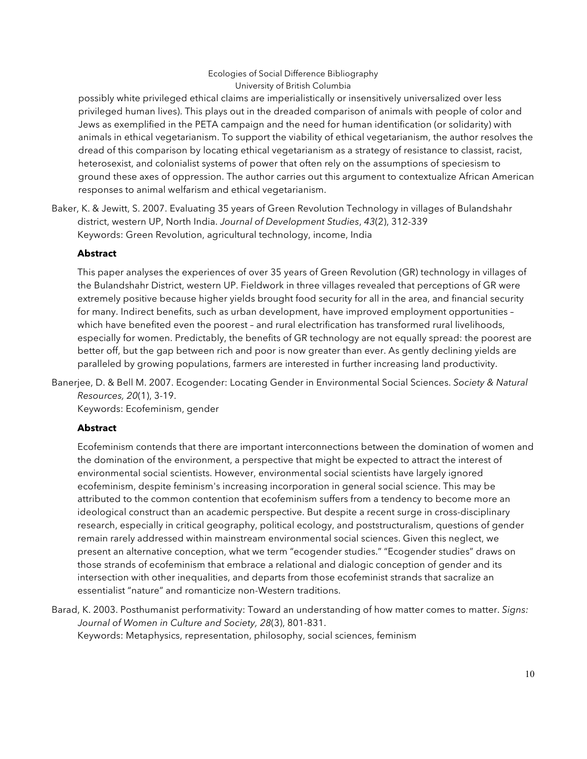possibly white privileged ethical claims are imperialistically or insensitively universalized over less privileged human lives). This plays out in the dreaded comparison of animals with people of color and Jews as exemplified in the PETA campaign and the need for human identification (or solidarity) with animals in ethical vegetarianism. To support the viability of ethical vegetarianism, the author resolves the dread of this comparison by locating ethical vegetarianism as a strategy of resistance to classist, racist, heterosexist, and colonialist systems of power that often rely on the assumptions of speciesism to ground these axes of oppression. The author carries out this argument to contextualize African American responses to animal welfarism and ethical vegetarianism.

Baker, K. & Jewitt, S. 2007. Evaluating 35 years of Green Revolution Technology in villages of Bulandshahr district, western UP, North India. *Journal of Development Studies*, *43*(2), 312-339 Keywords: Green Revolution, agricultural technology, income, India

### **Abstract**

This paper analyses the experiences of over 35 years of Green Revolution (GR) technology in villages of the Bulandshahr District, western UP. Fieldwork in three villages revealed that perceptions of GR were extremely positive because higher yields brought food security for all in the area, and financial security for many. Indirect benefits, such as urban development, have improved employment opportunities – which have benefited even the poorest – and rural electrification has transformed rural livelihoods, especially for women. Predictably, the benefits of GR technology are not equally spread: the poorest are better off, but the gap between rich and poor is now greater than ever. As gently declining yields are paralleled by growing populations, farmers are interested in further increasing land productivity.

Banerjee, D. & Bell M. 2007. Ecogender: Locating Gender in Environmental Social Sciences. *Society & Natural Resources, 20*(1), 3-19.

Keywords: Ecofeminism, gender

### **Abstract**

Ecofeminism contends that there are important interconnections between the domination of women and the domination of the environment, a perspective that might be expected to attract the interest of environmental social scientists. However, environmental social scientists have largely ignored ecofeminism, despite feminism's increasing incorporation in general social science. This may be attributed to the common contention that ecofeminism suffers from a tendency to become more an ideological construct than an academic perspective. But despite a recent surge in cross-disciplinary research, especially in critical geography, political ecology, and poststructuralism, questions of gender remain rarely addressed within mainstream environmental social sciences. Given this neglect, we present an alternative conception, what we term "ecogender studies." "Ecogender studies" draws on those strands of ecofeminism that embrace a relational and dialogic conception of gender and its intersection with other inequalities, and departs from those ecofeminist strands that sacralize an essentialist "nature" and romanticize non-Western traditions.

Barad, K. 2003. Posthumanist performativity: Toward an understanding of how matter comes to matter. *Signs: Journal of Women in Culture and Society, 28*(3), 801-831. Keywords: Metaphysics, representation, philosophy, social sciences, feminism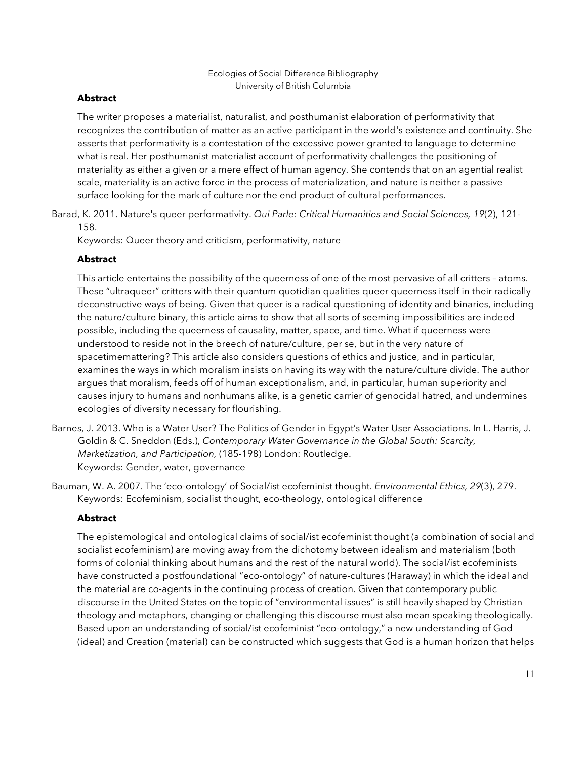# **Abstract**

The writer proposes a materialist, naturalist, and posthumanist elaboration of performativity that recognizes the contribution of matter as an active participant in the world's existence and continuity. She asserts that performativity is a contestation of the excessive power granted to language to determine what is real. Her posthumanist materialist account of performativity challenges the positioning of materiality as either a given or a mere effect of human agency. She contends that on an agential realist scale, materiality is an active force in the process of materialization, and nature is neither a passive surface looking for the mark of culture nor the end product of cultural performances.

Barad, K. 2011. Nature's queer performativity. *Qui Parle: Critical Humanities and Social Sciences, 19*(2), 121- 158.

Keywords: Queer theory and criticism, performativity, nature

### **Abstract**

This article entertains the possibility of the queerness of one of the most pervasive of all critters – atoms. These "ultraqueer" critters with their quantum quotidian qualities queer queerness itself in their radically deconstructive ways of being. Given that queer is a radical questioning of identity and binaries, including the nature/culture binary, this article aims to show that all sorts of seeming impossibilities are indeed possible, including the queerness of causality, matter, space, and time. What if queerness were understood to reside not in the breech of nature/culture, per se, but in the very nature of spacetimemattering? This article also considers questions of ethics and justice, and in particular, examines the ways in which moralism insists on having its way with the nature/culture divide. The author argues that moralism, feeds off of human exceptionalism, and, in particular, human superiority and causes injury to humans and nonhumans alike, is a genetic carrier of genocidal hatred, and undermines ecologies of diversity necessary for flourishing.

- Barnes, J. 2013. Who is a Water User? The Politics of Gender in Egypt's Water User Associations. In L. Harris, J. Goldin & C. Sneddon (Eds.), *Contemporary Water Governance in the Global South: Scarcity, Marketization, and Participation,* (185-198) London: Routledge. Keywords: Gender, water, governance
- Bauman, W. A. 2007. The 'eco-ontology' of Social/ist ecofeminist thought. *Environmental Ethics, 29*(3), 279. Keywords: Ecofeminism, socialist thought, eco-theology, ontological difference

### **Abstract**

The epistemological and ontological claims of social/ist ecofeminist thought (a combination of social and socialist ecofeminism) are moving away from the dichotomy between idealism and materialism (both forms of colonial thinking about humans and the rest of the natural world). The social/ist ecofeminists have constructed a postfoundational "eco-ontology" of nature-cultures (Haraway) in which the ideal and the material are co-agents in the continuing process of creation. Given that contemporary public discourse in the United States on the topic of "environmental issues" is still heavily shaped by Christian theology and metaphors, changing or challenging this discourse must also mean speaking theologically. Based upon an understanding of social/ist ecofeminist "eco-ontology," a new understanding of God (ideal) and Creation (material) can be constructed which suggests that God is a human horizon that helps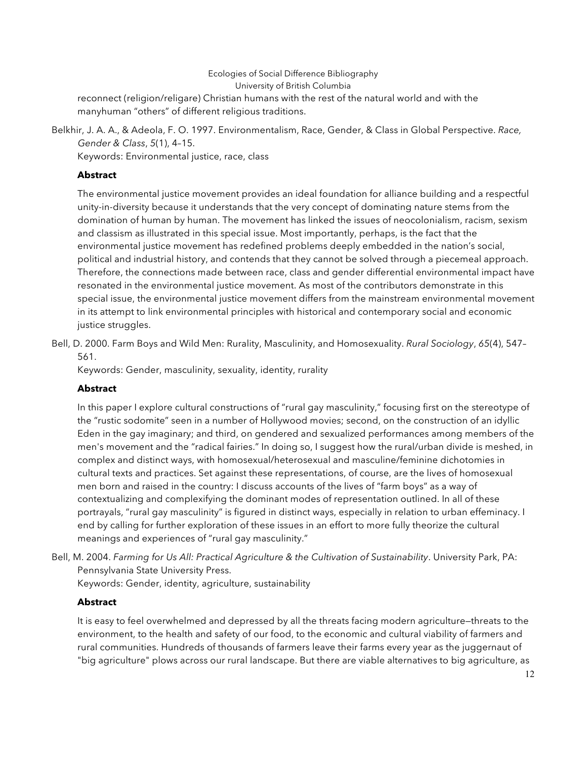reconnect (religion/religare) Christian humans with the rest of the natural world and with the manyhuman "others" of different religious traditions.

Belkhir, J. A. A., & Adeola, F. O. 1997. Environmentalism, Race, Gender, & Class in Global Perspective. *Race, Gender & Class*, *5*(1), 4–15.

Keywords: Environmental justice, race, class

# **Abstract**

The environmental justice movement provides an ideal foundation for alliance building and a respectful unity-in-diversity because it understands that the very concept of dominating nature stems from the domination of human by human. The movement has linked the issues of neocolonialism, racism, sexism and classism as illustrated in this special issue. Most importantly, perhaps, is the fact that the environmental justice movement has redefined problems deeply embedded in the nation's social, political and industrial history, and contends that they cannot be solved through a piecemeal approach. Therefore, the connections made between race, class and gender differential environmental impact have resonated in the environmental justice movement. As most of the contributors demonstrate in this special issue, the environmental justice movement differs from the mainstream environmental movement in its attempt to link environmental principles with historical and contemporary social and economic justice struggles.

Bell, D. 2000. Farm Boys and Wild Men: Rurality, Masculinity, and Homosexuality. *Rural Sociology*, *65*(4), 547– 561.

Keywords: Gender, masculinity, sexuality, identity, rurality

# **Abstract**

In this paper I explore cultural constructions of "rural gay masculinity," focusing first on the stereotype of the "rustic sodomite" seen in a number of Hollywood movies; second, on the construction of an idyllic Eden in the gay imaginary; and third, on gendered and sexualized performances among members of the men's movement and the "radical fairies." In doing so, I suggest how the rural/urban divide is meshed, in complex and distinct ways, with homosexual/heterosexual and masculine/feminine dichotomies in cultural texts and practices. Set against these representations, of course, are the lives of homosexual men born and raised in the country: I discuss accounts of the lives of "farm boys" as a way of contextualizing and complexifying the dominant modes of representation outlined. In all of these portrayals, "rural gay masculinity" is figured in distinct ways, especially in relation to urban effeminacy. I end by calling for further exploration of these issues in an effort to more fully theorize the cultural meanings and experiences of "rural gay masculinity."

Bell, M. 2004. *Farming for Us All: Practical Agriculture & the Cultivation of Sustainability*. University Park, PA: Pennsylvania State University Press.

Keywords: Gender, identity, agriculture, sustainability

# **Abstract**

It is easy to feel overwhelmed and depressed by all the threats facing modern agriculture—threats to the environment, to the health and safety of our food, to the economic and cultural viability of farmers and rural communities. Hundreds of thousands of farmers leave their farms every year as the juggernaut of "big agriculture" plows across our rural landscape. But there are viable alternatives to big agriculture, as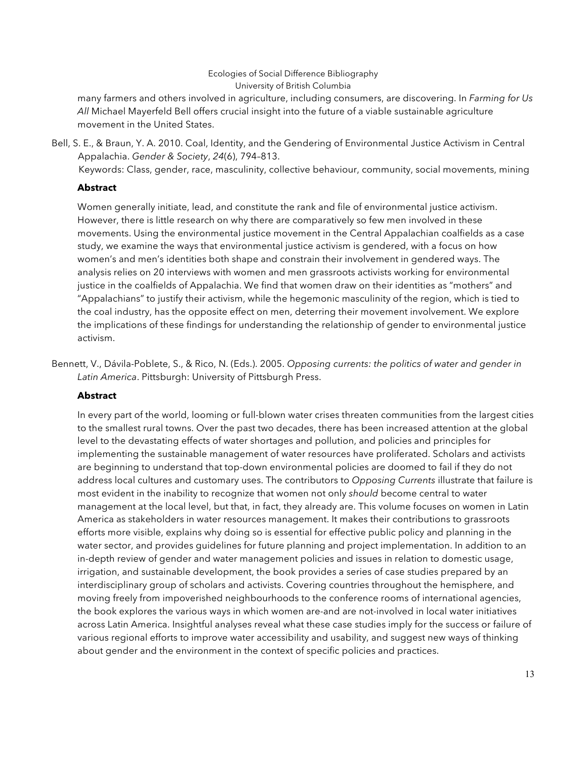many farmers and others involved in agriculture, including consumers, are discovering. In *Farming for Us All* Michael Mayerfeld Bell offers crucial insight into the future of a viable sustainable agriculture movement in the United States.

Bell, S. E., & Braun, Y. A. 2010. Coal, Identity, and the Gendering of Environmental Justice Activism in Central Appalachia. *Gender & Society*, *24*(6), 794–813.

Keywords: Class, gender, race, masculinity, collective behaviour, community, social movements, mining

#### **Abstract**

Women generally initiate, lead, and constitute the rank and file of environmental justice activism. However, there is little research on why there are comparatively so few men involved in these movements. Using the environmental justice movement in the Central Appalachian coalfields as a case study, we examine the ways that environmental justice activism is gendered, with a focus on how women's and men's identities both shape and constrain their involvement in gendered ways. The analysis relies on 20 interviews with women and men grassroots activists working for environmental justice in the coalfields of Appalachia. We find that women draw on their identities as "mothers" and "Appalachians" to justify their activism, while the hegemonic masculinity of the region, which is tied to the coal industry, has the opposite effect on men, deterring their movement involvement. We explore the implications of these findings for understanding the relationship of gender to environmental justice activism.

Bennett, V., Dávila-Poblete, S., & Rico, N. (Eds.). 2005. *Opposing currents: the politics of water and gender in Latin America*. Pittsburgh: University of Pittsburgh Press.

#### **Abstract**

In every part of the world, looming or full-blown water crises threaten communities from the largest cities to the smallest rural towns. Over the past two decades, there has been increased attention at the global level to the devastating effects of water shortages and pollution, and policies and principles for implementing the sustainable management of water resources have proliferated. Scholars and activists are beginning to understand that top-down environmental policies are doomed to fail if they do not address local cultures and customary uses. The contributors to *Opposing Currents* illustrate that failure is most evident in the inability to recognize that women not only *should* become central to water management at the local level, but that, in fact, they already are. This volume focuses on women in Latin America as stakeholders in water resources management. It makes their contributions to grassroots efforts more visible, explains why doing so is essential for effective public policy and planning in the water sector, and provides guidelines for future planning and project implementation. In addition to an in-depth review of gender and water management policies and issues in relation to domestic usage, irrigation, and sustainable development, the book provides a series of case studies prepared by an interdisciplinary group of scholars and activists. Covering countries throughout the hemisphere, and moving freely from impoverished neighbourhoods to the conference rooms of international agencies, the book explores the various ways in which women are-and are not-involved in local water initiatives across Latin America. Insightful analyses reveal what these case studies imply for the success or failure of various regional efforts to improve water accessibility and usability, and suggest new ways of thinking about gender and the environment in the context of specific policies and practices.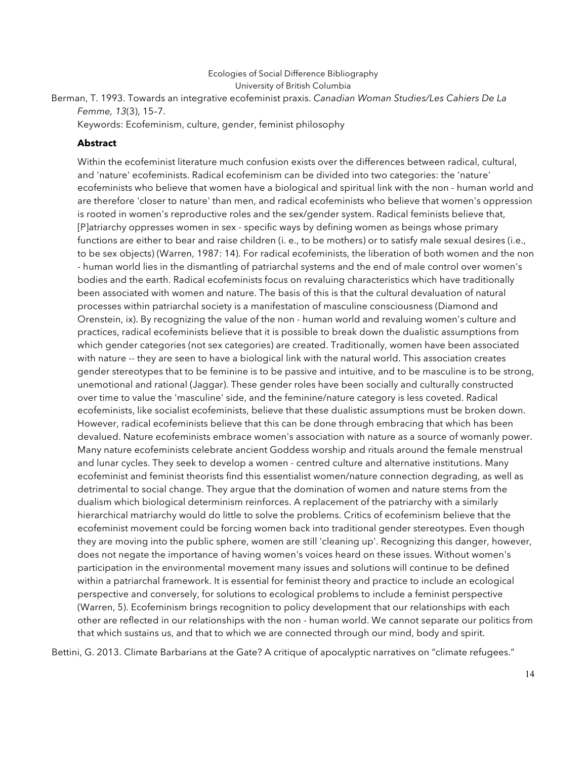Berman, T. 1993. Towards an integrative ecofeminist praxis. *Canadian Woman Studies/Les Cahiers De La Femme, 13*(3), 15–7.

Keywords: Ecofeminism, culture, gender, feminist philosophy

#### **Abstract**

Within the ecofeminist literature much confusion exists over the differences between radical, cultural, and 'nature' ecofeminists. Radical ecofeminism can be divided into two categories: the 'nature' ecofeminists who believe that women have a biological and spiritual link with the non - human world and are therefore 'closer to nature' than men, and radical ecofeminists who believe that women's oppression is rooted in women's reproductive roles and the sex/gender system. Radical feminists believe that, [P]atriarchy oppresses women in sex - specific ways by defining women as beings whose primary functions are either to bear and raise children (i. e., to be mothers) or to satisfy male sexual desires (i.e., to be sex objects) (Warren, 1987: 14). For radical ecofeminists, the liberation of both women and the non - human world lies in the dismantling of patriarchal systems and the end of male control over women's bodies and the earth. Radical ecofeminists focus on revaluing characteristics which have traditionally been associated with women and nature. The basis of this is that the cultural devaluation of natural processes within patriarchal society is a manifestation of masculine consciousness (Diamond and Orenstein, ix). By recognizing the value of the non - human world and revaluing women's culture and practices, radical ecofeminists believe that it is possible to break down the dualistic assumptions from which gender categories (not sex categories) are created. Traditionally, women have been associated with nature -- they are seen to have a biological link with the natural world. This association creates gender stereotypes that to be feminine is to be passive and intuitive, and to be masculine is to be strong, unemotional and rational (Jaggar). These gender roles have been socially and culturally constructed over time to value the 'masculine' side, and the feminine/nature category is less coveted. Radical ecofeminists, like socialist ecofeminists, believe that these dualistic assumptions must be broken down. However, radical ecofeminists believe that this can be done through embracing that which has been devalued. Nature ecofeminists embrace women's association with nature as a source of womanly power. Many nature ecofeminists celebrate ancient Goddess worship and rituals around the female menstrual and lunar cycles. They seek to develop a women - centred culture and alternative institutions. Many ecofeminist and feminist theorists find this essentialist women/nature connection degrading, as well as detrimental to social change. They argue that the domination of women and nature stems from the dualism which biological determinism reinforces. A replacement of the patriarchy with a similarly hierarchical matriarchy would do little to solve the problems. Critics of ecofeminism believe that the ecofeminist movement could be forcing women back into traditional gender stereotypes. Even though they are moving into the public sphere, women are still 'cleaning up'. Recognizing this danger, however, does not negate the importance of having women's voices heard on these issues. Without women's participation in the environmental movement many issues and solutions will continue to be defined within a patriarchal framework. It is essential for feminist theory and practice to include an ecological perspective and conversely, for solutions to ecological problems to include a feminist perspective (Warren, 5). Ecofeminism brings recognition to policy development that our relationships with each other are reflected in our relationships with the non - human world. We cannot separate our politics from that which sustains us, and that to which we are connected through our mind, body and spirit.

Bettini, G. 2013. Climate Barbarians at the Gate? A critique of apocalyptic narratives on "climate refugees."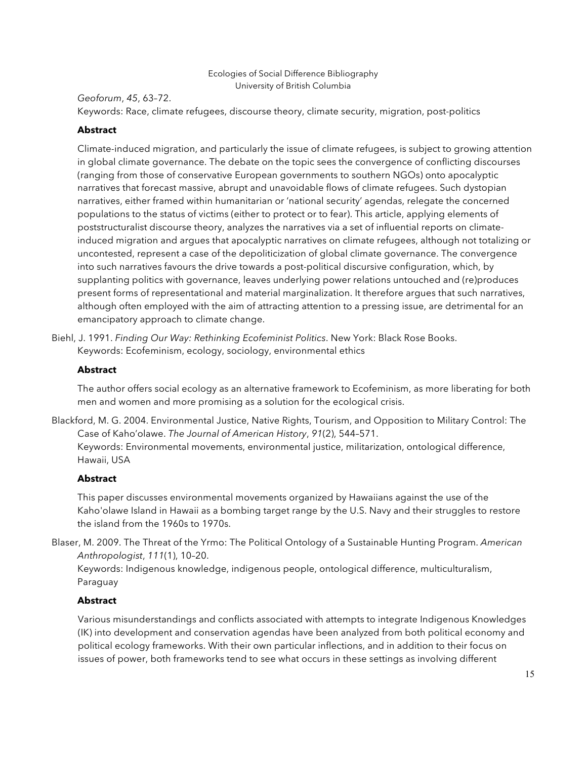*Geoforum*, *45*, 63–72.

Keywords: Race, climate refugees, discourse theory, climate security, migration, post-politics

### **Abstract**

Climate-induced migration, and particularly the issue of climate refugees, is subject to growing attention in global climate governance. The debate on the topic sees the convergence of conflicting discourses (ranging from those of conservative European governments to southern NGOs) onto apocalyptic narratives that forecast massive, abrupt and unavoidable flows of climate refugees. Such dystopian narratives, either framed within humanitarian or 'national security' agendas, relegate the concerned populations to the status of victims (either to protect or to fear). This article, applying elements of poststructuralist discourse theory, analyzes the narratives via a set of influential reports on climateinduced migration and argues that apocalyptic narratives on climate refugees, although not totalizing or uncontested, represent a case of the depoliticization of global climate governance. The convergence into such narratives favours the drive towards a post-political discursive configuration, which, by supplanting politics with governance, leaves underlying power relations untouched and (re)produces present forms of representational and material marginalization. It therefore argues that such narratives, although often employed with the aim of attracting attention to a pressing issue, are detrimental for an emancipatory approach to climate change.

Biehl, J. 1991. *Finding Our Way: Rethinking Ecofeminist Politics*. New York: Black Rose Books. Keywords: Ecofeminism, ecology, sociology, environmental ethics

### **Abstract**

The author offers social ecology as an alternative framework to Ecofeminism, as more liberating for both men and women and more promising as a solution for the ecological crisis.

Blackford, M. G. 2004. Environmental Justice, Native Rights, Tourism, and Opposition to Military Control: The Case of Kaho'olawe. *The Journal of American History*, *91*(2), 544–571. Keywords: Environmental movements, environmental justice, militarization, ontological difference, Hawaii, USA

#### **Abstract**

This paper discusses environmental movements organized by Hawaiians against the use of the Kaho'olawe Island in Hawaii as a bombing target range by the U.S. Navy and their struggles to restore the island from the 1960s to 1970s.

Blaser, M. 2009. The Threat of the Yrmo: The Political Ontology of a Sustainable Hunting Program. *American Anthropologist*, *111*(1), 10–20.

Keywords: Indigenous knowledge, indigenous people, ontological difference, multiculturalism, Paraguay

### **Abstract**

Various misunderstandings and conflicts associated with attempts to integrate Indigenous Knowledges (IK) into development and conservation agendas have been analyzed from both political economy and political ecology frameworks. With their own particular inflections, and in addition to their focus on issues of power, both frameworks tend to see what occurs in these settings as involving different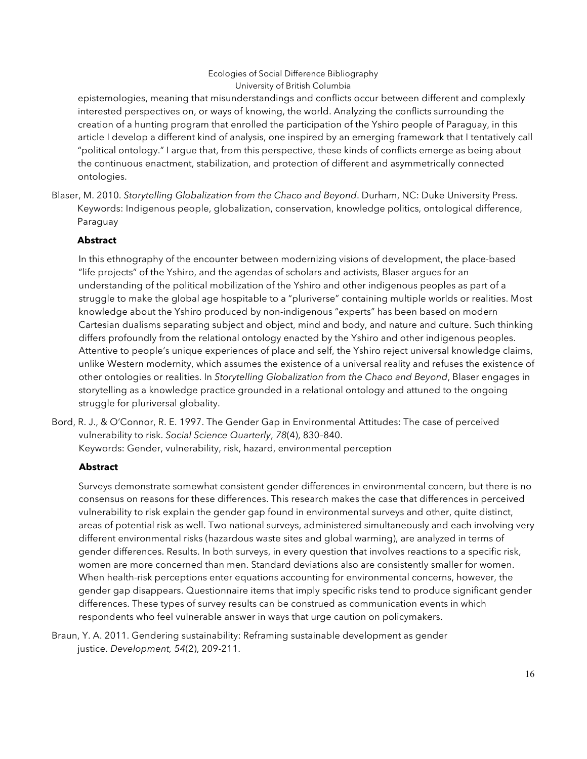epistemologies, meaning that misunderstandings and conflicts occur between different and complexly interested perspectives on, or ways of knowing, the world. Analyzing the conflicts surrounding the creation of a hunting program that enrolled the participation of the Yshiro people of Paraguay, in this article I develop a different kind of analysis, one inspired by an emerging framework that I tentatively call "political ontology." I argue that, from this perspective, these kinds of conflicts emerge as being about the continuous enactment, stabilization, and protection of different and asymmetrically connected ontologies.

Blaser, M. 2010. *Storytelling Globalization from the Chaco and Beyond*. Durham, NC: Duke University Press. Keywords: Indigenous people, globalization, conservation, knowledge politics, ontological difference, Paraguay

# **Abstract**

In this ethnography of the encounter between modernizing visions of development, the place-based "life projects" of the Yshiro, and the agendas of scholars and activists, Blaser argues for an understanding of the political mobilization of the Yshiro and other indigenous peoples as part of a struggle to make the global age hospitable to a "pluriverse" containing multiple worlds or realities. Most knowledge about the Yshiro produced by non-indigenous "experts" has been based on modern Cartesian dualisms separating subject and object, mind and body, and nature and culture. Such thinking differs profoundly from the relational ontology enacted by the Yshiro and other indigenous peoples. Attentive to people's unique experiences of place and self, the Yshiro reject universal knowledge claims, unlike Western modernity, which assumes the existence of a universal reality and refuses the existence of other ontologies or realities. In *Storytelling Globalization from the Chaco and Beyond*, Blaser engages in storytelling as a knowledge practice grounded in a relational ontology and attuned to the ongoing struggle for pluriversal globality.

Bord, R. J., & O'Connor, R. E. 1997. The Gender Gap in Environmental Attitudes: The case of perceived vulnerability to risk. *Social Science Quarterly*, *78*(4), 830–840. Keywords: Gender, vulnerability, risk, hazard, environmental perception

# **Abstract**

Surveys demonstrate somewhat consistent gender differences in environmental concern, but there is no consensus on reasons for these differences. This research makes the case that differences in perceived vulnerability to risk explain the gender gap found in environmental surveys and other, quite distinct, areas of potential risk as well. Two national surveys, administered simultaneously and each involving very different environmental risks (hazardous waste sites and global warming), are analyzed in terms of gender differences. Results. In both surveys, in every question that involves reactions to a specific risk, women are more concerned than men. Standard deviations also are consistently smaller for women. When health-risk perceptions enter equations accounting for environmental concerns, however, the gender gap disappears. Questionnaire items that imply specific risks tend to produce significant gender differences. These types of survey results can be construed as communication events in which respondents who feel vulnerable answer in ways that urge caution on policymakers.

Braun, Y. A. 2011. Gendering sustainability: Reframing sustainable development as gender justice. *Development, 54*(2), 209-211.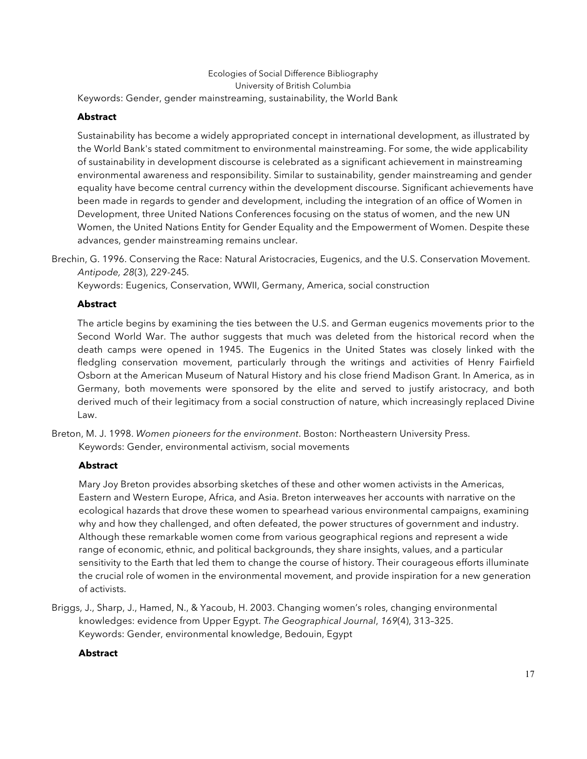#### Ecologies of Social Difference Bibliography University of British Columbia Keywords: Gender, gender mainstreaming, sustainability, the World Bank

### **Abstract**

Sustainability has become a widely appropriated concept in international development, as illustrated by the World Bank's stated commitment to environmental mainstreaming. For some, the wide applicability of sustainability in development discourse is celebrated as a significant achievement in mainstreaming environmental awareness and responsibility. Similar to sustainability, gender mainstreaming and gender equality have become central currency within the development discourse. Significant achievements have been made in regards to gender and development, including the integration of an office of Women in Development, three United Nations Conferences focusing on the status of women, and the new UN Women, the United Nations Entity for Gender Equality and the Empowerment of Women. Despite these advances, gender mainstreaming remains unclear.

Brechin, G. 1996. Conserving the Race: Natural Aristocracies, Eugenics, and the U.S. Conservation Movement. *Antipode, 28*(3), 229-245*.*

Keywords: Eugenics, Conservation, WWII, Germany, America, social construction

### **Abstract**

The article begins by examining the ties between the U.S. and German eugenics movements prior to the Second World War. The author suggests that much was deleted from the historical record when the death camps were opened in 1945. The Eugenics in the United States was closely linked with the fledgling conservation movement, particularly through the writings and activities of Henry Fairfield Osborn at the American Museum of Natural History and his close friend Madison Grant. In America, as in Germany, both movements were sponsored by the elite and served to justify aristocracy, and both derived much of their legitimacy from a social construction of nature, which increasingly replaced Divine Law.

Breton, M. J. 1998. *Women pioneers for the environment*. Boston: Northeastern University Press. Keywords: Gender, environmental activism, social movements

### **Abstract**

Mary Joy Breton provides absorbing sketches of these and other women activists in the Americas, Eastern and Western Europe, Africa, and Asia. Breton interweaves her accounts with narrative on the ecological hazards that drove these women to spearhead various environmental campaigns, examining why and how they challenged, and often defeated, the power structures of government and industry. Although these remarkable women come from various geographical regions and represent a wide range of economic, ethnic, and political backgrounds, they share insights, values, and a particular sensitivity to the Earth that led them to change the course of history. Their courageous efforts illuminate the crucial role of women in the environmental movement, and provide inspiration for a new generation of activists.

Briggs, J., Sharp, J., Hamed, N., & Yacoub, H. 2003. Changing women's roles, changing environmental knowledges: evidence from Upper Egypt. *The Geographical Journal*, *169*(4), 313–325. Keywords: Gender, environmental knowledge, Bedouin, Egypt

#### **Abstract**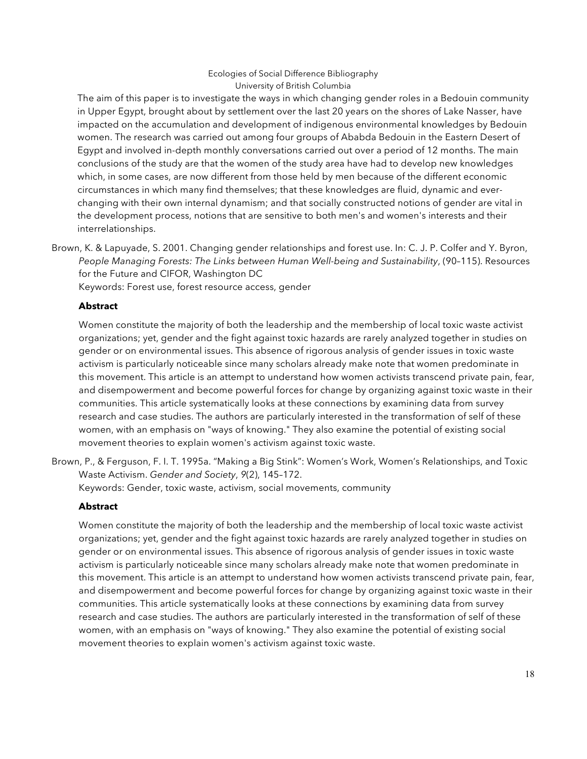The aim of this paper is to investigate the ways in which changing gender roles in a Bedouin community in Upper Egypt, brought about by settlement over the last 20 years on the shores of Lake Nasser, have impacted on the accumulation and development of indigenous environmental knowledges by Bedouin women. The research was carried out among four groups of Ababda Bedouin in the Eastern Desert of Egypt and involved in-depth monthly conversations carried out over a period of 12 months. The main conclusions of the study are that the women of the study area have had to develop new knowledges which, in some cases, are now different from those held by men because of the different economic circumstances in which many find themselves; that these knowledges are fluid, dynamic and everchanging with their own internal dynamism; and that socially constructed notions of gender are vital in the development process, notions that are sensitive to both men's and women's interests and their interrelationships.

Brown, K. & Lapuyade, S. 2001. Changing gender relationships and forest use. In: C. J. P. Colfer and Y. Byron, *People Managing Forests: The Links between Human Well-being and Sustainability*, (90–115). Resources for the Future and CIFOR, Washington DC

Keywords: Forest use, forest resource access, gender

### **Abstract**

Women constitute the majority of both the leadership and the membership of local toxic waste activist organizations; yet, gender and the fight against toxic hazards are rarely analyzed together in studies on gender or on environmental issues. This absence of rigorous analysis of gender issues in toxic waste activism is particularly noticeable since many scholars already make note that women predominate in this movement. This article is an attempt to understand how women activists transcend private pain, fear, and disempowerment and become powerful forces for change by organizing against toxic waste in their communities. This article systematically looks at these connections by examining data from survey research and case studies. The authors are particularly interested in the transformation of self of these women, with an emphasis on "ways of knowing." They also examine the potential of existing social movement theories to explain women's activism against toxic waste.

Brown, P., & Ferguson, F. I. T. 1995a. "Making a Big Stink": Women's Work, Women's Relationships, and Toxic Waste Activism. *Gender and Society*, *9*(2), 145–172.

Keywords: Gender, toxic waste, activism, social movements, community

### **Abstract**

Women constitute the majority of both the leadership and the membership of local toxic waste activist organizations; yet, gender and the fight against toxic hazards are rarely analyzed together in studies on gender or on environmental issues. This absence of rigorous analysis of gender issues in toxic waste activism is particularly noticeable since many scholars already make note that women predominate in this movement. This article is an attempt to understand how women activists transcend private pain, fear, and disempowerment and become powerful forces for change by organizing against toxic waste in their communities. This article systematically looks at these connections by examining data from survey research and case studies. The authors are particularly interested in the transformation of self of these women, with an emphasis on "ways of knowing." They also examine the potential of existing social movement theories to explain women's activism against toxic waste.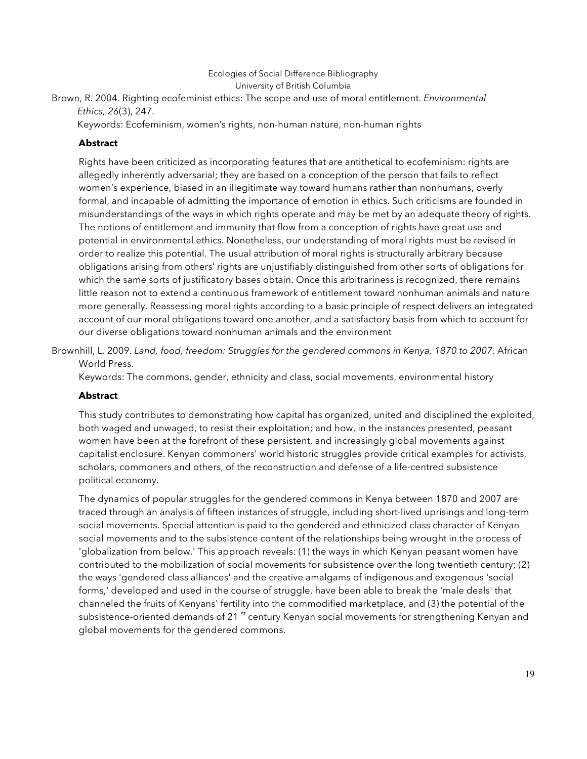Brown, R. 2004. Righting ecofeminist ethics: The scope and use of moral entitlement. *Environmental Ethics, 26*(3), 247.

Keywords: Ecofeminism, women's rights, non-human nature, non-human rights

# **Abstract**

Rights have been criticized as incorporating features that are antithetical to ecofeminism: rights are allegedly inherently adversarial; they are based on a conception of the person that fails to reflect women's experience, biased in an illegitimate way toward humans rather than nonhumans, overly formal, and incapable of admitting the importance of emotion in ethics. Such criticisms are founded in misunderstandings of the ways in which rights operate and may be met by an adequate theory of rights. The notions of entitlement and immunity that flow from a conception of rights have great use and potential in environmental ethics. Nonetheless, our understanding of moral rights must be revised in order to realize this potential. The usual attribution of moral rights is structurally arbitrary because obligations arising from others' rights are unjustifiably distinguished from other sorts of obligations for which the same sorts of justificatory bases obtain. Once this arbitrariness is recognized, there remains little reason not to extend a continuous framework of entitlement toward nonhuman animals and nature more generally. Reassessing moral rights according to a basic principle of respect delivers an integrated account of our moral obligations toward one another, and a satisfactory basis from which to account for our diverse obligations toward nonhuman animals and the environment

Brownhill, L. 2009. *Land, food, freedom: Struggles for the gendered commons in Kenya, 1870 to 2007*. African World Press.

Keywords: The commons, gender, ethnicity and class, social movements, environmental history

# **Abstract**

This study contributes to demonstrating how capital has organized, united and disciplined the exploited, both waged and unwaged, to resist their exploitation; and how, in the instances presented, peasant women have been at the forefront of these persistent, and increasingly global movements against capitalist enclosure. Kenyan commoners' world historic struggles provide critical examples for activists, scholars, commoners and others, of the reconstruction and defense of a life-centred subsistence political economy.

The dynamics of popular struggles for the gendered commons in Kenya between 1870 and 2007 are traced through an analysis of fifteen instances of struggle, including short-lived uprisings and long-term social movements. Special attention is paid to the gendered and ethnicized class character of Kenyan social movements and to the subsistence content of the relationships being wrought in the process of 'globalization from below.' This approach reveals: (1) the ways in which Kenyan peasant women have contributed to the mobilization of social movements for subsistence over the long twentieth century; (2) the ways 'gendered class alliances' and the creative amalgams of indigenous and exogenous 'social forms,' developed and used in the course of struggle, have been able to break the 'male deals' that channeled the fruits of Kenyans' fertility into the commodified marketplace, and (3) the potential of the subsistence-oriented demands of 21<sup>st</sup> century Kenyan social movements for strengthening Kenyan and global movements for the gendered commons.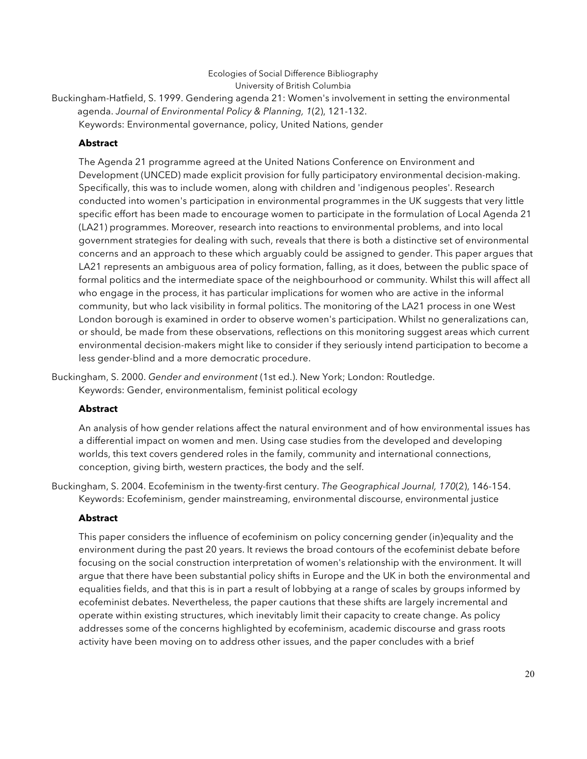Buckingham-Hatfield, S. 1999. Gendering agenda 21: Women's involvement in setting the environmental agenda. *Journal of Environmental Policy & Planning, 1*(2), 121-132. Keywords: Environmental governance, policy, United Nations, gender

### **Abstract**

The Agenda 21 programme agreed at the United Nations Conference on Environment and Development (UNCED) made explicit provision for fully participatory environmental decision-making. Specifically, this was to include women, along with children and 'indigenous peoples'. Research conducted into women's participation in environmental programmes in the UK suggests that very little specific effort has been made to encourage women to participate in the formulation of Local Agenda 21 (LA21) programmes. Moreover, research into reactions to environmental problems, and into local government strategies for dealing with such, reveals that there is both a distinctive set of environmental concerns and an approach to these which arguably could be assigned to gender. This paper argues that LA21 represents an ambiguous area of policy formation, falling, as it does, between the public space of formal politics and the intermediate space of the neighbourhood or community. Whilst this will affect all who engage in the process, it has particular implications for women who are active in the informal community, but who lack visibility in formal politics. The monitoring of the LA21 process in one West London borough is examined in order to observe women's participation. Whilst no generalizations can, or should, be made from these observations, reflections on this monitoring suggest areas which current environmental decision-makers might like to consider if they seriously intend participation to become a less gender-blind and a more democratic procedure.

Buckingham, S. 2000. *Gender and environment* (1st ed.). New York; London: Routledge. Keywords: Gender, environmentalism, feminist political ecology

# **Abstract**

An analysis of how gender relations affect the natural environment and of how environmental issues has a differential impact on women and men. Using case studies from the developed and developing worlds, this text covers gendered roles in the family, community and international connections, conception, giving birth, western practices, the body and the self.

Buckingham, S. 2004. Ecofeminism in the twenty-first century. *The Geographical Journal, 170*(2), 146-154. Keywords: Ecofeminism, gender mainstreaming, environmental discourse, environmental justice

### **Abstract**

This paper considers the influence of ecofeminism on policy concerning gender (in)equality and the environment during the past 20 years. It reviews the broad contours of the ecofeminist debate before focusing on the social construction interpretation of women's relationship with the environment. It will argue that there have been substantial policy shifts in Europe and the UK in both the environmental and equalities fields, and that this is in part a result of lobbying at a range of scales by groups informed by ecofeminist debates. Nevertheless, the paper cautions that these shifts are largely incremental and operate within existing structures, which inevitably limit their capacity to create change. As policy addresses some of the concerns highlighted by ecofeminism, academic discourse and grass roots activity have been moving on to address other issues, and the paper concludes with a brief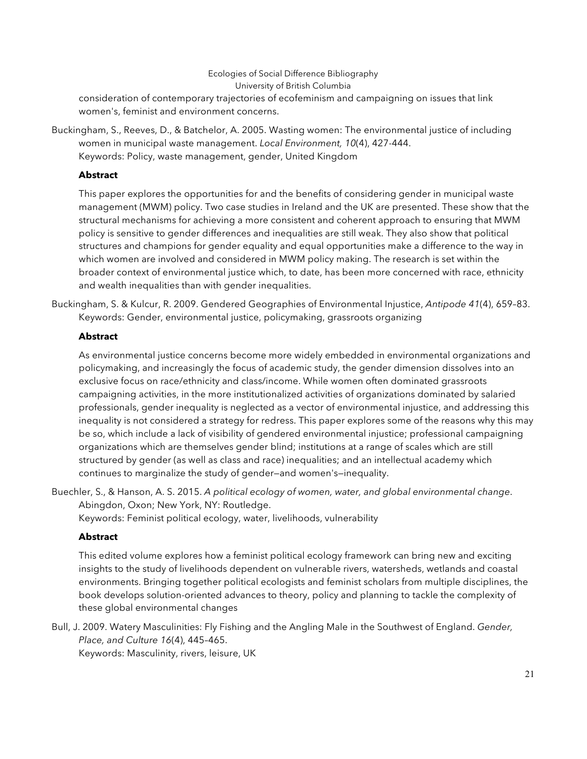consideration of contemporary trajectories of ecofeminism and campaigning on issues that link women's, feminist and environment concerns.

Buckingham, S., Reeves, D., & Batchelor, A. 2005. Wasting women: The environmental justice of including women in municipal waste management. *Local Environment, 10*(4), 427-444. Keywords: Policy, waste management, gender, United Kingdom

### **Abstract**

This paper explores the opportunities for and the benefits of considering gender in municipal waste management (MWM) policy. Two case studies in Ireland and the UK are presented. These show that the structural mechanisms for achieving a more consistent and coherent approach to ensuring that MWM policy is sensitive to gender differences and inequalities are still weak. They also show that political structures and champions for gender equality and equal opportunities make a difference to the way in which women are involved and considered in MWM policy making. The research is set within the broader context of environmental justice which, to date, has been more concerned with race, ethnicity and wealth inequalities than with gender inequalities.

Buckingham, S. & Kulcur, R. 2009. Gendered Geographies of Environmental Injustice, *Antipode 41*(4), 659–83. Keywords: Gender, environmental justice, policymaking, grassroots organizing

### **Abstract**

As environmental justice concerns become more widely embedded in environmental organizations and policymaking, and increasingly the focus of academic study, the gender dimension dissolves into an exclusive focus on race/ethnicity and class/income. While women often dominated grassroots campaigning activities, in the more institutionalized activities of organizations dominated by salaried professionals, gender inequality is neglected as a vector of environmental injustice, and addressing this inequality is not considered a strategy for redress. This paper explores some of the reasons why this may be so, which include a lack of visibility of gendered environmental injustice; professional campaigning organizations which are themselves gender blind; institutions at a range of scales which are still structured by gender (as well as class and race) inequalities; and an intellectual academy which continues to marginalize the study of gender—and women's—inequality.

Buechler, S., & Hanson, A. S. 2015. *A political ecology of women, water, and global environmental change*. Abingdon, Oxon; New York, NY: Routledge. Keywords: Feminist political ecology, water, livelihoods, vulnerability

### **Abstract**

This edited volume explores how a feminist political ecology framework can bring new and exciting insights to the study of livelihoods dependent on vulnerable rivers, watersheds, wetlands and coastal environments. Bringing together political ecologists and feminist scholars from multiple disciplines, the book develops solution-oriented advances to theory, policy and planning to tackle the complexity of these global environmental changes

Bull, J. 2009. Watery Masculinities: Fly Fishing and the Angling Male in the Southwest of England. *Gender, Place, and Culture 16*(4), 445–465. Keywords: Masculinity, rivers, leisure, UK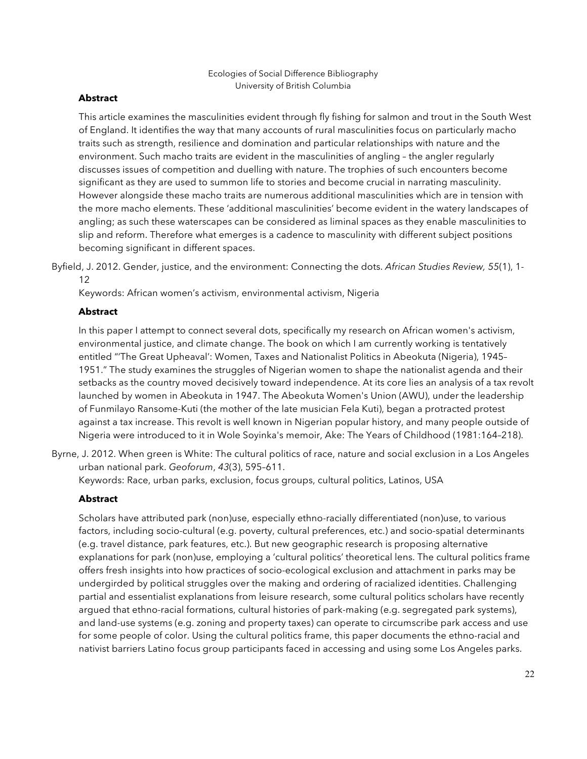# **Abstract**

This article examines the masculinities evident through fly fishing for salmon and trout in the South West of England. It identifies the way that many accounts of rural masculinities focus on particularly macho traits such as strength, resilience and domination and particular relationships with nature and the environment. Such macho traits are evident in the masculinities of angling – the angler regularly discusses issues of competition and duelling with nature. The trophies of such encounters become significant as they are used to summon life to stories and become crucial in narrating masculinity. However alongside these macho traits are numerous additional masculinities which are in tension with the more macho elements. These 'additional masculinities' become evident in the watery landscapes of angling; as such these waterscapes can be considered as liminal spaces as they enable masculinities to slip and reform. Therefore what emerges is a cadence to masculinity with different subject positions becoming significant in different spaces.

Byfield, J. 2012. Gender, justice, and the environment: Connecting the dots. *African Studies Review, 55*(1), 1- 12

Keywords: African women's activism, environmental activism, Nigeria

### **Abstract**

In this paper I attempt to connect several dots, specifically my research on African women's activism, environmental justice, and climate change. The book on which I am currently working is tentatively entitled "'The Great Upheaval': Women, Taxes and Nationalist Politics in Abeokuta (Nigeria), 1945– 1951." The study examines the struggles of Nigerian women to shape the nationalist agenda and their setbacks as the country moved decisively toward independence. At its core lies an analysis of a tax revolt launched by women in Abeokuta in 1947. The Abeokuta Women's Union (AWU), under the leadership of Funmilayo Ransome-Kuti (the mother of the late musician Fela Kuti), began a protracted protest against a tax increase. This revolt is well known in Nigerian popular history, and many people outside of Nigeria were introduced to it in Wole Soyinka's memoir, Ake: The Years of Childhood (1981:164–218).

Byrne, J. 2012. When green is White: The cultural politics of race, nature and social exclusion in a Los Angeles urban national park. *Geoforum*, *43*(3), 595–611.

Keywords: Race, urban parks, exclusion, focus groups, cultural politics, Latinos, USA

### **Abstract**

Scholars have attributed park (non)use, especially ethno-racially differentiated (non)use, to various factors, including socio-cultural (e.g. poverty, cultural preferences, etc.) and socio-spatial determinants (e.g. travel distance, park features, etc.). But new geographic research is proposing alternative explanations for park (non)use, employing a 'cultural politics' theoretical lens. The cultural politics frame offers fresh insights into how practices of socio-ecological exclusion and attachment in parks may be undergirded by political struggles over the making and ordering of racialized identities. Challenging partial and essentialist explanations from leisure research, some cultural politics scholars have recently argued that ethno-racial formations, cultural histories of park-making (e.g. segregated park systems), and land-use systems (e.g. zoning and property taxes) can operate to circumscribe park access and use for some people of color. Using the cultural politics frame, this paper documents the ethno-racial and nativist barriers Latino focus group participants faced in accessing and using some Los Angeles parks.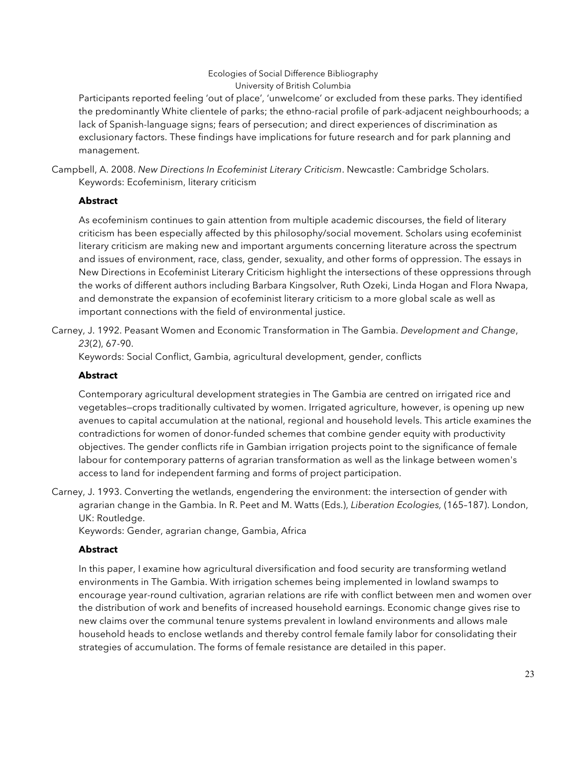Participants reported feeling 'out of place', 'unwelcome' or excluded from these parks. They identified the predominantly White clientele of parks; the ethno-racial profile of park-adjacent neighbourhoods; a lack of Spanish-language signs; fears of persecution; and direct experiences of discrimination as exclusionary factors. These findings have implications for future research and for park planning and management.

Campbell, A. 2008. *New Directions In Ecofeminist Literary Criticism*. Newcastle: Cambridge Scholars. Keywords: Ecofeminism, literary criticism

# **Abstract**

As ecofeminism continues to gain attention from multiple academic discourses, the field of literary criticism has been especially affected by this philosophy/social movement. Scholars using ecofeminist literary criticism are making new and important arguments concerning literature across the spectrum and issues of environment, race, class, gender, sexuality, and other forms of oppression. The essays in New Directions in Ecofeminist Literary Criticism highlight the intersections of these oppressions through the works of different authors including Barbara Kingsolver, Ruth Ozeki, Linda Hogan and Flora Nwapa, and demonstrate the expansion of ecofeminist literary criticism to a more global scale as well as important connections with the field of environmental justice.

Carney, J. 1992. Peasant Women and Economic Transformation in The Gambia. *Development and Change*, *23*(2), 67-90.

Keywords: Social Conflict, Gambia, agricultural development, gender, conflicts

# **Abstract**

Contemporary agricultural development strategies in The Gambia are centred on irrigated rice and vegetables—crops traditionally cultivated by women. Irrigated agriculture, however, is opening up new avenues to capital accumulation at the national, regional and household levels. This article examines the contradictions for women of donor-funded schemes that combine gender equity with productivity objectives. The gender conflicts rife in Gambian irrigation projects point to the significance of female labour for contemporary patterns of agrarian transformation as well as the linkage between women's access to land for independent farming and forms of project participation.

Carney, J. 1993. Converting the wetlands, engendering the environment: the intersection of gender with agrarian change in the Gambia. In R. Peet and M. Watts (Eds.), *Liberation Ecologies,* (165–187). London, UK: Routledge.

Keywords: Gender, agrarian change, Gambia, Africa

# **Abstract**

In this paper, I examine how agricultural diversification and food security are transforming wetland environments in The Gambia. With irrigation schemes being implemented in lowland swamps to encourage year-round cultivation, agrarian relations are rife with conflict between men and women over the distribution of work and benefits of increased household earnings. Economic change gives rise to new claims over the communal tenure systems prevalent in lowland environments and allows male household heads to enclose wetlands and thereby control female family labor for consolidating their strategies of accumulation. The forms of female resistance are detailed in this paper.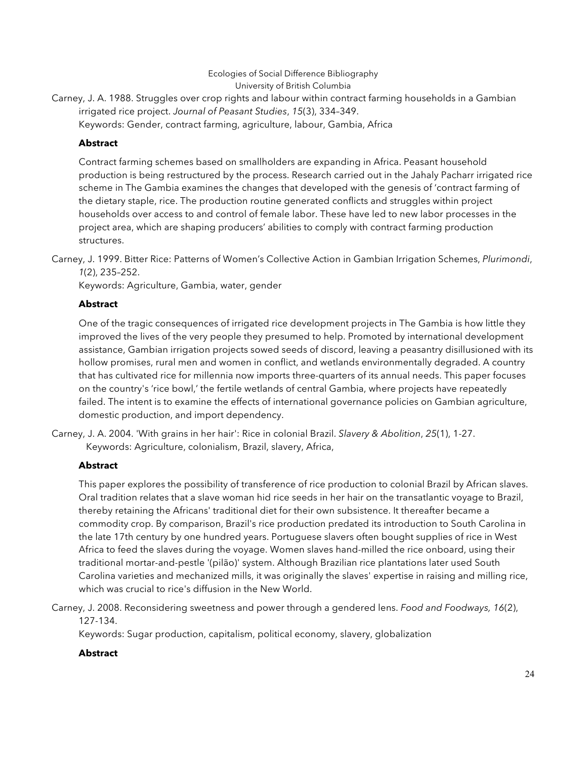Carney, J. A. 1988. Struggles over crop rights and labour within contract farming households in a Gambian irrigated rice project. *Journal of Peasant Studies*, *15*(3), 334–349. Keywords: Gender, contract farming, agriculture, labour, Gambia, Africa

### **Abstract**

Contract farming schemes based on smallholders are expanding in Africa. Peasant household production is being restructured by the process. Research carried out in the Jahaly Pacharr irrigated rice scheme in The Gambia examines the changes that developed with the genesis of 'contract farming of the dietary staple, rice. The production routine generated conflicts and struggles within project households over access to and control of female labor. These have led to new labor processes in the project area, which are shaping producers' abilities to comply with contract farming production structures.

Carney, J. 1999. Bitter Rice: Patterns of Women's Collective Action in Gambian Irrigation Schemes, *Plurimondi*, *1*(2), 235–252.

Keywords: Agriculture, Gambia, water, gender

### **Abstract**

One of the tragic consequences of irrigated rice development projects in The Gambia is how little they improved the lives of the very people they presumed to help. Promoted by international development assistance, Gambian irrigation projects sowed seeds of discord, leaving a peasantry disillusioned with its hollow promises, rural men and women in conflict, and wetlands environmentally degraded. A country that has cultivated rice for millennia now imports three-quarters of its annual needs. This paper focuses on the country's 'rice bowl,' the fertile wetlands of central Gambia, where projects have repeatedly failed. The intent is to examine the effects of international governance policies on Gambian agriculture, domestic production, and import dependency.

Carney, J. A. 2004. 'With grains in her hair': Rice in colonial Brazil. *Slavery & Abolition*, *25*(1), 1-27. Keywords: Agriculture, colonialism, Brazil, slavery, Africa,

# **Abstract**

This paper explores the possibility of transference of rice production to colonial Brazil by African slaves. Oral tradition relates that a slave woman hid rice seeds in her hair on the transatlantic voyage to Brazil, thereby retaining the Africans' traditional diet for their own subsistence. It thereafter became a commodity crop. By comparison, Brazil's rice production predated its introduction to South Carolina in the late 17th century by one hundred years. Portuguese slavers often bought supplies of rice in West Africa to feed the slaves during the voyage. Women slaves hand-milled the rice onboard, using their traditional mortar-and-pestle '(pilão)' system. Although Brazilian rice plantations later used South Carolina varieties and mechanized mills, it was originally the slaves' expertise in raising and milling rice, which was crucial to rice's diffusion in the New World.

Carney, J. 2008. Reconsidering sweetness and power through a gendered lens. *Food and Foodways, 16*(2), 127-134.

Keywords: Sugar production, capitalism, political economy, slavery, globalization

### **Abstract**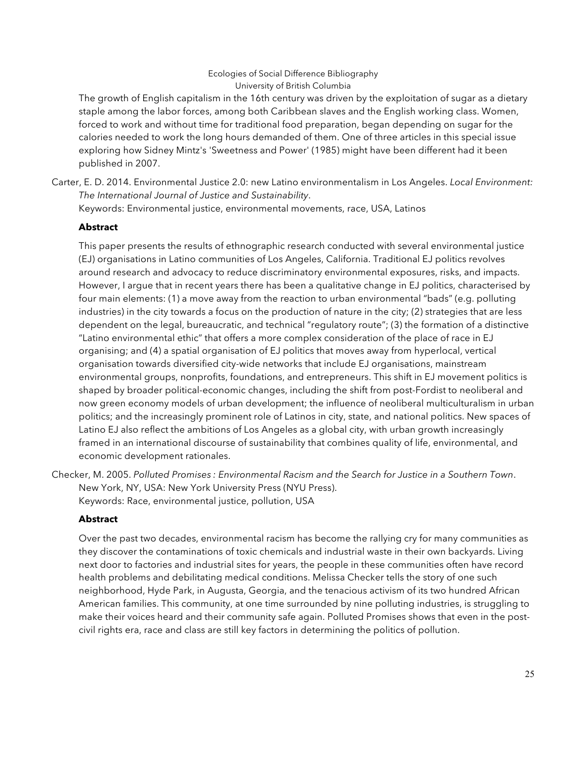The growth of English capitalism in the 16th century was driven by the exploitation of sugar as a dietary staple among the labor forces, among both Caribbean slaves and the English working class. Women, forced to work and without time for traditional food preparation, began depending on sugar for the calories needed to work the long hours demanded of them. One of three articles in this special issue exploring how Sidney Mintz's 'Sweetness and Power' (1985) might have been different had it been published in 2007.

Carter, E. D. 2014. Environmental Justice 2.0: new Latino environmentalism in Los Angeles. *Local Environment: The International Journal of Justice and Sustainability*.

Keywords: Environmental justice, environmental movements, race, USA, Latinos

# **Abstract**

This paper presents the results of ethnographic research conducted with several environmental justice (EJ) organisations in Latino communities of Los Angeles, California. Traditional EJ politics revolves around research and advocacy to reduce discriminatory environmental exposures, risks, and impacts. However, I argue that in recent years there has been a qualitative change in EJ politics, characterised by four main elements: (1) a move away from the reaction to urban environmental "bads" (e.g. polluting industries) in the city towards a focus on the production of nature in the city; (2) strategies that are less dependent on the legal, bureaucratic, and technical "regulatory route"; (3) the formation of a distinctive "Latino environmental ethic" that offers a more complex consideration of the place of race in EJ organising; and (4) a spatial organisation of EJ politics that moves away from hyperlocal, vertical organisation towards diversified city-wide networks that include EJ organisations, mainstream environmental groups, nonprofits, foundations, and entrepreneurs. This shift in EJ movement politics is shaped by broader political-economic changes, including the shift from post-Fordist to neoliberal and now green economy models of urban development; the influence of neoliberal multiculturalism in urban politics; and the increasingly prominent role of Latinos in city, state, and national politics. New spaces of Latino EJ also reflect the ambitions of Los Angeles as a global city, with urban growth increasingly framed in an international discourse of sustainability that combines quality of life, environmental, and economic development rationales.

Checker, M. 2005. *Polluted Promises : Environmental Racism and the Search for Justice in a Southern Town*. New York, NY, USA: New York University Press (NYU Press). Keywords: Race, environmental justice, pollution, USA

# **Abstract**

Over the past two decades, environmental racism has become the rallying cry for many communities as they discover the contaminations of toxic chemicals and industrial waste in their own backyards. Living next door to factories and industrial sites for years, the people in these communities often have record health problems and debilitating medical conditions. Melissa Checker tells the story of one such neighborhood, Hyde Park, in Augusta, Georgia, and the tenacious activism of its two hundred African American families. This community, at one time surrounded by nine polluting industries, is struggling to make their voices heard and their community safe again. Polluted Promises shows that even in the postcivil rights era, race and class are still key factors in determining the politics of pollution.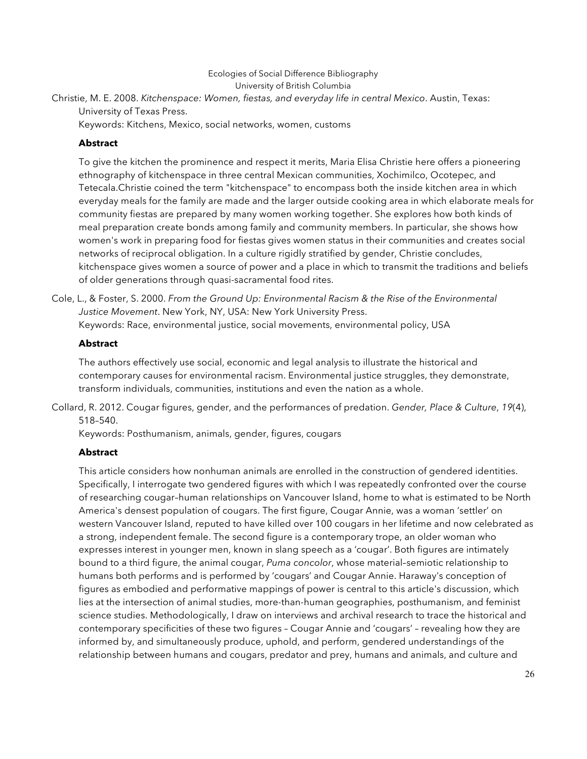Christie, M. E. 2008. *Kitchenspace: Women, fiestas, and everyday life in central Mexico*. Austin, Texas: University of Texas Press.

Keywords: Kitchens, Mexico, social networks, women, customs

# **Abstract**

To give the kitchen the prominence and respect it merits, Maria Elisa Christie here offers a pioneering ethnography of kitchenspace in three central Mexican communities, Xochimilco, Ocotepec, and Tetecala.Christie coined the term "kitchenspace" to encompass both the inside kitchen area in which everyday meals for the family are made and the larger outside cooking area in which elaborate meals for community fiestas are prepared by many women working together. She explores how both kinds of meal preparation create bonds among family and community members. In particular, she shows how women's work in preparing food for fiestas gives women status in their communities and creates social networks of reciprocal obligation. In a culture rigidly stratified by gender, Christie concludes, kitchenspace gives women a source of power and a place in which to transmit the traditions and beliefs of older generations through quasi-sacramental food rites.

Cole, L., & Foster, S. 2000. *From the Ground Up: Environmental Racism & the Rise of the Environmental Justice Movement*. New York, NY, USA: New York University Press. Keywords: Race, environmental justice, social movements, environmental policy, USA

### **Abstract**

The authors effectively use social, economic and legal analysis to illustrate the historical and contemporary causes for environmental racism. Environmental justice struggles, they demonstrate, transform individuals, communities, institutions and even the nation as a whole.

Collard, R. 2012. Cougar figures, gender, and the performances of predation. *Gender, Place & Culture*, *19*(4), 518–540.

Keywords: Posthumanism, animals, gender, figures, cougars

# **Abstract**

This article considers how nonhuman animals are enrolled in the construction of gendered identities. Specifically, I interrogate two gendered figures with which I was repeatedly confronted over the course of researching cougar–human relationships on Vancouver Island, home to what is estimated to be North America's densest population of cougars. The first figure, Cougar Annie, was a woman 'settler' on western Vancouver Island, reputed to have killed over 100 cougars in her lifetime and now celebrated as a strong, independent female. The second figure is a contemporary trope, an older woman who expresses interest in younger men, known in slang speech as a 'cougar'. Both figures are intimately bound to a third figure, the animal cougar, *Puma concolor*, whose material–semiotic relationship to humans both performs and is performed by 'cougars' and Cougar Annie. Haraway's conception of figures as embodied and performative mappings of power is central to this article's discussion, which lies at the intersection of animal studies, more-than-human geographies, posthumanism, and feminist science studies. Methodologically, I draw on interviews and archival research to trace the historical and contemporary specificities of these two figures – Cougar Annie and 'cougars' – revealing how they are informed by, and simultaneously produce, uphold, and perform, gendered understandings of the relationship between humans and cougars, predator and prey, humans and animals, and culture and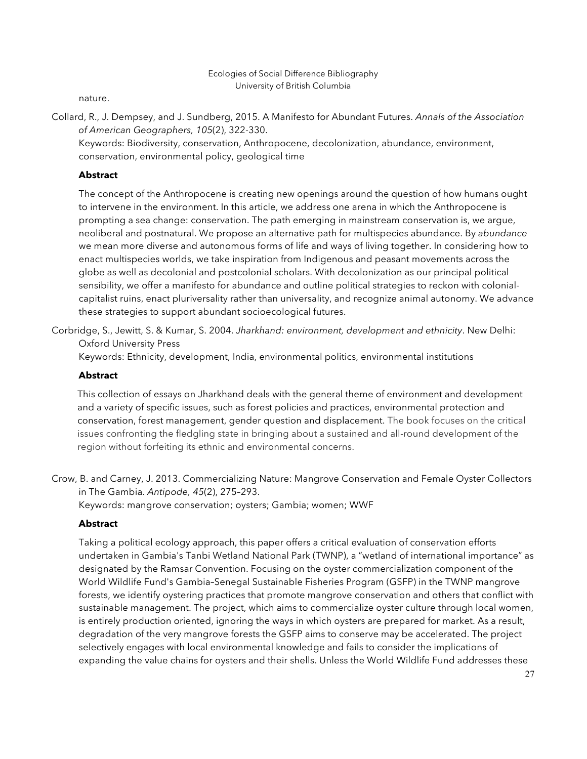nature.

Collard, R., J. Dempsey, and J. Sundberg, 2015. A Manifesto for Abundant Futures. *Annals of the Association of American Geographers, 105*(2), 322-330.

Keywords: Biodiversity, conservation, Anthropocene, decolonization, abundance, environment, conservation, environmental policy, geological time

#### **Abstract**

The concept of the Anthropocene is creating new openings around the question of how humans ought to intervene in the environment. In this article, we address one arena in which the Anthropocene is prompting a sea change: conservation. The path emerging in mainstream conservation is, we argue, neoliberal and postnatural. We propose an alternative path for multispecies abundance. By *abundance* we mean more diverse and autonomous forms of life and ways of living together. In considering how to enact multispecies worlds, we take inspiration from Indigenous and peasant movements across the globe as well as decolonial and postcolonial scholars. With decolonization as our principal political sensibility, we offer a manifesto for abundance and outline political strategies to reckon with colonialcapitalist ruins, enact pluriversality rather than universality, and recognize animal autonomy. We advance these strategies to support abundant socioecological futures.

Corbridge, S., Jewitt, S. & Kumar, S. 2004. *Jharkhand: environment, development and ethnicity*. New Delhi: Oxford University Press

Keywords: Ethnicity, development, India, environmental politics, environmental institutions

#### **Abstract**

This collection of essays on Jharkhand deals with the general theme of environment and development and a variety of specific issues, such as forest policies and practices, environmental protection and conservation, forest management, gender question and displacement. The book focuses on the critical issues confronting the fledgling state in bringing about a sustained and all-round development of the region without forfeiting its ethnic and environmental concerns.

Crow, B. and Carney, J. 2013. Commercializing Nature: Mangrove Conservation and Female Oyster Collectors in The Gambia. *Antipode, 45*(2), 275–293. Keywords: mangrove conservation; oysters; Gambia; women; WWF

#### **Abstract**

Taking a political ecology approach, this paper offers a critical evaluation of conservation efforts undertaken in Gambia's Tanbi Wetland National Park (TWNP), a "wetland of international importance" as designated by the Ramsar Convention. Focusing on the oyster commercialization component of the World Wildlife Fund's Gambia–Senegal Sustainable Fisheries Program (GSFP) in the TWNP mangrove forests, we identify oystering practices that promote mangrove conservation and others that conflict with sustainable management. The project, which aims to commercialize oyster culture through local women, is entirely production oriented, ignoring the ways in which oysters are prepared for market. As a result, degradation of the very mangrove forests the GSFP aims to conserve may be accelerated. The project selectively engages with local environmental knowledge and fails to consider the implications of expanding the value chains for oysters and their shells. Unless the World Wildlife Fund addresses these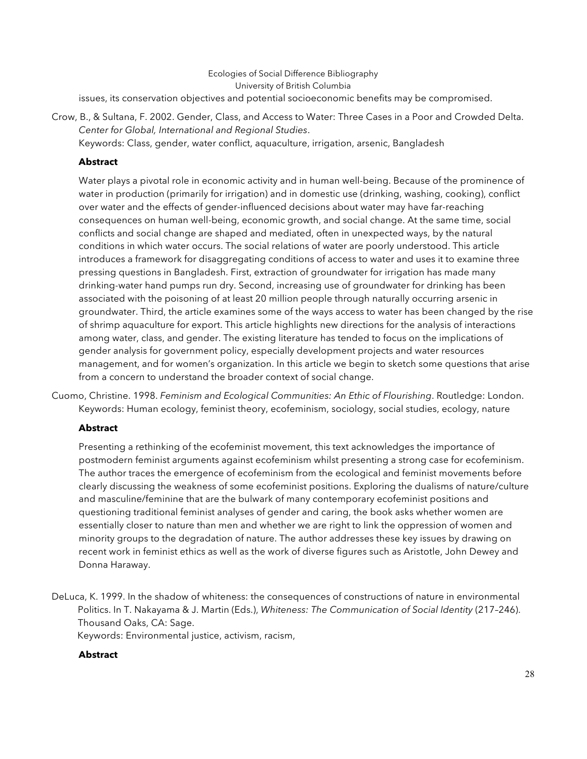issues, its conservation objectives and potential socioeconomic benefits may be compromised.

Crow, B., & Sultana, F. 2002. Gender, Class, and Access to Water: Three Cases in a Poor and Crowded Delta. *Center for Global, International and Regional Studies*.

Keywords: Class, gender, water conflict, aquaculture, irrigation, arsenic, Bangladesh

### **Abstract**

Water plays a pivotal role in economic activity and in human well-being. Because of the prominence of water in production (primarily for irrigation) and in domestic use (drinking, washing, cooking), conflict over water and the effects of gender-influenced decisions about water may have far-reaching consequences on human well-being, economic growth, and social change. At the same time, social conflicts and social change are shaped and mediated, often in unexpected ways, by the natural conditions in which water occurs. The social relations of water are poorly understood. This article introduces a framework for disaggregating conditions of access to water and uses it to examine three pressing questions in Bangladesh. First, extraction of groundwater for irrigation has made many drinking-water hand pumps run dry. Second, increasing use of groundwater for drinking has been associated with the poisoning of at least 20 million people through naturally occurring arsenic in groundwater. Third, the article examines some of the ways access to water has been changed by the rise of shrimp aquaculture for export. This article highlights new directions for the analysis of interactions among water, class, and gender. The existing literature has tended to focus on the implications of gender analysis for government policy, especially development projects and water resources management, and for women's organization. In this article we begin to sketch some questions that arise from a concern to understand the broader context of social change.

Cuomo, Christine. 1998. *Feminism and Ecological Communities: An Ethic of Flourishing*. Routledge: London. Keywords: Human ecology, feminist theory, ecofeminism, sociology, social studies, ecology, nature

### **Abstract**

Presenting a rethinking of the ecofeminist movement, this text acknowledges the importance of postmodern feminist arguments against ecofeminism whilst presenting a strong case for ecofeminism. The author traces the emergence of ecofeminism from the ecological and feminist movements before clearly discussing the weakness of some ecofeminist positions. Exploring the dualisms of nature/culture and masculine/feminine that are the bulwark of many contemporary ecofeminist positions and questioning traditional feminist analyses of gender and caring, the book asks whether women are essentially closer to nature than men and whether we are right to link the oppression of women and minority groups to the degradation of nature. The author addresses these key issues by drawing on recent work in feminist ethics as well as the work of diverse figures such as Aristotle, John Dewey and Donna Haraway.

DeLuca, K. 1999. In the shadow of whiteness: the consequences of constructions of nature in environmental Politics. In T. Nakayama & J. Martin (Eds.), *Whiteness: The Communication of Social Identity* (217–246). Thousand Oaks, CA: Sage.

Keywords: Environmental justice, activism, racism,

### **Abstract**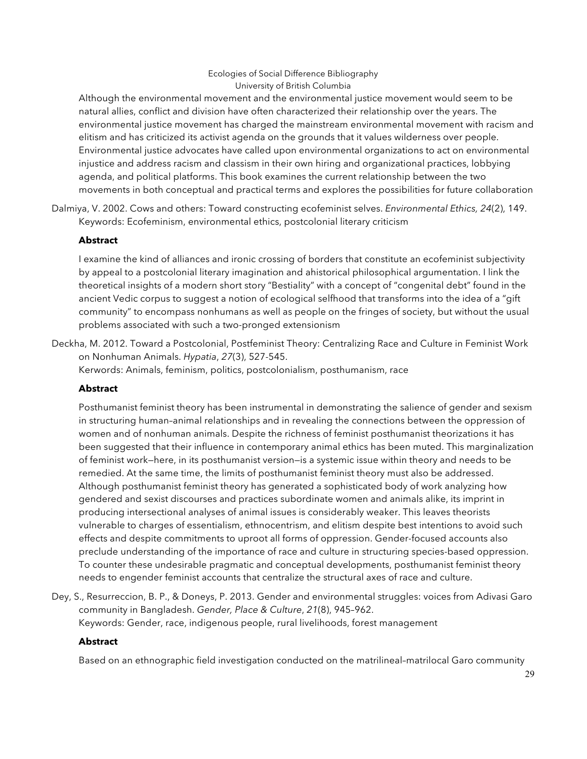Although the environmental movement and the environmental justice movement would seem to be natural allies, conflict and division have often characterized their relationship over the years. The environmental justice movement has charged the mainstream environmental movement with racism and elitism and has criticized its activist agenda on the grounds that it values wilderness over people. Environmental justice advocates have called upon environmental organizations to act on environmental injustice and address racism and classism in their own hiring and organizational practices, lobbying agenda, and political platforms. This book examines the current relationship between the two movements in both conceptual and practical terms and explores the possibilities for future collaboration

Dalmiya, V. 2002. Cows and others: Toward constructing ecofeminist selves. *Environmental Ethics, 24*(2), 149. Keywords: Ecofeminism, environmental ethics, postcolonial literary criticism

# **Abstract**

I examine the kind of alliances and ironic crossing of borders that constitute an ecofeminist subjectivity by appeal to a postcolonial literary imagination and ahistorical philosophical argumentation. I link the theoretical insights of a modern short story "Bestiality" with a concept of "congenital debt" found in the ancient Vedic corpus to suggest a notion of ecological selfhood that transforms into the idea of a "gift community" to encompass nonhumans as well as people on the fringes of society, but without the usual problems associated with such a two-pronged extensionism

Deckha, M. 2012. Toward a Postcolonial, Postfeminist Theory: Centralizing Race and Culture in Feminist Work on Nonhuman Animals. *Hypatia*, *27*(3), 527-545.

Kerwords: Animals, feminism, politics, postcolonialism, posthumanism, race

### **Abstract**

Posthumanist feminist theory has been instrumental in demonstrating the salience of gender and sexism in structuring human–animal relationships and in revealing the connections between the oppression of women and of nonhuman animals. Despite the richness of feminist posthumanist theorizations it has been suggested that their influence in contemporary animal ethics has been muted. This marginalization of feminist work—here, in its posthumanist version—is a systemic issue within theory and needs to be remedied. At the same time, the limits of posthumanist feminist theory must also be addressed. Although posthumanist feminist theory has generated a sophisticated body of work analyzing how gendered and sexist discourses and practices subordinate women and animals alike, its imprint in producing intersectional analyses of animal issues is considerably weaker. This leaves theorists vulnerable to charges of essentialism, ethnocentrism, and elitism despite best intentions to avoid such effects and despite commitments to uproot all forms of oppression. Gender-focused accounts also preclude understanding of the importance of race and culture in structuring species-based oppression. To counter these undesirable pragmatic and conceptual developments, posthumanist feminist theory needs to engender feminist accounts that centralize the structural axes of race and culture.

Dey, S., Resurreccion, B. P., & Doneys, P. 2013. Gender and environmental struggles: voices from Adivasi Garo community in Bangladesh. *Gender, Place & Culture*, *21*(8), 945–962. Keywords: Gender, race, indigenous people, rural livelihoods, forest management

### **Abstract**

Based on an ethnographic field investigation conducted on the matrilineal–matrilocal Garo community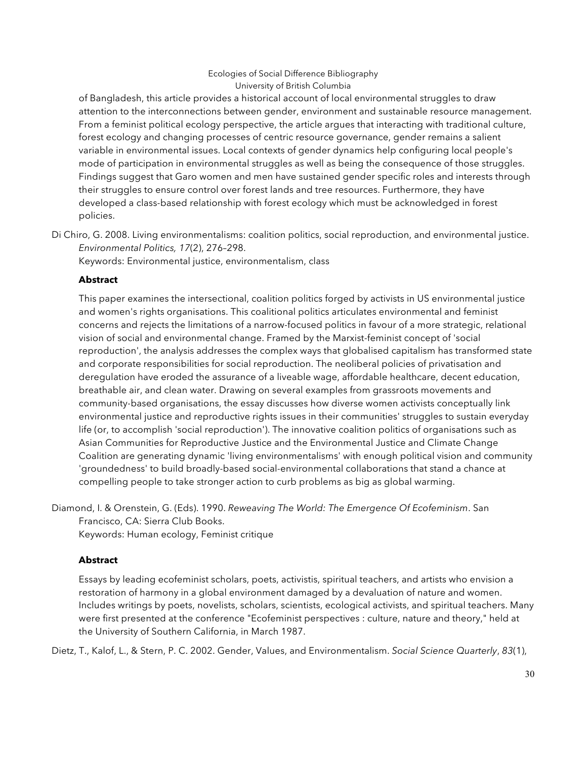of Bangladesh, this article provides a historical account of local environmental struggles to draw attention to the interconnections between gender, environment and sustainable resource management. From a feminist political ecology perspective, the article argues that interacting with traditional culture, forest ecology and changing processes of centric resource governance, gender remains a salient variable in environmental issues. Local contexts of gender dynamics help configuring local people's mode of participation in environmental struggles as well as being the consequence of those struggles. Findings suggest that Garo women and men have sustained gender specific roles and interests through their struggles to ensure control over forest lands and tree resources. Furthermore, they have developed a class-based relationship with forest ecology which must be acknowledged in forest policies.

Di Chiro, G. 2008. Living environmentalisms: coalition politics, social reproduction, and environmental justice. *Environmental Politics, 17*(2), 276–298.

Keywords: Environmental justice, environmentalism, class

### **Abstract**

This paper examines the intersectional, coalition politics forged by activists in US environmental justice and women's rights organisations. This coalitional politics articulates environmental and feminist concerns and rejects the limitations of a narrow-focused politics in favour of a more strategic, relational vision of social and environmental change. Framed by the Marxist-feminist concept of 'social reproduction', the analysis addresses the complex ways that globalised capitalism has transformed state and corporate responsibilities for social reproduction. The neoliberal policies of privatisation and deregulation have eroded the assurance of a liveable wage, affordable healthcare, decent education, breathable air, and clean water. Drawing on several examples from grassroots movements and community-based organisations, the essay discusses how diverse women activists conceptually link environmental justice and reproductive rights issues in their communities' struggles to sustain everyday life (or, to accomplish 'social reproduction'). The innovative coalition politics of organisations such as Asian Communities for Reproductive Justice and the Environmental Justice and Climate Change Coalition are generating dynamic 'living environmentalisms' with enough political vision and community 'groundedness' to build broadly-based social-environmental collaborations that stand a chance at compelling people to take stronger action to curb problems as big as global warming.

Diamond, I. & Orenstein, G. (Eds). 1990. *Reweaving The World: The Emergence Of Ecofeminism*. San Francisco, CA: Sierra Club Books.

Keywords: Human ecology, Feminist critique

### **Abstract**

Essays by leading ecofeminist scholars, poets, activistis, spiritual teachers, and artists who envision a restoration of harmony in a global environment damaged by a devaluation of nature and women. Includes writings by poets, novelists, scholars, scientists, ecological activists, and spiritual teachers. Many were first presented at the conference "Ecofeminist perspectives : culture, nature and theory," held at the University of Southern California, in March 1987.

Dietz, T., Kalof, L., & Stern, P. C. 2002. Gender, Values, and Environmentalism. *Social Science Quarterly*, *83*(1),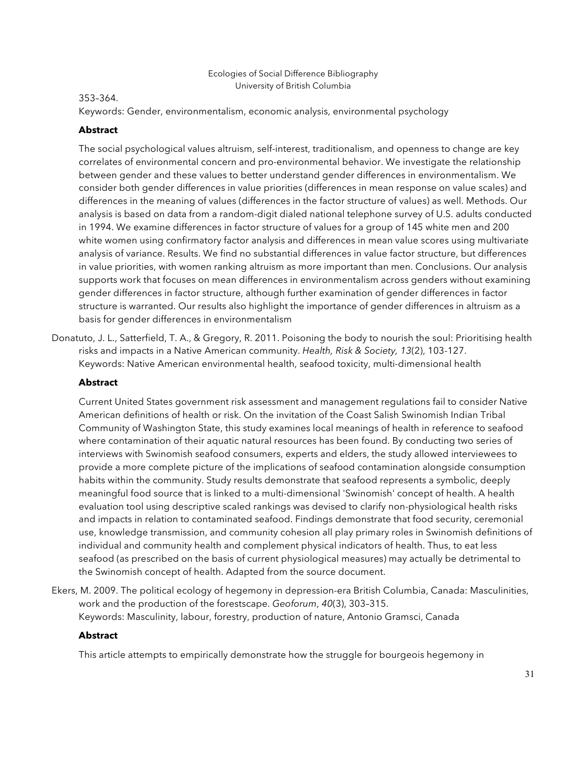#### 353–364.

Keywords: Gender, environmentalism, economic analysis, environmental psychology

### **Abstract**

The social psychological values altruism, self-interest, traditionalism, and openness to change are key correlates of environmental concern and pro-environmental behavior. We investigate the relationship between gender and these values to better understand gender differences in environmentalism. We consider both gender differences in value priorities (differences in mean response on value scales) and differences in the meaning of values (differences in the factor structure of values) as well. Methods. Our analysis is based on data from a random-digit dialed national telephone survey of U.S. adults conducted in 1994. We examine differences in factor structure of values for a group of 145 white men and 200 white women using confirmatory factor analysis and differences in mean value scores using multivariate analysis of variance. Results. We find no substantial differences in value factor structure, but differences in value priorities, with women ranking altruism as more important than men. Conclusions. Our analysis supports work that focuses on mean differences in environmentalism across genders without examining gender differences in factor structure, although further examination of gender differences in factor structure is warranted. Our results also highlight the importance of gender differences in altruism as a basis for gender differences in environmentalism

Donatuto, J. L., Satterfield, T. A., & Gregory, R. 2011. Poisoning the body to nourish the soul: Prioritising health risks and impacts in a Native American community. *Health, Risk & Society, 13*(2), 103-127. Keywords: Native American environmental health, seafood toxicity, multi-dimensional health

#### **Abstract**

Current United States government risk assessment and management regulations fail to consider Native American definitions of health or risk. On the invitation of the Coast Salish Swinomish Indian Tribal Community of Washington State, this study examines local meanings of health in reference to seafood where contamination of their aquatic natural resources has been found. By conducting two series of interviews with Swinomish seafood consumers, experts and elders, the study allowed interviewees to provide a more complete picture of the implications of seafood contamination alongside consumption habits within the community. Study results demonstrate that seafood represents a symbolic, deeply meaningful food source that is linked to a multi-dimensional 'Swinomish' concept of health. A health evaluation tool using descriptive scaled rankings was devised to clarify non-physiological health risks and impacts in relation to contaminated seafood. Findings demonstrate that food security, ceremonial use, knowledge transmission, and community cohesion all play primary roles in Swinomish definitions of individual and community health and complement physical indicators of health. Thus, to eat less seafood (as prescribed on the basis of current physiological measures) may actually be detrimental to the Swinomish concept of health. Adapted from the source document.

Ekers, M. 2009. The political ecology of hegemony in depression-era British Columbia, Canada: Masculinities, work and the production of the forestscape. *Geoforum*, *40*(3), 303–315. Keywords: Masculinity, labour, forestry, production of nature, Antonio Gramsci, Canada

### **Abstract**

This article attempts to empirically demonstrate how the struggle for bourgeois hegemony in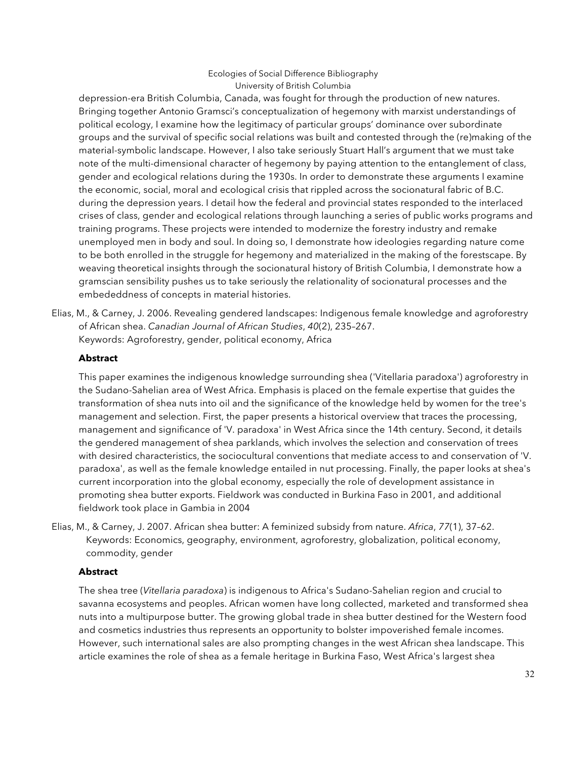depression-era British Columbia, Canada, was fought for through the production of new natures. Bringing together Antonio Gramsci's conceptualization of hegemony with marxist understandings of political ecology, I examine how the legitimacy of particular groups' dominance over subordinate groups and the survival of specific social relations was built and contested through the (re)making of the material-symbolic landscape. However, I also take seriously Stuart Hall's argument that we must take note of the multi-dimensional character of hegemony by paying attention to the entanglement of class, gender and ecological relations during the 1930s. In order to demonstrate these arguments I examine the economic, social, moral and ecological crisis that rippled across the socionatural fabric of B.C. during the depression years. I detail how the federal and provincial states responded to the interlaced crises of class, gender and ecological relations through launching a series of public works programs and training programs. These projects were intended to modernize the forestry industry and remake unemployed men in body and soul. In doing so, I demonstrate how ideologies regarding nature come to be both enrolled in the struggle for hegemony and materialized in the making of the forestscape. By weaving theoretical insights through the socionatural history of British Columbia, I demonstrate how a gramscian sensibility pushes us to take seriously the relationality of socionatural processes and the embededdness of concepts in material histories.

Elias, M., & Carney, J. 2006. Revealing gendered landscapes: Indigenous female knowledge and agroforestry of African shea. *Canadian Journal of African Studies*, *40*(2), 235–267. Keywords: Agroforestry, gender, political economy, Africa

### **Abstract**

This paper examines the indigenous knowledge surrounding shea ('Vitellaria paradoxa') agroforestry in the Sudano-Sahelian area of West Africa. Emphasis is placed on the female expertise that guides the transformation of shea nuts into oil and the significance of the knowledge held by women for the tree's management and selection. First, the paper presents a historical overview that traces the processing, management and significance of 'V. paradoxa' in West Africa since the 14th century. Second, it details the gendered management of shea parklands, which involves the selection and conservation of trees with desired characteristics, the sociocultural conventions that mediate access to and conservation of 'V. paradoxa', as well as the female knowledge entailed in nut processing. Finally, the paper looks at shea's current incorporation into the global economy, especially the role of development assistance in promoting shea butter exports. Fieldwork was conducted in Burkina Faso in 2001, and additional fieldwork took place in Gambia in 2004

Elias, M., & Carney, J. 2007. African shea butter: A feminized subsidy from nature. *Africa*, *77*(1), 37–62. Keywords: Economics, geography, environment, agroforestry, globalization, political economy, commodity, gender

### **Abstract**

The shea tree (*Vitellaria paradoxa*) is indigenous to Africa's Sudano-Sahelian region and crucial to savanna ecosystems and peoples. African women have long collected, marketed and transformed shea nuts into a multipurpose butter. The growing global trade in shea butter destined for the Western food and cosmetics industries thus represents an opportunity to bolster impoverished female incomes. However, such international sales are also prompting changes in the west African shea landscape. This article examines the role of shea as a female heritage in Burkina Faso, West Africa's largest shea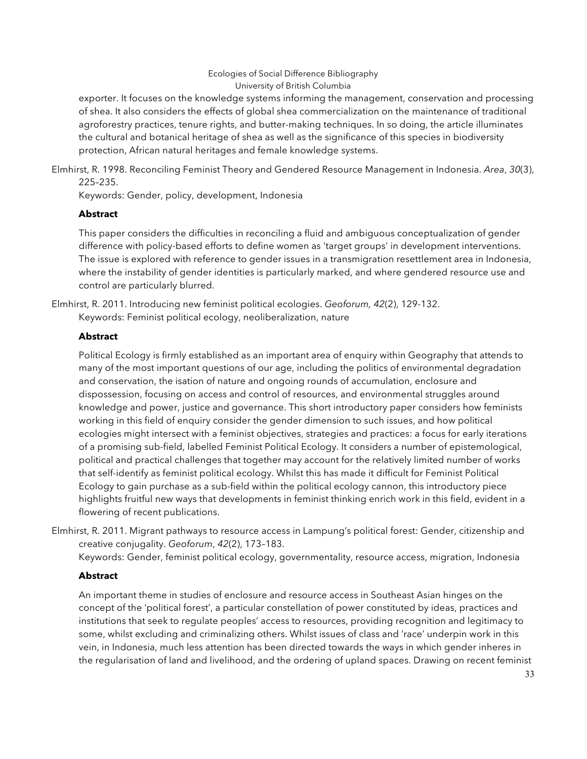exporter. It focuses on the knowledge systems informing the management, conservation and processing of shea. It also considers the effects of global shea commercialization on the maintenance of traditional agroforestry practices, tenure rights, and butter-making techniques. In so doing, the article illuminates the cultural and botanical heritage of shea as well as the significance of this species in biodiversity protection, African natural heritages and female knowledge systems.

Elmhirst, R. 1998. Reconciling Feminist Theory and Gendered Resource Management in Indonesia. *Area*, *30*(3), 225–235.

Keywords: Gender, policy, development, Indonesia

### **Abstract**

This paper considers the difficulties in reconciling a fluid and ambiguous conceptualization of gender difference with policy-based efforts to define women as 'target groups' in development interventions. The issue is explored with reference to gender issues in a transmigration resettlement area in Indonesia, where the instability of gender identities is particularly marked, and where gendered resource use and control are particularly blurred.

Elmhirst, R. 2011. Introducing new feminist political ecologies. *Geoforum, 42*(2), 129-132. Keywords: Feminist political ecology, neoliberalization, nature

### **Abstract**

Political Ecology is firmly established as an important area of enquiry within Geography that attends to many of the most important questions of our age, including the politics of environmental degradation and conservation, the isation of nature and ongoing rounds of accumulation, enclosure and dispossession, focusing on access and control of resources, and environmental struggles around knowledge and power, justice and governance. This short introductory paper considers how feminists working in this field of enquiry consider the gender dimension to such issues, and how political ecologies might intersect with a feminist objectives, strategies and practices: a focus for early iterations of a promising sub-field, labelled Feminist Political Ecology. It considers a number of epistemological, political and practical challenges that together may account for the relatively limited number of works that self-identify as feminist political ecology. Whilst this has made it difficult for Feminist Political Ecology to gain purchase as a sub-field within the political ecology cannon, this introductory piece highlights fruitful new ways that developments in feminist thinking enrich work in this field, evident in a flowering of recent publications.

Elmhirst, R. 2011. Migrant pathways to resource access in Lampung's political forest: Gender, citizenship and creative conjugality. *Geoforum*, *42*(2), 173–183.

Keywords: Gender, feminist political ecology, governmentality, resource access, migration, Indonesia

# **Abstract**

An important theme in studies of enclosure and resource access in Southeast Asian hinges on the concept of the 'political forest', a particular constellation of power constituted by ideas, practices and institutions that seek to regulate peoples' access to resources, providing recognition and legitimacy to some, whilst excluding and criminalizing others. Whilst issues of class and 'race' underpin work in this vein, in Indonesia, much less attention has been directed towards the ways in which gender inheres in the regularisation of land and livelihood, and the ordering of upland spaces. Drawing on recent feminist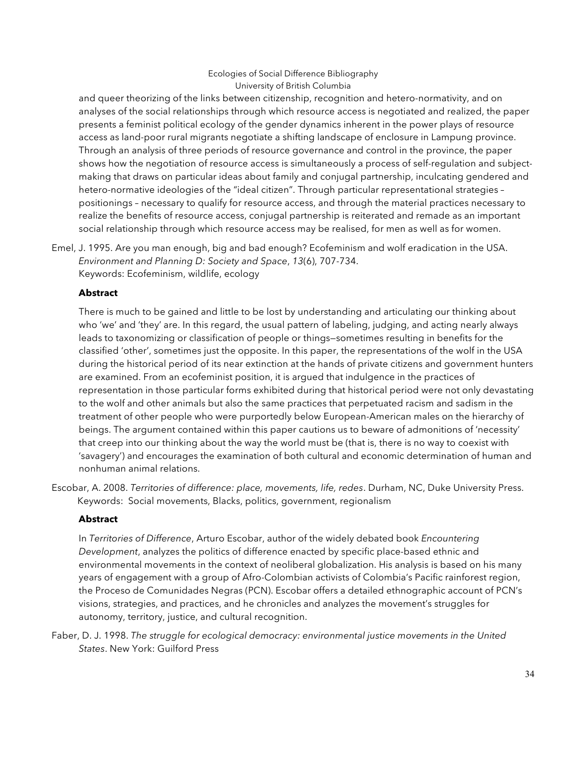and queer theorizing of the links between citizenship, recognition and hetero-normativity, and on analyses of the social relationships through which resource access is negotiated and realized, the paper presents a feminist political ecology of the gender dynamics inherent in the power plays of resource access as land-poor rural migrants negotiate a shifting landscape of enclosure in Lampung province. Through an analysis of three periods of resource governance and control in the province, the paper shows how the negotiation of resource access is simultaneously a process of self-regulation and subjectmaking that draws on particular ideas about family and conjugal partnership, inculcating gendered and hetero-normative ideologies of the "ideal citizen". Through particular representational strategies – positionings – necessary to qualify for resource access, and through the material practices necessary to realize the benefits of resource access, conjugal partnership is reiterated and remade as an important social relationship through which resource access may be realised, for men as well as for women.

Emel, J. 1995. Are you man enough, big and bad enough? Ecofeminism and wolf eradication in the USA. *Environment and Planning D: Society and Space*, *13*(6), 707-734. Keywords: Ecofeminism, wildlife, ecology

# **Abstract**

There is much to be gained and little to be lost by understanding and articulating our thinking about who 'we' and 'they' are. In this regard, the usual pattern of labeling, judging, and acting nearly always leads to taxonomizing or classification of people or things—sometimes resulting in benefits for the classified 'other', sometimes just the opposite. In this paper, the representations of the wolf in the USA during the historical period of its near extinction at the hands of private citizens and government hunters are examined. From an ecofeminist position, it is argued that indulgence in the practices of representation in those particular forms exhibited during that historical period were not only devastating to the wolf and other animals but also the same practices that perpetuated racism and sadism in the treatment of other people who were purportedly below European-American males on the hierarchy of beings. The argument contained within this paper cautions us to beware of admonitions of 'necessity' that creep into our thinking about the way the world must be (that is, there is no way to coexist with 'savagery') and encourages the examination of both cultural and economic determination of human and nonhuman animal relations.

Escobar, A. 2008. *Territories of difference: place, movements, life, redes*. Durham, NC, Duke University Press. Keywords: Social movements, Blacks, politics, government, regionalism

### **Abstract**

In *Territories of Difference*, Arturo Escobar, author of the widely debated book *Encountering Development*, analyzes the politics of difference enacted by specific place-based ethnic and environmental movements in the context of neoliberal globalization. His analysis is based on his many years of engagement with a group of Afro-Colombian activists of Colombia's Pacific rainforest region, the Proceso de Comunidades Negras (PCN). Escobar offers a detailed ethnographic account of PCN's visions, strategies, and practices, and he chronicles and analyzes the movement's struggles for autonomy, territory, justice, and cultural recognition.

Faber, D. J. 1998. *The struggle for ecological democracy: environmental justice movements in the United States*. New York: Guilford Press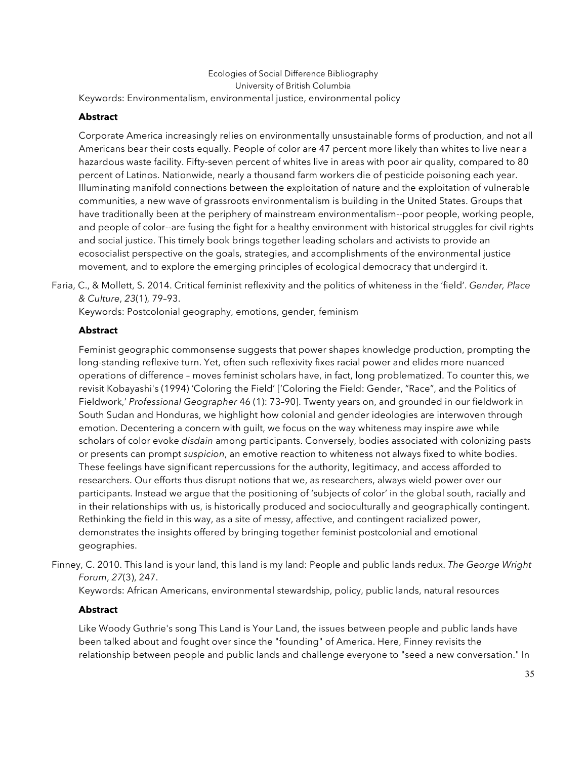#### Ecologies of Social Difference Bibliography University of British Columbia Keywords: Environmentalism, environmental justice, environmental policy

### **Abstract**

Corporate America increasingly relies on environmentally unsustainable forms of production, and not all Americans bear their costs equally. People of color are 47 percent more likely than whites to live near a hazardous waste facility. Fifty-seven percent of whites live in areas with poor air quality, compared to 80 percent of Latinos. Nationwide, nearly a thousand farm workers die of pesticide poisoning each year. Illuminating manifold connections between the exploitation of nature and the exploitation of vulnerable communities, a new wave of grassroots environmentalism is building in the United States. Groups that have traditionally been at the periphery of mainstream environmentalism--poor people, working people, and people of color--are fusing the fight for a healthy environment with historical struggles for civil rights and social justice. This timely book brings together leading scholars and activists to provide an ecosocialist perspective on the goals, strategies, and accomplishments of the environmental justice movement, and to explore the emerging principles of ecological democracy that undergird it.

Faria, C., & Mollett, S. 2014. Critical feminist reflexivity and the politics of whiteness in the 'field'. *Gender, Place & Culture*, *23*(1), 79–93.

Keywords: Postcolonial geography, emotions, gender, feminism

### **Abstract**

Feminist geographic commonsense suggests that power shapes knowledge production, prompting the long-standing reflexive turn. Yet, often such reflexivity fixes racial power and elides more nuanced operations of difference – moves feminist scholars have, in fact, long problematized. To counter this, we revisit Kobayashi's (1994) 'Coloring the Field' ['Coloring the Field: Gender, "Race", and the Politics of Fieldwork,' *Professional Geographer* 46 (1): 73–90]. Twenty years on, and grounded in our fieldwork in South Sudan and Honduras, we highlight how colonial and gender ideologies are interwoven through emotion. Decentering a concern with guilt, we focus on the way whiteness may inspire *awe* while scholars of color evoke *disdain* among participants. Conversely, bodies associated with colonizing pasts or presents can prompt *suspicion*, an emotive reaction to whiteness not always fixed to white bodies. These feelings have significant repercussions for the authority, legitimacy, and access afforded to researchers. Our efforts thus disrupt notions that we, as researchers, always wield power over our participants. Instead we argue that the positioning of 'subjects of color' in the global south, racially and in their relationships with us, is historically produced and socioculturally and geographically contingent. Rethinking the field in this way, as a site of messy, affective, and contingent racialized power, demonstrates the insights offered by bringing together feminist postcolonial and emotional geographies.

Finney, C. 2010. This land is your land, this land is my land: People and public lands redux. *The George Wright Forum*, *27*(3), 247.

Keywords: African Americans, environmental stewardship, policy, public lands, natural resources

### **Abstract**

Like Woody Guthrie's song This Land is Your Land, the issues between people and public lands have been talked about and fought over since the "founding" of America. Here, Finney revisits the relationship between people and public lands and challenge everyone to "seed a new conversation." In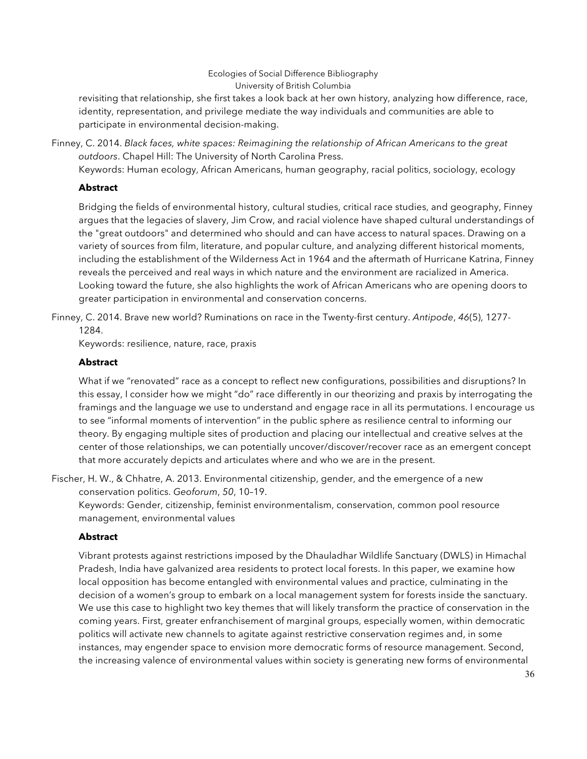revisiting that relationship, she first takes a look back at her own history, analyzing how difference, race, identity, representation, and privilege mediate the way individuals and communities are able to participate in environmental decision-making.

Finney, C. 2014. *Black faces, white spaces: Reimagining the relationship of African Americans to the great outdoors*. Chapel Hill: The University of North Carolina Press.

Keywords: Human ecology, African Americans, human geography, racial politics, sociology, ecology

# **Abstract**

Bridging the fields of environmental history, cultural studies, critical race studies, and geography, Finney argues that the legacies of slavery, Jim Crow, and racial violence have shaped cultural understandings of the "great outdoors" and determined who should and can have access to natural spaces. Drawing on a variety of sources from film, literature, and popular culture, and analyzing different historical moments, including the establishment of the Wilderness Act in 1964 and the aftermath of Hurricane Katrina, Finney reveals the perceived and real ways in which nature and the environment are racialized in America. Looking toward the future, she also highlights the work of African Americans who are opening doors to greater participation in environmental and conservation concerns.

Finney, C. 2014. Brave new world? Ruminations on race in the Twenty-first century. *Antipode*, *46*(5), 1277- 1284.

Keywords: resilience, nature, race, praxis

### **Abstract**

What if we "renovated" race as a concept to reflect new configurations, possibilities and disruptions? In this essay, I consider how we might "do" race differently in our theorizing and praxis by interrogating the framings and the language we use to understand and engage race in all its permutations. I encourage us to see "informal moments of intervention" in the public sphere as resilience central to informing our theory. By engaging multiple sites of production and placing our intellectual and creative selves at the center of those relationships, we can potentially uncover/discover/recover race as an emergent concept that more accurately depicts and articulates where and who we are in the present.

Fischer, H. W., & Chhatre, A. 2013. Environmental citizenship, gender, and the emergence of a new conservation politics. *Geoforum*, *50*, 10–19. Keywords: Gender, citizenship, feminist environmentalism, conservation, common pool resource management, environmental values

### **Abstract**

Vibrant protests against restrictions imposed by the Dhauladhar Wildlife Sanctuary (DWLS) in Himachal Pradesh, India have galvanized area residents to protect local forests. In this paper, we examine how local opposition has become entangled with environmental values and practice, culminating in the decision of a women's group to embark on a local management system for forests inside the sanctuary. We use this case to highlight two key themes that will likely transform the practice of conservation in the coming years. First, greater enfranchisement of marginal groups, especially women, within democratic politics will activate new channels to agitate against restrictive conservation regimes and, in some instances, may engender space to envision more democratic forms of resource management. Second, the increasing valence of environmental values within society is generating new forms of environmental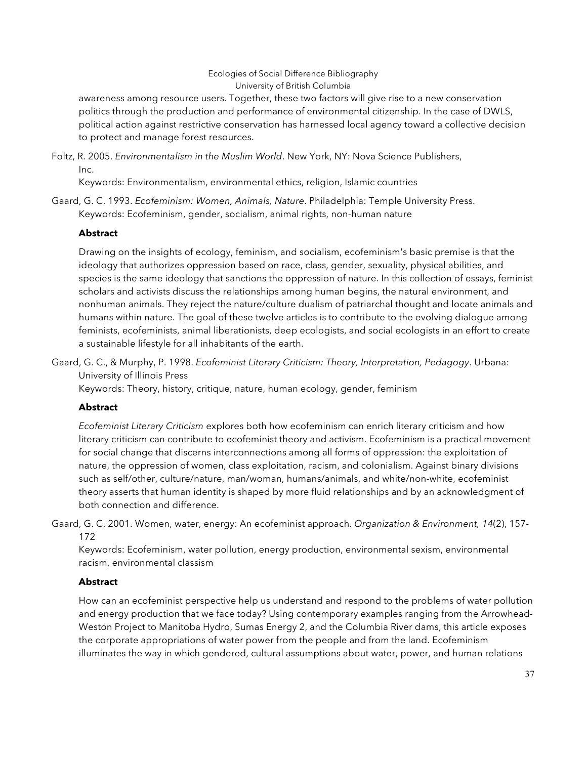awareness among resource users. Together, these two factors will give rise to a new conservation politics through the production and performance of environmental citizenship. In the case of DWLS, political action against restrictive conservation has harnessed local agency toward a collective decision to protect and manage forest resources.

Foltz, R. 2005. *Environmentalism in the Muslim World*. New York, NY: Nova Science Publishers, Inc.

Keywords: Environmentalism, environmental ethics, religion, Islamic countries

Gaard, G. C. 1993. *Ecofeminism: Women, Animals, Nature*. Philadelphia: Temple University Press. Keywords: Ecofeminism, gender, socialism, animal rights, non-human nature

# **Abstract**

Drawing on the insights of ecology, feminism, and socialism, ecofeminism's basic premise is that the ideology that authorizes oppression based on race, class, gender, sexuality, physical abilities, and species is the same ideology that sanctions the oppression of nature. In this collection of essays, feminist scholars and activists discuss the relationships among human begins, the natural environment, and nonhuman animals. They reject the nature/culture dualism of patriarchal thought and locate animals and humans within nature. The goal of these twelve articles is to contribute to the evolving dialogue among feminists, ecofeminists, animal liberationists, deep ecologists, and social ecologists in an effort to create a sustainable lifestyle for all inhabitants of the earth.

Gaard, G. C., & Murphy, P. 1998. *Ecofeminist Literary Criticism: Theory, Interpretation, Pedagogy*. Urbana: University of Illinois Press

Keywords: Theory, history, critique, nature, human ecology, gender, feminism

# **Abstract**

*Ecofeminist Literary Criticism* explores both how ecofeminism can enrich literary criticism and how literary criticism can contribute to ecofeminist theory and activism. Ecofeminism is a practical movement for social change that discerns interconnections among all forms of oppression: the exploitation of nature, the oppression of women, class exploitation, racism, and colonialism. Against binary divisions such as self/other, culture/nature, man/woman, humans/animals, and white/non-white, ecofeminist theory asserts that human identity is shaped by more fluid relationships and by an acknowledgment of both connection and difference.

Gaard, G. C. 2001. Women, water, energy: An ecofeminist approach. *Organization & Environment, 14*(2), 157- 172

Keywords: Ecofeminism, water pollution, energy production, environmental sexism, environmental racism, environmental classism

# **Abstract**

How can an ecofeminist perspective help us understand and respond to the problems of water pollution and energy production that we face today? Using contemporary examples ranging from the Arrowhead-Weston Project to Manitoba Hydro, Sumas Energy 2, and the Columbia River dams, this article exposes the corporate appropriations of water power from the people and from the land. Ecofeminism illuminates the way in which gendered, cultural assumptions about water, power, and human relations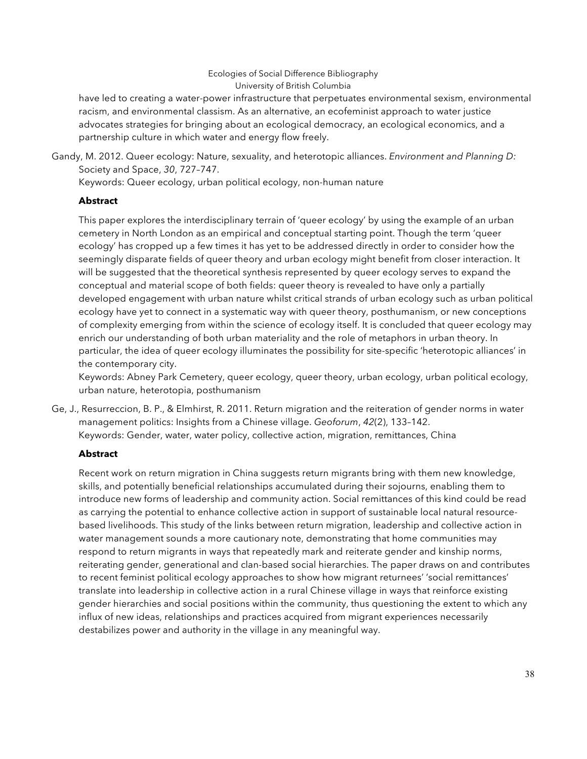have led to creating a water-power infrastructure that perpetuates environmental sexism, environmental racism, and environmental classism. As an alternative, an ecofeminist approach to water justice advocates strategies for bringing about an ecological democracy, an ecological economics, and a partnership culture in which water and energy flow freely.

Gandy, M. 2012. Queer ecology: Nature, sexuality, and heterotopic alliances. *Environment and Planning D:* Society and Space, *30*, 727–747.

Keywords: Queer ecology, urban political ecology, non-human nature

# **Abstract**

This paper explores the interdisciplinary terrain of 'queer ecology' by using the example of an urban cemetery in North London as an empirical and conceptual starting point. Though the term 'queer ecology' has cropped up a few times it has yet to be addressed directly in order to consider how the seemingly disparate fields of queer theory and urban ecology might benefit from closer interaction. It will be suggested that the theoretical synthesis represented by queer ecology serves to expand the conceptual and material scope of both fields: queer theory is revealed to have only a partially developed engagement with urban nature whilst critical strands of urban ecology such as urban political ecology have yet to connect in a systematic way with queer theory, posthumanism, or new conceptions of complexity emerging from within the science of ecology itself. It is concluded that queer ecology may enrich our understanding of both urban materiality and the role of metaphors in urban theory. In particular, the idea of queer ecology illuminates the possibility for site-specific 'heterotopic alliances' in the contemporary city.

Keywords: Abney Park Cemetery, queer ecology, queer theory, urban ecology, urban political ecology, urban nature, heterotopia, posthumanism

Ge, J., Resurreccion, B. P., & Elmhirst, R. 2011. Return migration and the reiteration of gender norms in water management politics: Insights from a Chinese village. *Geoforum*, *42*(2), 133–142. Keywords: Gender, water, water policy, collective action, migration, remittances, China

# **Abstract**

Recent work on return migration in China suggests return migrants bring with them new knowledge, skills, and potentially beneficial relationships accumulated during their sojourns, enabling them to introduce new forms of leadership and community action. Social remittances of this kind could be read as carrying the potential to enhance collective action in support of sustainable local natural resourcebased livelihoods. This study of the links between return migration, leadership and collective action in water management sounds a more cautionary note, demonstrating that home communities may respond to return migrants in ways that repeatedly mark and reiterate gender and kinship norms, reiterating gender, generational and clan-based social hierarchies. The paper draws on and contributes to recent feminist political ecology approaches to show how migrant returnees' 'social remittances' translate into leadership in collective action in a rural Chinese village in ways that reinforce existing gender hierarchies and social positions within the community, thus questioning the extent to which any influx of new ideas, relationships and practices acquired from migrant experiences necessarily destabilizes power and authority in the village in any meaningful way.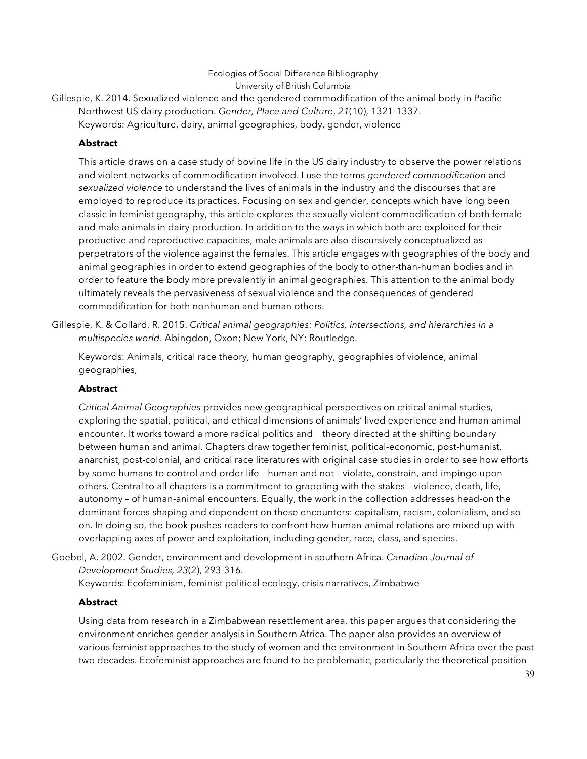Gillespie, K. 2014. Sexualized violence and the gendered commodification of the animal body in Pacific Northwest US dairy production. *Gender, Place and Culture*, *21*(10), 1321-1337. Keywords: Agriculture, dairy, animal geographies, body, gender, violence

## **Abstract**

This article draws on a case study of bovine life in the US dairy industry to observe the power relations and violent networks of commodification involved. I use the terms *gendered commodification* and *sexualized violence* to understand the lives of animals in the industry and the discourses that are employed to reproduce its practices. Focusing on sex and gender, concepts which have long been classic in feminist geography, this article explores the sexually violent commodification of both female and male animals in dairy production. In addition to the ways in which both are exploited for their productive and reproductive capacities, male animals are also discursively conceptualized as perpetrators of the violence against the females. This article engages with geographies of the body and animal geographies in order to extend geographies of the body to other-than-human bodies and in order to feature the body more prevalently in animal geographies. This attention to the animal body ultimately reveals the pervasiveness of sexual violence and the consequences of gendered commodification for both nonhuman and human others.

Gillespie, K. & Collard, R. 2015. *Critical animal geographies: Politics, intersections, and hierarchies in a multispecies world*. Abingdon, Oxon; New York, NY: Routledge.

Keywords: Animals, critical race theory, human geography, geographies of violence, animal geographies,

# **Abstract**

*Critical Animal Geographies* provides new geographical perspectives on critical animal studies, exploring the spatial, political, and ethical dimensions of animals' lived experience and human-animal encounter. It works toward a more radical politics and theory directed at the shifting boundary between human and animal. Chapters draw together feminist, political-economic, post-humanist, anarchist, post-colonial, and critical race literatures with original case studies in order to see how efforts by some humans to control and order life – human and not – violate, constrain, and impinge upon others. Central to all chapters is a commitment to grappling with the stakes – violence, death, life, autonomy – of human-animal encounters. Equally, the work in the collection addresses head-on the dominant forces shaping and dependent on these encounters: capitalism, racism, colonialism, and so on. In doing so, the book pushes readers to confront how human-animal relations are mixed up with overlapping axes of power and exploitation, including gender, race, class, and species.

Goebel, A. 2002. Gender, environment and development in southern Africa. *Canadian Journal of Development Studies, 23*(2), 293-316. Keywords: Ecofeminism, feminist political ecology, crisis narratives, Zimbabwe

## **Abstract**

Using data from research in a Zimbabwean resettlement area, this paper argues that considering the environment enriches gender analysis in Southern Africa. The paper also provides an overview of various feminist approaches to the study of women and the environment in Southern Africa over the past two decades. Ecofeminist approaches are found to be problematic, particularly the theoretical position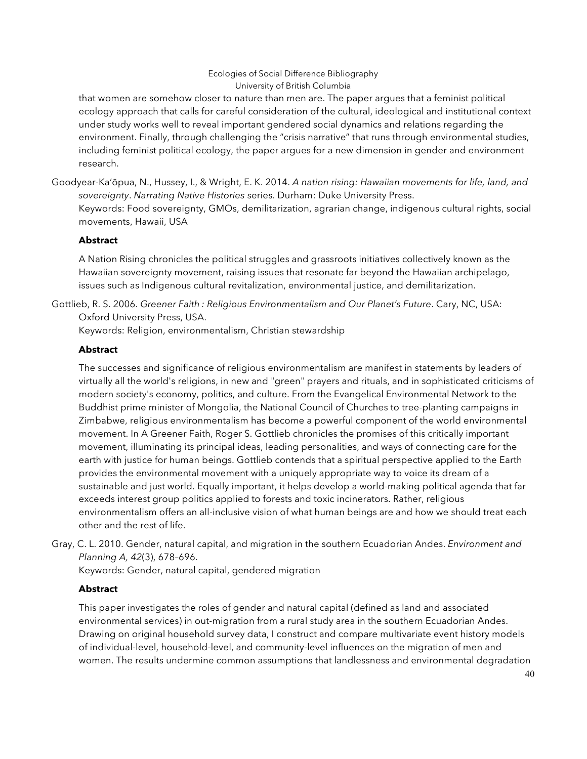that women are somehow closer to nature than men are. The paper argues that a feminist political ecology approach that calls for careful consideration of the cultural, ideological and institutional context under study works well to reveal important gendered social dynamics and relations regarding the environment. Finally, through challenging the "crisis narrative" that runs through environmental studies, including feminist political ecology, the paper argues for a new dimension in gender and environment research.

Goodyear-Kaʻōpua, N., Hussey, I., & Wright, E. K. 2014. *A nation rising: Hawaiian movements for life, land, and sovereignty*. *Narrating Native Histories* series. Durham: Duke University Press. Keywords: Food sovereignty, GMOs, demilitarization, agrarian change, indigenous cultural rights, social movements, Hawaii, USA

## **Abstract**

A Nation Rising chronicles the political struggles and grassroots initiatives collectively known as the Hawaiian sovereignty movement, raising issues that resonate far beyond the Hawaiian archipelago, issues such as Indigenous cultural revitalization, environmental justice, and demilitarization.

Gottlieb, R. S. 2006. *Greener Faith : Religious Environmentalism and Our Planet's Future*. Cary, NC, USA: Oxford University Press, USA.

Keywords: Religion, environmentalism, Christian stewardship

## **Abstract**

The successes and significance of religious environmentalism are manifest in statements by leaders of virtually all the world's religions, in new and "green" prayers and rituals, and in sophisticated criticisms of modern society's economy, politics, and culture. From the Evangelical Environmental Network to the Buddhist prime minister of Mongolia, the National Council of Churches to tree-planting campaigns in Zimbabwe, religious environmentalism has become a powerful component of the world environmental movement. In A Greener Faith, Roger S. Gottlieb chronicles the promises of this critically important movement, illuminating its principal ideas, leading personalities, and ways of connecting care for the earth with justice for human beings. Gottlieb contends that a spiritual perspective applied to the Earth provides the environmental movement with a uniquely appropriate way to voice its dream of a sustainable and just world. Equally important, it helps develop a world-making political agenda that far exceeds interest group politics applied to forests and toxic incinerators. Rather, religious environmentalism offers an all-inclusive vision of what human beings are and how we should treat each other and the rest of life.

Gray, C. L. 2010. Gender, natural capital, and migration in the southern Ecuadorian Andes. *Environment and Planning A, 42*(3), 678–696.

Keywords: Gender, natural capital, gendered migration

# **Abstract**

This paper investigates the roles of gender and natural capital (defined as land and associated environmental services) in out-migration from a rural study area in the southern Ecuadorian Andes. Drawing on original household survey data, I construct and compare multivariate event history models of individual-level, household-level, and community-level influences on the migration of men and women. The results undermine common assumptions that landlessness and environmental degradation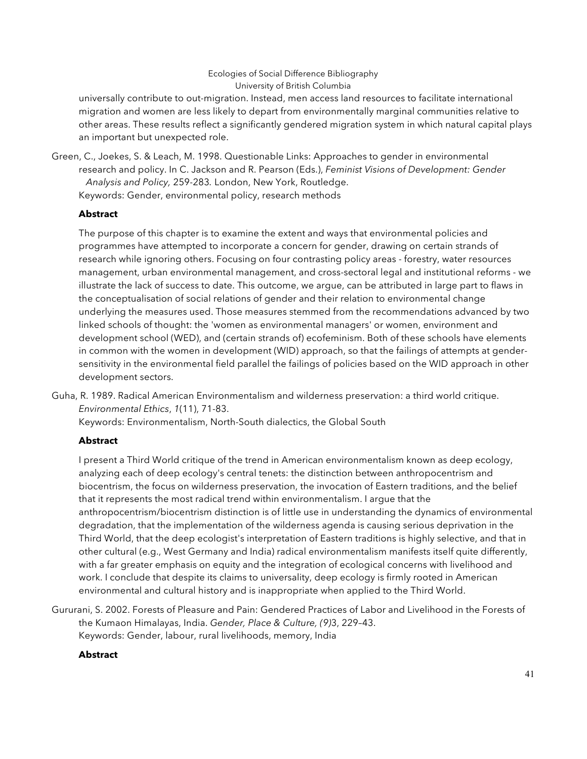universally contribute to out-migration. Instead, men access land resources to facilitate international migration and women are less likely to depart from environmentally marginal communities relative to other areas. These results reflect a significantly gendered migration system in which natural capital plays an important but unexpected role.

Green, C., Joekes, S. & Leach, M. 1998. Questionable Links: Approaches to gender in environmental research and policy. In C. Jackson and R. Pearson (Eds.), *Feminist Visions of Development: Gender Analysis and Policy,* 259-283*.* London, New York, Routledge. Keywords: Gender, environmental policy, research methods

## **Abstract**

The purpose of this chapter is to examine the extent and ways that environmental policies and programmes have attempted to incorporate a concern for gender, drawing on certain strands of research while ignoring others. Focusing on four contrasting policy areas - forestry, water resources management, urban environmental management, and cross-sectoral legal and institutional reforms - we illustrate the lack of success to date. This outcome, we argue, can be attributed in large part to flaws in the conceptualisation of social relations of gender and their relation to environmental change underlying the measures used. Those measures stemmed from the recommendations advanced by two linked schools of thought: the 'women as environmental managers' or women, environment and development school (WED), and (certain strands of) ecofeminism. Both of these schools have elements in common with the women in development (WID) approach, so that the failings of attempts at gendersensitivity in the environmental field parallel the failings of policies based on the WID approach in other development sectors.

Guha, R. 1989. Radical American Environmentalism and wilderness preservation: a third world critique. *Environmental Ethics*, *1*(11), 71-83.

Keywords: Environmentalism, North-South dialectics, the Global South

## **Abstract**

I present a Third World critique of the trend in American environmentalism known as deep ecology, analyzing each of deep ecology's central tenets: the distinction between anthropocentrism and biocentrism, the focus on wilderness preservation, the invocation of Eastern traditions, and the belief that it represents the most radical trend within environmentalism. I argue that the anthropocentrism/biocentrism distinction is of little use in understanding the dynamics of environmental degradation, that the implementation of the wilderness agenda is causing serious deprivation in the Third World, that the deep ecologist's interpretation of Eastern traditions is highly selective, and that in other cultural (e.g., West Germany and India) radical environmentalism manifests itself quite differently, with a far greater emphasis on equity and the integration of ecological concerns with livelihood and work. I conclude that despite its claims to universality, deep ecology is firmly rooted in American environmental and cultural history and is inappropriate when applied to the Third World.

Gururani, S. 2002. Forests of Pleasure and Pain: Gendered Practices of Labor and Livelihood in the Forests of the Kumaon Himalayas, India. *Gender, Place & Culture, (9)*3, 229–43. Keywords: Gender, labour, rural livelihoods, memory, India

# **Abstract**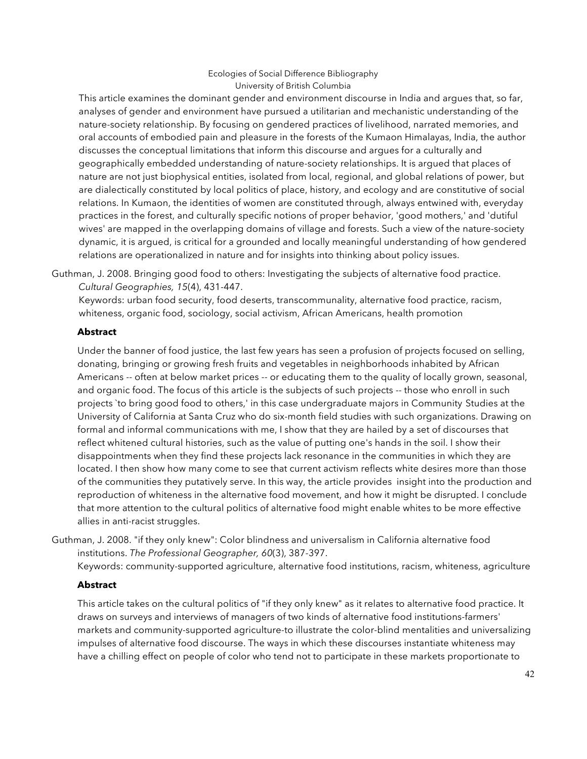This article examines the dominant gender and environment discourse in India and argues that, so far, analyses of gender and environment have pursued a utilitarian and mechanistic understanding of the nature-society relationship. By focusing on gendered practices of livelihood, narrated memories, and oral accounts of embodied pain and pleasure in the forests of the Kumaon Himalayas, India, the author discusses the conceptual limitations that inform this discourse and argues for a culturally and geographically embedded understanding of nature-society relationships. It is argued that places of nature are not just biophysical entities, isolated from local, regional, and global relations of power, but are dialectically constituted by local politics of place, history, and ecology and are constitutive of social relations. In Kumaon, the identities of women are constituted through, always entwined with, everyday practices in the forest, and culturally specific notions of proper behavior, 'good mothers,' and 'dutiful wives' are mapped in the overlapping domains of village and forests. Such a view of the nature-society dynamic, it is argued, is critical for a grounded and locally meaningful understanding of how gendered relations are operationalized in nature and for insights into thinking about policy issues.

Guthman, J. 2008. Bringing good food to others: Investigating the subjects of alternative food practice. *Cultural Geographies, 15*(4), 431-447.

Keywords: urban food security, food deserts, transcommunality, alternative food practice, racism, whiteness, organic food, sociology, social activism, African Americans, health promotion

## **Abstract**

Under the banner of food justice, the last few years has seen a profusion of projects focused on selling, donating, bringing or growing fresh fruits and vegetables in neighborhoods inhabited by African Americans -- often at below market prices -- or educating them to the quality of locally grown, seasonal, and organic food. The focus of this article is the subjects of such projects -- those who enroll in such projects `to bring good food to others,' in this case undergraduate majors in Community Studies at the University of California at Santa Cruz who do six-month field studies with such organizations. Drawing on formal and informal communications with me, I show that they are hailed by a set of discourses that reflect whitened cultural histories, such as the value of putting one's hands in the soil. I show their disappointments when they find these projects lack resonance in the communities in which they are located. I then show how many come to see that current activism reflects white desires more than those of the communities they putatively serve. In this way, the article provides insight into the production and reproduction of whiteness in the alternative food movement, and how it might be disrupted. I conclude that more attention to the cultural politics of alternative food might enable whites to be more effective allies in anti-racist struggles.

Guthman, J. 2008. "if they only knew": Color blindness and universalism in California alternative food institutions. *The Professional Geographer, 60*(3), 387-397.

Keywords: community-supported agriculture, alternative food institutions, racism, whiteness, agriculture

## **Abstract**

This article takes on the cultural politics of "if they only knew" as it relates to alternative food practice. It draws on surveys and interviews of managers of two kinds of alternative food institutions-farmers' markets and community-supported agriculture-to illustrate the color-blind mentalities and universalizing impulses of alternative food discourse. The ways in which these discourses instantiate whiteness may have a chilling effect on people of color who tend not to participate in these markets proportionate to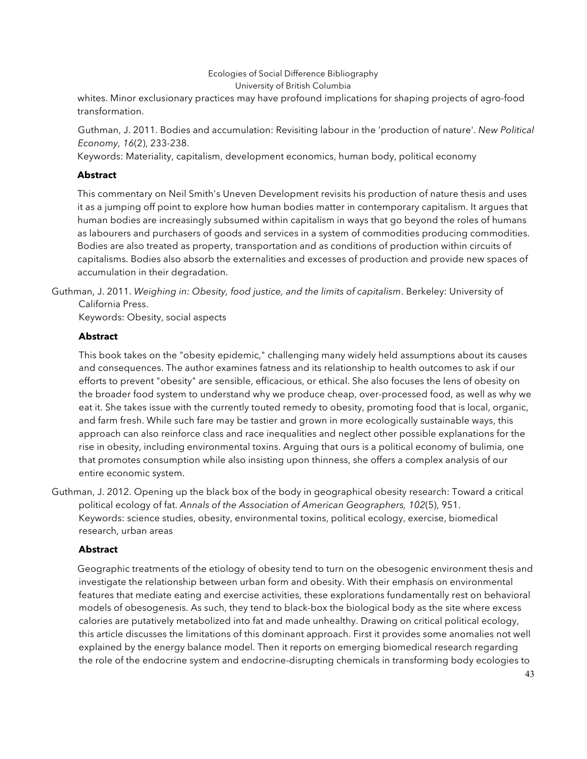whites. Minor exclusionary practices may have profound implications for shaping projects of agro-food transformation.

Guthman, J. 2011. Bodies and accumulation: Revisiting labour in the 'production of nature'. *New Political Economy, 16*(2), 233-238.

Keywords: Materiality, capitalism, development economics, human body, political economy

## **Abstract**

This commentary on Neil Smith's Uneven Development revisits his production of nature thesis and uses it as a jumping off point to explore how human bodies matter in contemporary capitalism. It argues that human bodies are increasingly subsumed within capitalism in ways that go beyond the roles of humans as labourers and purchasers of goods and services in a system of commodities producing commodities. Bodies are also treated as property, transportation and as conditions of production within circuits of capitalisms. Bodies also absorb the externalities and excesses of production and provide new spaces of accumulation in their degradation.

Guthman, J. 2011. *Weighing in: Obesity, food justice, and the limits of capitalism*. Berkeley: University of California Press.

Keywords: Obesity, social aspects

## **Abstract**

This book takes on the "obesity epidemic," challenging many widely held assumptions about its causes and consequences. The author examines fatness and its relationship to health outcomes to ask if our efforts to prevent "obesity" are sensible, efficacious, or ethical. She also focuses the lens of obesity on the broader food system to understand why we produce cheap, over-processed food, as well as why we eat it. She takes issue with the currently touted remedy to obesity, promoting food that is local, organic, and farm fresh. While such fare may be tastier and grown in more ecologically sustainable ways, this approach can also reinforce class and race inequalities and neglect other possible explanations for the rise in obesity, including environmental toxins. Arguing that ours is a political economy of bulimia, one that promotes consumption while also insisting upon thinness, she offers a complex analysis of our entire economic system.

Guthman, J. 2012. Opening up the black box of the body in geographical obesity research: Toward a critical political ecology of fat. *Annals of the Association of American Geographers, 102*(5), 951. Keywords: science studies, obesity, environmental toxins, political ecology, exercise, biomedical research, urban areas

## **Abstract**

Geographic treatments of the etiology of obesity tend to turn on the obesogenic environment thesis and investigate the relationship between urban form and obesity. With their emphasis on environmental features that mediate eating and exercise activities, these explorations fundamentally rest on behavioral models of obesogenesis. As such, they tend to black-box the biological body as the site where excess calories are putatively metabolized into fat and made unhealthy. Drawing on critical political ecology, this article discusses the limitations of this dominant approach. First it provides some anomalies not well explained by the energy balance model. Then it reports on emerging biomedical research regarding the role of the endocrine system and endocrine-disrupting chemicals in transforming body ecologies to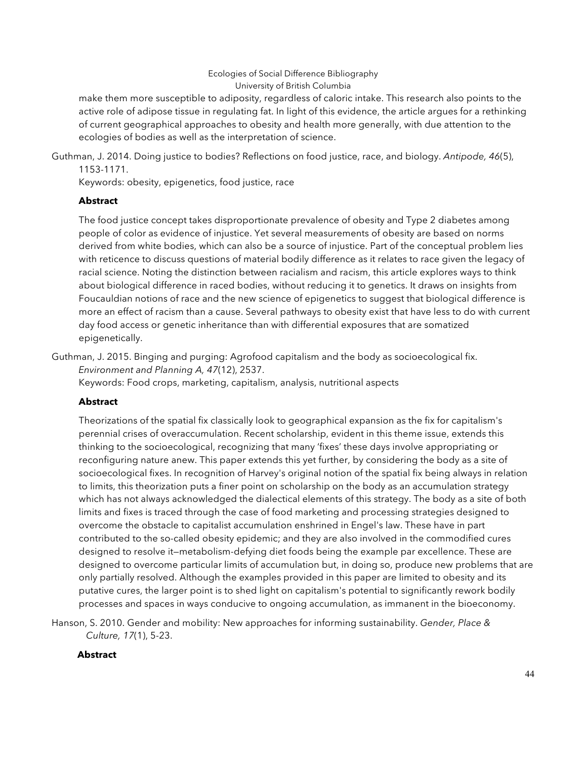make them more susceptible to adiposity, regardless of caloric intake. This research also points to the active role of adipose tissue in regulating fat. In light of this evidence, the article argues for a rethinking of current geographical approaches to obesity and health more generally, with due attention to the ecologies of bodies as well as the interpretation of science.

Guthman, J. 2014. Doing justice to bodies? Reflections on food justice, race, and biology. *Antipode, 46*(5), 1153-1171.

Keywords: obesity, epigenetics, food justice, race

# **Abstract**

The food justice concept takes disproportionate prevalence of obesity and Type 2 diabetes among people of color as evidence of injustice. Yet several measurements of obesity are based on norms derived from white bodies, which can also be a source of injustice. Part of the conceptual problem lies with reticence to discuss questions of material bodily difference as it relates to race given the legacy of racial science. Noting the distinction between racialism and racism, this article explores ways to think about biological difference in raced bodies, without reducing it to genetics. It draws on insights from Foucauldian notions of race and the new science of epigenetics to suggest that biological difference is more an effect of racism than a cause. Several pathways to obesity exist that have less to do with current day food access or genetic inheritance than with differential exposures that are somatized epigenetically.

Guthman, J. 2015. Binging and purging: Agrofood capitalism and the body as socioecological fix. *Environment and Planning A, 47*(12), 2537.

Keywords: Food crops, marketing, capitalism, analysis, nutritional aspects

# **Abstract**

Theorizations of the spatial fix classically look to geographical expansion as the fix for capitalism's perennial crises of overaccumulation. Recent scholarship, evident in this theme issue, extends this thinking to the socioecological, recognizing that many 'fixes' these days involve appropriating or reconfiguring nature anew. This paper extends this yet further, by considering the body as a site of socioecological fixes. In recognition of Harvey's original notion of the spatial fix being always in relation to limits, this theorization puts a finer point on scholarship on the body as an accumulation strategy which has not always acknowledged the dialectical elements of this strategy. The body as a site of both limits and fixes is traced through the case of food marketing and processing strategies designed to overcome the obstacle to capitalist accumulation enshrined in Engel's law. These have in part contributed to the so-called obesity epidemic; and they are also involved in the commodified cures designed to resolve it—metabolism-defying diet foods being the example par excellence. These are designed to overcome particular limits of accumulation but, in doing so, produce new problems that are only partially resolved. Although the examples provided in this paper are limited to obesity and its putative cures, the larger point is to shed light on capitalism's potential to significantly rework bodily processes and spaces in ways conducive to ongoing accumulation, as immanent in the bioeconomy.

Hanson, S. 2010. Gender and mobility: New approaches for informing sustainability. *Gender, Place & Culture, 17*(1), 5-23.

## **Abstract**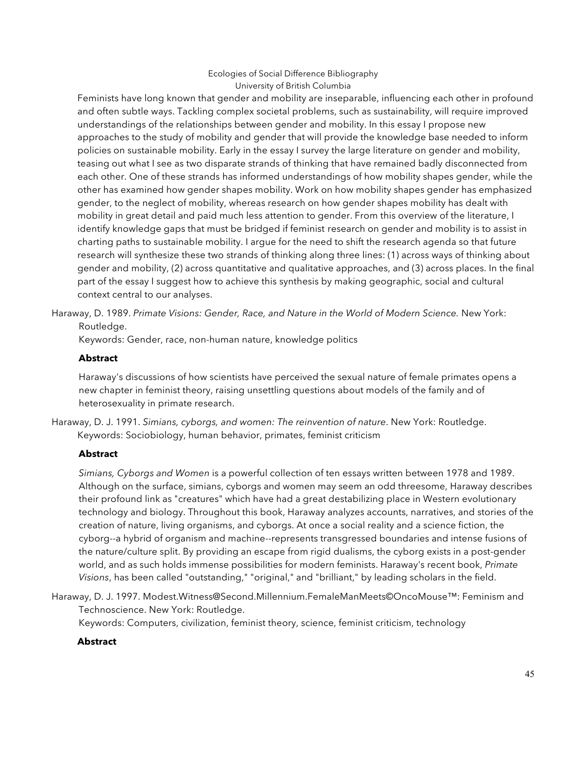Feminists have long known that gender and mobility are inseparable, influencing each other in profound and often subtle ways. Tackling complex societal problems, such as sustainability, will require improved understandings of the relationships between gender and mobility. In this essay I propose new approaches to the study of mobility and gender that will provide the knowledge base needed to inform policies on sustainable mobility. Early in the essay I survey the large literature on gender and mobility, teasing out what I see as two disparate strands of thinking that have remained badly disconnected from each other. One of these strands has informed understandings of how mobility shapes gender, while the other has examined how gender shapes mobility. Work on how mobility shapes gender has emphasized gender, to the neglect of mobility, whereas research on how gender shapes mobility has dealt with mobility in great detail and paid much less attention to gender. From this overview of the literature, I identify knowledge gaps that must be bridged if feminist research on gender and mobility is to assist in charting paths to sustainable mobility. I argue for the need to shift the research agenda so that future research will synthesize these two strands of thinking along three lines: (1) across ways of thinking about gender and mobility, (2) across quantitative and qualitative approaches, and (3) across places. In the final part of the essay I suggest how to achieve this synthesis by making geographic, social and cultural context central to our analyses.

Haraway, D. 1989. *Primate Visions: Gender, Race, and Nature in the World of Modern Science.* New York: Routledge.

Keywords: Gender, race, non-human nature, knowledge politics

# **Abstract**

Haraway's discussions of how scientists have perceived the sexual nature of female primates opens a new chapter in feminist theory, raising unsettling questions about models of the family and of heterosexuality in primate research.

Haraway, D. J. 1991. *Simians, cyborgs, and women: The reinvention of nature*. New York: Routledge. Keywords: Sociobiology, human behavior, primates, feminist criticism

# **Abstract**

*Simians, Cyborgs and Women* is a powerful collection of ten essays written between 1978 and 1989. Although on the surface, simians, cyborgs and women may seem an odd threesome, Haraway describes their profound link as "creatures" which have had a great destabilizing place in Western evolutionary technology and biology. Throughout this book, Haraway analyzes accounts, narratives, and stories of the creation of nature, living organisms, and cyborgs. At once a social reality and a science fiction, the cyborg--a hybrid of organism and machine--represents transgressed boundaries and intense fusions of the nature/culture split. By providing an escape from rigid dualisms, the cyborg exists in a post-gender world, and as such holds immense possibilities for modern feminists. Haraway's recent book, *Primate Visions*, has been called "outstanding," "original," and "brilliant," by leading scholars in the field.

Haraway, D. J. 1997. Modest.Witness@Second.Millennium.FemaleManMeets©OncoMouse™: Feminism and Technoscience. New York: Routledge.

Keywords: Computers, civilization, feminist theory, science, feminist criticism, technology

# **Abstract**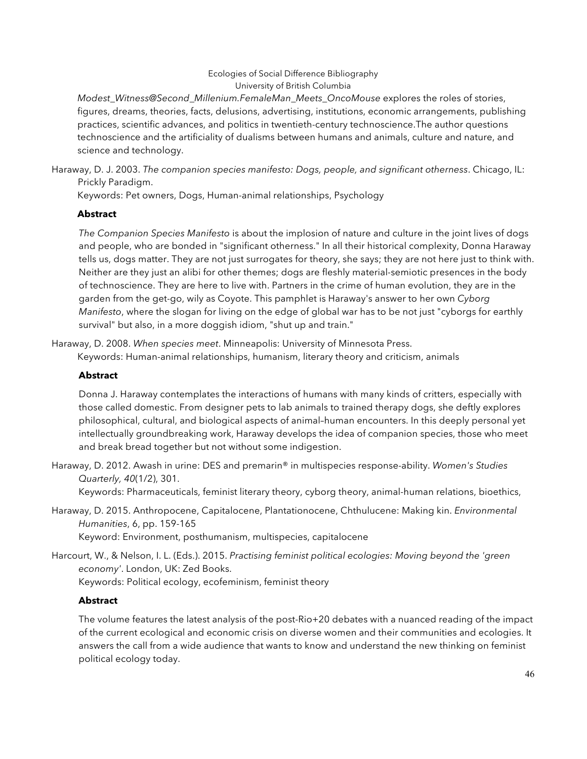*Modest\_Witness@Second\_Millenium.FemaleMan\_Meets\_OncoMouse* explores the roles of stories, figures, dreams, theories, facts, delusions, advertising, institutions, economic arrangements, publishing practices, scientific advances, and politics in twentieth-century technoscience.The author questions technoscience and the artificiality of dualisms between humans and animals, culture and nature, and science and technology.

Haraway, D. J. 2003. *The companion species manifesto: Dogs, people, and significant otherness*. Chicago, IL: Prickly Paradigm.

Keywords: Pet owners, Dogs, Human-animal relationships, Psychology

# **Abstract**

*The Companion Species Manifesto* is about the implosion of nature and culture in the joint lives of dogs and people, who are bonded in "significant otherness." In all their historical complexity, Donna Haraway tells us, dogs matter. They are not just surrogates for theory, she says; they are not here just to think with. Neither are they just an alibi for other themes; dogs are fleshly material-semiotic presences in the body of technoscience. They are here to live with. Partners in the crime of human evolution, they are in the garden from the get-go, wily as Coyote. This pamphlet is Haraway's answer to her own *Cyborg Manifesto*, where the slogan for living on the edge of global war has to be not just "cyborgs for earthly survival" but also, in a more doggish idiom, "shut up and train."

Haraway, D. 2008. *When species meet*. Minneapolis: University of Minnesota Press. Keywords: Human-animal relationships, humanism, literary theory and criticism, animals

## **Abstract**

Donna J. Haraway contemplates the interactions of humans with many kinds of critters, especially with those called domestic. From designer pets to lab animals to trained therapy dogs, she deftly explores philosophical, cultural, and biological aspects of animal–human encounters. In this deeply personal yet intellectually groundbreaking work, Haraway develops the idea of companion species, those who meet and break bread together but not without some indigestion.

Haraway, D. 2012. Awash in urine: DES and premarin® in multispecies response-ability. *Women's Studies Quarterly, 40*(1/2), 301.

Keywords: Pharmaceuticals, feminist literary theory, cyborg theory, animal-human relations, bioethics,

Haraway, D. 2015. Anthropocene, Capitalocene, Plantationocene, Chthulucene: Making kin. *Environmental Humanities*, 6, pp. 159-165

Keyword: Environment, posthumanism, multispecies, capitalocene

Harcourt, W., & Nelson, I. L. (Eds.). 2015. *Practising feminist political ecologies: Moving beyond the 'green economy'*. London, UK: Zed Books. Keywords: Political ecology, ecofeminism, feminist theory

## **Abstract**

The volume features the latest analysis of the post-Rio+20 debates with a nuanced reading of the impact of the current ecological and economic crisis on diverse women and their communities and ecologies. It answers the call from a wide audience that wants to know and understand the new thinking on feminist political ecology today.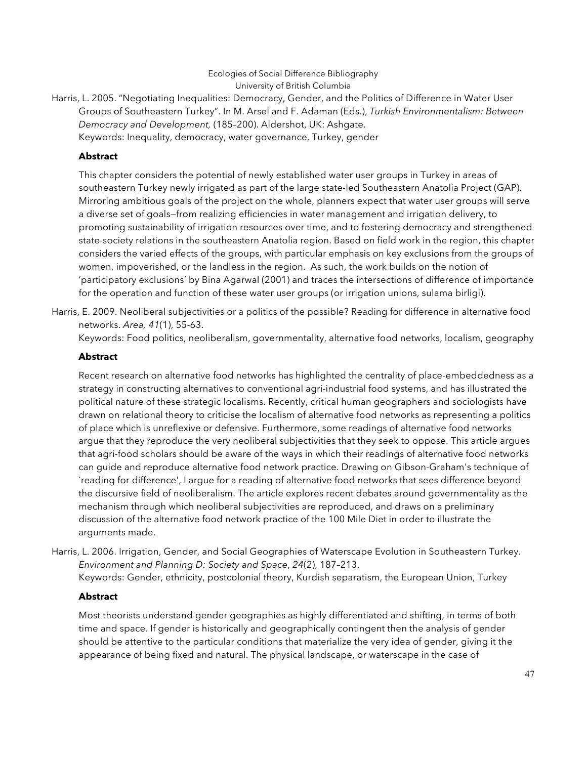Harris, L. 2005. "Negotiating Inequalities: Democracy, Gender, and the Politics of Difference in Water User Groups of Southeastern Turkey". In M. Arsel and F. Adaman (Eds.), *Turkish Environmentalism: Between Democracy and Development,* (185–200). Aldershot, UK: Ashgate. Keywords: Inequality, democracy, water governance, Turkey, gender

## **Abstract**

This chapter considers the potential of newly established water user groups in Turkey in areas of southeastern Turkey newly irrigated as part of the large state-led Southeastern Anatolia Project (GAP). Mirroring ambitious goals of the project on the whole, planners expect that water user groups will serve a diverse set of goals—from realizing efficiencies in water management and irrigation delivery, to promoting sustainability of irrigation resources over time, and to fostering democracy and strengthened state-society relations in the southeastern Anatolia region. Based on field work in the region, this chapter considers the varied effects of the groups, with particular emphasis on key exclusions from the groups of women, impoverished, or the landless in the region. As such, the work builds on the notion of 'participatory exclusions' by Bina Agarwal (2001) and traces the intersections of difference of importance for the operation and function of these water user groups (or irrigation unions, sulama birligi).

Harris, E. 2009. Neoliberal subjectivities or a politics of the possible? Reading for difference in alternative food networks. *Area, 41*(1), 55-63.

Keywords: Food politics, neoliberalism, governmentality, alternative food networks, localism, geography

#### **Abstract**

Recent research on alternative food networks has highlighted the centrality of place-embeddedness as a strategy in constructing alternatives to conventional agri-industrial food systems, and has illustrated the political nature of these strategic localisms. Recently, critical human geographers and sociologists have drawn on relational theory to criticise the localism of alternative food networks as representing a politics of place which is unreflexive or defensive. Furthermore, some readings of alternative food networks argue that they reproduce the very neoliberal subjectivities that they seek to oppose. This article argues that agri-food scholars should be aware of the ways in which their readings of alternative food networks can guide and reproduce alternative food network practice. Drawing on Gibson-Graham's technique of `reading for difference', I argue for a reading of alternative food networks that sees difference beyond the discursive field of neoliberalism. The article explores recent debates around governmentality as the mechanism through which neoliberal subjectivities are reproduced, and draws on a preliminary discussion of the alternative food network practice of the 100 Mile Diet in order to illustrate the arguments made.

Harris, L. 2006. Irrigation, Gender, and Social Geographies of Waterscape Evolution in Southeastern Turkey. *Environment and Planning D: Society and Space*, *24*(2), 187–213.

Keywords: Gender, ethnicity, postcolonial theory, Kurdish separatism, the European Union, Turkey

## **Abstract**

Most theorists understand gender geographies as highly differentiated and shifting, in terms of both time and space. If gender is historically and geographically contingent then the analysis of gender should be attentive to the particular conditions that materialize the very idea of gender, giving it the appearance of being fixed and natural. The physical landscape, or waterscape in the case of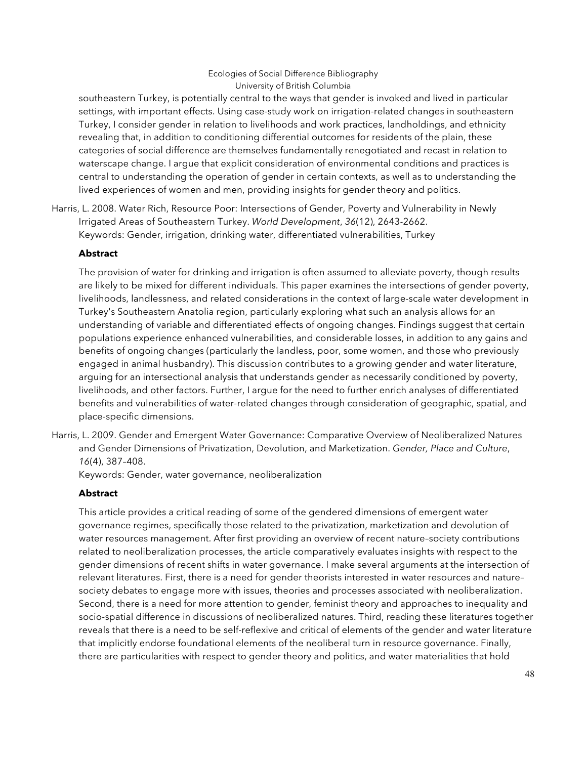southeastern Turkey, is potentially central to the ways that gender is invoked and lived in particular settings, with important effects. Using case-study work on irrigation-related changes in southeastern Turkey, I consider gender in relation to livelihoods and work practices, landholdings, and ethnicity revealing that, in addition to conditioning differential outcomes for residents of the plain, these categories of social difference are themselves fundamentally renegotiated and recast in relation to waterscape change. I argue that explicit consideration of environmental conditions and practices is central to understanding the operation of gender in certain contexts, as well as to understanding the lived experiences of women and men, providing insights for gender theory and politics.

Harris, L. 2008. Water Rich, Resource Poor: Intersections of Gender, Poverty and Vulnerability in Newly Irrigated Areas of Southeastern Turkey. *World Development*, *36*(12), 2643-2662. Keywords: Gender, irrigation, drinking water, differentiated vulnerabilities, Turkey

## **Abstract**

The provision of water for drinking and irrigation is often assumed to alleviate poverty, though results are likely to be mixed for different individuals. This paper examines the intersections of gender poverty, livelihoods, landlessness, and related considerations in the context of large-scale water development in Turkey's Southeastern Anatolia region, particularly exploring what such an analysis allows for an understanding of variable and differentiated effects of ongoing changes. Findings suggest that certain populations experience enhanced vulnerabilities, and considerable losses, in addition to any gains and benefits of ongoing changes (particularly the landless, poor, some women, and those who previously engaged in animal husbandry). This discussion contributes to a growing gender and water literature, arguing for an intersectional analysis that understands gender as necessarily conditioned by poverty, livelihoods, and other factors. Further, I argue for the need to further enrich analyses of differentiated benefits and vulnerabilities of water-related changes through consideration of geographic, spatial, and place-specific dimensions.

Harris, L. 2009. Gender and Emergent Water Governance: Comparative Overview of Neoliberalized Natures and Gender Dimensions of Privatization, Devolution, and Marketization. *Gender, Place and Culture*, *16*(4), 387–408.

Keywords: Gender, water governance, neoliberalization

## **Abstract**

This article provides a critical reading of some of the gendered dimensions of emergent water governance regimes, specifically those related to the privatization, marketization and devolution of water resources management. After first providing an overview of recent nature–society contributions related to neoliberalization processes, the article comparatively evaluates insights with respect to the gender dimensions of recent shifts in water governance. I make several arguments at the intersection of relevant literatures. First, there is a need for gender theorists interested in water resources and nature– society debates to engage more with issues, theories and processes associated with neoliberalization. Second, there is a need for more attention to gender, feminist theory and approaches to inequality and socio-spatial difference in discussions of neoliberalized natures. Third, reading these literatures together reveals that there is a need to be self-reflexive and critical of elements of the gender and water literature that implicitly endorse foundational elements of the neoliberal turn in resource governance. Finally, there are particularities with respect to gender theory and politics, and water materialities that hold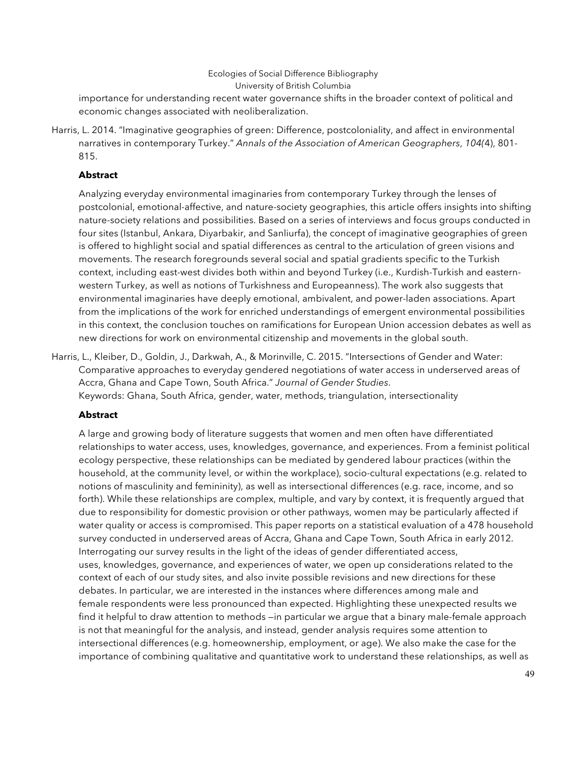importance for understanding recent water governance shifts in the broader context of political and economic changes associated with neoliberalization.

Harris, L. 2014. "Imaginative geographies of green: Difference, postcoloniality, and affect in environmental narratives in contemporary Turkey." *Annals of the Association of American Geographers*, *104(*4), 801- 815.

## **Abstract**

Analyzing everyday environmental imaginaries from contemporary Turkey through the lenses of postcolonial, emotional-affective, and nature-society geographies, this article offers insights into shifting nature-society relations and possibilities. Based on a series of interviews and focus groups conducted in four sites (Istanbul, Ankara, Diyarbakir, and Sanliurfa), the concept of imaginative geographies of green is offered to highlight social and spatial differences as central to the articulation of green visions and movements. The research foregrounds several social and spatial gradients specific to the Turkish context, including east-west divides both within and beyond Turkey (i.e., Kurdish-Turkish and easternwestern Turkey, as well as notions of Turkishness and Europeanness). The work also suggests that environmental imaginaries have deeply emotional, ambivalent, and power-laden associations. Apart from the implications of the work for enriched understandings of emergent environmental possibilities in this context, the conclusion touches on ramifications for European Union accession debates as well as new directions for work on environmental citizenship and movements in the global south.

Harris, L., Kleiber, D., Goldin, J., Darkwah, A., & Morinville, C. 2015. "Intersections of Gender and Water: Comparative approaches to everyday gendered negotiations of water access in underserved areas of Accra, Ghana and Cape Town, South Africa." *Journal of Gender Studies*. Keywords: Ghana, South Africa, gender, water, methods, triangulation, intersectionality

## **Abstract**

A large and growing body of literature suggests that women and men often have differentiated relationships to water access, uses, knowledges, governance, and experiences. From a feminist political ecology perspective, these relationships can be mediated by gendered labour practices (within the household, at the community level, or within the workplace), socio-cultural expectations (e.g. related to notions of masculinity and femininity), as well as intersectional differences (e.g. race, income, and so forth). While these relationships are complex, multiple, and vary by context, it is frequently argued that due to responsibility for domestic provision or other pathways, women may be particularly affected if water quality or access is compromised. This paper reports on a statistical evaluation of a 478 household survey conducted in underserved areas of Accra, Ghana and Cape Town, South Africa in early 2012. Interrogating our survey results in the light of the ideas of gender differentiated access, uses, knowledges, governance, and experiences of water, we open up considerations related to the context of each of our study sites, and also invite possible revisions and new directions for these debates. In particular, we are interested in the instances where differences among male and female respondents were less pronounced than expected. Highlighting these unexpected results we find it helpful to draw attention to methods –in particular we argue that a binary male-female approach is not that meaningful for the analysis, and instead, gender analysis requires some attention to intersectional differences (e.g. homeownership, employment, or age). We also make the case for the importance of combining qualitative and quantitative work to understand these relationships, as well as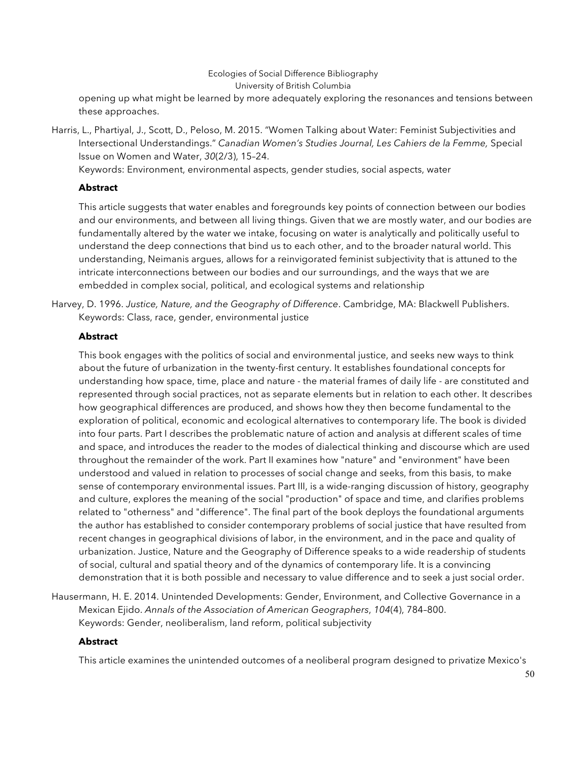opening up what might be learned by more adequately exploring the resonances and tensions between these approaches.

Harris, L., Phartiyal, J., Scott, D., Peloso, M. 2015. "Women Talking about Water: Feminist Subjectivities and Intersectional Understandings." *Canadian Women's Studies Journal, Les Cahiers de la Femme,* Special Issue on Women and Water, *30*(2/3), 15–24.

Keywords: Environment, environmental aspects, gender studies, social aspects, water

# **Abstract**

This article suggests that water enables and foregrounds key points of connection between our bodies and our environments, and between all living things. Given that we are mostly water, and our bodies are fundamentally altered by the water we intake, focusing on water is analytically and politically useful to understand the deep connections that bind us to each other, and to the broader natural world. This understanding, Neimanis argues, allows for a reinvigorated feminist subjectivity that is attuned to the intricate interconnections between our bodies and our surroundings, and the ways that we are embedded in complex social, political, and ecological systems and relationship

Harvey, D. 1996. *Justice, Nature, and the Geography of Difference*. Cambridge, MA: Blackwell Publishers. Keywords: Class, race, gender, environmental justice

# **Abstract**

This book engages with the politics of social and environmental justice, and seeks new ways to think about the future of urbanization in the twenty-first century. It establishes foundational concepts for understanding how space, time, place and nature - the material frames of daily life - are constituted and represented through social practices, not as separate elements but in relation to each other. It describes how geographical differences are produced, and shows how they then become fundamental to the exploration of political, economic and ecological alternatives to contemporary life. The book is divided into four parts. Part I describes the problematic nature of action and analysis at different scales of time and space, and introduces the reader to the modes of dialectical thinking and discourse which are used throughout the remainder of the work. Part II examines how "nature" and "environment" have been understood and valued in relation to processes of social change and seeks, from this basis, to make sense of contemporary environmental issues. Part III, is a wide-ranging discussion of history, geography and culture, explores the meaning of the social "production" of space and time, and clarifies problems related to "otherness" and "difference". The final part of the book deploys the foundational arguments the author has established to consider contemporary problems of social justice that have resulted from recent changes in geographical divisions of labor, in the environment, and in the pace and quality of urbanization. Justice, Nature and the Geography of Difference speaks to a wide readership of students of social, cultural and spatial theory and of the dynamics of contemporary life. It is a convincing demonstration that it is both possible and necessary to value difference and to seek a just social order.

Hausermann, H. E. 2014. Unintended Developments: Gender, Environment, and Collective Governance in a Mexican Ejido. *Annals of the Association of American Geographers*, *104*(4), 784–800. Keywords: Gender, neoliberalism, land reform, political subjectivity

# **Abstract**

This article examines the unintended outcomes of a neoliberal program designed to privatize Mexico's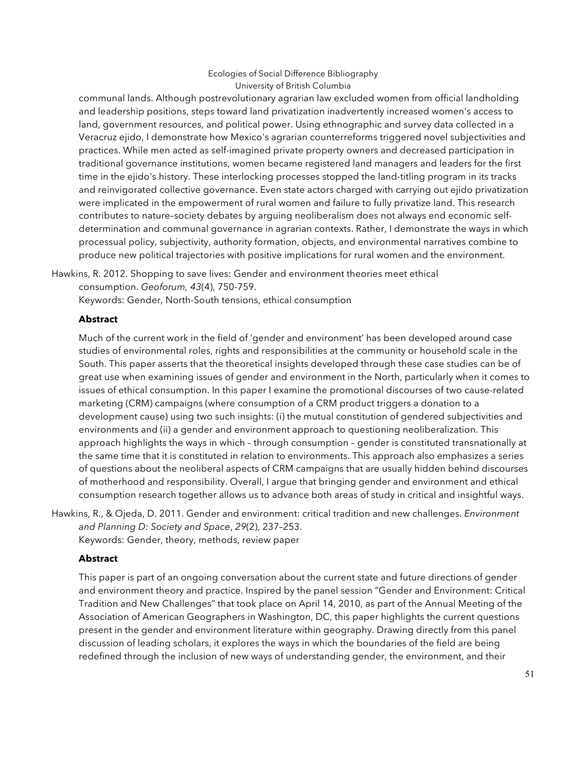communal lands. Although postrevolutionary agrarian law excluded women from official landholding and leadership positions, steps toward land privatization inadvertently increased women's access to land, government resources, and political power. Using ethnographic and survey data collected in a Veracruz ejido, I demonstrate how Mexico's agrarian counterreforms triggered novel subjectivities and practices. While men acted as self-imagined private property owners and decreased participation in traditional governance institutions, women became registered land managers and leaders for the first time in the ejido's history. These interlocking processes stopped the land-titling program in its tracks and reinvigorated collective governance. Even state actors charged with carrying out ejido privatization were implicated in the empowerment of rural women and failure to fully privatize land. This research contributes to nature–society debates by arguing neoliberalism does not always end economic selfdetermination and communal governance in agrarian contexts. Rather, I demonstrate the ways in which processual policy, subjectivity, authority formation, objects, and environmental narratives combine to produce new political trajectories with positive implications for rural women and the environment.

Hawkins, R. 2012. Shopping to save lives: Gender and environment theories meet ethical consumption. *Geoforum, 43*(4), 750-759. Keywords: Gender, North-South tensions, ethical consumption

#### **Abstract**

Much of the current work in the field of 'gender and environment' has been developed around case studies of environmental roles, rights and responsibilities at the community or household scale in the South. This paper asserts that the theoretical insights developed through these case studies can be of great use when examining issues of gender and environment in the North, particularly when it comes to issues of ethical consumption. In this paper I examine the promotional discourses of two cause-related marketing (CRM) campaigns (where consumption of a CRM product triggers a donation to a development cause) using two such insights: (i) the mutual constitution of gendered subjectivities and environments and (ii) a gender and environment approach to questioning neoliberalization. This approach highlights the ways in which – through consumption – gender is constituted transnationally at the same time that it is constituted in relation to environments. This approach also emphasizes a series of questions about the neoliberal aspects of CRM campaigns that are usually hidden behind discourses of motherhood and responsibility. Overall, I argue that bringing gender and environment and ethical consumption research together allows us to advance both areas of study in critical and insightful ways.

Hawkins, R., & Ojeda, D. 2011. Gender and environment: critical tradition and new challenges. *Environment and Planning D: Society and Space*, *29*(2), 237–253.

Keywords: Gender, theory, methods, review paper

## **Abstract**

This paper is part of an ongoing conversation about the current state and future directions of gender and environment theory and practice. Inspired by the panel session "Gender and Environment: Critical Tradition and New Challenges" that took place on April 14, 2010, as part of the Annual Meeting of the Association of American Geographers in Washington, DC, this paper highlights the current questions present in the gender and environment literature within geography. Drawing directly from this panel discussion of leading scholars, it explores the ways in which the boundaries of the field are being redefined through the inclusion of new ways of understanding gender, the environment, and their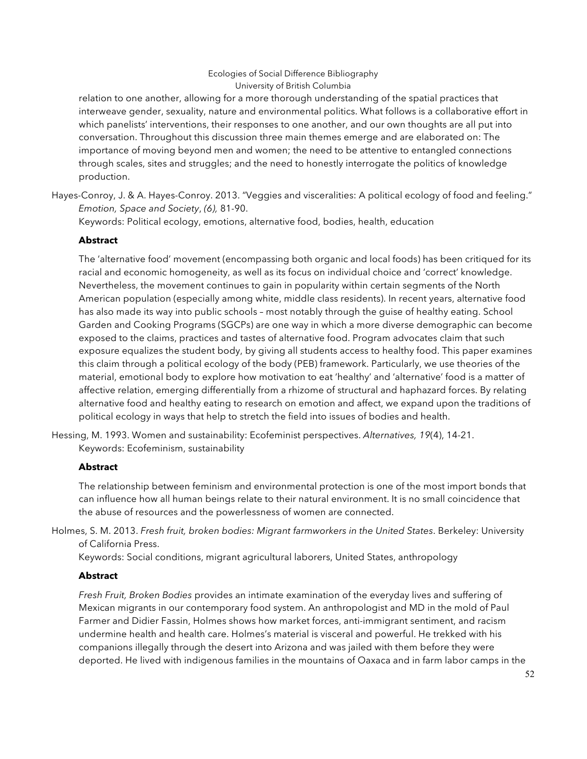relation to one another, allowing for a more thorough understanding of the spatial practices that interweave gender, sexuality, nature and environmental politics. What follows is a collaborative effort in which panelists' interventions, their responses to one another, and our own thoughts are all put into conversation. Throughout this discussion three main themes emerge and are elaborated on: The importance of moving beyond men and women; the need to be attentive to entangled connections through scales, sites and struggles; and the need to honestly interrogate the politics of knowledge production.

Hayes-Conroy, J. & A. Hayes-Conroy. 2013. "Veggies and visceralities: A political ecology of food and feeling." *Emotion, Space and Society*, *(6),* 81-90.

Keywords: Political ecology, emotions, alternative food, bodies, health, education

## **Abstract**

The 'alternative food' movement (encompassing both organic and local foods) has been critiqued for its racial and economic homogeneity, as well as its focus on individual choice and 'correct' knowledge. Nevertheless, the movement continues to gain in popularity within certain segments of the North American population (especially among white, middle class residents). In recent years, alternative food has also made its way into public schools – most notably through the guise of healthy eating. School Garden and Cooking Programs (SGCPs) are one way in which a more diverse demographic can become exposed to the claims, practices and tastes of alternative food. Program advocates claim that such exposure equalizes the student body, by giving all students access to healthy food. This paper examines this claim through a political ecology of the body (PEB) framework. Particularly, we use theories of the material, emotional body to explore how motivation to eat 'healthy' and 'alternative' food is a matter of affective relation, emerging differentially from a rhizome of structural and haphazard forces. By relating alternative food and healthy eating to research on emotion and affect, we expand upon the traditions of political ecology in ways that help to stretch the field into issues of bodies and health.

Hessing, M. 1993. Women and sustainability: Ecofeminist perspectives. *Alternatives, 19*(4), 14-21. Keywords: Ecofeminism, sustainability

# **Abstract**

The relationship between feminism and environmental protection is one of the most import bonds that can influence how all human beings relate to their natural environment. It is no small coincidence that the abuse of resources and the powerlessness of women are connected.

Holmes, S. M. 2013. *Fresh fruit, broken bodies: Migrant farmworkers in the United States*. Berkeley: University of California Press.

Keywords: Social conditions, migrant agricultural laborers, United States, anthropology

## **Abstract**

*Fresh Fruit, Broken Bodies* provides an intimate examination of the everyday lives and suffering of Mexican migrants in our contemporary food system. An anthropologist and MD in the mold of Paul Farmer and Didier Fassin, Holmes shows how market forces, anti-immigrant sentiment, and racism undermine health and health care. Holmes's material is visceral and powerful. He trekked with his companions illegally through the desert into Arizona and was jailed with them before they were deported. He lived with indigenous families in the mountains of Oaxaca and in farm labor camps in the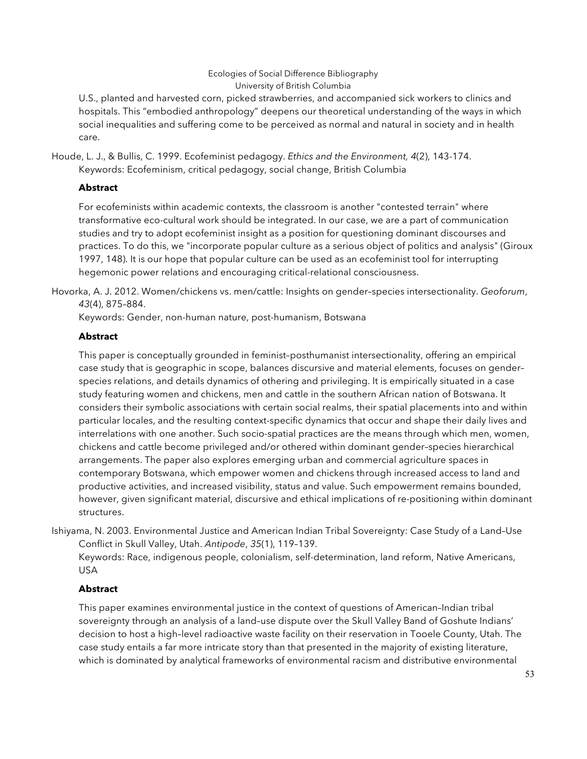U.S., planted and harvested corn, picked strawberries, and accompanied sick workers to clinics and hospitals. This "embodied anthropology" deepens our theoretical understanding of the ways in which social inequalities and suffering come to be perceived as normal and natural in society and in health care.

Houde, L. J., & Bullis, C. 1999. Ecofeminist pedagogy. *Ethics and the Environment, 4*(2), 143-174. Keywords: Ecofeminism, critical pedagogy, social change, British Columbia

## **Abstract**

For ecofeminists within academic contexts, the classroom is another "contested terrain" where transformative eco-cultural work should be integrated. In our case, we are a part of communication studies and try to adopt ecofeminist insight as a position for questioning dominant discourses and practices. To do this, we "incorporate popular culture as a serious object of politics and analysis" (Giroux 1997, 148). It is our hope that popular culture can be used as an ecofeminist tool for interrupting hegemonic power relations and encouraging critical-relational consciousness.

Hovorka, A. J. 2012. Women/chickens vs. men/cattle: Insights on gender–species intersectionality. *Geoforum*, *43*(4), 875–884.

Keywords: Gender, non-human nature, post-humanism, Botswana

## **Abstract**

This paper is conceptually grounded in feminist–posthumanist intersectionality, offering an empirical case study that is geographic in scope, balances discursive and material elements, focuses on gender– species relations, and details dynamics of othering and privileging. It is empirically situated in a case study featuring women and chickens, men and cattle in the southern African nation of Botswana. It considers their symbolic associations with certain social realms, their spatial placements into and within particular locales, and the resulting context-specific dynamics that occur and shape their daily lives and interrelations with one another. Such socio-spatial practices are the means through which men, women, chickens and cattle become privileged and/or othered within dominant gender–species hierarchical arrangements. The paper also explores emerging urban and commercial agriculture spaces in contemporary Botswana, which empower women and chickens through increased access to land and productive activities, and increased visibility, status and value. Such empowerment remains bounded, however, given significant material, discursive and ethical implications of re-positioning within dominant structures.

Ishiyama, N. 2003. Environmental Justice and American Indian Tribal Sovereignty: Case Study of a Land–Use Conflict in Skull Valley, Utah. *Antipode*, *35*(1), 119–139.

Keywords: Race, indigenous people, colonialism, self-determination, land reform, Native Americans, USA

# **Abstract**

This paper examines environmental justice in the context of questions of American–Indian tribal sovereignty through an analysis of a land–use dispute over the Skull Valley Band of Goshute Indians' decision to host a high–level radioactive waste facility on their reservation in Tooele County, Utah. The case study entails a far more intricate story than that presented in the majority of existing literature, which is dominated by analytical frameworks of environmental racism and distributive environmental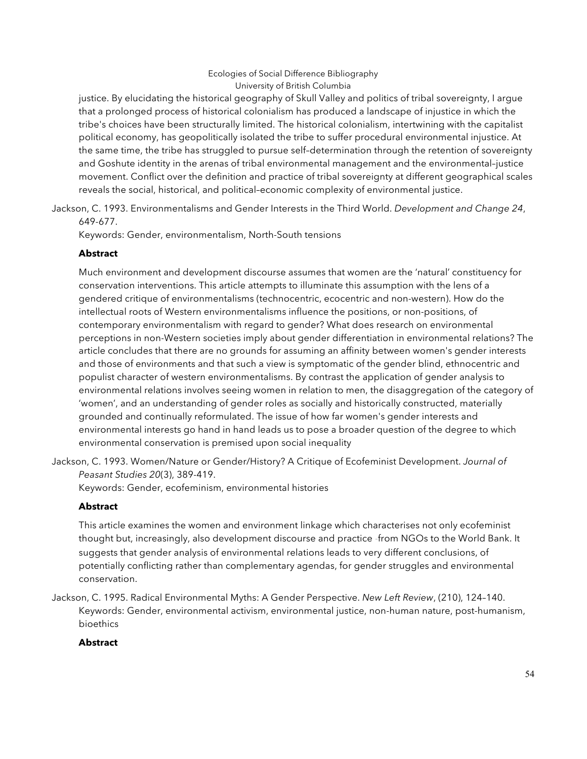justice. By elucidating the historical geography of Skull Valley and politics of tribal sovereignty, I argue that a prolonged process of historical colonialism has produced a landscape of injustice in which the tribe's choices have been structurally limited. The historical colonialism, intertwining with the capitalist political economy, has geopolitically isolated the tribe to suffer procedural environmental injustice. At the same time, the tribe has struggled to pursue self–determination through the retention of sovereignty and Goshute identity in the arenas of tribal environmental management and the environmental–justice movement. Conflict over the definition and practice of tribal sovereignty at different geographical scales reveals the social, historical, and political–economic complexity of environmental justice.

Jackson, C. 1993. Environmentalisms and Gender Interests in the Third World. *Development and Change 24*, 649-677.

Keywords: Gender, environmentalism, North-South tensions

## **Abstract**

Much environment and development discourse assumes that women are the 'natural' constituency for conservation interventions. This article attempts to illuminate this assumption with the lens of a gendered critique of environmentalisms (technocentric, ecocentric and non-western). How do the intellectual roots of Western environmentalisms influence the positions, or non-positions, of contemporary environmentalism with regard to gender? What does research on environmental perceptions in non-Western societies imply about gender differentiation in environmental relations? The article concludes that there are no grounds for assuming an affinity between women's gender interests and those of environments and that such a view is symptomatic of the gender blind, ethnocentric and populist character of western environmentalisms. By contrast the application of gender analysis to environmental relations involves seeing women in relation to men, the disaggregation of the category of 'women', and an understanding of gender roles as socially and historically constructed, materially grounded and continually reformulated. The issue of how far women's gender interests and environmental interests go hand in hand leads us to pose a broader question of the degree to which environmental conservation is premised upon social inequality

Jackson, C. 1993. Women/Nature or Gender/History? A Critique of Ecofeminist Development. *Journal of Peasant Studies 20*(3), 389-419.

Keywords: Gender, ecofeminism, environmental histories

# **Abstract**

This article examines the women and environment linkage which characterises not only ecofeminist thought but, increasingly, also development discourse and practice ‐from NGOs to the World Bank. It suggests that gender analysis of environmental relations leads to very different conclusions, of potentially conflicting rather than complementary agendas, for gender struggles and environmental conservation.

Jackson, C. 1995. Radical Environmental Myths: A Gender Perspective. *New Left Review*, (210), 124–140. Keywords: Gender, environmental activism, environmental justice, non-human nature, post-humanism, bioethics

# **Abstract**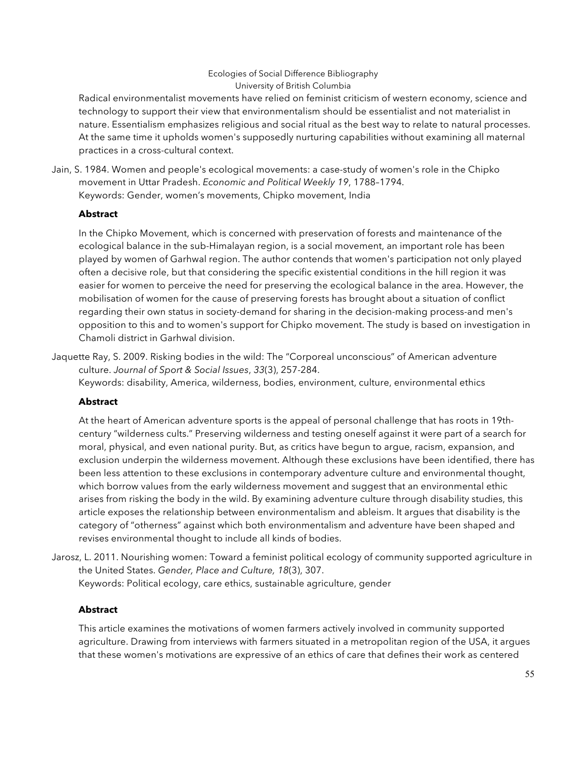Radical environmentalist movements have relied on feminist criticism of western economy, science and technology to support their view that environmentalism should be essentialist and not materialist in nature. Essentialism emphasizes religious and social ritual as the best way to relate to natural processes. At the same time it upholds women's supposedly nurturing capabilities without examining all maternal practices in a cross-cultural context.

Jain, S. 1984. Women and people's ecological movements: a case-study of women's role in the Chipko movement in Uttar Pradesh. *Economic and Political Weekly 19*, 1788–1794. Keywords: Gender, women's movements, Chipko movement, India

## **Abstract**

In the Chipko Movement, which is concerned with preservation of forests and maintenance of the ecological balance in the sub-Himalayan region, is a social movement, an important role has been played by women of Garhwal region. The author contends that women's participation not only played often a decisive role, but that considering the specific existential conditions in the hill region it was easier for women to perceive the need for preserving the ecological balance in the area. However, the mobilisation of women for the cause of preserving forests has brought about a situation of conflict regarding their own status in society-demand for sharing in the decision-making process-and men's opposition to this and to women's support for Chipko movement. The study is based on investigation in Chamoli district in Garhwal division.

Jaquette Ray, S. 2009. Risking bodies in the wild: The "Corporeal unconscious" of American adventure culture. *Journal of Sport & Social Issues*, *33*(3), 257-284. Keywords: disability, America, wilderness, bodies, environment, culture, environmental ethics

## **Abstract**

At the heart of American adventure sports is the appeal of personal challenge that has roots in 19thcentury "wilderness cults." Preserving wilderness and testing oneself against it were part of a search for moral, physical, and even national purity. But, as critics have begun to argue, racism, expansion, and exclusion underpin the wilderness movement. Although these exclusions have been identified, there has been less attention to these exclusions in contemporary adventure culture and environmental thought, which borrow values from the early wilderness movement and suggest that an environmental ethic arises from risking the body in the wild. By examining adventure culture through disability studies, this article exposes the relationship between environmentalism and ableism. It argues that disability is the category of "otherness" against which both environmentalism and adventure have been shaped and revises environmental thought to include all kinds of bodies.

Jarosz, L. 2011. Nourishing women: Toward a feminist political ecology of community supported agriculture in the United States. *Gender, Place and Culture, 18*(3), 307. Keywords: Political ecology, care ethics, sustainable agriculture, gender

## **Abstract**

This article examines the motivations of women farmers actively involved in community supported agriculture. Drawing from interviews with farmers situated in a metropolitan region of the USA, it argues that these women's motivations are expressive of an ethics of care that defines their work as centered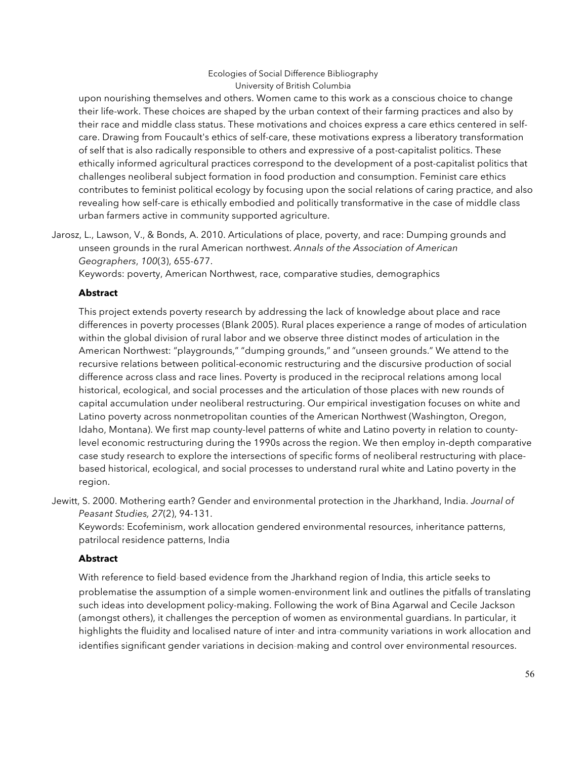upon nourishing themselves and others. Women came to this work as a conscious choice to change their life-work. These choices are shaped by the urban context of their farming practices and also by their race and middle class status. These motivations and choices express a care ethics centered in selfcare. Drawing from Foucault's ethics of self-care, these motivations express a liberatory transformation of self that is also radically responsible to others and expressive of a post-capitalist politics. These ethically informed agricultural practices correspond to the development of a post-capitalist politics that challenges neoliberal subject formation in food production and consumption. Feminist care ethics contributes to feminist political ecology by focusing upon the social relations of caring practice, and also revealing how self-care is ethically embodied and politically transformative in the case of middle class urban farmers active in community supported agriculture.

Jarosz, L., Lawson, V., & Bonds, A. 2010. Articulations of place, poverty, and race: Dumping grounds and unseen grounds in the rural American northwest. *Annals of the Association of American Geographers*, *100*(3), 655-677.

Keywords: poverty, American Northwest, race, comparative studies, demographics

# **Abstract**

This project extends poverty research by addressing the lack of knowledge about place and race differences in poverty processes (Blank 2005). Rural places experience a range of modes of articulation within the global division of rural labor and we observe three distinct modes of articulation in the American Northwest: "playgrounds," "dumping grounds," and "unseen grounds." We attend to the recursive relations between political-economic restructuring and the discursive production of social difference across class and race lines. Poverty is produced in the reciprocal relations among local historical, ecological, and social processes and the articulation of those places with new rounds of capital accumulation under neoliberal restructuring. Our empirical investigation focuses on white and Latino poverty across nonmetropolitan counties of the American Northwest (Washington, Oregon, Idaho, Montana). We first map county-level patterns of white and Latino poverty in relation to countylevel economic restructuring during the 1990s across the region. We then employ in-depth comparative case study research to explore the intersections of specific forms of neoliberal restructuring with placebased historical, ecological, and social processes to understand rural white and Latino poverty in the region.

Jewitt, S. 2000. Mothering earth? Gender and environmental protection in the Jharkhand, India. *Journal of Peasant Studies, 27*(2), 94-131.

Keywords: Ecofeminism, work allocation gendered environmental resources, inheritance patterns, patrilocal residence patterns, India

# **Abstract**

With reference to field‐based evidence from the Jharkhand region of India, this article seeks to problematise the assumption of a simple women-environment link and outlines the pitfalls of translating such ideas into development policy-making. Following the work of Bina Agarwal and Cecile Jackson (amongst others), it challenges the perception of women as environmental guardians. In particular, it highlights the fluidity and localised nature of inter‐and intra‐community variations in work allocation and identifies significant gender variations in decision‐making and control over environmental resources.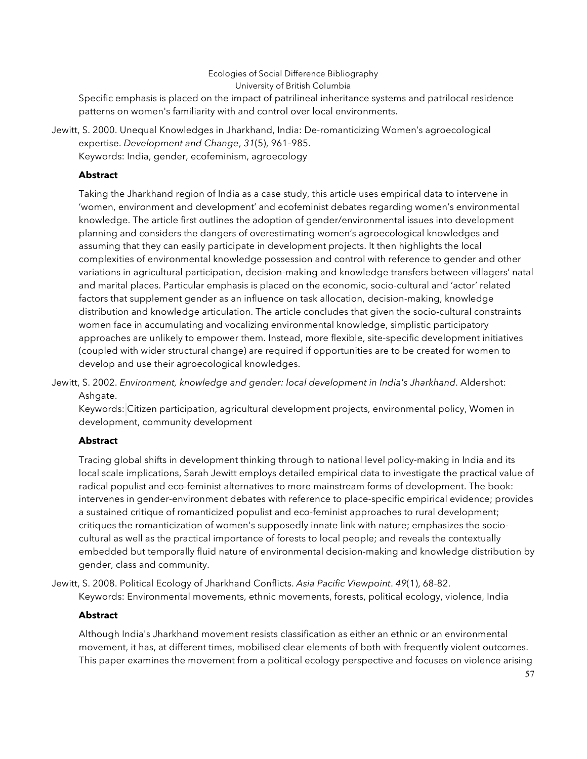Specific emphasis is placed on the impact of patrilineal inheritance systems and patrilocal residence patterns on women's familiarity with and control over local environments.

Jewitt, S. 2000. Unequal Knowledges in Jharkhand, India: De-romanticizing Women's agroecological expertise. *Development and Change*, *31*(5), 961–985. Keywords: India, gender, ecofeminism, agroecology

## **Abstract**

Taking the Jharkhand region of India as a case study, this article uses empirical data to intervene in 'women, environment and development' and ecofeminist debates regarding women's environmental knowledge. The article first outlines the adoption of gender/environmental issues into development planning and considers the dangers of overestimating women's agroecological knowledges and assuming that they can easily participate in development projects. It then highlights the local complexities of environmental knowledge possession and control with reference to gender and other variations in agricultural participation, decision-making and knowledge transfers between villagers' natal and marital places. Particular emphasis is placed on the economic, socio-cultural and 'actor' related factors that supplement gender as an influence on task allocation, decision-making, knowledge distribution and knowledge articulation. The article concludes that given the socio-cultural constraints women face in accumulating and vocalizing environmental knowledge, simplistic participatory approaches are unlikely to empower them. Instead, more flexible, site-specific development initiatives (coupled with wider structural change) are required if opportunities are to be created for women to develop and use their agroecological knowledges.

Jewitt, S. 2002. *Environment, knowledge and gender: local development in India's Jharkhand*. Aldershot: Ashgate.

Keywords: Citizen participation, agricultural development projects, environmental policy, Women in development, community development

# **Abstract**

Tracing global shifts in development thinking through to national level policy-making in India and its local scale implications, Sarah Jewitt employs detailed empirical data to investigate the practical value of radical populist and eco-feminist alternatives to more mainstream forms of development. The book: intervenes in gender-environment debates with reference to place-specific empirical evidence; provides a sustained critique of romanticized populist and eco-feminist approaches to rural development; critiques the romanticization of women's supposedly innate link with nature; emphasizes the sociocultural as well as the practical importance of forests to local people; and reveals the contextually embedded but temporally fluid nature of environmental decision-making and knowledge distribution by gender, class and community.

Jewitt, S. 2008. Political Ecology of Jharkhand Conflicts. *Asia Pacific Viewpoint*. *49*(1), 68-82. Keywords: Environmental movements, ethnic movements, forests, political ecology, violence, India

# **Abstract**

Although India's Jharkhand movement resists classification as either an ethnic or an environmental movement, it has, at different times, mobilised clear elements of both with frequently violent outcomes. This paper examines the movement from a political ecology perspective and focuses on violence arising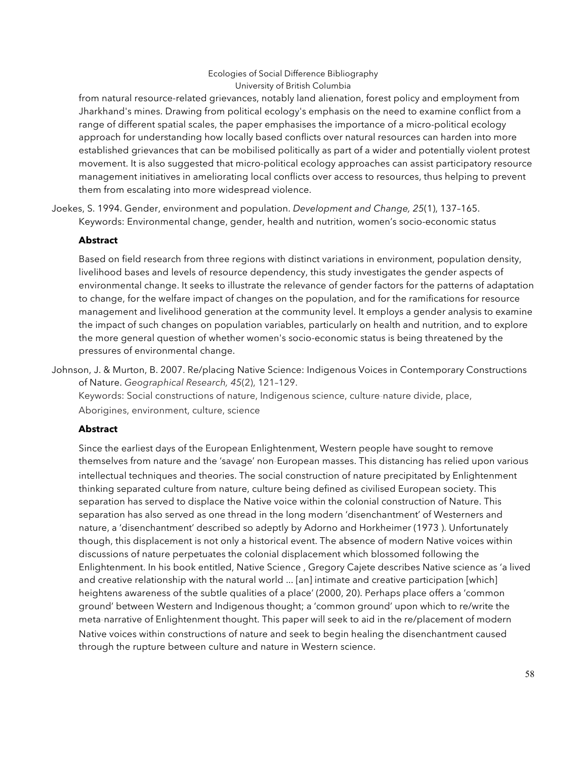from natural resource-related grievances, notably land alienation, forest policy and employment from Jharkhand's mines. Drawing from political ecology's emphasis on the need to examine conflict from a range of different spatial scales, the paper emphasises the importance of a micro-political ecology approach for understanding how locally based conflicts over natural resources can harden into more established grievances that can be mobilised politically as part of a wider and potentially violent protest movement. It is also suggested that micro-political ecology approaches can assist participatory resource management initiatives in ameliorating local conflicts over access to resources, thus helping to prevent them from escalating into more widespread violence.

Joekes, S. 1994. Gender, environment and population. *Development and Change, 25*(1), 137–165. Keywords: Environmental change, gender, health and nutrition, women's socio-economic status

## **Abstract**

Based on field research from three regions with distinct variations in environment, population density, livelihood bases and levels of resource dependency, this study investigates the gender aspects of environmental change. It seeks to illustrate the relevance of gender factors for the patterns of adaptation to change, for the welfare impact of changes on the population, and for the ramifications for resource management and livelihood generation at the community level. It employs a gender analysis to examine the impact of such changes on population variables, particularly on health and nutrition, and to explore the more general question of whether women's socio-economic status is being threatened by the pressures of environmental change.

Johnson, J. & Murton, B. 2007. Re/placing Native Science: Indigenous Voices in Contemporary Constructions of Nature. *Geographical Research, 45*(2), 121–129.

Keywords: Social constructions of nature, Indigenous science, culture‐nature divide, place, Aborigines, environment, culture, science

## **Abstract**

Since the earliest days of the European Enlightenment, Western people have sought to remove themselves from nature and the 'savage' non‐European masses. This distancing has relied upon various intellectual techniques and theories. The social construction of nature precipitated by Enlightenment thinking separated culture from nature, culture being defined as civilised European society. This separation has served to displace the Native voice within the colonial construction of Nature. This separation has also served as one thread in the long modern 'disenchantment' of Westerners and nature, a 'disenchantment' described so adeptly by Adorno and Horkheimer (1973 ). Unfortunately though, this displacement is not only a historical event. The absence of modern Native voices within discussions of nature perpetuates the colonial displacement which blossomed following the Enlightenment. In his book entitled, Native Science , Gregory Cajete describes Native science as 'a lived and creative relationship with the natural world ... [an] intimate and creative participation [which] heightens awareness of the subtle qualities of a place' (2000, 20). Perhaps place offers a 'common ground' between Western and Indigenous thought; a 'common ground' upon which to re/write the meta‐narrative of Enlightenment thought. This paper will seek to aid in the re/placement of modern Native voices within constructions of nature and seek to begin healing the disenchantment caused through the rupture between culture and nature in Western science.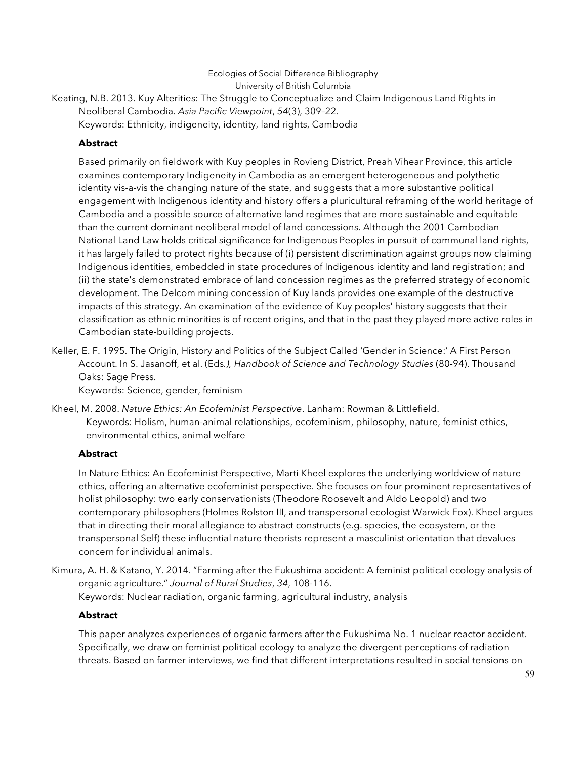Keating, N.B. 2013. Kuy Alterities: The Struggle to Conceptualize and Claim Indigenous Land Rights in Neoliberal Cambodia. *Asia Pacific Viewpoint*, *54*(3), 309–22. Keywords: Ethnicity, indigeneity, identity, land rights, Cambodia

## **Abstract**

Based primarily on fieldwork with Kuy peoples in Rovieng District, Preah Vihear Province, this article examines contemporary Indigeneity in Cambodia as an emergent heterogeneous and polythetic identity vis-a-vis the changing nature of the state, and suggests that a more substantive political engagement with Indigenous identity and history offers a pluricultural reframing of the world heritage of Cambodia and a possible source of alternative land regimes that are more sustainable and equitable than the current dominant neoliberal model of land concessions. Although the 2001 Cambodian National Land Law holds critical significance for Indigenous Peoples in pursuit of communal land rights, it has largely failed to protect rights because of (i) persistent discrimination against groups now claiming Indigenous identities, embedded in state procedures of Indigenous identity and land registration; and (ii) the state's demonstrated embrace of land concession regimes as the preferred strategy of economic development. The Delcom mining concession of Kuy lands provides one example of the destructive impacts of this strategy. An examination of the evidence of Kuy peoples' history suggests that their classification as ethnic minorities is of recent origins, and that in the past they played more active roles in Cambodian state-building projects.

Keller, E. F. 1995. The Origin, History and Politics of the Subject Called 'Gender in Science:' A First Person Account. In S. Jasanoff, et al. (Eds*.), Handbook of Science and Technology Studies* (80-94). Thousand Oaks: Sage Press.

Keywords: Science, gender, feminism

Kheel, M. 2008. *Nature Ethics: An Ecofeminist Perspective*. Lanham: Rowman & Littlefield. Keywords: Holism, human-animal relationships, ecofeminism, philosophy, nature, feminist ethics, environmental ethics, animal welfare

# **Abstract**

In Nature Ethics: An Ecofeminist Perspective, Marti Kheel explores the underlying worldview of nature ethics, offering an alternative ecofeminist perspective. She focuses on four prominent representatives of holist philosophy: two early conservationists (Theodore Roosevelt and Aldo Leopold) and two contemporary philosophers (Holmes Rolston III, and transpersonal ecologist Warwick Fox). Kheel argues that in directing their moral allegiance to abstract constructs (e.g. species, the ecosystem, or the transpersonal Self) these influential nature theorists represent a masculinist orientation that devalues concern for individual animals.

Kimura, A. H. & Katano, Y. 2014. "Farming after the Fukushima accident: A feminist political ecology analysis of organic agriculture." *Journal of Rural Studies*, *34*, 108-116. Keywords: Nuclear radiation, organic farming, agricultural industry, analysis

## **Abstract**

This paper analyzes experiences of organic farmers after the Fukushima No. 1 nuclear reactor accident. Specifically, we draw on feminist political ecology to analyze the divergent perceptions of radiation threats. Based on farmer interviews, we find that different interpretations resulted in social tensions on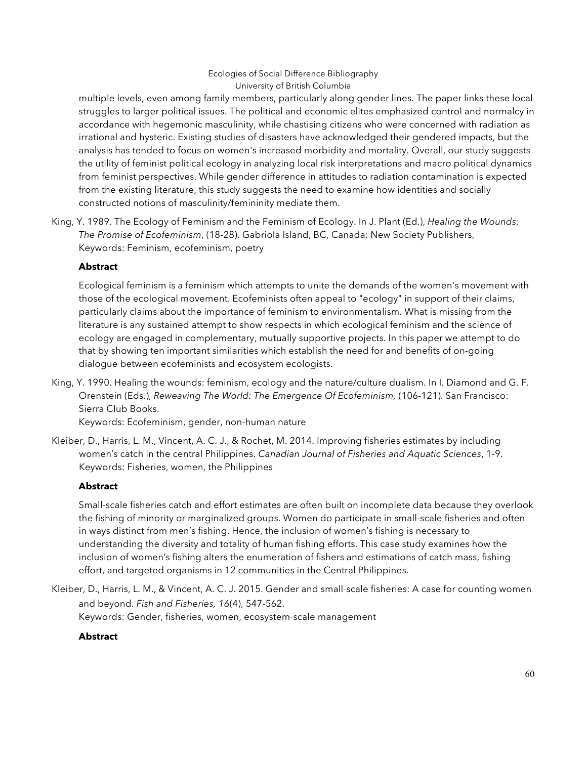multiple levels, even among family members, particularly along gender lines. The paper links these local struggles to larger political issues. The political and economic elites emphasized control and normalcy in accordance with hegemonic masculinity, while chastising citizens who were concerned with radiation as irrational and hysteric. Existing studies of disasters have acknowledged their gendered impacts, but the analysis has tended to focus on women's increased morbidity and mortality. Overall, our study suggests the utility of feminist political ecology in analyzing local risk interpretations and macro political dynamics from feminist perspectives. While gender difference in attitudes to radiation contamination is expected from the existing literature, this study suggests the need to examine how identities and socially constructed notions of masculinity/femininity mediate them.

King, Y. 1989. The Ecology of Feminism and the Feminism of Ecology. In J. Plant (Ed.), *Healing the Wounds: The Promise of Ecofeminism*, (18-28). Gabriola Island, BC, Canada: New Society Publishers, Keywords: Feminism, ecofeminism, poetry

# **Abstract**

Ecological feminism is a feminism which attempts to unite the demands of the women's movement with those of the ecological movement. Ecofeminists often appeal to "ecology" in support of their claims, particularly claims about the importance of feminism to environmentalism. What is missing from the literature is any sustained attempt to show respects in which ecological feminism and the science of ecology are engaged in complementary, mutually supportive projects. In this paper we attempt to do that by showing ten important similarities which establish the need for and benefits of on-going dialogue between ecofeminists and ecosystem ecologists.

King, Y. 1990. Healing the wounds: feminism, ecology and the nature/culture dualism. In I. Diamond and G. F. Orenstein (Eds.), *Reweaving The World: The Emergence Of Ecofeminism,* (106-121). San Francisco: Sierra Club Books.

Keywords: Ecofeminism, gender, non-human nature

Kleiber, D., Harris, L. M., Vincent, A. C. J., & Rochet, M. 2014. Improving fisheries estimates by including women's catch in the central Philippines. *Canadian Journal of Fisheries and Aquatic Sciences*, 1-9. Keywords: Fisheries, women, the Philippines

# **Abstract**

Small-scale fisheries catch and effort estimates are often built on incomplete data because they overlook the fishing of minority or marginalized groups. Women do participate in small-scale fisheries and often in ways distinct from men's fishing. Hence, the inclusion of women's fishing is necessary to understanding the diversity and totality of human fishing efforts. This case study examines how the inclusion of women's fishing alters the enumeration of fishers and estimations of catch mass, fishing effort, and targeted organisms in 12 communities in the Central Philippines.

Kleiber, D., Harris, L. M., & Vincent, A. C. J. 2015. Gender and small‐scale fisheries: A case for counting women and beyond. *Fish and Fisheries, 16*(4), 547-562. Keywords: Gender, fisheries, women, ecosystem‐scale management

## **Abstract**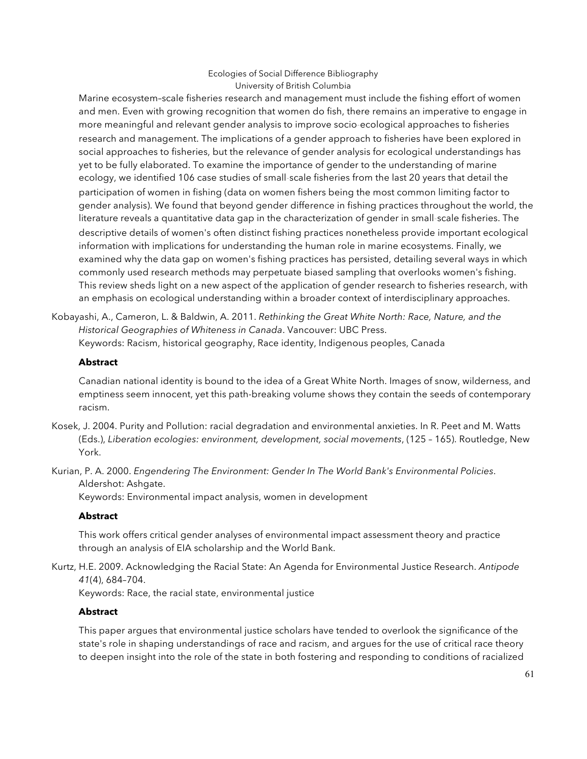Marine ecosystem–scale fisheries research and management must include the fishing effort of women and men. Even with growing recognition that women do fish, there remains an imperative to engage in more meaningful and relevant gender analysis to improve socio‐ecological approaches to fisheries research and management. The implications of a gender approach to fisheries have been explored in social approaches to fisheries, but the relevance of gender analysis for ecological understandings has yet to be fully elaborated. To examine the importance of gender to the understanding of marine ecology, we identified 106 case studies of small‐scale fisheries from the last 20 years that detail the participation of women in fishing (data on women fishers being the most common limiting factor to gender analysis). We found that beyond gender difference in fishing practices throughout the world, the literature reveals a quantitative data gap in the characterization of gender in small‐scale fisheries. The descriptive details of women's often distinct fishing practices nonetheless provide important ecological information with implications for understanding the human role in marine ecosystems. Finally, we examined why the data gap on women's fishing practices has persisted, detailing several ways in which commonly used research methods may perpetuate biased sampling that overlooks women's fishing. This review sheds light on a new aspect of the application of gender research to fisheries research, with an emphasis on ecological understanding within a broader context of interdisciplinary approaches.

Kobayashi, A., Cameron, L. & Baldwin, A. 2011. *Rethinking the Great White North: Race, Nature, and the Historical Geographies of Whiteness in Canada*. Vancouver: UBC Press. Keywords: Racism, historical geography, Race identity, Indigenous peoples, Canada

## **Abstract**

Canadian national identity is bound to the idea of a Great White North. Images of snow, wilderness, and emptiness seem innocent, yet this path-breaking volume shows they contain the seeds of contemporary racism.

Kosek, J. 2004. Purity and Pollution: racial degradation and environmental anxieties. In R. Peet and M. Watts (Eds.), *Liberation ecologies: environment, development, social movements*, (125 – 165). Routledge, New York.

Kurian, P. A. 2000. *Engendering The Environment: Gender In The World Bank's Environmental Policies*. Aldershot: Ashgate.

Keywords: Environmental impact analysis, women in development

# **Abstract**

This work offers critical gender analyses of environmental impact assessment theory and practice through an analysis of EIA scholarship and the World Bank.

Kurtz, H.E. 2009. Acknowledging the Racial State: An Agenda for Environmental Justice Research. *Antipode 41*(4), 684–704.

Keywords: Race, the racial state, environmental justice

# **Abstract**

This paper argues that environmental justice scholars have tended to overlook the significance of the state's role in shaping understandings of race and racism, and argues for the use of critical race theory to deepen insight into the role of the state in both fostering and responding to conditions of racialized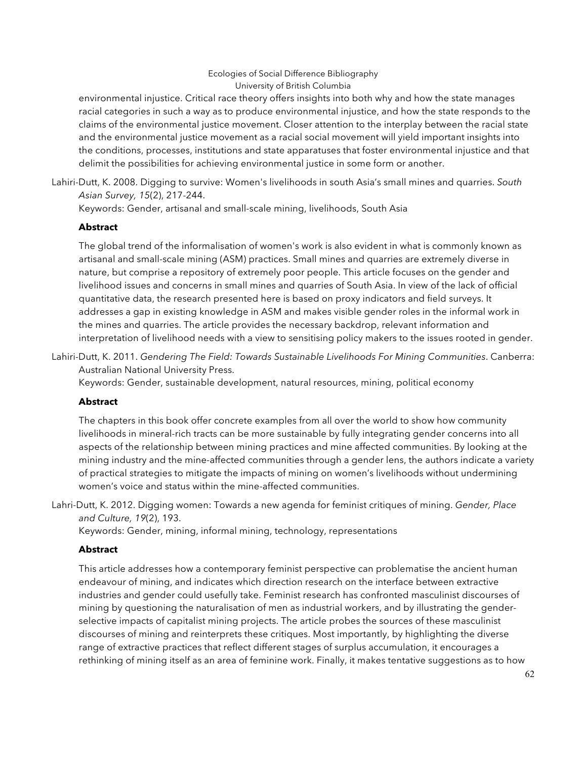environmental injustice. Critical race theory offers insights into both why and how the state manages racial categories in such a way as to produce environmental injustice, and how the state responds to the claims of the environmental justice movement. Closer attention to the interplay between the racial state and the environmental justice movement as a racial social movement will yield important insights into the conditions, processes, institutions and state apparatuses that foster environmental injustice and that delimit the possibilities for achieving environmental justice in some form or another.

Lahiri-Dutt, K. 2008. Digging to survive: Women's livelihoods in south Asia's small mines and quarries. *South Asian Survey, 15*(2), 217-244.

Keywords: Gender, artisanal and small-scale mining, livelihoods, South Asia

## **Abstract**

The global trend of the informalisation of women's work is also evident in what is commonly known as artisanal and small-scale mining (ASM) practices. Small mines and quarries are extremely diverse in nature, but comprise a repository of extremely poor people. This article focuses on the gender and livelihood issues and concerns in small mines and quarries of South Asia. In view of the lack of official quantitative data, the research presented here is based on proxy indicators and field surveys. It addresses a gap in existing knowledge in ASM and makes visible gender roles in the informal work in the mines and quarries. The article provides the necessary backdrop, relevant information and interpretation of livelihood needs with a view to sensitising policy makers to the issues rooted in gender.

Lahiri-Dutt, K. 2011. *Gendering The Field: Towards Sustainable Livelihoods For Mining Communities*. Canberra: Australian National University Press.

Keywords: Gender, sustainable development, natural resources, mining, political economy

## **Abstract**

The chapters in this book offer concrete examples from all over the world to show how community livelihoods in mineral-rich tracts can be more sustainable by fully integrating gender concerns into all aspects of the relationship between mining practices and mine affected communities. By looking at the mining industry and the mine-affected communities through a gender lens, the authors indicate a variety of practical strategies to mitigate the impacts of mining on women's livelihoods without undermining women's voice and status within the mine-affected communities.

Lahri-Dutt, K. 2012. Digging women: Towards a new agenda for feminist critiques of mining. *Gender, Place and Culture, 19*(2), 193.

Keywords: Gender, mining, informal mining, technology, representations

#### **Abstract**

This article addresses how a contemporary feminist perspective can problematise the ancient human endeavour of mining, and indicates which direction research on the interface between extractive industries and gender could usefully take. Feminist research has confronted masculinist discourses of mining by questioning the naturalisation of men as industrial workers, and by illustrating the genderselective impacts of capitalist mining projects. The article probes the sources of these masculinist discourses of mining and reinterprets these critiques. Most importantly, by highlighting the diverse range of extractive practices that reflect different stages of surplus accumulation, it encourages a rethinking of mining itself as an area of feminine work. Finally, it makes tentative suggestions as to how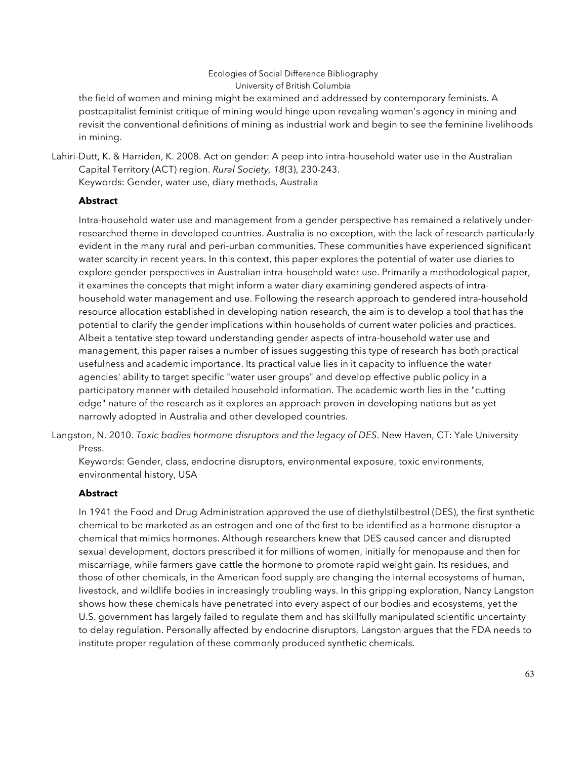the field of women and mining might be examined and addressed by contemporary feminists. A postcapitalist feminist critique of mining would hinge upon revealing women's agency in mining and revisit the conventional definitions of mining as industrial work and begin to see the feminine livelihoods in mining.

Lahiri-Dutt, K. & Harriden, K. 2008. Act on gender: A peep into intra-household water use in the Australian Capital Territory (ACT) region. *Rural Society, 18*(3), 230-243. Keywords: Gender, water use, diary methods, Australia

# **Abstract**

Intra-household water use and management from a gender perspective has remained a relatively underresearched theme in developed countries. Australia is no exception, with the lack of research particularly evident in the many rural and peri-urban communities. These communities have experienced significant water scarcity in recent years. In this context, this paper explores the potential of water use diaries to explore gender perspectives in Australian intra-household water use. Primarily a methodological paper, it examines the concepts that might inform a water diary examining gendered aspects of intrahousehold water management and use. Following the research approach to gendered intra-household resource allocation established in developing nation research, the aim is to develop a tool that has the potential to clarify the gender implications within households of current water policies and practices. Albeit a tentative step toward understanding gender aspects of intra-household water use and management, this paper raises a number of issues suggesting this type of research has both practical usefulness and academic importance. Its practical value lies in it capacity to influence the water agencies' ability to target specific "water user groups" and develop effective public policy in a participatory manner with detailed household information. The academic worth lies in the "cutting edge" nature of the research as it explores an approach proven in developing nations but as yet narrowly adopted in Australia and other developed countries.

Langston, N. 2010. *Toxic bodies hormone disruptors and the legacy of DES*. New Haven, CT: Yale University Press.

Keywords: Gender, class, endocrine disruptors, environmental exposure, toxic environments, environmental history, USA

## **Abstract**

In 1941 the Food and Drug Administration approved the use of diethylstilbestrol (DES), the first synthetic chemical to be marketed as an estrogen and one of the first to be identified as a hormone disruptor-a chemical that mimics hormones. Although researchers knew that DES caused cancer and disrupted sexual development, doctors prescribed it for millions of women, initially for menopause and then for miscarriage, while farmers gave cattle the hormone to promote rapid weight gain. Its residues, and those of other chemicals, in the American food supply are changing the internal ecosystems of human, livestock, and wildlife bodies in increasingly troubling ways. In this gripping exploration, Nancy Langston shows how these chemicals have penetrated into every aspect of our bodies and ecosystems, yet the U.S. government has largely failed to regulate them and has skillfully manipulated scientific uncertainty to delay regulation. Personally affected by endocrine disruptors, Langston argues that the FDA needs to institute proper regulation of these commonly produced synthetic chemicals.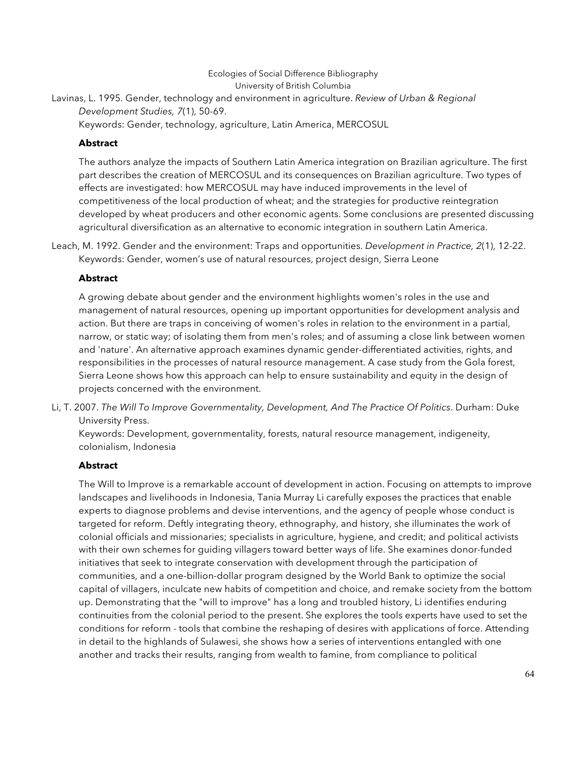Lavinas, L. 1995. Gender, technology and environment in agriculture. *Review of Urban & Regional Development Studies, 7*(1), 50-69.

Keywords: Gender, technology, agriculture, Latin America, MERCOSUL

## **Abstract**

The authors analyze the impacts of Southern Latin America integration on Brazilian agriculture. The first part describes the creation of MERCOSUL and its consequences on Brazilian agriculture. Two types of effects are investigated: how MERCOSUL may have induced improvements in the level of competitiveness of the local production of wheat; and the strategies for productive reintegration developed by wheat producers and other economic agents. Some conclusions are presented discussing agricultural diversification as an alternative to economic integration in southern Latin America.

Leach, M. 1992. Gender and the environment: Traps and opportunities. *Development in Practice, 2*(1), 12-22. Keywords: Gender, women's use of natural resources, project design, Sierra Leone

## **Abstract**

A growing debate about gender and the environment highlights women's roles in the use and management of natural resources, opening up important opportunities for development analysis and action. But there are traps in conceiving of women's roles in relation to the environment in a partial, narrow, or static way; of isolating them from men's roles; and of assuming a close link between women and 'nature'. An alternative approach examines dynamic gender-differentiated activities, rights, and responsibilities in the processes of natural resource management. A case study from the Gola forest, Sierra Leone shows how this approach can help to ensure sustainability and equity in the design of projects concerned with the environment.

Li, T. 2007. *The Will To Improve Governmentality, Development, And The Practice Of Politics*. Durham: Duke University Press.

Keywords: Development, governmentality, forests, natural resource management, indigeneity, colonialism, Indonesia

## **Abstract**

The Will to Improve is a remarkable account of development in action. Focusing on attempts to improve landscapes and livelihoods in Indonesia, Tania Murray Li carefully exposes the practices that enable experts to diagnose problems and devise interventions, and the agency of people whose conduct is targeted for reform. Deftly integrating theory, ethnography, and history, she illuminates the work of colonial officials and missionaries; specialists in agriculture, hygiene, and credit; and political activists with their own schemes for guiding villagers toward better ways of life. She examines donor-funded initiatives that seek to integrate conservation with development through the participation of communities, and a one-billion-dollar program designed by the World Bank to optimize the social capital of villagers, inculcate new habits of competition and choice, and remake society from the bottom up. Demonstrating that the "will to improve" has a long and troubled history, Li identifies enduring continuities from the colonial period to the present. She explores the tools experts have used to set the conditions for reform - tools that combine the reshaping of desires with applications of force. Attending in detail to the highlands of Sulawesi, she shows how a series of interventions entangled with one another and tracks their results, ranging from wealth to famine, from compliance to political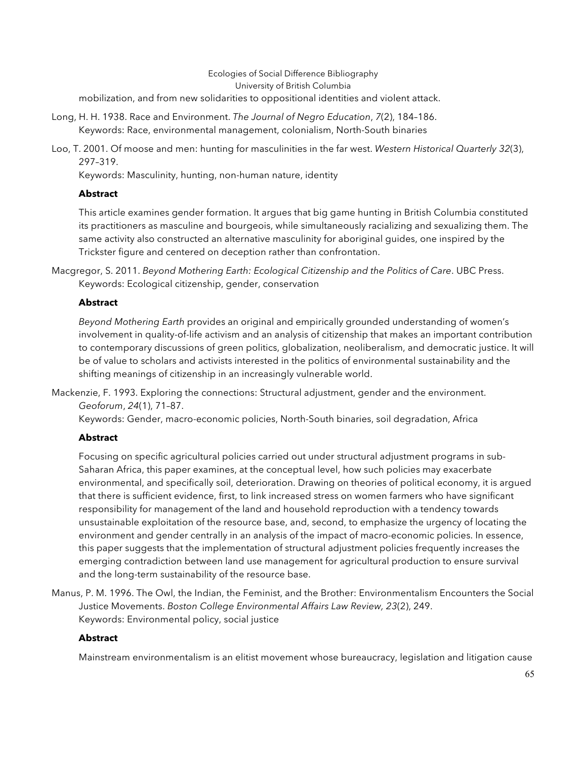mobilization, and from new solidarities to oppositional identities and violent attack.

- Long, H. H. 1938. Race and Environment. *The Journal of Negro Education*, *7*(2), 184–186. Keywords: Race, environmental management, colonialism, North-South binaries
- Loo, T. 2001. Of moose and men: hunting for masculinities in the far west. *Western Historical Quarterly 32*(3), 297–319.

Keywords: Masculinity, hunting, non-human nature, identity

# **Abstract**

This article examines gender formation. It argues that big game hunting in British Columbia constituted its practitioners as masculine and bourgeois, while simultaneously racializing and sexualizing them. The same activity also constructed an alternative masculinity for aboriginal guides, one inspired by the Trickster figure and centered on deception rather than confrontation.

Macgregor, S. 2011. *Beyond Mothering Earth: Ecological Citizenship and the Politics of Care*. UBC Press. Keywords: Ecological citizenship, gender, conservation

# **Abstract**

*Beyond Mothering Earth* provides an original and empirically grounded understanding of women's involvement in quality-of-life activism and an analysis of citizenship that makes an important contribution to contemporary discussions of green politics, globalization, neoliberalism, and democratic justice. It will be of value to scholars and activists interested in the politics of environmental sustainability and the shifting meanings of citizenship in an increasingly vulnerable world.

Mackenzie, F. 1993. Exploring the connections: Structural adjustment, gender and the environment. *Geoforum*, *24*(1), 71–87.

Keywords: Gender, macro-economic policies, North-South binaries, soil degradation, Africa

# **Abstract**

Focusing on specific agricultural policies carried out under structural adjustment programs in sub-Saharan Africa, this paper examines, at the conceptual level, how such policies may exacerbate environmental, and specifically soil, deterioration. Drawing on theories of political economy, it is argued that there is sufficient evidence, first, to link increased stress on women farmers who have significant responsibility for management of the land and household reproduction with a tendency towards unsustainable exploitation of the resource base, and, second, to emphasize the urgency of locating the environment and gender centrally in an analysis of the impact of macro-economic policies. In essence, this paper suggests that the implementation of structural adjustment policies frequently increases the emerging contradiction between land use management for agricultural production to ensure survival and the long-term sustainability of the resource base.

Manus, P. M. 1996. The Owl, the Indian, the Feminist, and the Brother: Environmentalism Encounters the Social Justice Movements. *Boston College Environmental Affairs Law Review, 23*(2), 249. Keywords: Environmental policy, social justice

# **Abstract**

Mainstream environmentalism is an elitist movement whose bureaucracy, legislation and litigation cause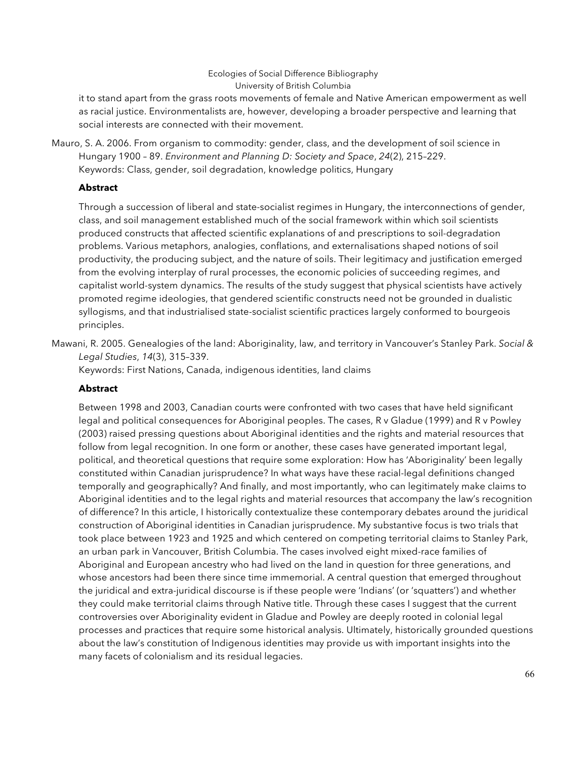it to stand apart from the grass roots movements of female and Native American empowerment as well as racial justice. Environmentalists are, however, developing a broader perspective and learning that social interests are connected with their movement.

Mauro, S. A. 2006. From organism to commodity: gender, class, and the development of soil science in Hungary 1900 – 89. *Environment and Planning D: Society and Space*, *24*(2), 215–229. Keywords: Class, gender, soil degradation, knowledge politics, Hungary

## **Abstract**

Through a succession of liberal and state-socialist regimes in Hungary, the interconnections of gender, class, and soil management established much of the social framework within which soil scientists produced constructs that affected scientific explanations of and prescriptions to soil-degradation problems. Various metaphors, analogies, conflations, and externalisations shaped notions of soil productivity, the producing subject, and the nature of soils. Their legitimacy and justification emerged from the evolving interplay of rural processes, the economic policies of succeeding regimes, and capitalist world-system dynamics. The results of the study suggest that physical scientists have actively promoted regime ideologies, that gendered scientific constructs need not be grounded in dualistic syllogisms, and that industrialised state-socialist scientific practices largely conformed to bourgeois principles.

Mawani, R. 2005. Genealogies of the land: Aboriginality, law, and territory in Vancouver's Stanley Park. *Social & Legal Studies*, *14*(3), 315–339.

Keywords: First Nations, Canada, indigenous identities, land claims

# **Abstract**

Between 1998 and 2003, Canadian courts were confronted with two cases that have held significant legal and political consequences for Aboriginal peoples. The cases, R v Gladue (1999) and R v Powley (2003) raised pressing questions about Aboriginal identities and the rights and material resources that follow from legal recognition. In one form or another, these cases have generated important legal, political, and theoretical questions that require some exploration: How has 'Aboriginality' been legally constituted within Canadian jurisprudence? In what ways have these racial-legal definitions changed temporally and geographically? And finally, and most importantly, who can legitimately make claims to Aboriginal identities and to the legal rights and material resources that accompany the law's recognition of difference? In this article, I historically contextualize these contemporary debates around the juridical construction of Aboriginal identities in Canadian jurisprudence. My substantive focus is two trials that took place between 1923 and 1925 and which centered on competing territorial claims to Stanley Park, an urban park in Vancouver, British Columbia. The cases involved eight mixed-race families of Aboriginal and European ancestry who had lived on the land in question for three generations, and whose ancestors had been there since time immemorial. A central question that emerged throughout the juridical and extra-juridical discourse is if these people were 'Indians' (or 'squatters') and whether they could make territorial claims through Native title. Through these cases I suggest that the current controversies over Aboriginality evident in Gladue and Powley are deeply rooted in colonial legal processes and practices that require some historical analysis. Ultimately, historically grounded questions about the law's constitution of Indigenous identities may provide us with important insights into the many facets of colonialism and its residual legacies.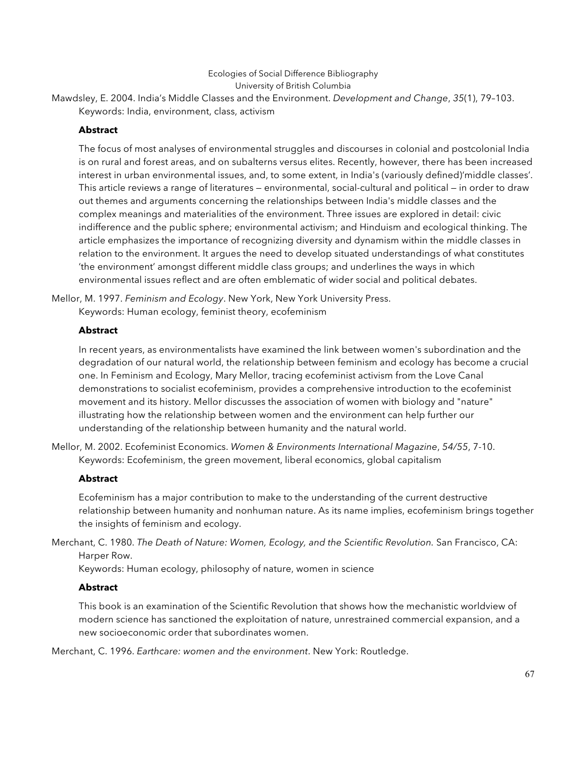Mawdsley, E. 2004. India's Middle Classes and the Environment. *Development and Change*, *35*(1), 79–103. Keywords: India, environment, class, activism

## **Abstract**

The focus of most analyses of environmental struggles and discourses in colonial and postcolonial India is on rural and forest areas, and on subalterns versus elites. Recently, however, there has been increased interest in urban environmental issues, and, to some extent, in India's (variously defined)'middle classes'. This article reviews a range of literatures — environmental, social-cultural and political — in order to draw out themes and arguments concerning the relationships between India's middle classes and the complex meanings and materialities of the environment. Three issues are explored in detail: civic indifference and the public sphere; environmental activism; and Hinduism and ecological thinking. The article emphasizes the importance of recognizing diversity and dynamism within the middle classes in relation to the environment. It argues the need to develop situated understandings of what constitutes 'the environment' amongst different middle class groups; and underlines the ways in which environmental issues reflect and are often emblematic of wider social and political debates.

Mellor, M. 1997. *Feminism and Ecology*. New York, New York University Press. Keywords: Human ecology, feminist theory, ecofeminism

#### **Abstract**

In recent years, as environmentalists have examined the link between women's subordination and the degradation of our natural world, the relationship between feminism and ecology has become a crucial one. In Feminism and Ecology, Mary Mellor, tracing ecofeminist activism from the Love Canal demonstrations to socialist ecofeminism, provides a comprehensive introduction to the ecofeminist movement and its history. Mellor discusses the association of women with biology and "nature" illustrating how the relationship between women and the environment can help further our understanding of the relationship between humanity and the natural world.

Mellor, M. 2002. Ecofeminist Economics. *Women & Environments International Magazine*, *54/55*, 7-10. Keywords: Ecofeminism, the green movement, liberal economics, global capitalism

#### **Abstract**

Ecofeminism has a major contribution to make to the understanding of the current destructive relationship between humanity and nonhuman nature. As its name implies, ecofeminism brings together the insights of feminism and ecology.

Merchant, C. 1980. *The Death of Nature: Women, Ecology, and the Scientific Revolution.* San Francisco, CA: Harper Row.

Keywords: Human ecology, philosophy of nature, women in science

#### **Abstract**

This book is an examination of the Scientific Revolution that shows how the mechanistic worldview of modern science has sanctioned the exploitation of nature, unrestrained commercial expansion, and a new socioeconomic order that subordinates women.

Merchant, C. 1996. *Earthcare: women and the environment*. New York: Routledge.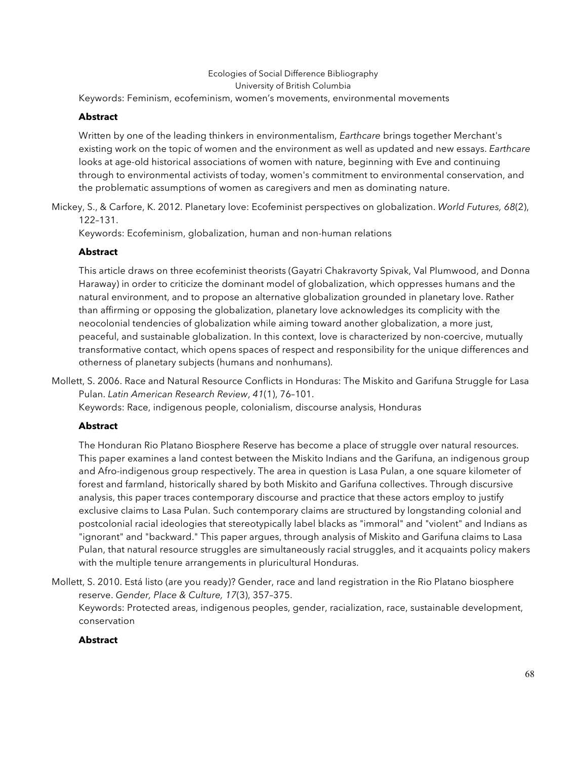Keywords: Feminism, ecofeminism, women's movements, environmental movements

## **Abstract**

Written by one of the leading thinkers in environmentalism, *Earthcare* brings together Merchant's existing work on the topic of women and the environment as well as updated and new essays. *Earthcare* looks at age-old historical associations of women with nature, beginning with Eve and continuing through to environmental activists of today, women's commitment to environmental conservation, and the problematic assumptions of women as caregivers and men as dominating nature.

Mickey, S., & Carfore, K. 2012. Planetary love: Ecofeminist perspectives on globalization. *World Futures, 68*(2), 122–131.

Keywords: Ecofeminism, globalization, human and non-human relations

## **Abstract**

This article draws on three ecofeminist theorists (Gayatri Chakravorty Spivak, Val Plumwood, and Donna Haraway) in order to criticize the dominant model of globalization, which oppresses humans and the natural environment, and to propose an alternative globalization grounded in planetary love. Rather than affirming or opposing the globalization, planetary love acknowledges its complicity with the neocolonial tendencies of globalization while aiming toward another globalization, a more just, peaceful, and sustainable globalization. In this context, love is characterized by non-coercive, mutually transformative contact, which opens spaces of respect and responsibility for the unique differences and otherness of planetary subjects (humans and nonhumans).

Mollett, S. 2006. Race and Natural Resource Conflicts in Honduras: The Miskito and Garifuna Struggle for Lasa Pulan. *Latin American Research Review*, *41*(1), 76–101. Keywords: Race, indigenous people, colonialism, discourse analysis, Honduras

# **Abstract**

The Honduran Rio Platano Biosphere Reserve has become a place of struggle over natural resources. This paper examines a land contest between the Miskito Indians and the Garifuna, an indigenous group and Afro-indigenous group respectively. The area in question is Lasa Pulan, a one square kilometer of forest and farmland, historically shared by both Miskito and Garifuna collectives. Through discursive analysis, this paper traces contemporary discourse and practice that these actors employ to justify exclusive claims to Lasa Pulan. Such contemporary claims are structured by longstanding colonial and postcolonial racial ideologies that stereotypically label blacks as "immoral" and "violent" and Indians as "ignorant" and "backward." This paper argues, through analysis of Miskito and Garifuna claims to Lasa Pulan, that natural resource struggles are simultaneously racial struggles, and it acquaints policy makers with the multiple tenure arrangements in pluricultural Honduras.

Mollett, S. 2010. Está listo (are you ready)? Gender, race and land registration in the Rio Platano biosphere reserve. *Gender, Place & Culture, 17*(3), 357–375. Keywords: Protected areas, indigenous peoples, gender, racialization, race, sustainable development, conservation

# **Abstract**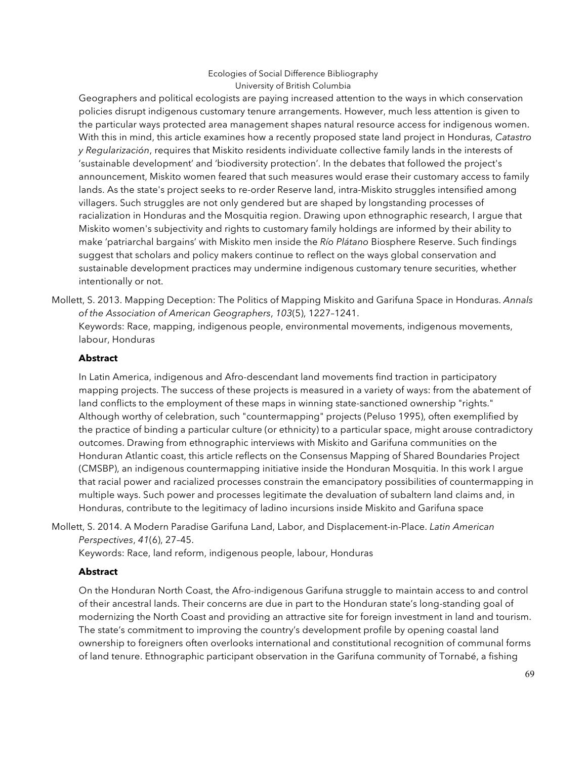Geographers and political ecologists are paying increased attention to the ways in which conservation policies disrupt indigenous customary tenure arrangements. However, much less attention is given to the particular ways protected area management shapes natural resource access for indigenous women. With this in mind, this article examines how a recently proposed state land project in Honduras, *Catastro y Regularización*, requires that Miskito residents individuate collective family lands in the interests of 'sustainable development' and 'biodiversity protection'. In the debates that followed the project's announcement, Miskito women feared that such measures would erase their customary access to family lands. As the state's project seeks to re-order Reserve land, intra-Miskito struggles intensified among villagers. Such struggles are not only gendered but are shaped by longstanding processes of racialization in Honduras and the Mosquitia region. Drawing upon ethnographic research, I argue that Miskito women's subjectivity and rights to customary family holdings are informed by their ability to make 'patriarchal bargains' with Miskito men inside the *Río Plátano* Biosphere Reserve. Such findings suggest that scholars and policy makers continue to reflect on the ways global conservation and sustainable development practices may undermine indigenous customary tenure securities, whether intentionally or not.

Mollett, S. 2013. Mapping Deception: The Politics of Mapping Miskito and Garifuna Space in Honduras. *Annals of the Association of American Geographers*, *103*(5), 1227–1241.

Keywords: Race, mapping, indigenous people, environmental movements, indigenous movements, labour, Honduras

## **Abstract**

In Latin America, indigenous and Afro-descendant land movements find traction in participatory mapping projects. The success of these projects is measured in a variety of ways: from the abatement of land conflicts to the employment of these maps in winning state-sanctioned ownership "rights." Although worthy of celebration, such "countermapping" projects (Peluso 1995), often exemplified by the practice of binding a particular culture (or ethnicity) to a particular space, might arouse contradictory outcomes. Drawing from ethnographic interviews with Miskito and Garifuna communities on the Honduran Atlantic coast, this article reflects on the Consensus Mapping of Shared Boundaries Project (CMSBP), an indigenous countermapping initiative inside the Honduran Mosquitia. In this work I argue that racial power and racialized processes constrain the emancipatory possibilities of countermapping in multiple ways. Such power and processes legitimate the devaluation of subaltern land claims and, in Honduras, contribute to the legitimacy of ladino incursions inside Miskito and Garifuna space

Mollett, S. 2014. A Modern Paradise Garifuna Land, Labor, and Displacement-in-Place. *Latin American Perspectives*, *41*(6), 27–45.

Keywords: Race, land reform, indigenous people, labour, Honduras

## **Abstract**

On the Honduran North Coast, the Afro-indigenous Garifuna struggle to maintain access to and control of their ancestral lands. Their concerns are due in part to the Honduran state's long-standing goal of modernizing the North Coast and providing an attractive site for foreign investment in land and tourism. The state's commitment to improving the country's development profile by opening coastal land ownership to foreigners often overlooks international and constitutional recognition of communal forms of land tenure. Ethnographic participant observation in the Garifuna community of Tornabé, a fishing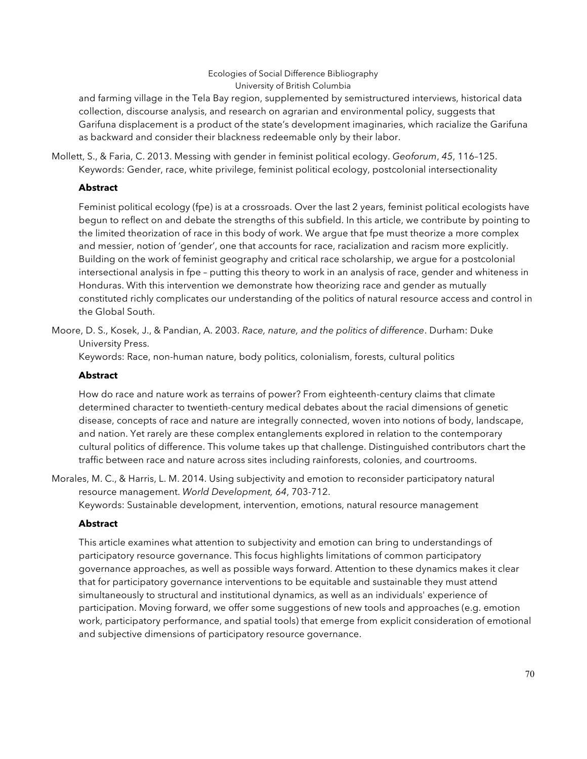and farming village in the Tela Bay region, supplemented by semistructured interviews, historical data collection, discourse analysis, and research on agrarian and environmental policy, suggests that Garifuna displacement is a product of the state's development imaginaries, which racialize the Garifuna as backward and consider their blackness redeemable only by their labor.

Mollett, S., & Faria, C. 2013. Messing with gender in feminist political ecology. *Geoforum*, *45*, 116–125. Keywords: Gender, race, white privilege, feminist political ecology, postcolonial intersectionality

## **Abstract**

Feminist political ecology (fpe) is at a crossroads. Over the last 2 years, feminist political ecologists have begun to reflect on and debate the strengths of this subfield. In this article, we contribute by pointing to the limited theorization of race in this body of work. We argue that fpe must theorize a more complex and messier, notion of 'gender', one that accounts for race, racialization and racism more explicitly. Building on the work of feminist geography and critical race scholarship, we argue for a postcolonial intersectional analysis in fpe – putting this theory to work in an analysis of race, gender and whiteness in Honduras. With this intervention we demonstrate how theorizing race and gender as mutually constituted richly complicates our understanding of the politics of natural resource access and control in the Global South.

Moore, D. S., Kosek, J., & Pandian, A. 2003. *Race, nature, and the politics of difference*. Durham: Duke University Press.

Keywords: Race, non-human nature, body politics, colonialism, forests, cultural politics

## **Abstract**

How do race and nature work as terrains of power? From eighteenth-century claims that climate determined character to twentieth-century medical debates about the racial dimensions of genetic disease, concepts of race and nature are integrally connected, woven into notions of body, landscape, and nation. Yet rarely are these complex entanglements explored in relation to the contemporary cultural politics of difference. This volume takes up that challenge. Distinguished contributors chart the traffic between race and nature across sites including rainforests, colonies, and courtrooms.

Morales, M. C., & Harris, L. M. 2014. Using subjectivity and emotion to reconsider participatory natural resource management. *World Development, 64*, 703-712. Keywords: Sustainable development, intervention, emotions, natural resource management

## **Abstract**

This article examines what attention to subjectivity and emotion can bring to understandings of participatory resource governance. This focus highlights limitations of common participatory governance approaches, as well as possible ways forward. Attention to these dynamics makes it clear that for participatory governance interventions to be equitable and sustainable they must attend simultaneously to structural and institutional dynamics, as well as an individuals' experience of participation. Moving forward, we offer some suggestions of new tools and approaches (e.g. emotion work, participatory performance, and spatial tools) that emerge from explicit consideration of emotional and subjective dimensions of participatory resource governance.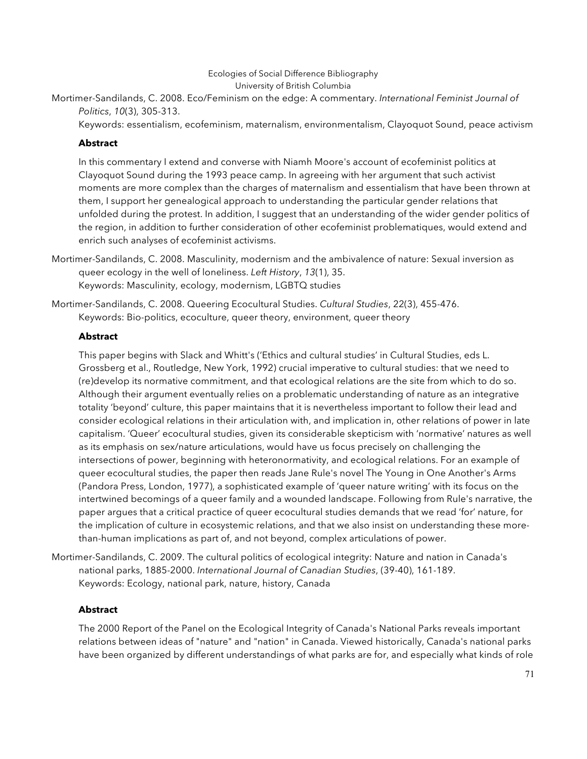Mortimer-Sandilands, C. 2008. Eco/Feminism on the edge: A commentary. *International Feminist Journal of Politics*, *10*(3), 305-313.

Keywords: essentialism, ecofeminism, maternalism, environmentalism, Clayoquot Sound, peace activism

## **Abstract**

In this commentary I extend and converse with Niamh Moore's account of ecofeminist politics at Clayoquot Sound during the 1993 peace camp. In agreeing with her argument that such activist moments are more complex than the charges of maternalism and essentialism that have been thrown at them, I support her genealogical approach to understanding the particular gender relations that unfolded during the protest. In addition, I suggest that an understanding of the wider gender politics of the region, in addition to further consideration of other ecofeminist problematiques, would extend and enrich such analyses of ecofeminist activisms.

- Mortimer-Sandilands, C. 2008. Masculinity, modernism and the ambivalence of nature: Sexual inversion as queer ecology in the well of loneliness. *Left History*, *13*(1), 35. Keywords: Masculinity, ecology, modernism, LGBTQ studies
- Mortimer-Sandilands, C. 2008. Queering Ecocultural Studies. *Cultural Studies*, 22(3), 455-476. Keywords: Bio-politics, ecoculture, queer theory, environment, queer theory

## **Abstract**

This paper begins with Slack and Whitt's ('Ethics and cultural studies' in Cultural Studies, eds L. Grossberg et al., Routledge, New York, 1992) crucial imperative to cultural studies: that we need to (re)develop its normative commitment, and that ecological relations are the site from which to do so. Although their argument eventually relies on a problematic understanding of nature as an integrative totality 'beyond' culture, this paper maintains that it is nevertheless important to follow their lead and consider ecological relations in their articulation with, and implication in, other relations of power in late capitalism. 'Queer' ecocultural studies, given its considerable skepticism with 'normative' natures as well as its emphasis on sex/nature articulations, would have us focus precisely on challenging the intersections of power, beginning with heteronormativity, and ecological relations. For an example of queer ecocultural studies, the paper then reads Jane Rule's novel The Young in One Another's Arms (Pandora Press, London, 1977), a sophisticated example of 'queer nature writing' with its focus on the intertwined becomings of a queer family and a wounded landscape. Following from Rule's narrative, the paper argues that a critical practice of queer ecocultural studies demands that we read 'for' nature, for the implication of culture in ecosystemic relations, and that we also insist on understanding these morethan-human implications as part of, and not beyond, complex articulations of power.

Mortimer-Sandilands, C. 2009. The cultural politics of ecological integrity: Nature and nation in Canada's national parks, 1885-2000. *International Journal of Canadian Studies*, (39-40), 161-189. Keywords: Ecology, national park, nature, history, Canada

## **Abstract**

The 2000 Report of the Panel on the Ecological Integrity of Canada's National Parks reveals important relations between ideas of "nature" and "nation" in Canada. Viewed historically, Canada's national parks have been organized by different understandings of what parks are for, and especially what kinds of role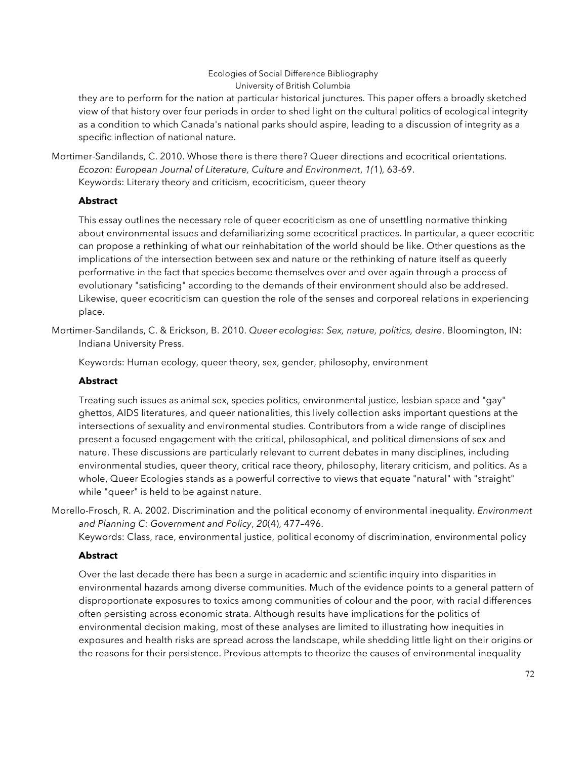they are to perform for the nation at particular historical junctures. This paper offers a broadly sketched view of that history over four periods in order to shed light on the cultural politics of ecological integrity as a condition to which Canada's national parks should aspire, leading to a discussion of integrity as a specific inflection of national nature.

Mortimer-Sandilands, C. 2010. Whose there is there there? Queer directions and ecocritical orientations. *Ecozon: European Journal of Literature, Culture and Environment*, *1(*1), 63-69. Keywords: Literary theory and criticism, ecocriticism, queer theory

## **Abstract**

This essay outlines the necessary role of queer ecocriticism as one of unsettling normative thinking about environmental issues and defamiliarizing some ecocritical practices. In particular, a queer ecocritic can propose a rethinking of what our reinhabitation of the world should be like. Other questions as the implications of the intersection between sex and nature or the rethinking of nature itself as queerly performative in the fact that species become themselves over and over again through a process of evolutionary "satisficing" according to the demands of their environment should also be addresed. Likewise, queer ecocriticism can question the role of the senses and corporeal relations in experiencing place.

Mortimer-Sandilands, C. & Erickson, B. 2010. *Queer ecologies: Sex, nature, politics, desire*. Bloomington, IN: Indiana University Press.

Keywords: Human ecology, queer theory, sex, gender, philosophy, environment

## **Abstract**

Treating such issues as animal sex, species politics, environmental justice, lesbian space and "gay" ghettos, AIDS literatures, and queer nationalities, this lively collection asks important questions at the intersections of sexuality and environmental studies. Contributors from a wide range of disciplines present a focused engagement with the critical, philosophical, and political dimensions of sex and nature. These discussions are particularly relevant to current debates in many disciplines, including environmental studies, queer theory, critical race theory, philosophy, literary criticism, and politics. As a whole, Queer Ecologies stands as a powerful corrective to views that equate "natural" with "straight" while "queer" is held to be against nature.

Morello-Frosch, R. A. 2002. Discrimination and the political economy of environmental inequality. *Environment and Planning C: Government and Policy*, *20*(4), 477–496. Keywords: Class, race, environmental justice, political economy of discrimination, environmental policy

# **Abstract**

Over the last decade there has been a surge in academic and scientific inquiry into disparities in environmental hazards among diverse communities. Much of the evidence points to a general pattern of disproportionate exposures to toxics among communities of colour and the poor, with racial differences often persisting across economic strata. Although results have implications for the politics of environmental decision making, most of these analyses are limited to illustrating how inequities in exposures and health risks are spread across the landscape, while shedding little light on their origins or the reasons for their persistence. Previous attempts to theorize the causes of environmental inequality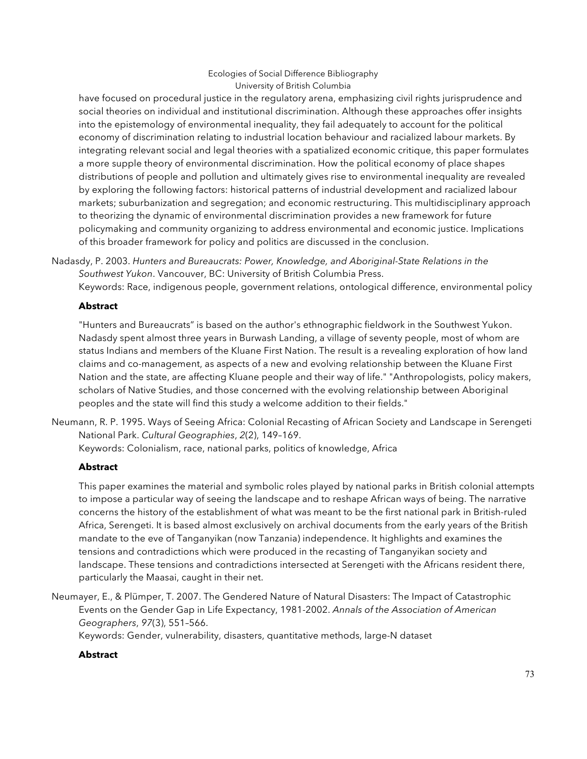have focused on procedural justice in the regulatory arena, emphasizing civil rights jurisprudence and social theories on individual and institutional discrimination. Although these approaches offer insights into the epistemology of environmental inequality, they fail adequately to account for the political economy of discrimination relating to industrial location behaviour and racialized labour markets. By integrating relevant social and legal theories with a spatialized economic critique, this paper formulates a more supple theory of environmental discrimination. How the political economy of place shapes distributions of people and pollution and ultimately gives rise to environmental inequality are revealed by exploring the following factors: historical patterns of industrial development and racialized labour markets; suburbanization and segregation; and economic restructuring. This multidisciplinary approach to theorizing the dynamic of environmental discrimination provides a new framework for future policymaking and community organizing to address environmental and economic justice. Implications of this broader framework for policy and politics are discussed in the conclusion.

Nadasdy, P. 2003. *Hunters and Bureaucrats: Power, Knowledge, and Aboriginal-State Relations in the Southwest Yukon*. Vancouver, BC: University of British Columbia Press.

Keywords: Race, indigenous people, government relations, ontological difference, environmental policy

## **Abstract**

"Hunters and Bureaucrats" is based on the author's ethnographic fieldwork in the Southwest Yukon. Nadasdy spent almost three years in Burwash Landing, a village of seventy people, most of whom are status Indians and members of the Kluane First Nation. The result is a revealing exploration of how land claims and co-management, as aspects of a new and evolving relationship between the Kluane First Nation and the state, are affecting Kluane people and their way of life." "Anthropologists, policy makers, scholars of Native Studies, and those concerned with the evolving relationship between Aboriginal peoples and the state will find this study a welcome addition to their fields."

Neumann, R. P. 1995. Ways of Seeing Africa: Colonial Recasting of African Society and Landscape in Serengeti National Park. *Cultural Geographies*, *2*(2), 149–169.

Keywords: Colonialism, race, national parks, politics of knowledge, Africa

# **Abstract**

This paper examines the material and symbolic roles played by national parks in British colonial attempts to impose a particular way of seeing the landscape and to reshape African ways of being. The narrative concerns the history of the establishment of what was meant to be the first national park in British-ruled Africa, Serengeti. It is based almost exclusively on archival documents from the early years of the British mandate to the eve of Tanganyikan (now Tanzania) independence. It highlights and examines the tensions and contradictions which were produced in the recasting of Tanganyikan society and landscape. These tensions and contradictions intersected at Serengeti with the Africans resident there, particularly the Maasai, caught in their net.

Neumayer, E., & Plümper, T. 2007. The Gendered Nature of Natural Disasters: The Impact of Catastrophic Events on the Gender Gap in Life Expectancy, 1981-2002. *Annals of the Association of American Geographers*, *97*(3), 551–566.

Keywords: Gender, vulnerability, disasters, quantitative methods, large-N dataset

# **Abstract**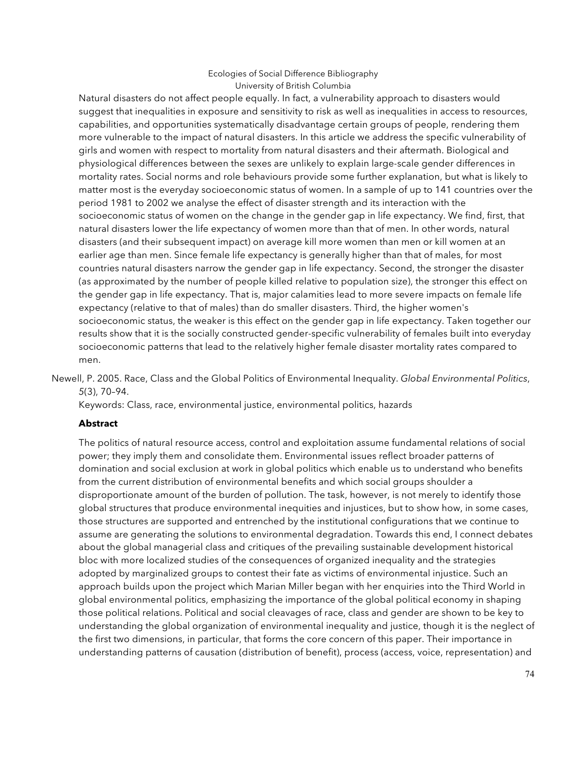Natural disasters do not affect people equally. In fact, a vulnerability approach to disasters would suggest that inequalities in exposure and sensitivity to risk as well as inequalities in access to resources, capabilities, and opportunities systematically disadvantage certain groups of people, rendering them more vulnerable to the impact of natural disasters. In this article we address the specific vulnerability of girls and women with respect to mortality from natural disasters and their aftermath. Biological and physiological differences between the sexes are unlikely to explain large-scale gender differences in mortality rates. Social norms and role behaviours provide some further explanation, but what is likely to matter most is the everyday socioeconomic status of women. In a sample of up to 141 countries over the period 1981 to 2002 we analyse the effect of disaster strength and its interaction with the socioeconomic status of women on the change in the gender gap in life expectancy. We find, first, that natural disasters lower the life expectancy of women more than that of men. In other words, natural disasters (and their subsequent impact) on average kill more women than men or kill women at an earlier age than men. Since female life expectancy is generally higher than that of males, for most countries natural disasters narrow the gender gap in life expectancy. Second, the stronger the disaster (as approximated by the number of people killed relative to population size), the stronger this effect on the gender gap in life expectancy. That is, major calamities lead to more severe impacts on female life expectancy (relative to that of males) than do smaller disasters. Third, the higher women's socioeconomic status, the weaker is this effect on the gender gap in life expectancy. Taken together our results show that it is the socially constructed gender-specific vulnerability of females built into everyday socioeconomic patterns that lead to the relatively higher female disaster mortality rates compared to men.

Newell, P. 2005. Race, Class and the Global Politics of Environmental Inequality. *Global Environmental Politics*, *5*(3), 70–94.

Keywords: Class, race, environmental justice, environmental politics, hazards

### **Abstract**

The politics of natural resource access, control and exploitation assume fundamental relations of social power; they imply them and consolidate them. Environmental issues reflect broader patterns of domination and social exclusion at work in global politics which enable us to understand who benefits from the current distribution of environmental benefits and which social groups shoulder a disproportionate amount of the burden of pollution. The task, however, is not merely to identify those global structures that produce environmental inequities and injustices, but to show how, in some cases, those structures are supported and entrenched by the institutional configurations that we continue to assume are generating the solutions to environmental degradation. Towards this end, I connect debates about the global managerial class and critiques of the prevailing sustainable development historical bloc with more localized studies of the consequences of organized inequality and the strategies adopted by marginalized groups to contest their fate as victims of environmental injustice. Such an approach builds upon the project which Marian Miller began with her enquiries into the Third World in global environmental politics, emphasizing the importance of the global political economy in shaping those political relations. Political and social cleavages of race, class and gender are shown to be key to understanding the global organization of environmental inequality and justice, though it is the neglect of the first two dimensions, in particular, that forms the core concern of this paper. Their importance in understanding patterns of causation (distribution of benefit), process (access, voice, representation) and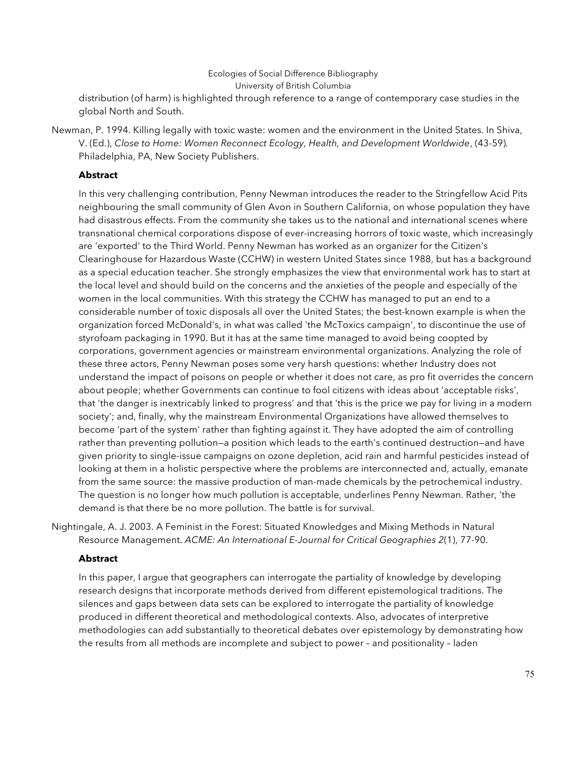distribution (of harm) is highlighted through reference to a range of contemporary case studies in the global North and South.

Newman, P. 1994. Killing legally with toxic waste: women and the environment in the United States. In Shiva, V. (Ed.), *Close to Home: Women Reconnect Ecology, Health, and Development Worldwide*, (43-59)*.* Philadelphia, PA, New Society Publishers.

### **Abstract**

In this very challenging contribution, Penny Newman introduces the reader to the Stringfellow Acid Pits neighbouring the small community of Glen Avon in Southern California, on whose population they have had disastrous effects. From the community she takes us to the national and international scenes where transnational chemical corporations dispose of ever-increasing horrors of toxic waste, which increasingly are 'exported' to the Third World. Penny Newman has worked as an organizer for the Citizen's Clearinghouse for Hazardous Waste (CCHW) in western United States since 1988, but has a background as a special education teacher. She strongly emphasizes the view that environmental work has to start at the local level and should build on the concerns and the anxieties of the people and especially of the women in the local communities. With this strategy the CCHW has managed to put an end to a considerable number of toxic disposals all over the United States; the best-known example is when the organization forced McDonald's, in what was called 'the McToxics campaign', to discontinue the use of styrofoam packaging in 1990. But it has at the same time managed to avoid being coopted by corporations, government agencies or mainstream environmental organizations. Analyzing the role of these three actors, Penny Newman poses some very harsh questions: whether Industry does not understand the impact of poisons on people or whether it does not care, as pro fit overrides the concern about people; whether Governments can continue to fool citizens with ideas about 'acceptable risks', that 'the danger is inextricably linked to progress' and that 'this is the price we pay for living in a modern society'; and, finally, why the mainstream Environmental Organizations have allowed themselves to become 'part of the system' rather than fighting against it. They have adopted the aim of controlling rather than preventing pollution—a position which leads to the earth's continued destruction—and have given priority to single-issue campaigns on ozone depletion, acid rain and harmful pesticides instead of looking at them in a holistic perspective where the problems are interconnected and, actually, emanate from the same source: the massive production of man-made chemicals by the petrochemical industry. The question is no longer how much pollution is acceptable, underlines Penny Newman. Rather, 'the demand is that there be no more pollution. The battle is for survival.

Nightingale, A. J. 2003. A Feminist in the Forest: Situated Knowledges and Mixing Methods in Natural Resource Management. *ACME: An International E-Journal for Critical Geographies 2*(1), 77-90.

#### **Abstract**

In this paper, I argue that geographers can interrogate the partiality of knowledge by developing research designs that incorporate methods derived from different epistemological traditions. The silences and gaps between data sets can be explored to interrogate the partiality of knowledge produced in different theoretical and methodological contexts. Also, advocates of interpretive methodologies can add substantially to theoretical debates over epistemology by demonstrating how the results from all methods are incomplete and subject to power – and positionality – laden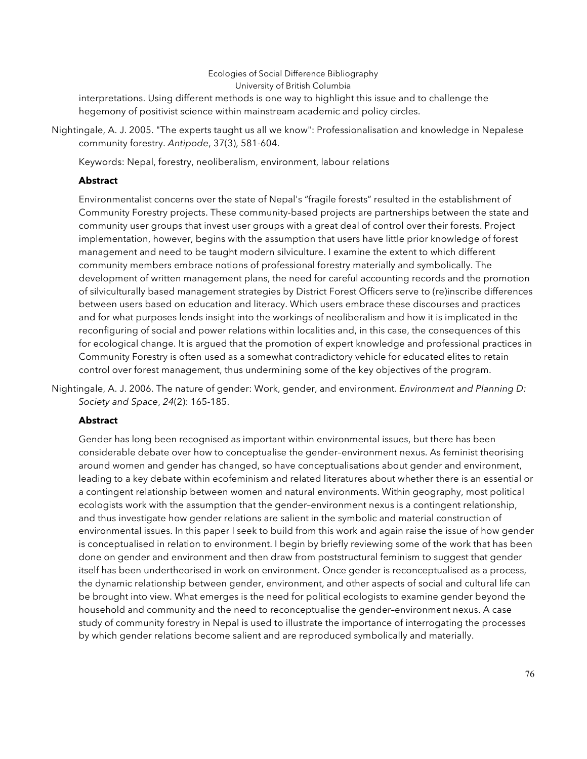interpretations. Using different methods is one way to highlight this issue and to challenge the hegemony of positivist science within mainstream academic and policy circles.

Nightingale, A. J. 2005. "The experts taught us all we know": Professionalisation and knowledge in Nepalese community forestry. *Antipode*, 37(3), 581-604.

Keywords: Nepal, forestry, neoliberalism, environment, labour relations

#### **Abstract**

Environmentalist concerns over the state of Nepal's "fragile forests" resulted in the establishment of Community Forestry projects. These community-based projects are partnerships between the state and community user groups that invest user groups with a great deal of control over their forests. Project implementation, however, begins with the assumption that users have little prior knowledge of forest management and need to be taught modern silviculture. I examine the extent to which different community members embrace notions of professional forestry materially and symbolically. The development of written management plans, the need for careful accounting records and the promotion of silviculturally based management strategies by District Forest Officers serve to (re)inscribe differences between users based on education and literacy. Which users embrace these discourses and practices and for what purposes lends insight into the workings of neoliberalism and how it is implicated in the reconfiguring of social and power relations within localities and, in this case, the consequences of this for ecological change. It is argued that the promotion of expert knowledge and professional practices in Community Forestry is often used as a somewhat contradictory vehicle for educated elites to retain control over forest management, thus undermining some of the key objectives of the program.

Nightingale, A. J. 2006. The nature of gender: Work, gender, and environment. *Environment and Planning D: Society and Space*, *24*(2): 165-185.

#### **Abstract**

Gender has long been recognised as important within environmental issues, but there has been considerable debate over how to conceptualise the gender–environment nexus. As feminist theorising around women and gender has changed, so have conceptualisations about gender and environment, leading to a key debate within ecofeminism and related literatures about whether there is an essential or a contingent relationship between women and natural environments. Within geography, most political ecologists work with the assumption that the gender–environment nexus is a contingent relationship, and thus investigate how gender relations are salient in the symbolic and material construction of environmental issues. In this paper I seek to build from this work and again raise the issue of how gender is conceptualised in relation to environment. I begin by briefly reviewing some of the work that has been done on gender and environment and then draw from poststructural feminism to suggest that gender itself has been undertheorised in work on environment. Once gender is reconceptualised as a process, the dynamic relationship between gender, environment, and other aspects of social and cultural life can be brought into view. What emerges is the need for political ecologists to examine gender beyond the household and community and the need to reconceptualise the gender–environment nexus. A case study of community forestry in Nepal is used to illustrate the importance of interrogating the processes by which gender relations become salient and are reproduced symbolically and materially.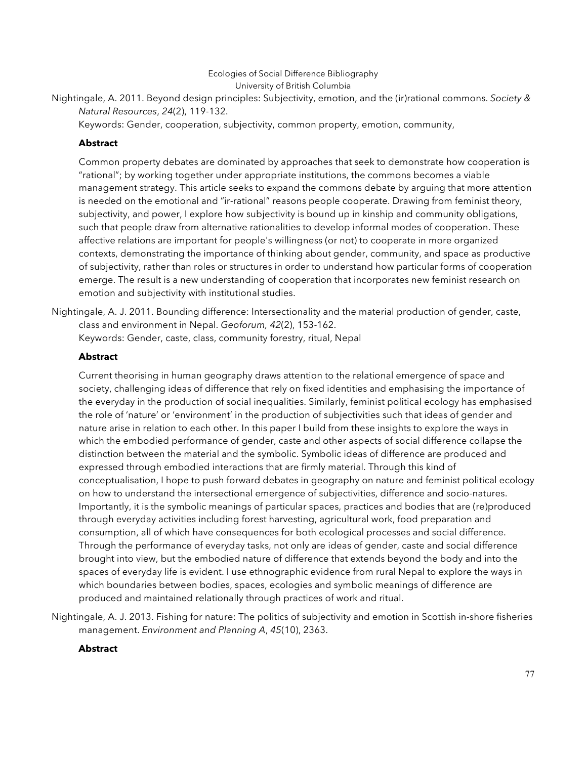Nightingale, A. 2011. Beyond design principles: Subjectivity, emotion, and the (ir)rational commons. *Society & Natural Resources*, *24*(2), 119-132.

Keywords: Gender, cooperation, subjectivity, common property, emotion, community,

### **Abstract**

Common property debates are dominated by approaches that seek to demonstrate how cooperation is "rational"; by working together under appropriate institutions, the commons becomes a viable management strategy. This article seeks to expand the commons debate by arguing that more attention is needed on the emotional and "ir-rational" reasons people cooperate. Drawing from feminist theory, subjectivity, and power, I explore how subjectivity is bound up in kinship and community obligations, such that people draw from alternative rationalities to develop informal modes of cooperation. These affective relations are important for people's willingness (or not) to cooperate in more organized contexts, demonstrating the importance of thinking about gender, community, and space as productive of subjectivity, rather than roles or structures in order to understand how particular forms of cooperation emerge. The result is a new understanding of cooperation that incorporates new feminist research on emotion and subjectivity with institutional studies.

Nightingale, A. J. 2011. Bounding difference: Intersectionality and the material production of gender, caste, class and environment in Nepal. *Geoforum, 42*(2), 153-162.

Keywords: Gender, caste, class, community forestry, ritual, Nepal

### **Abstract**

Current theorising in human geography draws attention to the relational emergence of space and society, challenging ideas of difference that rely on fixed identities and emphasising the importance of the everyday in the production of social inequalities. Similarly, feminist political ecology has emphasised the role of 'nature' or 'environment' in the production of subjectivities such that ideas of gender and nature arise in relation to each other. In this paper I build from these insights to explore the ways in which the embodied performance of gender, caste and other aspects of social difference collapse the distinction between the material and the symbolic. Symbolic ideas of difference are produced and expressed through embodied interactions that are firmly material. Through this kind of conceptualisation, I hope to push forward debates in geography on nature and feminist political ecology on how to understand the intersectional emergence of subjectivities, difference and socio-natures. Importantly, it is the symbolic meanings of particular spaces, practices and bodies that are (re)produced through everyday activities including forest harvesting, agricultural work, food preparation and consumption, all of which have consequences for both ecological processes and social difference. Through the performance of everyday tasks, not only are ideas of gender, caste and social difference brought into view, but the embodied nature of difference that extends beyond the body and into the spaces of everyday life is evident. I use ethnographic evidence from rural Nepal to explore the ways in which boundaries between bodies, spaces, ecologies and symbolic meanings of difference are produced and maintained relationally through practices of work and ritual.

Nightingale, A. J. 2013. Fishing for nature: The politics of subjectivity and emotion in Scottish in-shore fisheries management. *Environment and Planning A*, *45*(10), 2363.

#### **Abstract**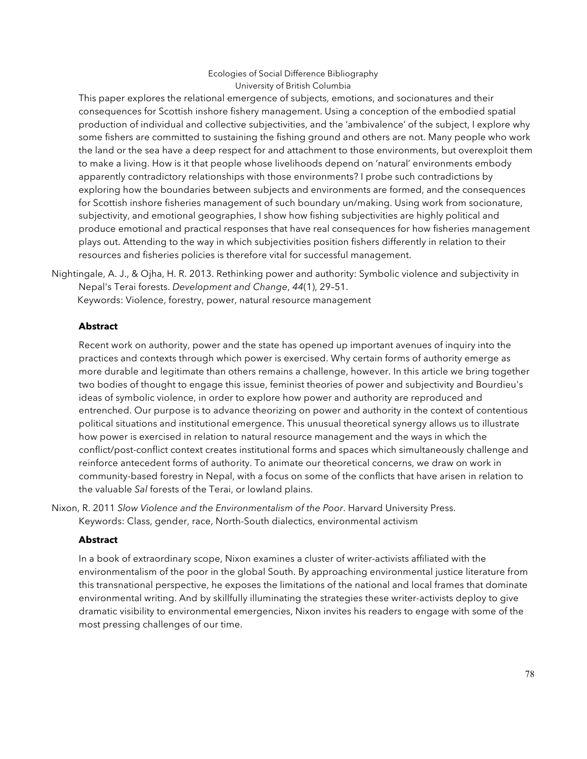This paper explores the relational emergence of subjects, emotions, and socionatures and their consequences for Scottish inshore fishery management. Using a conception of the embodied spatial production of individual and collective subjectivities, and the 'ambivalence' of the subject, I explore why some fishers are committed to sustaining the fishing ground and others are not. Many people who work the land or the sea have a deep respect for and attachment to those environments, but overexploit them to make a living. How is it that people whose livelihoods depend on 'natural' environments embody apparently contradictory relationships with those environments? I probe such contradictions by exploring how the boundaries between subjects and environments are formed, and the consequences for Scottish inshore fisheries management of such boundary un/making. Using work from socionature, subjectivity, and emotional geographies, I show how fishing subjectivities are highly political and produce emotional and practical responses that have real consequences for how fisheries management plays out. Attending to the way in which subjectivities position fishers differently in relation to their resources and fisheries policies is therefore vital for successful management.

Nightingale, A. J., & Ojha, H. R. 2013. Rethinking power and authority: Symbolic violence and subjectivity in Nepal's Terai forests. *Development and Change*, *44*(1), 29–51. Keywords: Violence, forestry, power, natural resource management

## **Abstract**

Recent work on authority, power and the state has opened up important avenues of inquiry into the practices and contexts through which power is exercised. Why certain forms of authority emerge as more durable and legitimate than others remains a challenge, however. In this article we bring together two bodies of thought to engage this issue, feminist theories of power and subjectivity and Bourdieu's ideas of symbolic violence, in order to explore how power and authority are reproduced and entrenched. Our purpose is to advance theorizing on power and authority in the context of contentious political situations and institutional emergence. This unusual theoretical synergy allows us to illustrate how power is exercised in relation to natural resource management and the ways in which the conflict/post-conflict context creates institutional forms and spaces which simultaneously challenge and reinforce antecedent forms of authority. To animate our theoretical concerns, we draw on work in community-based forestry in Nepal, with a focus on some of the conflicts that have arisen in relation to the valuable *Sal* forests of the Terai, or lowland plains.

Nixon, R. 2011 *Slow Violence and the Environmentalism of the Poor*. Harvard University Press. Keywords: Class, gender, race, North-South dialectics, environmental activism

### **Abstract**

In a book of extraordinary scope, Nixon examines a cluster of writer-activists affiliated with the environmentalism of the poor in the global South. By approaching environmental justice literature from this transnational perspective, he exposes the limitations of the national and local frames that dominate environmental writing. And by skillfully illuminating the strategies these writer-activists deploy to give dramatic visibility to environmental emergencies, Nixon invites his readers to engage with some of the most pressing challenges of our time.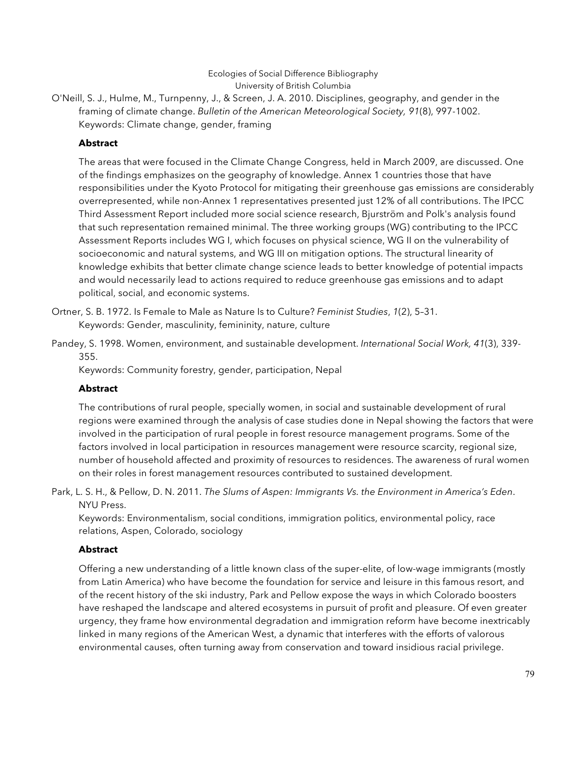O'Neill, S. J., Hulme, M., Turnpenny, J., & Screen, J. A. 2010. Disciplines, geography, and gender in the framing of climate change. *Bulletin of the American Meteorological Society, 91*(8), 997-1002. Keywords: Climate change, gender, framing

## **Abstract**

The areas that were focused in the Climate Change Congress, held in March 2009, are discussed. One of the findings emphasizes on the geography of knowledge. Annex 1 countries those that have responsibilities under the Kyoto Protocol for mitigating their greenhouse gas emissions are considerably overrepresented, while non-Annex 1 representatives presented just 12% of all contributions. The IPCC Third Assessment Report included more social science research, Bjurström and Polk's analysis found that such representation remained minimal. The three working groups (WG) contributing to the IPCC Assessment Reports includes WG I, which focuses on physical science, WG II on the vulnerability of socioeconomic and natural systems, and WG III on mitigation options. The structural linearity of knowledge exhibits that better climate change science leads to better knowledge of potential impacts and would necessarily lead to actions required to reduce greenhouse gas emissions and to adapt political, social, and economic systems.

Ortner, S. B. 1972. Is Female to Male as Nature Is to Culture? *Feminist Studies*, *1*(2), 5–31. Keywords: Gender, masculinity, femininity, nature, culture

Pandey, S. 1998. Women, environment, and sustainable development. *International Social Work, 41*(3), 339- 355.

Keywords: Community forestry, gender, participation, Nepal

### **Abstract**

The contributions of rural people, specially women, in social and sustainable development of rural regions were examined through the analysis of case studies done in Nepal showing the factors that were involved in the participation of rural people in forest resource management programs. Some of the factors involved in local participation in resources management were resource scarcity, regional size, number of household affected and proximity of resources to residences. The awareness of rural women on their roles in forest management resources contributed to sustained development.

Park, L. S. H., & Pellow, D. N. 2011. *The Slums of Aspen: Immigrants Vs. the Environment in America's Eden*. NYU Press.

Keywords: Environmentalism, social conditions, immigration politics, environmental policy, race relations, Aspen, Colorado, sociology

### **Abstract**

Offering a new understanding of a little known class of the super-elite, of low-wage immigrants (mostly from Latin America) who have become the foundation for service and leisure in this famous resort, and of the recent history of the ski industry, Park and Pellow expose the ways in which Colorado boosters have reshaped the landscape and altered ecosystems in pursuit of profit and pleasure. Of even greater urgency, they frame how environmental degradation and immigration reform have become inextricably linked in many regions of the American West, a dynamic that interferes with the efforts of valorous environmental causes, often turning away from conservation and toward insidious racial privilege.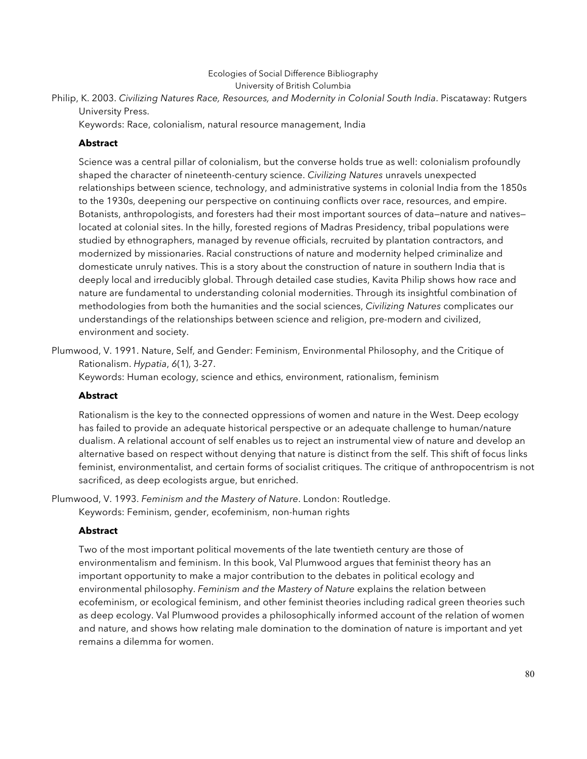Philip, K. 2003. *Civilizing Natures Race, Resources, and Modernity in Colonial South India*. Piscataway: Rutgers University Press.

Keywords: Race, colonialism, natural resource management, India

## **Abstract**

Science was a central pillar of colonialism, but the converse holds true as well: colonialism profoundly shaped the character of nineteenth-century science. *Civilizing Natures* unravels unexpected relationships between science, technology, and administrative systems in colonial India from the 1850s to the 1930s, deepening our perspective on continuing conflicts over race, resources, and empire. Botanists, anthropologists, and foresters had their most important sources of data—nature and natives located at colonial sites. In the hilly, forested regions of Madras Presidency, tribal populations were studied by ethnographers, managed by revenue officials, recruited by plantation contractors, and modernized by missionaries. Racial constructions of nature and modernity helped criminalize and domesticate unruly natives. This is a story about the construction of nature in southern India that is deeply local and irreducibly global. Through detailed case studies, Kavita Philip shows how race and nature are fundamental to understanding colonial modernities. Through its insightful combination of methodologies from both the humanities and the social sciences, *Civilizing Natures* complicates our understandings of the relationships between science and religion, pre-modern and civilized, environment and society.

Plumwood, V. 1991. Nature, Self, and Gender: Feminism, Environmental Philosophy, and the Critique of Rationalism. *Hypatia*, *6*(1), 3-27.

Keywords: Human ecology, science and ethics, environment, rationalism, feminism

## **Abstract**

Rationalism is the key to the connected oppressions of women and nature in the West. Deep ecology has failed to provide an adequate historical perspective or an adequate challenge to human/nature dualism. A relational account of self enables us to reject an instrumental view of nature and develop an alternative based on respect without denying that nature is distinct from the self. This shift of focus links feminist, environmentalist, and certain forms of socialist critiques. The critique of anthropocentrism is not sacrificed, as deep ecologists argue, but enriched.

Plumwood, V. 1993. *Feminism and the Mastery of Nature*. London: Routledge. Keywords: Feminism, gender, ecofeminism, non-human rights

### **Abstract**

Two of the most important political movements of the late twentieth century are those of environmentalism and feminism. In this book, Val Plumwood argues that feminist theory has an important opportunity to make a major contribution to the debates in political ecology and environmental philosophy. *Feminism and the Mastery of Nature* explains the relation between ecofeminism, or ecological feminism, and other feminist theories including radical green theories such as deep ecology. Val Plumwood provides a philosophically informed account of the relation of women and nature, and shows how relating male domination to the domination of nature is important and yet remains a dilemma for women.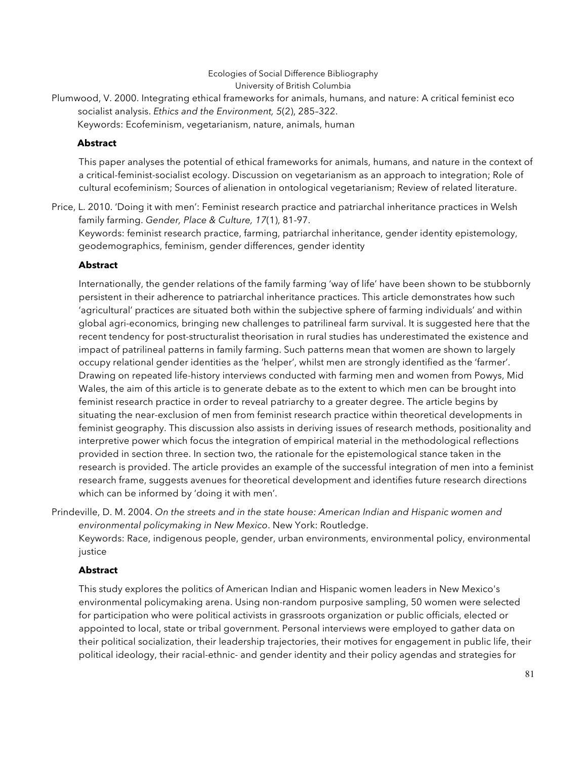Plumwood, V. 2000. Integrating ethical frameworks for animals, humans, and nature: A critical feminist eco socialist analysis. *Ethics and the Environment, 5*(2), 285–322. Keywords: Ecofeminism, vegetarianism, nature, animals, human

#### **Abstract**

This paper analyses the potential of ethical frameworks for animals, humans, and nature in the context of a critical-feminist-socialist ecology. Discussion on vegetarianism as an approach to integration; Role of cultural ecofeminism; Sources of alienation in ontological vegetarianism; Review of related literature.

Price, L. 2010. 'Doing it with men': Feminist research practice and patriarchal inheritance practices in Welsh family farming. *Gender, Place & Culture, 17*(1), 81-97. Keywords: feminist research practice, farming, patriarchal inheritance, gender identity epistemology, geodemographics, feminism, gender differences, gender identity

#### **Abstract**

Internationally, the gender relations of the family farming 'way of life' have been shown to be stubbornly persistent in their adherence to patriarchal inheritance practices. This article demonstrates how such 'agricultural' practices are situated both within the subjective sphere of farming individuals' and within global agri-economics, bringing new challenges to patrilineal farm survival. It is suggested here that the recent tendency for post-structuralist theorisation in rural studies has underestimated the existence and impact of patrilineal patterns in family farming. Such patterns mean that women are shown to largely occupy relational gender identities as the 'helper', whilst men are strongly identified as the 'farmer'. Drawing on repeated life-history interviews conducted with farming men and women from Powys, Mid Wales, the aim of this article is to generate debate as to the extent to which men can be brought into feminist research practice in order to reveal patriarchy to a greater degree. The article begins by situating the near-exclusion of men from feminist research practice within theoretical developments in feminist geography. This discussion also assists in deriving issues of research methods, positionality and interpretive power which focus the integration of empirical material in the methodological reflections provided in section three. In section two, the rationale for the epistemological stance taken in the research is provided. The article provides an example of the successful integration of men into a feminist research frame, suggests avenues for theoretical development and identifies future research directions which can be informed by 'doing it with men'.

Prindeville, D. M. 2004. *On the streets and in the state house: American Indian and Hispanic women and environmental policymaking in New Mexico*. New York: Routledge. Keywords: Race, indigenous people, gender, urban environments, environmental policy, environmental justice

#### **Abstract**

This study explores the politics of American Indian and Hispanic women leaders in New Mexico's environmental policymaking arena. Using non-random purposive sampling, 50 women were selected for participation who were political activists in grassroots organization or public officials, elected or appointed to local, state or tribal government. Personal interviews were employed to gather data on their political socialization, their leadership trajectories, their motives for engagement in public life, their political ideology, their racial-ethnic- and gender identity and their policy agendas and strategies for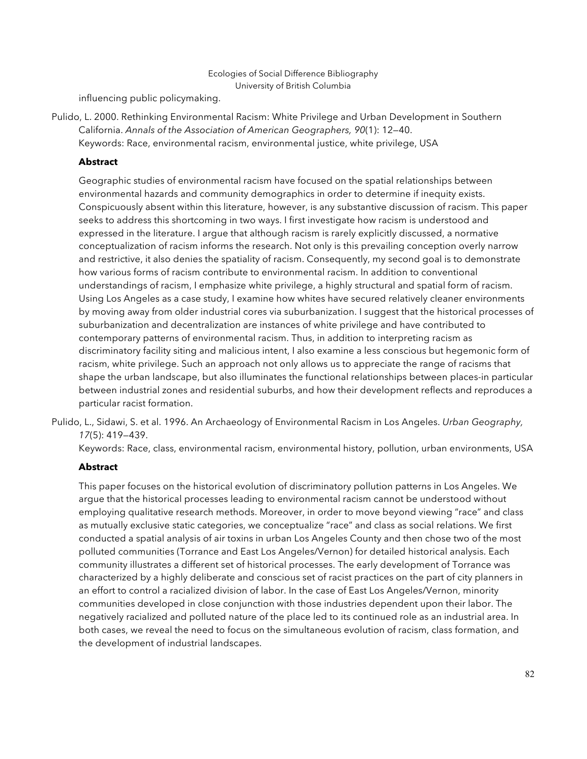influencing public policymaking.

Pulido, L. 2000. Rethinking Environmental Racism: White Privilege and Urban Development in Southern California. *Annals of the Association of American Geographers, 90*(1): 12—40. Keywords: Race, environmental racism, environmental justice, white privilege, USA

### **Abstract**

Geographic studies of environmental racism have focused on the spatial relationships between environmental hazards and community demographics in order to determine if inequity exists. Conspicuously absent within this literature, however, is any substantive discussion of racism. This paper seeks to address this shortcoming in two ways. I first investigate how racism is understood and expressed in the literature. I argue that although racism is rarely explicitly discussed, a normative conceptualization of racism informs the research. Not only is this prevailing conception overly narrow and restrictive, it also denies the spatiality of racism. Consequently, my second goal is to demonstrate how various forms of racism contribute to environmental racism. In addition to conventional understandings of racism, I emphasize white privilege, a highly structural and spatial form of racism. Using Los Angeles as a case study, I examine how whites have secured relatively cleaner environments by moving away from older industrial cores via suburbanization. I suggest that the historical processes of suburbanization and decentralization are instances of white privilege and have contributed to contemporary patterns of environmental racism. Thus, in addition to interpreting racism as discriminatory facility siting and malicious intent, I also examine a less conscious but hegemonic form of racism, white privilege. Such an approach not only allows us to appreciate the range of racisms that shape the urban landscape, but also illuminates the functional relationships between places-in particular between industrial zones and residential suburbs, and how their development reflects and reproduces a particular racist formation.

Pulido, L., Sidawi, S. et al. 1996. An Archaeology of Environmental Racism in Los Angeles. *Urban Geography, 17*(5): 419—439.

Keywords: Race, class, environmental racism, environmental history, pollution, urban environments, USA

### **Abstract**

This paper focuses on the historical evolution of discriminatory pollution patterns in Los Angeles. We argue that the historical processes leading to environmental racism cannot be understood without employing qualitative research methods. Moreover, in order to move beyond viewing "race" and class as mutually exclusive static categories, we conceptualize "race" and class as social relations. We first conducted a spatial analysis of air toxins in urban Los Angeles County and then chose two of the most polluted communities (Torrance and East Los Angeles/Vernon) for detailed historical analysis. Each community illustrates a different set of historical processes. The early development of Torrance was characterized by a highly deliberate and conscious set of racist practices on the part of city planners in an effort to control a racialized division of labor. In the case of East Los Angeles/Vernon, minority communities developed in close conjunction with those industries dependent upon their labor. The negatively racialized and polluted nature of the place led to its continued role as an industrial area. In both cases, we reveal the need to focus on the simultaneous evolution of racism, class formation, and the development of industrial landscapes.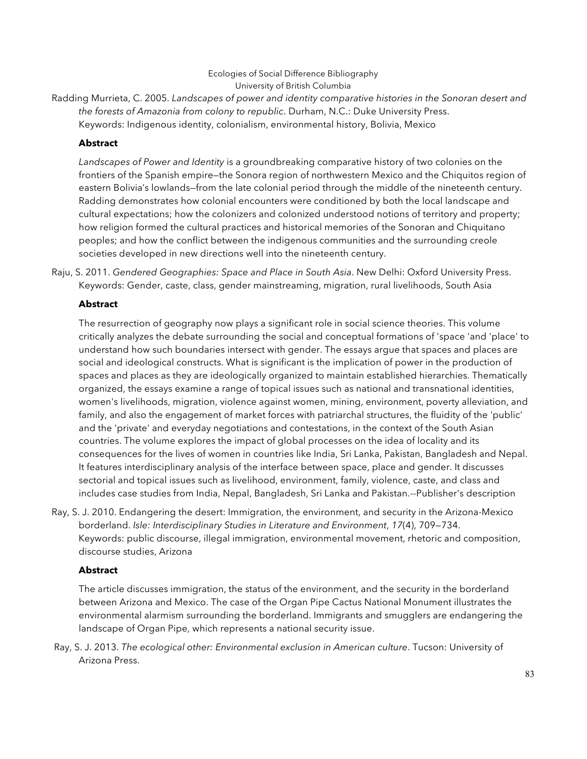Radding Murrieta, C. 2005. *Landscapes of power and identity comparative histories in the Sonoran desert and the forests of Amazonia from colony to republic*. Durham, N.C.: Duke University Press. Keywords: Indigenous identity, colonialism, environmental history, Bolivia, Mexico

#### **Abstract**

*Landscapes of Power and Identity* is a groundbreaking comparative history of two colonies on the frontiers of the Spanish empire—the Sonora region of northwestern Mexico and the Chiquitos region of eastern Bolivia's lowlands—from the late colonial period through the middle of the nineteenth century. Radding demonstrates how colonial encounters were conditioned by both the local landscape and cultural expectations; how the colonizers and colonized understood notions of territory and property; how religion formed the cultural practices and historical memories of the Sonoran and Chiquitano peoples; and how the conflict between the indigenous communities and the surrounding creole societies developed in new directions well into the nineteenth century.

Raju, S. 2011. *Gendered Geographies: Space and Place in South Asia*. New Delhi: Oxford University Press. Keywords: Gender, caste, class, gender mainstreaming, migration, rural livelihoods, South Asia

### **Abstract**

The resurrection of geography now plays a significant role in social science theories. This volume critically analyzes the debate surrounding the social and conceptual formations of 'space 'and 'place' to understand how such boundaries intersect with gender. The essays argue that spaces and places are social and ideological constructs. What is significant is the implication of power in the production of spaces and places as they are ideologically organized to maintain established hierarchies. Thematically organized, the essays examine a range of topical issues such as national and transnational identities, women's livelihoods, migration, violence against women, mining, environment, poverty alleviation, and family, and also the engagement of market forces with patriarchal structures, the fluidity of the 'public' and the 'private' and everyday negotiations and contestations, in the context of the South Asian countries. The volume explores the impact of global processes on the idea of locality and its consequences for the lives of women in countries like India, Sri Lanka, Pakistan, Bangladesh and Nepal. It features interdisciplinary analysis of the interface between space, place and gender. It discusses sectorial and topical issues such as livelihood, environment, family, violence, caste, and class and includes case studies from India, Nepal, Bangladesh, Sri Lanka and Pakistan.--Publisher's description

Ray, S. J. 2010. Endangering the desert: Immigration, the environment, and security in the Arizona-Mexico borderland. *Isle: Interdisciplinary Studies in Literature and Environment*, *17*(4), 709—734. Keywords: public discourse, illegal immigration, environmental movement, rhetoric and composition, discourse studies, Arizona

#### **Abstract**

The article discusses immigration, the status of the environment, and the security in the borderland between Arizona and Mexico. The case of the Organ Pipe Cactus National Monument illustrates the environmental alarmism surrounding the borderland. Immigrants and smugglers are endangering the landscape of Organ Pipe, which represents a national security issue.

Ray, S. J. 2013. *The ecological other: Environmental exclusion in American culture*. Tucson: University of Arizona Press.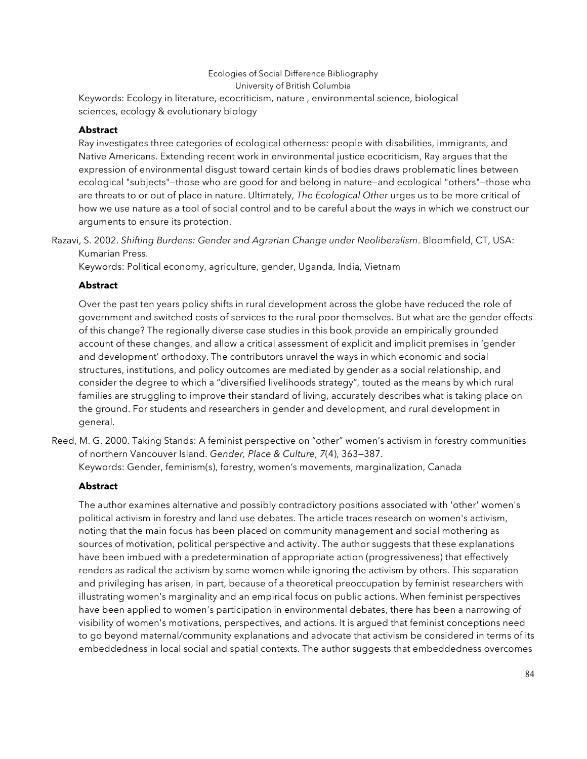Keywords: Ecology in literature, ecocriticism, nature , environmental science, biological sciences, ecology & evolutionary biology

### **Abstract**

Ray investigates three categories of ecological otherness: people with disabilities, immigrants, and Native Americans. Extending recent work in environmental justice ecocriticism, Ray argues that the expression of environmental disgust toward certain kinds of bodies draws problematic lines between ecological "subjects"—those who are good for and belong in nature—and ecological "others"—those who are threats to or out of place in nature. Ultimately, *The Ecological Other* urges us to be more critical of how we use nature as a tool of social control and to be careful about the ways in which we construct our arguments to ensure its protection.

Razavi, S. 2002. *Shifting Burdens: Gender and Agrarian Change under Neoliberalism*. Bloomfield, CT, USA: Kumarian Press.

Keywords: Political economy, agriculture, gender, Uganda, India, Vietnam

## **Abstract**

Over the past ten years policy shifts in rural development across the globe have reduced the role of government and switched costs of services to the rural poor themselves. But what are the gender effects of this change? The regionally diverse case studies in this book provide an empirically grounded account of these changes, and allow a critical assessment of explicit and implicit premises in 'gender and development' orthodoxy. The contributors unravel the ways in which economic and social structures, institutions, and policy outcomes are mediated by gender as a social relationship, and consider the degree to which a "diversified livelihoods strategy", touted as the means by which rural families are struggling to improve their standard of living, accurately describes what is taking place on the ground. For students and researchers in gender and development, and rural development in general.

Reed, M. G. 2000. Taking Stands: A feminist perspective on "other" women's activism in forestry communities of northern Vancouver Island. *Gender, Place & Culture*, *7*(4), 363—387.

Keywords: Gender, feminism(s), forestry, women's movements, marginalization, Canada

## **Abstract**

The author examines alternative and possibly contradictory positions associated with 'other' women's political activism in forestry and land use debates. The article traces research on women's activism, noting that the main focus has been placed on community management and social mothering as sources of motivation, political perspective and activity. The author suggests that these explanations have been imbued with a predetermination of appropriate action (progressiveness) that effectively renders as radical the activism by some women while ignoring the activism by others. This separation and privileging has arisen, in part, because of a theoretical preoccupation by feminist researchers with illustrating women's marginality and an empirical focus on public actions. When feminist perspectives have been applied to women's participation in environmental debates, there has been a narrowing of visibility of women's motivations, perspectives, and actions. It is argued that feminist conceptions need to go beyond maternal/community explanations and advocate that activism be considered in terms of its embeddedness in local social and spatial contexts. The author suggests that embeddedness overcomes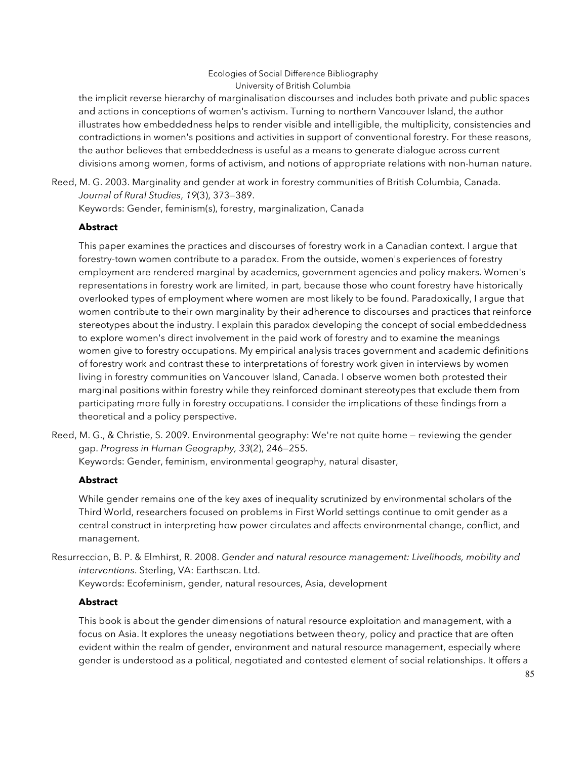the implicit reverse hierarchy of marginalisation discourses and includes both private and public spaces and actions in conceptions of women's activism. Turning to northern Vancouver Island, the author illustrates how embeddedness helps to render visible and intelligible, the multiplicity, consistencies and contradictions in women's positions and activities in support of conventional forestry. For these reasons, the author believes that embeddedness is useful as a means to generate dialogue across current divisions among women, forms of activism, and notions of appropriate relations with non-human nature.

Reed, M. G. 2003. Marginality and gender at work in forestry communities of British Columbia, Canada. *Journal of Rural Studies*, *19*(3), 373—389.

Keywords: Gender, feminism(s), forestry, marginalization, Canada

## **Abstract**

This paper examines the practices and discourses of forestry work in a Canadian context. I argue that forestry-town women contribute to a paradox. From the outside, women's experiences of forestry employment are rendered marginal by academics, government agencies and policy makers. Women's representations in forestry work are limited, in part, because those who count forestry have historically overlooked types of employment where women are most likely to be found. Paradoxically, I argue that women contribute to their own marginality by their adherence to discourses and practices that reinforce stereotypes about the industry. I explain this paradox developing the concept of social embeddedness to explore women's direct involvement in the paid work of forestry and to examine the meanings women give to forestry occupations. My empirical analysis traces government and academic definitions of forestry work and contrast these to interpretations of forestry work given in interviews by women living in forestry communities on Vancouver Island, Canada. I observe women both protested their marginal positions within forestry while they reinforced dominant stereotypes that exclude them from participating more fully in forestry occupations. I consider the implications of these findings from a theoretical and a policy perspective.

Reed, M. G., & Christie, S. 2009. Environmental geography: We're not quite home — reviewing the gender gap. *Progress in Human Geography, 33*(2), 246—255.

Keywords: Gender, feminism, environmental geography, natural disaster,

## **Abstract**

While gender remains one of the key axes of inequality scrutinized by environmental scholars of the Third World, researchers focused on problems in First World settings continue to omit gender as a central construct in interpreting how power circulates and affects environmental change, conflict, and management.

Resurreccion, B. P. & Elmhirst, R. 2008. *Gender and natural resource management: Livelihoods, mobility and interventions*. Sterling, VA: Earthscan. Ltd. Keywords: Ecofeminism, gender, natural resources, Asia, development

## **Abstract**

This book is about the gender dimensions of natural resource exploitation and management, with a focus on Asia. It explores the uneasy negotiations between theory, policy and practice that are often evident within the realm of gender, environment and natural resource management, especially where gender is understood as a political, negotiated and contested element of social relationships. It offers a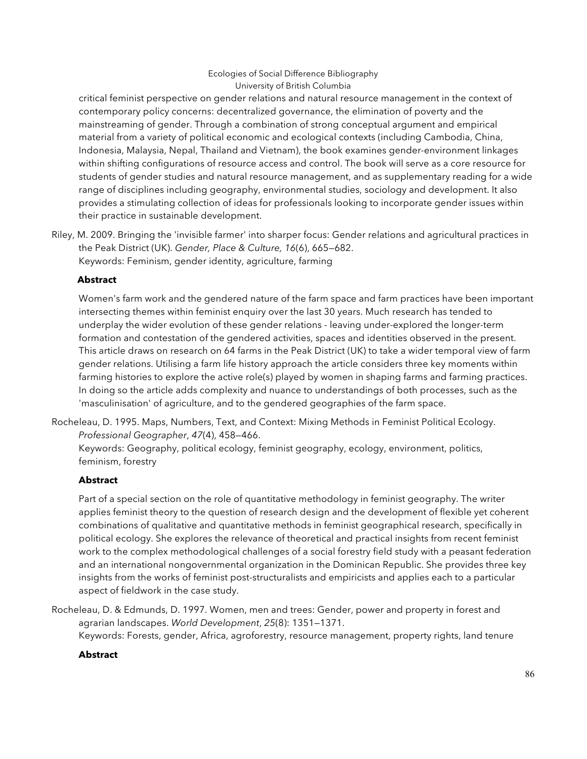critical feminist perspective on gender relations and natural resource management in the context of contemporary policy concerns: decentralized governance, the elimination of poverty and the mainstreaming of gender. Through a combination of strong conceptual argument and empirical material from a variety of political economic and ecological contexts (including Cambodia, China, Indonesia, Malaysia, Nepal, Thailand and Vietnam), the book examines gender-environment linkages within shifting configurations of resource access and control. The book will serve as a core resource for students of gender studies and natural resource management, and as supplementary reading for a wide range of disciplines including geography, environmental studies, sociology and development. It also provides a stimulating collection of ideas for professionals looking to incorporate gender issues within their practice in sustainable development.

Riley, M. 2009. Bringing the 'invisible farmer' into sharper focus: Gender relations and agricultural practices in the Peak District (UK). *Gender, Place & Culture, 16*(6), 665—682. Keywords: Feminism, gender identity, agriculture, farming

## **Abstract**

Women's farm work and the gendered nature of the farm space and farm practices have been important intersecting themes within feminist enquiry over the last 30 years. Much research has tended to underplay the wider evolution of these gender relations - leaving under-explored the longer-term formation and contestation of the gendered activities, spaces and identities observed in the present. This article draws on research on 64 farms in the Peak District (UK) to take a wider temporal view of farm gender relations. Utilising a farm life history approach the article considers three key moments within farming histories to explore the active role(s) played by women in shaping farms and farming practices. In doing so the article adds complexity and nuance to understandings of both processes, such as the 'masculinisation' of agriculture, and to the gendered geographies of the farm space.

Rocheleau, D. 1995. Maps, Numbers, Text, and Context: Mixing Methods in Feminist Political Ecology. *Professional Geographer*, *47*(4), 458—466.

Keywords: Geography, political ecology, feminist geography, ecology, environment, politics, feminism, forestry

### **Abstract**

Part of a special section on the role of quantitative methodology in feminist geography. The writer applies feminist theory to the question of research design and the development of flexible yet coherent combinations of qualitative and quantitative methods in feminist geographical research, specifically in political ecology. She explores the relevance of theoretical and practical insights from recent feminist work to the complex methodological challenges of a social forestry field study with a peasant federation and an international nongovernmental organization in the Dominican Republic. She provides three key insights from the works of feminist post-structuralists and empiricists and applies each to a particular aspect of fieldwork in the case study.

Rocheleau, D. & Edmunds, D. 1997. Women, men and trees: Gender, power and property in forest and agrarian landscapes. *World Development*, *25*(8): 1351—1371. Keywords: Forests, gender, Africa, agroforestry, resource management, property rights, land tenure

### **Abstract**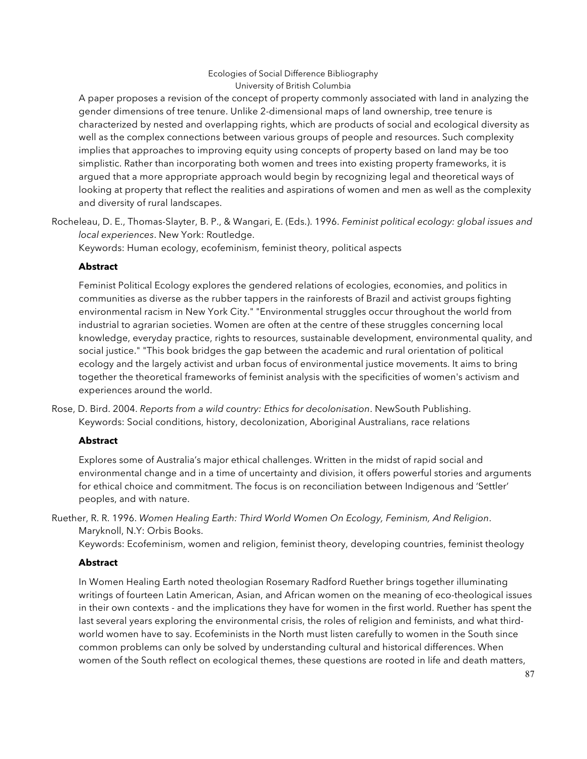A paper proposes a revision of the concept of property commonly associated with land in analyzing the gender dimensions of tree tenure. Unlike 2-dimensional maps of land ownership, tree tenure is characterized by nested and overlapping rights, which are products of social and ecological diversity as well as the complex connections between various groups of people and resources. Such complexity implies that approaches to improving equity using concepts of property based on land may be too simplistic. Rather than incorporating both women and trees into existing property frameworks, it is argued that a more appropriate approach would begin by recognizing legal and theoretical ways of looking at property that reflect the realities and aspirations of women and men as well as the complexity and diversity of rural landscapes.

Rocheleau, D. E., Thomas-Slayter, B. P., & Wangari, E. (Eds.). 1996. *Feminist political ecology: global issues and local experiences*. New York: Routledge.

Keywords: Human ecology, ecofeminism, feminist theory, political aspects

## **Abstract**

Feminist Political Ecology explores the gendered relations of ecologies, economies, and politics in communities as diverse as the rubber tappers in the rainforests of Brazil and activist groups fighting environmental racism in New York City." "Environmental struggles occur throughout the world from industrial to agrarian societies. Women are often at the centre of these struggles concerning local knowledge, everyday practice, rights to resources, sustainable development, environmental quality, and social justice." "This book bridges the gap between the academic and rural orientation of political ecology and the largely activist and urban focus of environmental justice movements. It aims to bring together the theoretical frameworks of feminist analysis with the specificities of women's activism and experiences around the world.

Rose, D. Bird. 2004. *Reports from a wild country: Ethics for decolonisation*. NewSouth Publishing. Keywords: Social conditions, history, decolonization, Aboriginal Australians, race relations

## **Abstract**

Explores some of Australia's major ethical challenges. Written in the midst of rapid social and environmental change and in a time of uncertainty and division, it offers powerful stories and arguments for ethical choice and commitment. The focus is on reconciliation between Indigenous and 'Settler' peoples, and with nature.

Ruether, R. R. 1996. *Women Healing Earth: Third World Women On Ecology, Feminism, And Religion*. Maryknoll, N.Y: Orbis Books.

Keywords: Ecofeminism, women and religion, feminist theory, developing countries, feminist theology

## **Abstract**

In Women Healing Earth noted theologian Rosemary Radford Ruether brings together illuminating writings of fourteen Latin American, Asian, and African women on the meaning of eco-theological issues in their own contexts - and the implications they have for women in the first world. Ruether has spent the last several years exploring the environmental crisis, the roles of religion and feminists, and what thirdworld women have to say. Ecofeminists in the North must listen carefully to women in the South since common problems can only be solved by understanding cultural and historical differences. When women of the South reflect on ecological themes, these questions are rooted in life and death matters,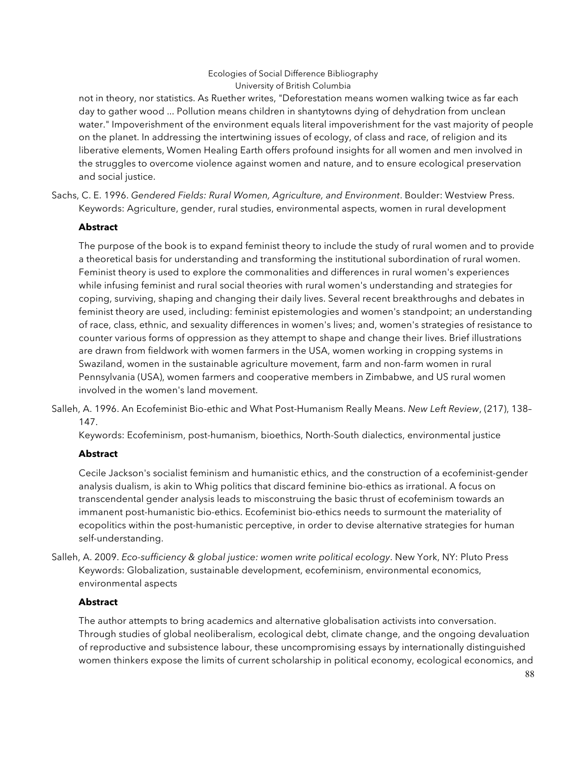not in theory, nor statistics. As Ruether writes, "Deforestation means women walking twice as far each day to gather wood ... Pollution means children in shantytowns dying of dehydration from unclean water." Impoverishment of the environment equals literal impoverishment for the vast majority of people on the planet. In addressing the intertwining issues of ecology, of class and race, of religion and its liberative elements, Women Healing Earth offers profound insights for all women and men involved in the struggles to overcome violence against women and nature, and to ensure ecological preservation and social justice.

Sachs, C. E. 1996. *Gendered Fields: Rural Women, Agriculture, and Environment*. Boulder: Westview Press. Keywords: Agriculture, gender, rural studies, environmental aspects, women in rural development

## **Abstract**

The purpose of the book is to expand feminist theory to include the study of rural women and to provide a theoretical basis for understanding and transforming the institutional subordination of rural women. Feminist theory is used to explore the commonalities and differences in rural women's experiences while infusing feminist and rural social theories with rural women's understanding and strategies for coping, surviving, shaping and changing their daily lives. Several recent breakthroughs and debates in feminist theory are used, including: feminist epistemologies and women's standpoint; an understanding of race, class, ethnic, and sexuality differences in women's lives; and, women's strategies of resistance to counter various forms of oppression as they attempt to shape and change their lives. Brief illustrations are drawn from fieldwork with women farmers in the USA, women working in cropping systems in Swaziland, women in the sustainable agriculture movement, farm and non-farm women in rural Pennsylvania (USA), women farmers and cooperative members in Zimbabwe, and US rural women involved in the women's land movement.

Salleh, A. 1996. An Ecofeminist Bio-ethic and What Post-Humanism Really Means. *New Left Review*, (217), 138– 147.

Keywords: Ecofeminism, post-humanism, bioethics, North-South dialectics, environmental justice

## **Abstract**

Cecile Jackson's socialist feminism and humanistic ethics, and the construction of a ecofeminist-gender analysis dualism, is akin to Whig politics that discard feminine bio-ethics as irrational. A focus on transcendental gender analysis leads to misconstruing the basic thrust of ecofeminism towards an immanent post-humanistic bio-ethics. Ecofeminist bio-ethics needs to surmount the materiality of ecopolitics within the post-humanistic perceptive, in order to devise alternative strategies for human self-understanding.

Salleh, A. 2009. *Eco-sufficiency & global justice: women write political ecology*. New York, NY: Pluto Press Keywords: Globalization, sustainable development, ecofeminism, environmental economics, environmental aspects

### **Abstract**

The author attempts to bring academics and alternative globalisation activists into conversation. Through studies of global neoliberalism, ecological debt, climate change, and the ongoing devaluation of reproductive and subsistence labour, these uncompromising essays by internationally distinguished women thinkers expose the limits of current scholarship in political economy, ecological economics, and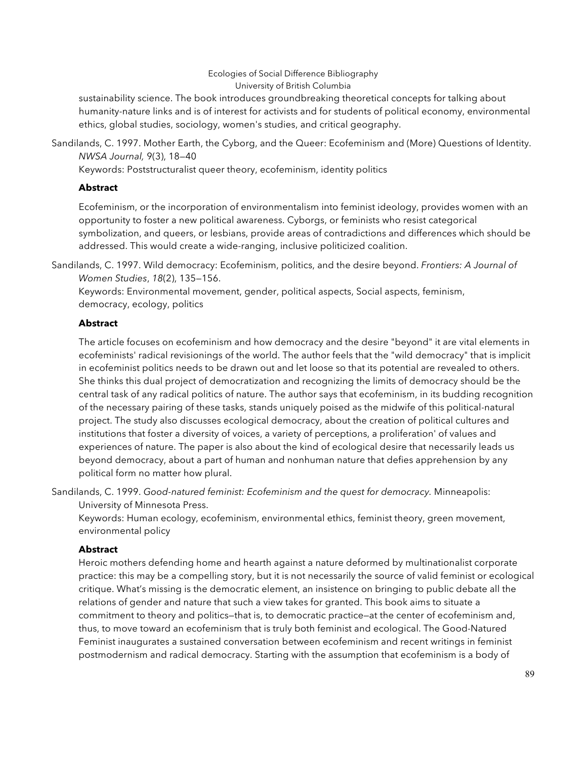sustainability science. The book introduces groundbreaking theoretical concepts for talking about humanity-nature links and is of interest for activists and for students of political economy, environmental ethics, global studies, sociology, women's studies, and critical geography.

Sandilands, C. 1997. Mother Earth, the Cyborg, and the Queer: Ecofeminism and (More) Questions of Identity. *NWSA Journal,* 9(3), 18—40

Keywords: Poststructuralist queer theory, ecofeminism, identity politics

## **Abstract**

Ecofeminism, or the incorporation of environmentalism into feminist ideology, provides women with an opportunity to foster a new political awareness. Cyborgs, or feminists who resist categorical symbolization, and queers, or lesbians, provide areas of contradictions and differences which should be addressed. This would create a wide-ranging, inclusive politicized coalition.

Sandilands, C. 1997. Wild democracy: Ecofeminism, politics, and the desire beyond. *Frontiers: A Journal of Women Studies*, *18*(2), 135—156.

Keywords: Environmental movement, gender, political aspects, Social aspects, feminism, democracy, ecology, politics

## **Abstract**

The article focuses on ecofeminism and how democracy and the desire "beyond" it are vital elements in ecofeminists' radical revisionings of the world. The author feels that the "wild democracy" that is implicit in ecofeminist politics needs to be drawn out and let loose so that its potential are revealed to others. She thinks this dual project of democratization and recognizing the limits of democracy should be the central task of any radical politics of nature. The author says that ecofeminism, in its budding recognition of the necessary pairing of these tasks, stands uniquely poised as the midwife of this political-natural project. The study also discusses ecological democracy, about the creation of political cultures and institutions that foster a diversity of voices, a variety of perceptions, a proliferation' of values and experiences of nature. The paper is also about the kind of ecological desire that necessarily leads us beyond democracy, about a part of human and nonhuman nature that defies apprehension by any political form no matter how plural.

Sandilands, C. 1999. *Good-natured feminist: Ecofeminism and the quest for democracy.* Minneapolis: University of Minnesota Press.

Keywords: Human ecology, ecofeminism, environmental ethics, feminist theory, green movement, environmental policy

### **Abstract**

Heroic mothers defending home and hearth against a nature deformed by multinationalist corporate practice: this may be a compelling story, but it is not necessarily the source of valid feminist or ecological critique. What's missing is the democratic element, an insistence on bringing to public debate all the relations of gender and nature that such a view takes for granted. This book aims to situate a commitment to theory and politics—that is, to democratic practice—at the center of ecofeminism and, thus, to move toward an ecofeminism that is truly both feminist and ecological. The Good-Natured Feminist inaugurates a sustained conversation between ecofeminism and recent writings in feminist postmodernism and radical democracy. Starting with the assumption that ecofeminism is a body of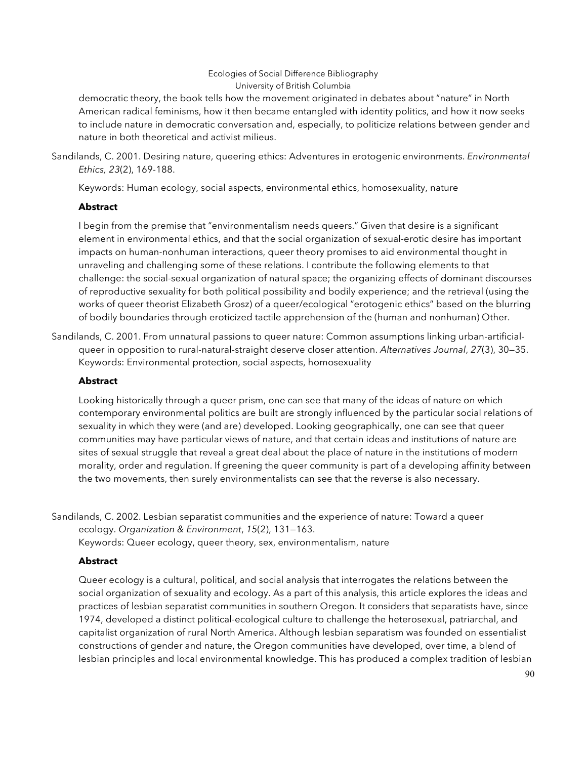democratic theory, the book tells how the movement originated in debates about "nature" in North American radical feminisms, how it then became entangled with identity politics, and how it now seeks to include nature in democratic conversation and, especially, to politicize relations between gender and nature in both theoretical and activist milieus.

Sandilands, C. 2001. Desiring nature, queering ethics: Adventures in erotogenic environments. *Environmental Ethics, 23*(2), 169-188.

Keywords: Human ecology, social aspects, environmental ethics, homosexuality, nature

#### **Abstract**

I begin from the premise that "environmentalism needs queers." Given that desire is a significant element in environmental ethics, and that the social organization of sexual-erotic desire has important impacts on human-nonhuman interactions, queer theory promises to aid environmental thought in unraveling and challenging some of these relations. I contribute the following elements to that challenge: the social-sexual organization of natural space; the organizing effects of dominant discourses of reproductive sexuality for both political possibility and bodily experience; and the retrieval (using the works of queer theorist Elizabeth Grosz) of a queer/ecological "erotogenic ethics" based on the blurring of bodily boundaries through eroticized tactile apprehension of the (human and nonhuman) Other.

Sandilands, C. 2001. From unnatural passions to queer nature: Common assumptions linking urban-artificialqueer in opposition to rural-natural-straight deserve closer attention. *Alternatives Journal*, *27*(3), 30—35. Keywords: Environmental protection, social aspects, homosexuality

#### **Abstract**

Looking historically through a queer prism, one can see that many of the ideas of nature on which contemporary environmental politics are built are strongly influenced by the particular social relations of sexuality in which they were (and are) developed. Looking geographically, one can see that queer communities may have particular views of nature, and that certain ideas and institutions of nature are sites of sexual struggle that reveal a great deal about the place of nature in the institutions of modern morality, order and regulation. If greening the queer community is part of a developing affinity between the two movements, then surely environmentalists can see that the reverse is also necessary.

Sandilands, C. 2002. Lesbian separatist communities and the experience of nature: Toward a queer ecology. *Organization & Environment*, *15*(2), 131—163. Keywords: Queer ecology, queer theory, sex, environmentalism, nature

### **Abstract**

Queer ecology is a cultural, political, and social analysis that interrogates the relations between the social organization of sexuality and ecology. As a part of this analysis, this article explores the ideas and practices of lesbian separatist communities in southern Oregon. It considers that separatists have, since 1974, developed a distinct political-ecological culture to challenge the heterosexual, patriarchal, and capitalist organization of rural North America. Although lesbian separatism was founded on essentialist constructions of gender and nature, the Oregon communities have developed, over time, a blend of lesbian principles and local environmental knowledge. This has produced a complex tradition of lesbian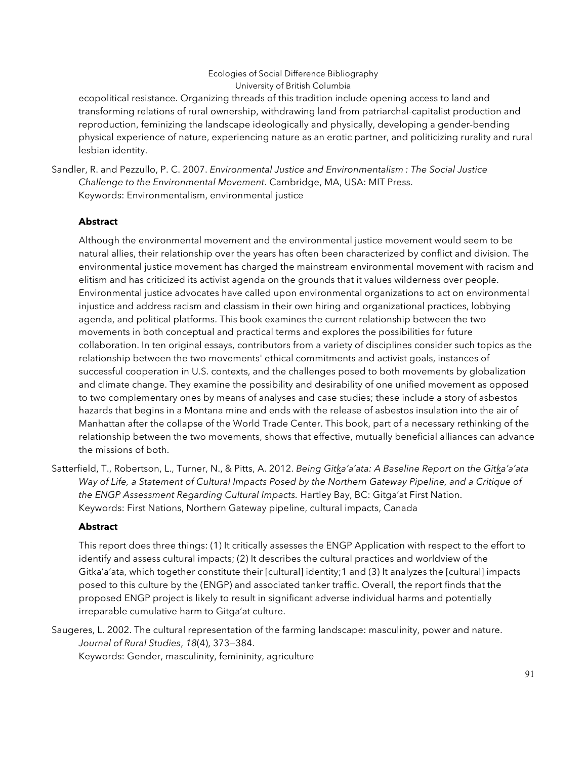ecopolitical resistance. Organizing threads of this tradition include opening access to land and transforming relations of rural ownership, withdrawing land from patriarchal-capitalist production and reproduction, feminizing the landscape ideologically and physically, developing a gender-bending physical experience of nature, experiencing nature as an erotic partner, and politicizing rurality and rural lesbian identity.

Sandler, R. and Pezzullo, P. C. 2007. *Environmental Justice and Environmentalism : The Social Justice Challenge to the Environmental Movement*. Cambridge, MA, USA: MIT Press. Keywords: Environmentalism, environmental justice

## **Abstract**

Although the environmental movement and the environmental justice movement would seem to be natural allies, their relationship over the years has often been characterized by conflict and division. The environmental justice movement has charged the mainstream environmental movement with racism and elitism and has criticized its activist agenda on the grounds that it values wilderness over people. Environmental justice advocates have called upon environmental organizations to act on environmental injustice and address racism and classism in their own hiring and organizational practices, lobbying agenda, and political platforms. This book examines the current relationship between the two movements in both conceptual and practical terms and explores the possibilities for future collaboration. In ten original essays, contributors from a variety of disciplines consider such topics as the relationship between the two movements' ethical commitments and activist goals, instances of successful cooperation in U.S. contexts, and the challenges posed to both movements by globalization and climate change. They examine the possibility and desirability of one unified movement as opposed to two complementary ones by means of analyses and case studies; these include a story of asbestos hazards that begins in a Montana mine and ends with the release of asbestos insulation into the air of Manhattan after the collapse of the World Trade Center. This book, part of a necessary rethinking of the relationship between the two movements, shows that effective, mutually beneficial alliances can advance the missions of both.

Satterfield, T., Robertson, L., Turner, N., & Pitts, A. 2012. *Being Gitka'a'ata: A Baseline Report on the Gitka'a'ata Way of Life, a Statement of Cultural Impacts Posed by the Northern Gateway Pipeline, and a Critique of the ENGP Assessment Regarding Cultural Impacts.* Hartley Bay, BC: Gitga'at First Nation. Keywords: First Nations, Northern Gateway pipeline, cultural impacts, Canada

### **Abstract**

This report does three things: (1) It critically assesses the ENGP Application with respect to the effort to identify and assess cultural impacts; (2) It describes the cultural practices and worldview of the Gitka'a'ata, which together constitute their [cultural] identity;1 and (3) It analyzes the [cultural] impacts posed to this culture by the (ENGP) and associated tanker traffic. Overall, the report finds that the proposed ENGP project is likely to result in significant adverse individual harms and potentially irreparable cumulative harm to Gitga'at culture.

Saugeres, L. 2002. The cultural representation of the farming landscape: masculinity, power and nature. *Journal of Rural Studies*, *18*(4), 373—384.

Keywords: Gender, masculinity, femininity, agriculture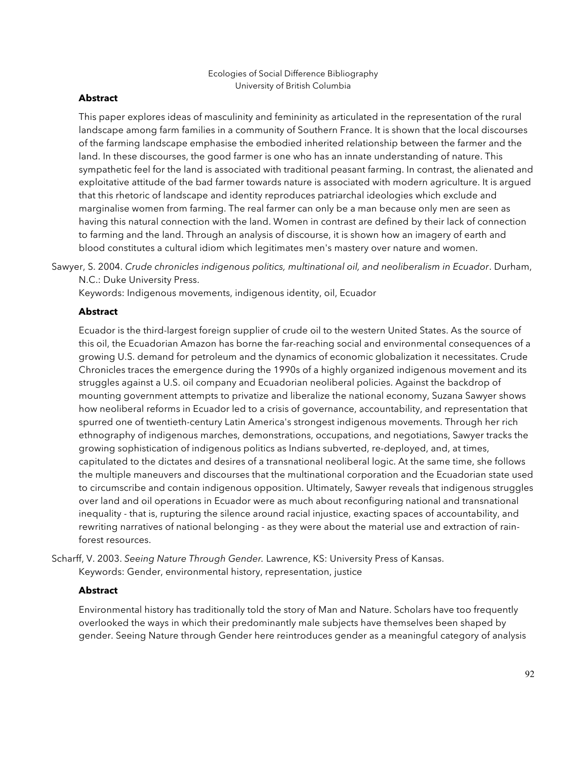## **Abstract**

This paper explores ideas of masculinity and femininity as articulated in the representation of the rural landscape among farm families in a community of Southern France. It is shown that the local discourses of the farming landscape emphasise the embodied inherited relationship between the farmer and the land. In these discourses, the good farmer is one who has an innate understanding of nature. This sympathetic feel for the land is associated with traditional peasant farming. In contrast, the alienated and exploitative attitude of the bad farmer towards nature is associated with modern agriculture. It is argued that this rhetoric of landscape and identity reproduces patriarchal ideologies which exclude and marginalise women from farming. The real farmer can only be a man because only men are seen as having this natural connection with the land. Women in contrast are defined by their lack of connection to farming and the land. Through an analysis of discourse, it is shown how an imagery of earth and blood constitutes a cultural idiom which legitimates men's mastery over nature and women.

Sawyer, S. 2004. *Crude chronicles indigenous politics, multinational oil, and neoliberalism in Ecuador*. Durham, N.C.: Duke University Press.

Keywords: Indigenous movements, indigenous identity, oil, Ecuador

## **Abstract**

Ecuador is the third-largest foreign supplier of crude oil to the western United States. As the source of this oil, the Ecuadorian Amazon has borne the far-reaching social and environmental consequences of a growing U.S. demand for petroleum and the dynamics of economic globalization it necessitates. Crude Chronicles traces the emergence during the 1990s of a highly organized indigenous movement and its struggles against a U.S. oil company and Ecuadorian neoliberal policies. Against the backdrop of mounting government attempts to privatize and liberalize the national economy, Suzana Sawyer shows how neoliberal reforms in Ecuador led to a crisis of governance, accountability, and representation that spurred one of twentieth-century Latin America's strongest indigenous movements. Through her rich ethnography of indigenous marches, demonstrations, occupations, and negotiations, Sawyer tracks the growing sophistication of indigenous politics as Indians subverted, re-deployed, and, at times, capitulated to the dictates and desires of a transnational neoliberal logic. At the same time, she follows the multiple maneuvers and discourses that the multinational corporation and the Ecuadorian state used to circumscribe and contain indigenous opposition. Ultimately, Sawyer reveals that indigenous struggles over land and oil operations in Ecuador were as much about reconfiguring national and transnational inequality - that is, rupturing the silence around racial injustice, exacting spaces of accountability, and rewriting narratives of national belonging - as they were about the material use and extraction of rainforest resources.

Scharff, V. 2003. *Seeing Nature Through Gender.* Lawrence, KS: University Press of Kansas. Keywords: Gender, environmental history, representation, justice

### **Abstract**

Environmental history has traditionally told the story of Man and Nature. Scholars have too frequently overlooked the ways in which their predominantly male subjects have themselves been shaped by gender. Seeing Nature through Gender here reintroduces gender as a meaningful category of analysis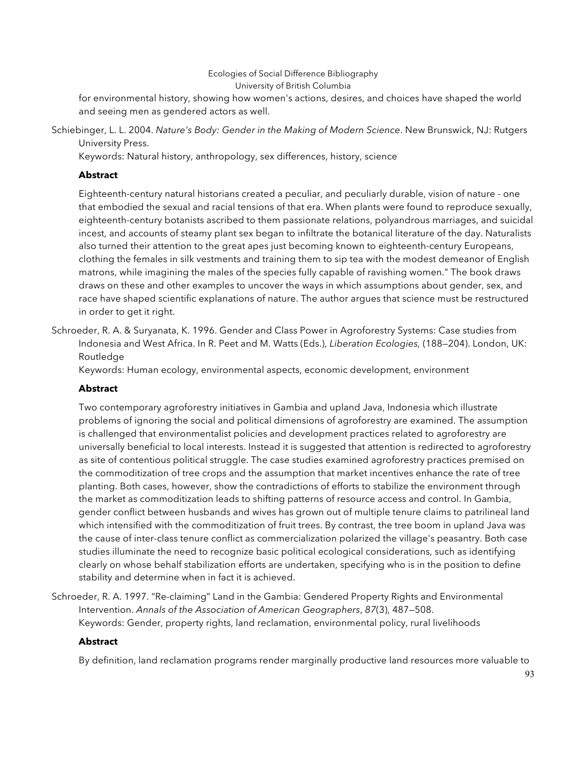for environmental history, showing how women's actions, desires, and choices have shaped the world and seeing men as gendered actors as well.

Schiebinger, L. L. 2004. *Nature's Body: Gender in the Making of Modern Science*. New Brunswick, NJ: Rutgers University Press.

Keywords: Natural history, anthropology, sex differences, history, science

## **Abstract**

Eighteenth-century natural historians created a peculiar, and peculiarly durable, vision of nature - one that embodied the sexual and racial tensions of that era. When plants were found to reproduce sexually, eighteenth-century botanists ascribed to them passionate relations, polyandrous marriages, and suicidal incest, and accounts of steamy plant sex began to infiltrate the botanical literature of the day. Naturalists also turned their attention to the great apes just becoming known to eighteenth-century Europeans, clothing the females in silk vestments and training them to sip tea with the modest demeanor of English matrons, while imagining the males of the species fully capable of ravishing women." The book draws draws on these and other examples to uncover the ways in which assumptions about gender, sex, and race have shaped scientific explanations of nature. The author argues that science must be restructured in order to get it right.

Schroeder, R. A. & Suryanata, K. 1996. Gender and Class Power in Agroforestry Systems: Case studies from Indonesia and West Africa. In R. Peet and M. Watts (Eds.), *Liberation Ecologies,* (188—204). London, UK: Routledge

Keywords: Human ecology, environmental aspects, economic development, environment

## **Abstract**

Two contemporary agroforestry initiatives in Gambia and upland Java, Indonesia which illustrate problems of ignoring the social and political dimensions of agroforestry are examined. The assumption is challenged that environmentalist policies and development practices related to agroforestry are universally beneficial to local interests. Instead it is suggested that attention is redirected to agroforestry as site of contentious political struggle. The case studies examined agroforestry practices premised on the commoditization of tree crops and the assumption that market incentives enhance the rate of tree planting. Both cases, however, show the contradictions of efforts to stabilize the environment through the market as commoditization leads to shifting patterns of resource access and control. In Gambia, gender conflict between husbands and wives has grown out of multiple tenure claims to patrilineal land which intensified with the commoditization of fruit trees. By contrast, the tree boom in upland Java was the cause of inter-class tenure conflict as commercialization polarized the village's peasantry. Both case studies illuminate the need to recognize basic political ecological considerations, such as identifying clearly on whose behalf stabilization efforts are undertaken, specifying who is in the position to define stability and determine when in fact it is achieved.

Schroeder, R. A. 1997. "Re-claiming" Land in the Gambia: Gendered Property Rights and Environmental Intervention. *Annals of the Association of American Geographers*, *87*(3), 487—508. Keywords: Gender, property rights, land reclamation, environmental policy, rural livelihoods

### **Abstract**

By definition, land reclamation programs render marginally productive land resources more valuable to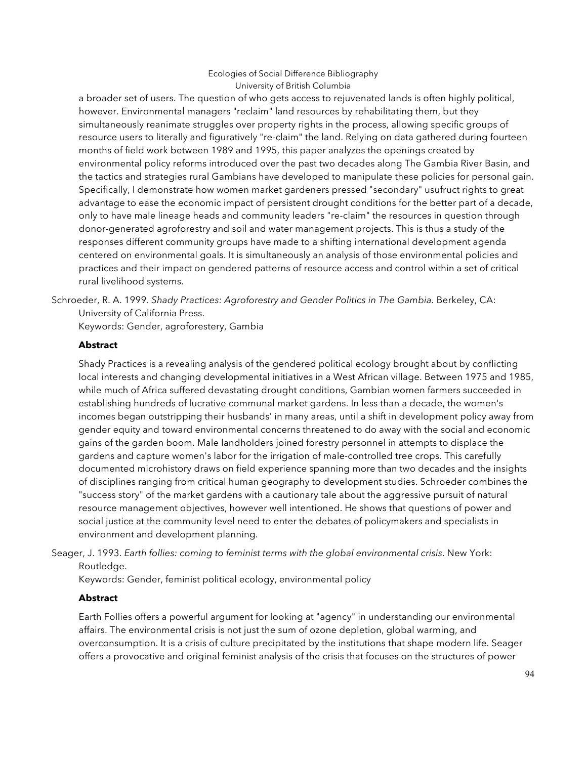a broader set of users. The question of who gets access to rejuvenated lands is often highly political, however. Environmental managers "reclaim" land resources by rehabilitating them, but they simultaneously reanimate struggles over property rights in the process, allowing specific groups of resource users to literally and figuratively "re-claim" the land. Relying on data gathered during fourteen months of field work between 1989 and 1995, this paper analyzes the openings created by environmental policy reforms introduced over the past two decades along The Gambia River Basin, and the tactics and strategies rural Gambians have developed to manipulate these policies for personal gain. Specifically, I demonstrate how women market gardeners pressed "secondary" usufruct rights to great advantage to ease the economic impact of persistent drought conditions for the better part of a decade, only to have male lineage heads and community leaders "re-claim" the resources in question through donor-generated agroforestry and soil and water management projects. This is thus a study of the responses different community groups have made to a shifting international development agenda centered on environmental goals. It is simultaneously an analysis of those environmental policies and practices and their impact on gendered patterns of resource access and control within a set of critical rural livelihood systems.

Schroeder, R. A. 1999. *Shady Practices: Agroforestry and Gender Politics in The Gambia.* Berkeley, CA: University of California Press.

Keywords: Gender, agroforestery, Gambia

### **Abstract**

Shady Practices is a revealing analysis of the gendered political ecology brought about by conflicting local interests and changing developmental initiatives in a West African village. Between 1975 and 1985, while much of Africa suffered devastating drought conditions, Gambian women farmers succeeded in establishing hundreds of lucrative communal market gardens. In less than a decade, the women's incomes began outstripping their husbands' in many areas, until a shift in development policy away from gender equity and toward environmental concerns threatened to do away with the social and economic gains of the garden boom. Male landholders joined forestry personnel in attempts to displace the gardens and capture women's labor for the irrigation of male-controlled tree crops. This carefully documented microhistory draws on field experience spanning more than two decades and the insights of disciplines ranging from critical human geography to development studies. Schroeder combines the "success story" of the market gardens with a cautionary tale about the aggressive pursuit of natural resource management objectives, however well intentioned. He shows that questions of power and social justice at the community level need to enter the debates of policymakers and specialists in environment and development planning.

Seager, J. 1993. *Earth follies: coming to feminist terms with the global environmental crisis*. New York: Routledge.

Keywords: Gender, feminist political ecology, environmental policy

### **Abstract**

Earth Follies offers a powerful argument for looking at "agency" in understanding our environmental affairs. The environmental crisis is not just the sum of ozone depletion, global warming, and overconsumption. It is a crisis of culture precipitated by the institutions that shape modern life. Seager offers a provocative and original feminist analysis of the crisis that focuses on the structures of power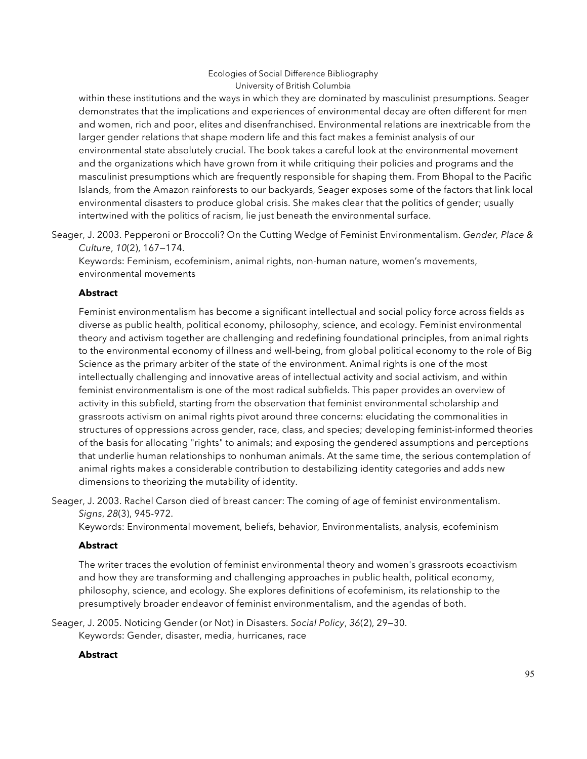within these institutions and the ways in which they are dominated by masculinist presumptions. Seager demonstrates that the implications and experiences of environmental decay are often different for men and women, rich and poor, elites and disenfranchised. Environmental relations are inextricable from the larger gender relations that shape modern life and this fact makes a feminist analysis of our environmental state absolutely crucial. The book takes a careful look at the environmental movement and the organizations which have grown from it while critiquing their policies and programs and the masculinist presumptions which are frequently responsible for shaping them. From Bhopal to the Pacific Islands, from the Amazon rainforests to our backyards, Seager exposes some of the factors that link local environmental disasters to produce global crisis. She makes clear that the politics of gender; usually intertwined with the politics of racism, lie just beneath the environmental surface.

Seager, J. 2003. Pepperoni or Broccoli? On the Cutting Wedge of Feminist Environmentalism. *Gender, Place & Culture*, *10*(2), 167—174.

Keywords: Feminism, ecofeminism, animal rights, non-human nature, women's movements, environmental movements

## **Abstract**

Feminist environmentalism has become a significant intellectual and social policy force across fields as diverse as public health, political economy, philosophy, science, and ecology. Feminist environmental theory and activism together are challenging and redefining foundational principles, from animal rights to the environmental economy of illness and well-being, from global political economy to the role of Big Science as the primary arbiter of the state of the environment. Animal rights is one of the most intellectually challenging and innovative areas of intellectual activity and social activism, and within feminist environmentalism is one of the most radical subfields. This paper provides an overview of activity in this subfield, starting from the observation that feminist environmental scholarship and grassroots activism on animal rights pivot around three concerns: elucidating the commonalities in structures of oppressions across gender, race, class, and species; developing feminist-informed theories of the basis for allocating "rights" to animals; and exposing the gendered assumptions and perceptions that underlie human relationships to nonhuman animals. At the same time, the serious contemplation of animal rights makes a considerable contribution to destabilizing identity categories and adds new dimensions to theorizing the mutability of identity.

Seager, J. 2003. Rachel Carson died of breast cancer: The coming of age of feminist environmentalism. *Signs*, *28*(3), 945-972.

Keywords: Environmental movement, beliefs, behavior, Environmentalists, analysis, ecofeminism

## **Abstract**

The writer traces the evolution of feminist environmental theory and women's grassroots ecoactivism and how they are transforming and challenging approaches in public health, political economy, philosophy, science, and ecology. She explores definitions of ecofeminism, its relationship to the presumptively broader endeavor of feminist environmentalism, and the agendas of both.

Seager, J. 2005. Noticing Gender (or Not) in Disasters. *Social Policy*, *36*(2), 29—30. Keywords: Gender, disaster, media, hurricanes, race

### **Abstract**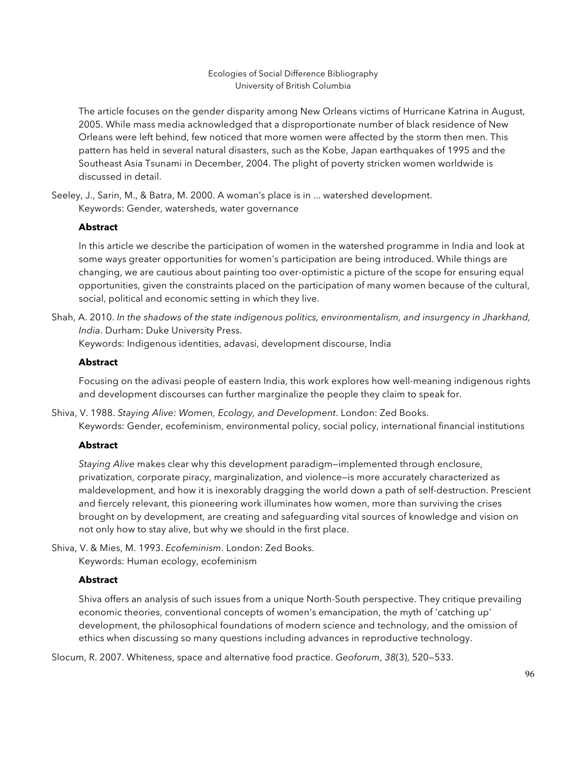The article focuses on the gender disparity among New Orleans victims of Hurricane Katrina in August, 2005. While mass media acknowledged that a disproportionate number of black residence of New Orleans were left behind, few noticed that more women were affected by the storm then men. This pattern has held in several natural disasters, such as the Kobe, Japan earthquakes of 1995 and the Southeast Asia Tsunami in December, 2004. The plight of poverty stricken women worldwide is discussed in detail.

Seeley, J., Sarin, M., & Batra, M. 2000. A woman's place is in ... watershed development. Keywords: Gender, watersheds, water governance

## **Abstract**

In this article we describe the participation of women in the watershed programme in India and look at some ways greater opportunities for women's participation are being introduced. While things are changing, we are cautious about painting too over-optimistic a picture of the scope for ensuring equal opportunities, given the constraints placed on the participation of many women because of the cultural, social, political and economic setting in which they live.

Shah, A. 2010. *In the shadows of the state indigenous politics, environmentalism, and insurgency in Jharkhand, India*. Durham: Duke University Press.

Keywords: Indigenous identities, adavasi, development discourse, India

## **Abstract**

Focusing on the adivasi people of eastern India, this work explores how well-meaning indigenous rights and development discourses can further marginalize the people they claim to speak for.

Shiva, V. 1988. *Staying Alive: Women, Ecology, and Development*. London: Zed Books. Keywords: Gender, ecofeminism, environmental policy, social policy, international financial institutions

## **Abstract**

*Staying Alive* makes clear why this development paradigm—implemented through enclosure, privatization, corporate piracy, marginalization, and violence—is more accurately characterized as maldevelopment, and how it is inexorably dragging the world down a path of self-destruction. Prescient and fiercely relevant, this pioneering work illuminates how women, more than surviving the crises brought on by development, are creating and safeguarding vital sources of knowledge and vision on not only how to stay alive, but why we should in the first place.

Shiva, V. & Mies, M. 1993. *Ecofeminism*. London: Zed Books. Keywords: Human ecology, ecofeminism

## **Abstract**

Shiva offers an analysis of such issues from a unique North-South perspective. They critique prevailing economic theories, conventional concepts of women's emancipation, the myth of 'catching up' development, the philosophical foundations of modern science and technology, and the omission of ethics when discussing so many questions including advances in reproductive technology.

Slocum, R. 2007. Whiteness, space and alternative food practice. *Geoforum*, *38*(3), 520—533.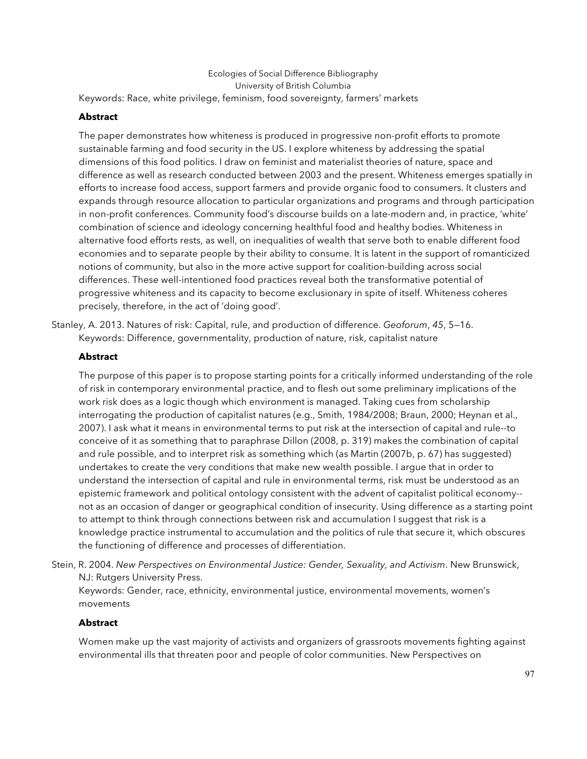#### Ecologies of Social Difference Bibliography University of British Columbia Keywords: Race, white privilege, feminism, food sovereignty, farmers' markets

## **Abstract**

The paper demonstrates how whiteness is produced in progressive non-profit efforts to promote sustainable farming and food security in the US. I explore whiteness by addressing the spatial dimensions of this food politics. I draw on feminist and materialist theories of nature, space and difference as well as research conducted between 2003 and the present. Whiteness emerges spatially in efforts to increase food access, support farmers and provide organic food to consumers. It clusters and expands through resource allocation to particular organizations and programs and through participation in non-profit conferences. Community food's discourse builds on a late-modern and, in practice, 'white' combination of science and ideology concerning healthful food and healthy bodies. Whiteness in alternative food efforts rests, as well, on inequalities of wealth that serve both to enable different food economies and to separate people by their ability to consume. It is latent in the support of romanticized notions of community, but also in the more active support for coalition-building across social differences. These well-intentioned food practices reveal both the transformative potential of progressive whiteness and its capacity to become exclusionary in spite of itself. Whiteness coheres precisely, therefore, in the act of 'doing good'.

Stanley, A. 2013. Natures of risk: Capital, rule, and production of difference. *Geoforum*, *45*, 5—16. Keywords: Difference, governmentality, production of nature, risk, capitalist nature

## **Abstract**

The purpose of this paper is to propose starting points for a critically informed understanding of the role of risk in contemporary environmental practice, and to flesh out some preliminary implications of the work risk does as a logic though which environment is managed. Taking cues from scholarship interrogating the production of capitalist natures (e.g., Smith, 1984/2008; Braun, 2000; Heynan et al., 2007). I ask what it means in environmental terms to put risk at the intersection of capital and rule--to conceive of it as something that to paraphrase Dillon (2008, p. 319) makes the combination of capital and rule possible, and to interpret risk as something which (as Martin (2007b, p. 67) has suggested) undertakes to create the very conditions that make new wealth possible. I argue that in order to understand the intersection of capital and rule in environmental terms, risk must be understood as an epistemic framework and political ontology consistent with the advent of capitalist political economy- not as an occasion of danger or geographical condition of insecurity. Using difference as a starting point to attempt to think through connections between risk and accumulation I suggest that risk is a knowledge practice instrumental to accumulation and the politics of rule that secure it, which obscures the functioning of difference and processes of differentiation.

Stein, R. 2004. *New Perspectives on Environmental Justice: Gender, Sexuality, and Activism*. New Brunswick, NJ: Rutgers University Press.

Keywords: Gender, race, ethnicity, environmental justice, environmental movements, women's movements

### **Abstract**

Women make up the vast majority of activists and organizers of grassroots movements fighting against environmental ills that threaten poor and people of color communities. New Perspectives on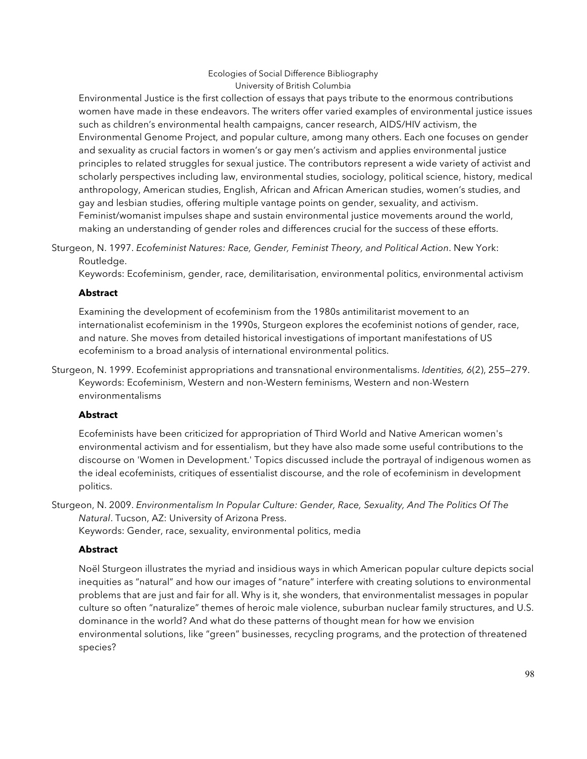Environmental Justice is the first collection of essays that pays tribute to the enormous contributions women have made in these endeavors. The writers offer varied examples of environmental justice issues such as children's environmental health campaigns, cancer research, AIDS/HIV activism, the Environmental Genome Project, and popular culture, among many others. Each one focuses on gender and sexuality as crucial factors in women's or gay men's activism and applies environmental justice principles to related struggles for sexual justice. The contributors represent a wide variety of activist and scholarly perspectives including law, environmental studies, sociology, political science, history, medical anthropology, American studies, English, African and African American studies, women's studies, and gay and lesbian studies, offering multiple vantage points on gender, sexuality, and activism. Feminist/womanist impulses shape and sustain environmental justice movements around the world, making an understanding of gender roles and differences crucial for the success of these efforts.

Sturgeon, N. 1997. *Ecofeminist Natures: Race, Gender, Feminist Theory, and Political Action*. New York: Routledge.

Keywords: Ecofeminism, gender, race, demilitarisation, environmental politics, environmental activism

### **Abstract**

Examining the development of ecofeminism from the 1980s antimilitarist movement to an internationalist ecofeminism in the 1990s, Sturgeon explores the ecofeminist notions of gender, race, and nature. She moves from detailed historical investigations of important manifestations of US ecofeminism to a broad analysis of international environmental politics.

Sturgeon, N. 1999. Ecofeminist appropriations and transnational environmentalisms. *Identities, 6*(2), 255—279. Keywords: Ecofeminism, Western and non-Western feminisms, Western and non-Western environmentalisms

### **Abstract**

Ecofeminists have been criticized for appropriation of Third World and Native American women's environmental activism and for essentialism, but they have also made some useful contributions to the discourse on 'Women in Development.' Topics discussed include the portrayal of indigenous women as the ideal ecofeminists, critiques of essentialist discourse, and the role of ecofeminism in development politics.

Sturgeon, N. 2009. *Environmentalism In Popular Culture: Gender, Race, Sexuality, And The Politics Of The* 

*Natural*. Tucson, AZ: University of Arizona Press.

Keywords: Gender, race, sexuality, environmental politics, media

### **Abstract**

Noël Sturgeon illustrates the myriad and insidious ways in which American popular culture depicts social inequities as "natural" and how our images of "nature" interfere with creating solutions to environmental problems that are just and fair for all. Why is it, she wonders, that environmentalist messages in popular culture so often "naturalize" themes of heroic male violence, suburban nuclear family structures, and U.S. dominance in the world? And what do these patterns of thought mean for how we envision environmental solutions, like "green" businesses, recycling programs, and the protection of threatened species?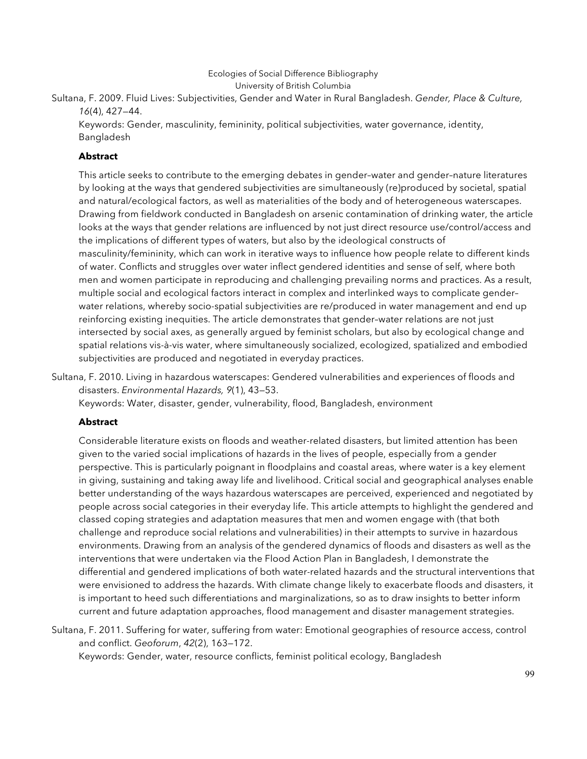Sultana, F. 2009. Fluid Lives: Subjectivities, Gender and Water in Rural Bangladesh. *Gender, Place & Culture, 16*(4), 427—44.

Keywords: Gender, masculinity, femininity, political subjectivities, water governance, identity, Bangladesh

## **Abstract**

This article seeks to contribute to the emerging debates in gender–water and gender–nature literatures by looking at the ways that gendered subjectivities are simultaneously (re)produced by societal, spatial and natural/ecological factors, as well as materialities of the body and of heterogeneous waterscapes. Drawing from fieldwork conducted in Bangladesh on arsenic contamination of drinking water, the article looks at the ways that gender relations are influenced by not just direct resource use/control/access and the implications of different types of waters, but also by the ideological constructs of masculinity/femininity, which can work in iterative ways to influence how people relate to different kinds of water. Conflicts and struggles over water inflect gendered identities and sense of self, where both men and women participate in reproducing and challenging prevailing norms and practices. As a result, multiple social and ecological factors interact in complex and interlinked ways to complicate gender– water relations, whereby socio-spatial subjectivities are re/produced in water management and end up reinforcing existing inequities. The article demonstrates that gender–water relations are not just intersected by social axes, as generally argued by feminist scholars, but also by ecological change and spatial relations vis-à-vis water, where simultaneously socialized, ecologized, spatialized and embodied subjectivities are produced and negotiated in everyday practices.

Sultana, F. 2010. Living in hazardous waterscapes: Gendered vulnerabilities and experiences of floods and disasters. *Environmental Hazards, 9*(1), 43—53.

Keywords: Water, disaster, gender, vulnerability, flood, Bangladesh, environment

## **Abstract**

Considerable literature exists on floods and weather-related disasters, but limited attention has been given to the varied social implications of hazards in the lives of people, especially from a gender perspective. This is particularly poignant in floodplains and coastal areas, where water is a key element in giving, sustaining and taking away life and livelihood. Critical social and geographical analyses enable better understanding of the ways hazardous waterscapes are perceived, experienced and negotiated by people across social categories in their everyday life. This article attempts to highlight the gendered and classed coping strategies and adaptation measures that men and women engage with (that both challenge and reproduce social relations and vulnerabilities) in their attempts to survive in hazardous environments. Drawing from an analysis of the gendered dynamics of floods and disasters as well as the interventions that were undertaken via the Flood Action Plan in Bangladesh, I demonstrate the differential and gendered implications of both water-related hazards and the structural interventions that were envisioned to address the hazards. With climate change likely to exacerbate floods and disasters, it is important to heed such differentiations and marginalizations, so as to draw insights to better inform current and future adaptation approaches, flood management and disaster management strategies.

Sultana, F. 2011. Suffering for water, suffering from water: Emotional geographies of resource access, control and conflict. *Geoforum*, *42*(2), 163—172.

Keywords: Gender, water, resource conflicts, feminist political ecology, Bangladesh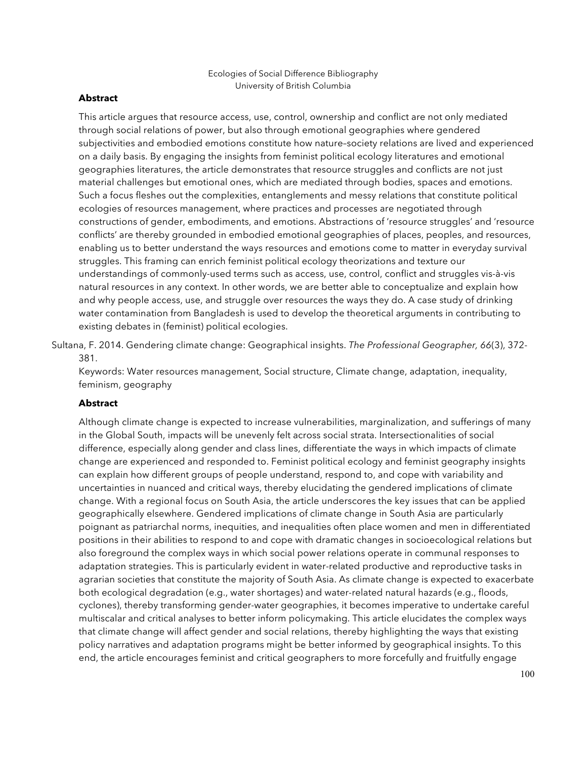### **Abstract**

This article argues that resource access, use, control, ownership and conflict are not only mediated through social relations of power, but also through emotional geographies where gendered subjectivities and embodied emotions constitute how nature–society relations are lived and experienced on a daily basis. By engaging the insights from feminist political ecology literatures and emotional geographies literatures, the article demonstrates that resource struggles and conflicts are not just material challenges but emotional ones, which are mediated through bodies, spaces and emotions. Such a focus fleshes out the complexities, entanglements and messy relations that constitute political ecologies of resources management, where practices and processes are negotiated through constructions of gender, embodiments, and emotions. Abstractions of 'resource struggles' and 'resource conflicts' are thereby grounded in embodied emotional geographies of places, peoples, and resources, enabling us to better understand the ways resources and emotions come to matter in everyday survival struggles. This framing can enrich feminist political ecology theorizations and texture our understandings of commonly-used terms such as access, use, control, conflict and struggles vis-à-vis natural resources in any context. In other words, we are better able to conceptualize and explain how and why people access, use, and struggle over resources the ways they do. A case study of drinking water contamination from Bangladesh is used to develop the theoretical arguments in contributing to existing debates in (feminist) political ecologies.

Sultana, F. 2014. Gendering climate change: Geographical insights. *The Professional Geographer, 66*(3), 372- 381.

Keywords: Water resources management, Social structure, Climate change, adaptation, inequality, feminism, geography

### **Abstract**

Although climate change is expected to increase vulnerabilities, marginalization, and sufferings of many in the Global South, impacts will be unevenly felt across social strata. Intersectionalities of social difference, especially along gender and class lines, differentiate the ways in which impacts of climate change are experienced and responded to. Feminist political ecology and feminist geography insights can explain how different groups of people understand, respond to, and cope with variability and uncertainties in nuanced and critical ways, thereby elucidating the gendered implications of climate change. With a regional focus on South Asia, the article underscores the key issues that can be applied geographically elsewhere. Gendered implications of climate change in South Asia are particularly poignant as patriarchal norms, inequities, and inequalities often place women and men in differentiated positions in their abilities to respond to and cope with dramatic changes in socioecological relations but also foreground the complex ways in which social power relations operate in communal responses to adaptation strategies. This is particularly evident in water-related productive and reproductive tasks in agrarian societies that constitute the majority of South Asia. As climate change is expected to exacerbate both ecological degradation (e.g., water shortages) and water-related natural hazards (e.g., floods, cyclones), thereby transforming gender-water geographies, it becomes imperative to undertake careful multiscalar and critical analyses to better inform policymaking. This article elucidates the complex ways that climate change will affect gender and social relations, thereby highlighting the ways that existing policy narratives and adaptation programs might be better informed by geographical insights. To this end, the article encourages feminist and critical geographers to more forcefully and fruitfully engage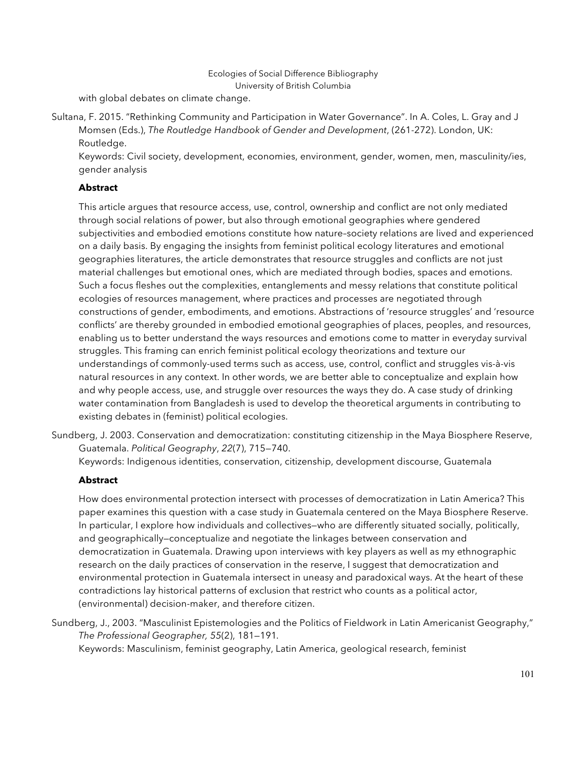with global debates on climate change.

Sultana, F. 2015. "Rethinking Community and Participation in Water Governance". In A. Coles, L. Gray and J Momsen (Eds.), *The Routledge Handbook of Gender and Development*, (261-272). London, UK: Routledge.

Keywords: Civil society, development, economies, environment, gender, women, men, masculinity/ies, gender analysis

### **Abstract**

This article argues that resource access, use, control, ownership and conflict are not only mediated through social relations of power, but also through emotional geographies where gendered subjectivities and embodied emotions constitute how nature–society relations are lived and experienced on a daily basis. By engaging the insights from feminist political ecology literatures and emotional geographies literatures, the article demonstrates that resource struggles and conflicts are not just material challenges but emotional ones, which are mediated through bodies, spaces and emotions. Such a focus fleshes out the complexities, entanglements and messy relations that constitute political ecologies of resources management, where practices and processes are negotiated through constructions of gender, embodiments, and emotions. Abstractions of 'resource struggles' and 'resource conflicts' are thereby grounded in embodied emotional geographies of places, peoples, and resources, enabling us to better understand the ways resources and emotions come to matter in everyday survival struggles. This framing can enrich feminist political ecology theorizations and texture our understandings of commonly-used terms such as access, use, control, conflict and struggles vis-à-vis natural resources in any context. In other words, we are better able to conceptualize and explain how and why people access, use, and struggle over resources the ways they do. A case study of drinking water contamination from Bangladesh is used to develop the theoretical arguments in contributing to existing debates in (feminist) political ecologies.

Sundberg, J. 2003. Conservation and democratization: constituting citizenship in the Maya Biosphere Reserve, Guatemala. *Political Geography*, *22*(7), 715—740.

Keywords: Indigenous identities, conservation, citizenship, development discourse, Guatemala

## **Abstract**

How does environmental protection intersect with processes of democratization in Latin America? This paper examines this question with a case study in Guatemala centered on the Maya Biosphere Reserve. In particular, I explore how individuals and collectives—who are differently situated socially, politically, and geographically—conceptualize and negotiate the linkages between conservation and democratization in Guatemala. Drawing upon interviews with key players as well as my ethnographic research on the daily practices of conservation in the reserve, I suggest that democratization and environmental protection in Guatemala intersect in uneasy and paradoxical ways. At the heart of these contradictions lay historical patterns of exclusion that restrict who counts as a political actor, (environmental) decision-maker, and therefore citizen.

Sundberg, J., 2003. "Masculinist Epistemologies and the Politics of Fieldwork in Latin Americanist Geography," *The Professional Geographer, 55*(2), 181—191*.* Keywords: Masculinism, feminist geography, Latin America, geological research, feminist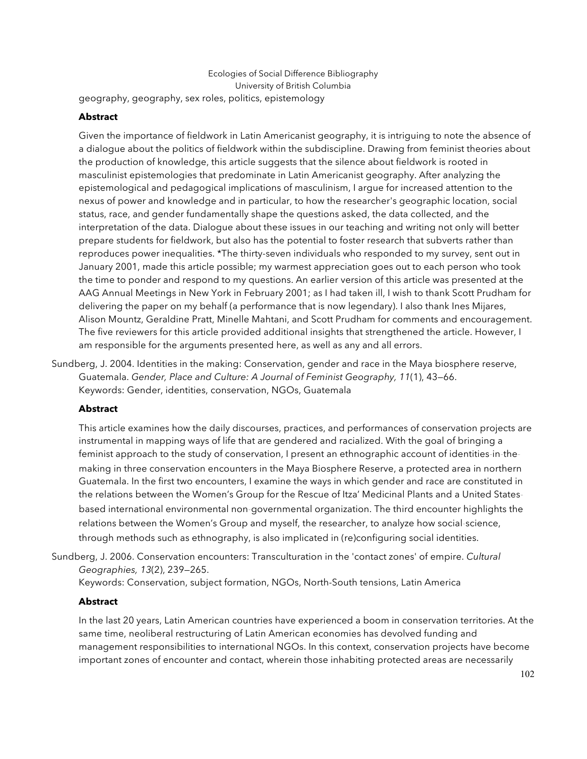#### Ecologies of Social Difference Bibliography University of British Columbia geography, geography, sex roles, politics, epistemology

### **Abstract**

Given the importance of fieldwork in Latin Americanist geography, it is intriguing to note the absence of a dialogue about the politics of fieldwork within the subdiscipline. Drawing from feminist theories about the production of knowledge, this article suggests that the silence about fieldwork is rooted in masculinist epistemologies that predominate in Latin Americanist geography. After analyzing the epistemological and pedagogical implications of masculinism, I argue for increased attention to the nexus of power and knowledge and in particular, to how the researcher's geographic location, social status, race, and gender fundamentally shape the questions asked, the data collected, and the interpretation of the data. Dialogue about these issues in our teaching and writing not only will better prepare students for fieldwork, but also has the potential to foster research that subverts rather than reproduces power inequalities. \*The thirty-seven individuals who responded to my survey, sent out in January 2001, made this article possible; my warmest appreciation goes out to each person who took the time to ponder and respond to my questions. An earlier version of this article was presented at the AAG Annual Meetings in New York in February 2001; as I had taken ill, I wish to thank Scott Prudham for delivering the paper on my behalf (a performance that is now legendary). I also thank Ines Mijares, Alison Mountz, Geraldine Pratt, Minelle Mahtani, and Scott Prudham for comments and encouragement. The five reviewers for this article provided additional insights that strengthened the article. However, I am responsible for the arguments presented here, as well as any and all errors.

Sundberg, J. 2004. Identities in the making: Conservation, gender and race in the Maya biosphere reserve, Guatemala. *Gender, Place and Culture: A Journal of Feminist Geography, 11*(1), 43—66. Keywords: Gender, identities, conservation, NGOs, Guatemala

### **Abstract**

This article examines how the daily discourses, practices, and performances of conservation projects are instrumental in mapping ways of life that are gendered and racialized. With the goal of bringing a feminist approach to the study of conservation, I present an ethnographic account of identities-in-themaking in three conservation encounters in the Maya Biosphere Reserve, a protected area in northern Guatemala. In the first two encounters, I examine the ways in which gender and race are constituted in the relations between the Women's Group for the Rescue of Itza' Medicinal Plants and a United States‐ based international environmental non‐governmental organization. The third encounter highlights the relations between the Women's Group and myself, the researcher, to analyze how social‐science, through methods such as ethnography, is also implicated in (re)configuring social identities.

Sundberg, J. 2006. Conservation encounters: Transculturation in the 'contact zones' of empire. *Cultural Geographies, 13*(2), 239—265.

Keywords: Conservation, subject formation, NGOs, North-South tensions, Latin America

### **Abstract**

In the last 20 years, Latin American countries have experienced a boom in conservation territories. At the same time, neoliberal restructuring of Latin American economies has devolved funding and management responsibilities to international NGOs. In this context, conservation projects have become important zones of encounter and contact, wherein those inhabiting protected areas are necessarily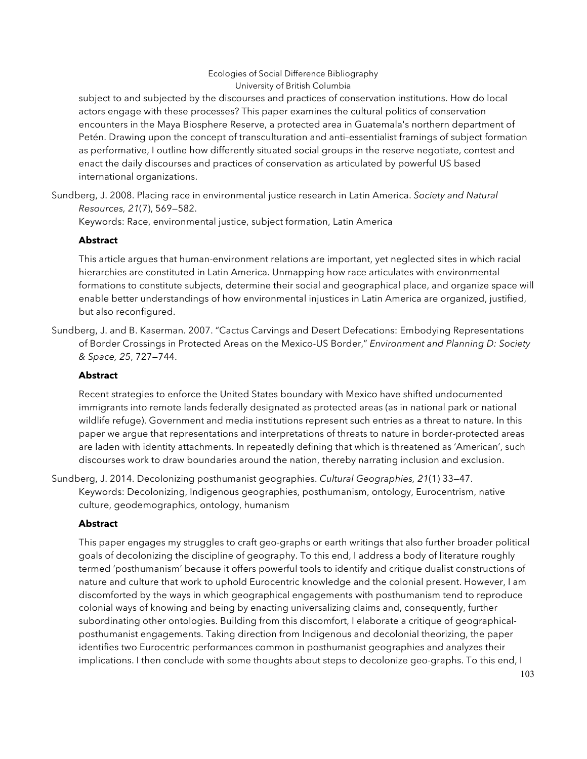subject to and subjected by the discourses and practices of conservation institutions. How do local actors engage with these processes? This paper examines the cultural politics of conservation encounters in the Maya Biosphere Reserve, a protected area in Guatemala's northern department of Petén. Drawing upon the concept of transculturation and anti–essentialist framings of subject formation as performative, I outline how differently situated social groups in the reserve negotiate, contest and enact the daily discourses and practices of conservation as articulated by powerful US based international organizations.

Sundberg, J. 2008. Placing race in environmental justice research in Latin America. *Society and Natural Resources, 21*(7), 569—582.

Keywords: Race, environmental justice, subject formation, Latin America

### **Abstract**

This article argues that human-environment relations are important, yet neglected sites in which racial hierarchies are constituted in Latin America. Unmapping how race articulates with environmental formations to constitute subjects, determine their social and geographical place, and organize space will enable better understandings of how environmental injustices in Latin America are organized, justified, but also reconfigured.

Sundberg, J. and B. Kaserman. 2007. "Cactus Carvings and Desert Defecations: Embodying Representations of Border Crossings in Protected Areas on the Mexico-US Border," *Environment and Planning D: Society & Space, 25*, 727—744.

### **Abstract**

Recent strategies to enforce the United States boundary with Mexico have shifted undocumented immigrants into remote lands federally designated as protected areas (as in national park or national wildlife refuge). Government and media institutions represent such entries as a threat to nature. In this paper we argue that representations and interpretations of threats to nature in border-protected areas are laden with identity attachments. In repeatedly defining that which is threatened as 'American', such discourses work to draw boundaries around the nation, thereby narrating inclusion and exclusion.

Sundberg, J. 2014. Decolonizing posthumanist geographies. *Cultural Geographies, 21*(1) 33—47. Keywords: Decolonizing, Indigenous geographies, posthumanism, ontology, Eurocentrism, native culture, geodemographics, ontology, humanism

### **Abstract**

This paper engages my struggles to craft geo-graphs or earth writings that also further broader political goals of decolonizing the discipline of geography. To this end, I address a body of literature roughly termed 'posthumanism' because it offers powerful tools to identify and critique dualist constructions of nature and culture that work to uphold Eurocentric knowledge and the colonial present. However, I am discomforted by the ways in which geographical engagements with posthumanism tend to reproduce colonial ways of knowing and being by enacting universalizing claims and, consequently, further subordinating other ontologies. Building from this discomfort, I elaborate a critique of geographicalposthumanist engagements. Taking direction from Indigenous and decolonial theorizing, the paper identifies two Eurocentric performances common in posthumanist geographies and analyzes their implications. I then conclude with some thoughts about steps to decolonize geo-graphs. To this end, I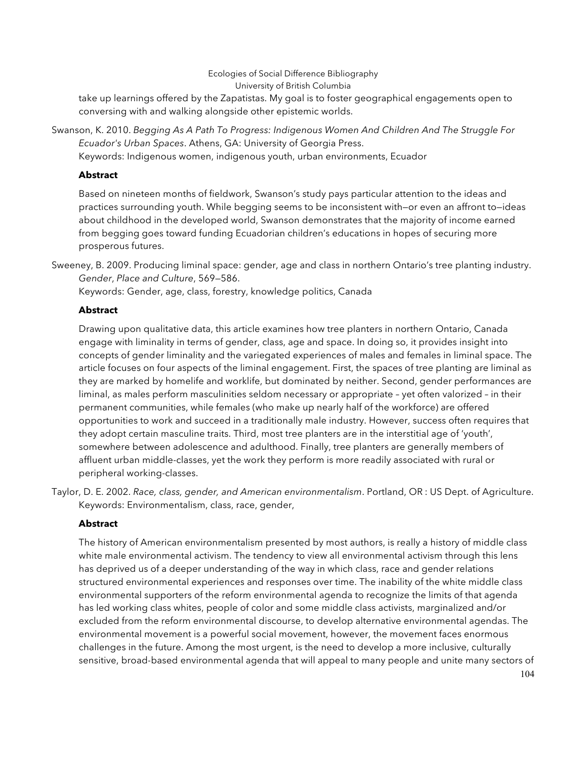take up learnings offered by the Zapatistas. My goal is to foster geographical engagements open to conversing with and walking alongside other epistemic worlds.

Swanson, K. 2010. *Begging As A Path To Progress: Indigenous Women And Children And The Struggle For Ecuador's Urban Spaces*. Athens, GA: University of Georgia Press. Keywords: Indigenous women, indigenous youth, urban environments, Ecuador

### **Abstract**

Based on nineteen months of fieldwork, Swanson's study pays particular attention to the ideas and practices surrounding youth. While begging seems to be inconsistent with—or even an affront to—ideas about childhood in the developed world, Swanson demonstrates that the majority of income earned from begging goes toward funding Ecuadorian children's educations in hopes of securing more prosperous futures.

Sweeney, B. 2009. Producing liminal space: gender, age and class in northern Ontario's tree planting industry. *Gender*, *Place and Culture*, 569—586.

Keywords: Gender, age, class, forestry, knowledge politics, Canada

## **Abstract**

Drawing upon qualitative data, this article examines how tree planters in northern Ontario, Canada engage with liminality in terms of gender, class, age and space. In doing so, it provides insight into concepts of gender liminality and the variegated experiences of males and females in liminal space. The article focuses on four aspects of the liminal engagement. First, the spaces of tree planting are liminal as they are marked by homelife and worklife, but dominated by neither. Second, gender performances are liminal, as males perform masculinities seldom necessary or appropriate – yet often valorized – in their permanent communities, while females (who make up nearly half of the workforce) are offered opportunities to work and succeed in a traditionally male industry. However, success often requires that they adopt certain masculine traits. Third, most tree planters are in the interstitial age of 'youth', somewhere between adolescence and adulthood. Finally, tree planters are generally members of affluent urban middle-classes, yet the work they perform is more readily associated with rural or peripheral working-classes.

Taylor, D. E. 2002. *Race, class, gender, and American environmentalism*. Portland, OR : US Dept. of Agriculture. Keywords: Environmentalism, class, race, gender,

### **Abstract**

The history of American environmentalism presented by most authors, is really a history of middle class white male environmental activism. The tendency to view all environmental activism through this lens has deprived us of a deeper understanding of the way in which class, race and gender relations structured environmental experiences and responses over time. The inability of the white middle class environmental supporters of the reform environmental agenda to recognize the limits of that agenda has led working class whites, people of color and some middle class activists, marginalized and/or excluded from the reform environmental discourse, to develop alternative environmental agendas. The environmental movement is a powerful social movement, however, the movement faces enormous challenges in the future. Among the most urgent, is the need to develop a more inclusive, culturally sensitive, broad-based environmental agenda that will appeal to many people and unite many sectors of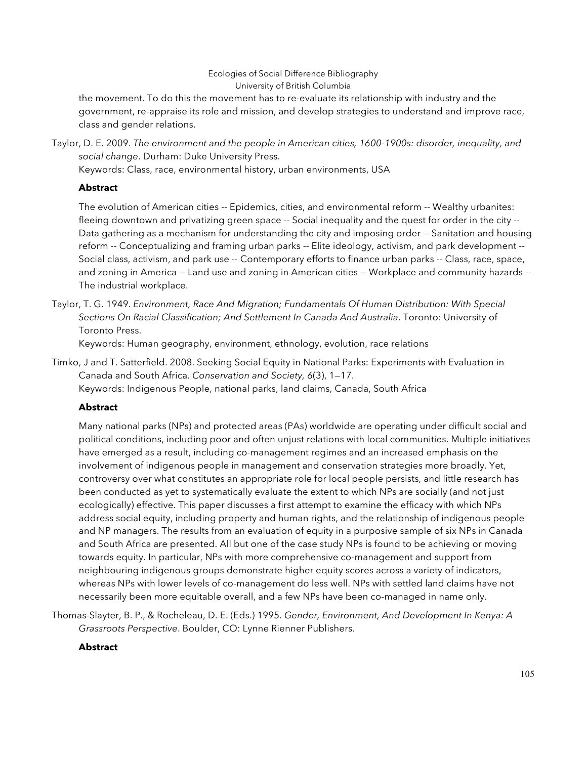the movement. To do this the movement has to re-evaluate its relationship with industry and the government, re-appraise its role and mission, and develop strategies to understand and improve race, class and gender relations.

Taylor, D. E. 2009. *The environment and the people in American cities, 1600-1900s: disorder, inequality, and social change*. Durham: Duke University Press.

Keywords: Class, race, environmental history, urban environments, USA

## **Abstract**

The evolution of American cities -- Epidemics, cities, and environmental reform -- Wealthy urbanites: fleeing downtown and privatizing green space -- Social inequality and the quest for order in the city -- Data gathering as a mechanism for understanding the city and imposing order -- Sanitation and housing reform -- Conceptualizing and framing urban parks -- Elite ideology, activism, and park development -- Social class, activism, and park use -- Contemporary efforts to finance urban parks -- Class, race, space, and zoning in America -- Land use and zoning in American cities -- Workplace and community hazards -- The industrial workplace.

Taylor, T. G. 1949. *Environment, Race And Migration; Fundamentals Of Human Distribution: With Special Sections On Racial Classification; And Settlement In Canada And Australia*. Toronto: University of Toronto Press.

Keywords: Human geography, environment, ethnology, evolution, race relations

Timko, J and T. Satterfield. 2008. Seeking Social Equity in National Parks: Experiments with Evaluation in Canada and South Africa. *Conservation and Society, 6*(3), 1—17. Keywords: Indigenous People, national parks, land claims, Canada, South Africa

## **Abstract**

Many national parks (NPs) and protected areas (PAs) worldwide are operating under difficult social and political conditions, including poor and often unjust relations with local communities. Multiple initiatives have emerged as a result, including co-management regimes and an increased emphasis on the involvement of indigenous people in management and conservation strategies more broadly. Yet, controversy over what constitutes an appropriate role for local people persists, and little research has been conducted as yet to systematically evaluate the extent to which NPs are socially (and not just ecologically) effective. This paper discusses a first attempt to examine the efficacy with which NPs address social equity, including property and human rights, and the relationship of indigenous people and NP managers. The results from an evaluation of equity in a purposive sample of six NPs in Canada and South Africa are presented. All but one of the case study NPs is found to be achieving or moving towards equity. In particular, NPs with more comprehensive co-management and support from neighbouring indigenous groups demonstrate higher equity scores across a variety of indicators, whereas NPs with lower levels of co-management do less well. NPs with settled land claims have not necessarily been more equitable overall, and a few NPs have been co-managed in name only.

Thomas-Slayter, B. P., & Rocheleau, D. E. (Eds.) 1995. *Gender, Environment, And Development In Kenya: A Grassroots Perspective*. Boulder, CO: Lynne Rienner Publishers.

## **Abstract**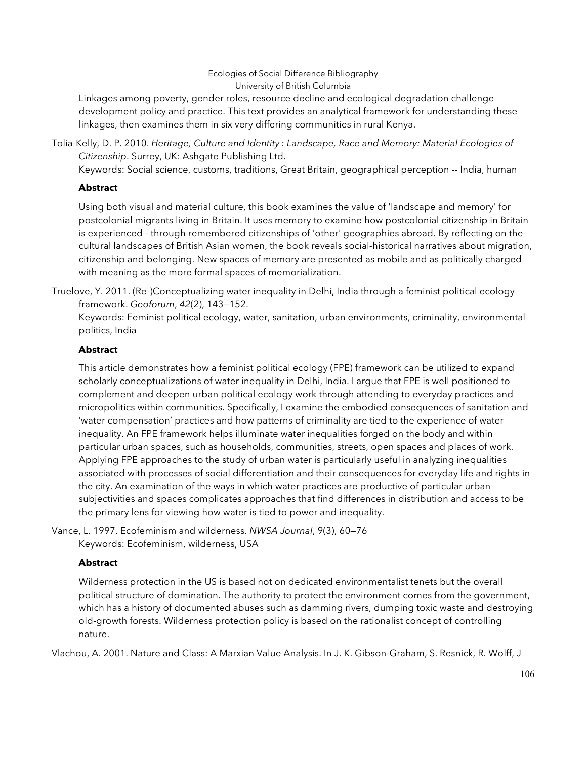Linkages among poverty, gender roles, resource decline and ecological degradation challenge development policy and practice. This text provides an analytical framework for understanding these linkages, then examines them in six very differing communities in rural Kenya.

Tolia-Kelly, D. P. 2010. *Heritage, Culture and Identity : Landscape, Race and Memory: Material Ecologies of Citizenship*. Surrey, UK: Ashgate Publishing Ltd.

Keywords: Social science, customs, traditions, Great Britain, geographical perception -- India, human

## **Abstract**

Using both visual and material culture, this book examines the value of 'landscape and memory' for postcolonial migrants living in Britain. It uses memory to examine how postcolonial citizenship in Britain is experienced - through remembered citizenships of 'other' geographies abroad. By reflecting on the cultural landscapes of British Asian women, the book reveals social-historical narratives about migration, citizenship and belonging. New spaces of memory are presented as mobile and as politically charged with meaning as the more formal spaces of memorialization.

Truelove, Y. 2011. (Re-)Conceptualizing water inequality in Delhi, India through a feminist political ecology framework. *Geoforum*, *42*(2), 143—152.

Keywords: Feminist political ecology, water, sanitation, urban environments, criminality, environmental politics, India

## **Abstract**

This article demonstrates how a feminist political ecology (FPE) framework can be utilized to expand scholarly conceptualizations of water inequality in Delhi, India. I argue that FPE is well positioned to complement and deepen urban political ecology work through attending to everyday practices and micropolitics within communities. Specifically, I examine the embodied consequences of sanitation and 'water compensation' practices and how patterns of criminality are tied to the experience of water inequality. An FPE framework helps illuminate water inequalities forged on the body and within particular urban spaces, such as households, communities, streets, open spaces and places of work. Applying FPE approaches to the study of urban water is particularly useful in analyzing inequalities associated with processes of social differentiation and their consequences for everyday life and rights in the city. An examination of the ways in which water practices are productive of particular urban subjectivities and spaces complicates approaches that find differences in distribution and access to be the primary lens for viewing how water is tied to power and inequality.

Vance, L. 1997. Ecofeminism and wilderness. *NWSA Journal*, 9(3), 60—76 Keywords: Ecofeminism, wilderness, USA

# **Abstract**

Wilderness protection in the US is based not on dedicated environmentalist tenets but the overall political structure of domination. The authority to protect the environment comes from the government, which has a history of documented abuses such as damming rivers, dumping toxic waste and destroying old-growth forests. Wilderness protection policy is based on the rationalist concept of controlling nature.

Vlachou, A. 2001. Nature and Class: A Marxian Value Analysis. In J. K. Gibson-Graham, S. Resnick, R. Wolff, J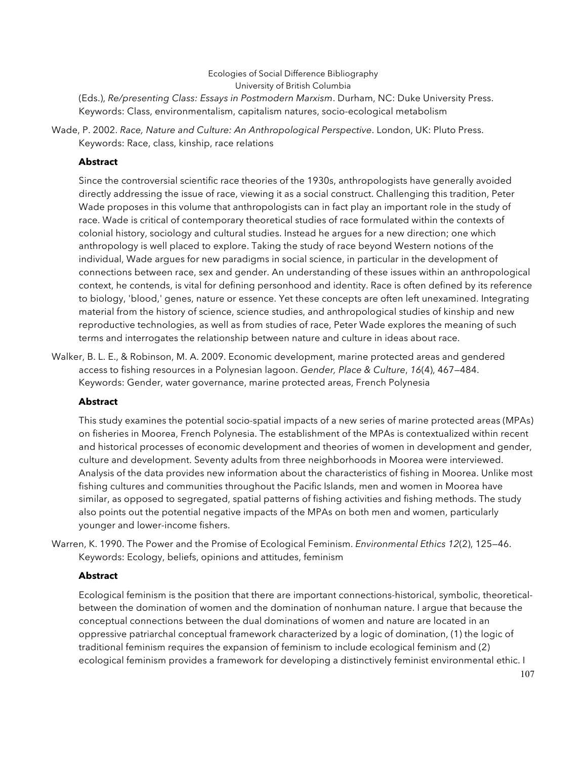(Eds.), *Re/presenting Class: Essays in Postmodern Marxism*. Durham, NC: Duke University Press. Keywords: Class, environmentalism, capitalism natures, socio-ecological metabolism

Wade, P. 2002. *Race, Nature and Culture: An Anthropological Perspective*. London, UK: Pluto Press. Keywords: Race, class, kinship, race relations

#### **Abstract**

Since the controversial scientific race theories of the 1930s, anthropologists have generally avoided directly addressing the issue of race, viewing it as a social construct. Challenging this tradition, Peter Wade proposes in this volume that anthropologists can in fact play an important role in the study of race. Wade is critical of contemporary theoretical studies of race formulated within the contexts of colonial history, sociology and cultural studies. Instead he argues for a new direction; one which anthropology is well placed to explore. Taking the study of race beyond Western notions of the individual, Wade argues for new paradigms in social science, in particular in the development of connections between race, sex and gender. An understanding of these issues within an anthropological context, he contends, is vital for defining personhood and identity. Race is often defined by its reference to biology, 'blood,' genes, nature or essence. Yet these concepts are often left unexamined. Integrating material from the history of science, science studies, and anthropological studies of kinship and new reproductive technologies, as well as from studies of race, Peter Wade explores the meaning of such terms and interrogates the relationship between nature and culture in ideas about race.

Walker, B. L. E., & Robinson, M. A. 2009. Economic development, marine protected areas and gendered access to fishing resources in a Polynesian lagoon. *Gender, Place & Culture*, *16*(4), 467—484. Keywords: Gender, water governance, marine protected areas, French Polynesia

#### **Abstract**

This study examines the potential socio-spatial impacts of a new series of marine protected areas (MPAs) on fisheries in Moorea, French Polynesia. The establishment of the MPAs is contextualized within recent and historical processes of economic development and theories of women in development and gender, culture and development. Seventy adults from three neighborhoods in Moorea were interviewed. Analysis of the data provides new information about the characteristics of fishing in Moorea. Unlike most fishing cultures and communities throughout the Pacific Islands, men and women in Moorea have similar, as opposed to segregated, spatial patterns of fishing activities and fishing methods. The study also points out the potential negative impacts of the MPAs on both men and women, particularly younger and lower-income fishers.

Warren, K. 1990. The Power and the Promise of Ecological Feminism. *Environmental Ethics 12*(2), 125—46. Keywords: Ecology, beliefs, opinions and attitudes, feminism

### **Abstract**

Ecological feminism is the position that there are important connections-historical, symbolic, theoreticalbetween the domination of women and the domination of nonhuman nature. I argue that because the conceptual connections between the dual dominations of women and nature are located in an oppressive patriarchal conceptual framework characterized by a logic of domination, (1) the logic of traditional feminism requires the expansion of feminism to include ecological feminism and (2) ecological feminism provides a framework for developing a distinctively feminist environmental ethic. I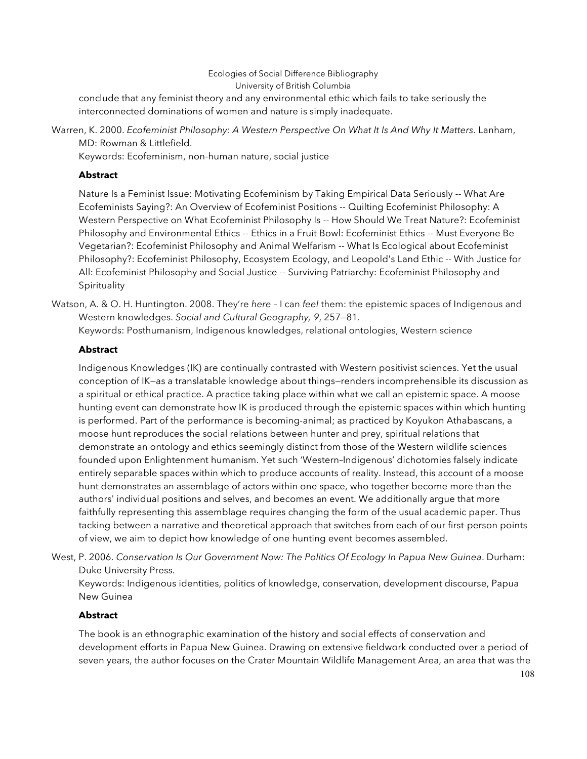conclude that any feminist theory and any environmental ethic which fails to take seriously the interconnected dominations of women and nature is simply inadequate.

Warren, K. 2000. *Ecofeminist Philosophy: A Western Perspective On What It Is And Why It Matters*. Lanham, MD: Rowman & Littlefield.

Keywords: Ecofeminism, non-human nature, social justice

## **Abstract**

Nature Is a Feminist Issue: Motivating Ecofeminism by Taking Empirical Data Seriously -- What Are Ecofeminists Saying?: An Overview of Ecofeminist Positions -- Quilting Ecofeminist Philosophy: A Western Perspective on What Ecofeminist Philosophy Is -- How Should We Treat Nature?: Ecofeminist Philosophy and Environmental Ethics -- Ethics in a Fruit Bowl: Ecofeminist Ethics -- Must Everyone Be Vegetarian?: Ecofeminist Philosophy and Animal Welfarism -- What Is Ecological about Ecofeminist Philosophy?: Ecofeminist Philosophy, Ecosystem Ecology, and Leopold's Land Ethic -- With Justice for All: Ecofeminist Philosophy and Social Justice -- Surviving Patriarchy: Ecofeminist Philosophy and Spirituality

Watson, A. & O. H. Huntington. 2008. They're *here* – I can *feel* them: the epistemic spaces of Indigenous and Western knowledges. *Social and Cultural Geography, 9*, 257—81. Keywords: Posthumanism, Indigenous knowledges, relational ontologies, Western science

## **Abstract**

Indigenous Knowledges (IK) are continually contrasted with Western positivist sciences. Yet the usual conception of IK—as a translatable knowledge about things—renders incomprehensible its discussion as a spiritual or ethical practice. A practice taking place within what we call an epistemic space. A moose hunting event can demonstrate how IK is produced through the epistemic spaces within which hunting is performed. Part of the performance is becoming-animal; as practiced by Koyukon Athabascans, a moose hunt reproduces the social relations between hunter and prey, spiritual relations that demonstrate an ontology and ethics seemingly distinct from those of the Western wildlife sciences founded upon Enlightenment humanism. Yet such 'Western–Indigenous' dichotomies falsely indicate entirely separable spaces within which to produce accounts of reality. Instead, this account of a moose hunt demonstrates an assemblage of actors within one space, who together become more than the authors' individual positions and selves, and becomes an event. We additionally argue that more faithfully representing this assemblage requires changing the form of the usual academic paper. Thus tacking between a narrative and theoretical approach that switches from each of our first-person points of view, we aim to depict how knowledge of one hunting event becomes assembled.

West, P. 2006. *Conservation Is Our Government Now: The Politics Of Ecology In Papua New Guinea*. Durham: Duke University Press.

Keywords: Indigenous identities, politics of knowledge, conservation, development discourse, Papua New Guinea

## **Abstract**

The book is an ethnographic examination of the history and social effects of conservation and development efforts in Papua New Guinea. Drawing on extensive fieldwork conducted over a period of seven years, the author focuses on the Crater Mountain Wildlife Management Area, an area that was the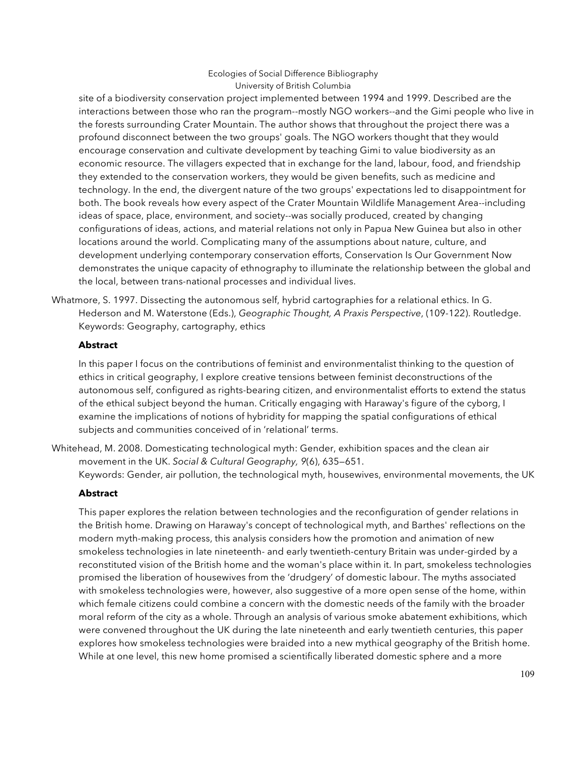site of a biodiversity conservation project implemented between 1994 and 1999. Described are the interactions between those who ran the program--mostly NGO workers--and the Gimi people who live in the forests surrounding Crater Mountain. The author shows that throughout the project there was a profound disconnect between the two groups' goals. The NGO workers thought that they would encourage conservation and cultivate development by teaching Gimi to value biodiversity as an economic resource. The villagers expected that in exchange for the land, labour, food, and friendship they extended to the conservation workers, they would be given benefits, such as medicine and technology. In the end, the divergent nature of the two groups' expectations led to disappointment for both. The book reveals how every aspect of the Crater Mountain Wildlife Management Area--including ideas of space, place, environment, and society--was socially produced, created by changing configurations of ideas, actions, and material relations not only in Papua New Guinea but also in other locations around the world. Complicating many of the assumptions about nature, culture, and development underlying contemporary conservation efforts, Conservation Is Our Government Now demonstrates the unique capacity of ethnography to illuminate the relationship between the global and the local, between trans-national processes and individual lives.

Whatmore, S. 1997. Dissecting the autonomous self, hybrid cartographies for a relational ethics. In G. Hederson and M. Waterstone (Eds.), *Geographic Thought, A Praxis Perspective*, (109-122). Routledge. Keywords: Geography, cartography, ethics

## **Abstract**

In this paper I focus on the contributions of feminist and environmentalist thinking to the question of ethics in critical geography, I explore creative tensions between feminist deconstructions of the autonomous self, configured as rights-bearing citizen, and environmentalist efforts to extend the status of the ethical subject beyond the human. Critically engaging with Haraway's figure of the cyborg, I examine the implications of notions of hybridity for mapping the spatial configurations of ethical subjects and communities conceived of in 'relational' terms.

Whitehead, M. 2008. Domesticating technological myth: Gender, exhibition spaces and the clean air movement in the UK. *Social & Cultural Geography, 9*(6), 635—651. Keywords: Gender, air pollution, the technological myth, housewives, environmental movements, the UK

# **Abstract**

This paper explores the relation between technologies and the reconfiguration of gender relations in the British home. Drawing on Haraway's concept of technological myth, and Barthes' reflections on the modern myth-making process, this analysis considers how the promotion and animation of new smokeless technologies in late nineteenth- and early twentieth-century Britain was under-girded by a reconstituted vision of the British home and the woman's place within it. In part, smokeless technologies promised the liberation of housewives from the 'drudgery' of domestic labour. The myths associated with smokeless technologies were, however, also suggestive of a more open sense of the home, within which female citizens could combine a concern with the domestic needs of the family with the broader moral reform of the city as a whole. Through an analysis of various smoke abatement exhibitions, which were convened throughout the UK during the late nineteenth and early twentieth centuries, this paper explores how smokeless technologies were braided into a new mythical geography of the British home. While at one level, this new home promised a scientifically liberated domestic sphere and a more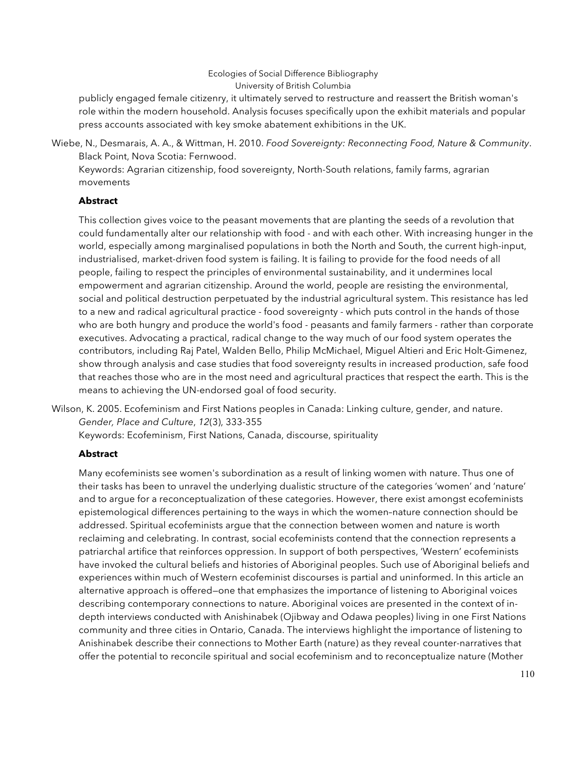publicly engaged female citizenry, it ultimately served to restructure and reassert the British woman's role within the modern household. Analysis focuses specifically upon the exhibit materials and popular press accounts associated with key smoke abatement exhibitions in the UK.

Wiebe, N., Desmarais, A. A., & Wittman, H. 2010. *Food Sovereignty: Reconnecting Food, Nature & Community*. Black Point, Nova Scotia: Fernwood.

Keywords: Agrarian citizenship, food sovereignty, North-South relations, family farms, agrarian movements

# **Abstract**

This collection gives voice to the peasant movements that are planting the seeds of a revolution that could fundamentally alter our relationship with food - and with each other. With increasing hunger in the world, especially among marginalised populations in both the North and South, the current high-input, industrialised, market-driven food system is failing. It is failing to provide for the food needs of all people, failing to respect the principles of environmental sustainability, and it undermines local empowerment and agrarian citizenship. Around the world, people are resisting the environmental, social and political destruction perpetuated by the industrial agricultural system. This resistance has led to a new and radical agricultural practice - food sovereignty - which puts control in the hands of those who are both hungry and produce the world's food - peasants and family farmers - rather than corporate executives. Advocating a practical, radical change to the way much of our food system operates the contributors, including Raj Patel, Walden Bello, Philip McMichael, Miguel Altieri and Eric Holt-Gimenez, show through analysis and case studies that food sovereignty results in increased production, safe food that reaches those who are in the most need and agricultural practices that respect the earth. This is the means to achieving the UN-endorsed goal of food security.

Wilson, K. 2005. Ecofeminism and First Nations peoples in Canada: Linking culture, gender, and nature. *Gender, Place and Culture*, *12*(3), 333-355 Keywords: Ecofeminism, First Nations, Canada, discourse, spirituality

# **Abstract**

Many ecofeminists see women's subordination as a result of linking women with nature. Thus one of their tasks has been to unravel the underlying dualistic structure of the categories 'women' and 'nature' and to argue for a reconceptualization of these categories. However, there exist amongst ecofeminists epistemological differences pertaining to the ways in which the women–nature connection should be addressed. Spiritual ecofeminists argue that the connection between women and nature is worth reclaiming and celebrating. In contrast, social ecofeminists contend that the connection represents a patriarchal artifice that reinforces oppression. In support of both perspectives, 'Western' ecofeminists have invoked the cultural beliefs and histories of Aboriginal peoples. Such use of Aboriginal beliefs and experiences within much of Western ecofeminist discourses is partial and uninformed. In this article an alternative approach is offered—one that emphasizes the importance of listening to Aboriginal voices describing contemporary connections to nature. Aboriginal voices are presented in the context of indepth interviews conducted with Anishinabek (Ojibway and Odawa peoples) living in one First Nations community and three cities in Ontario, Canada. The interviews highlight the importance of listening to Anishinabek describe their connections to Mother Earth (nature) as they reveal counter-narratives that offer the potential to reconcile spiritual and social ecofeminism and to reconceptualize nature (Mother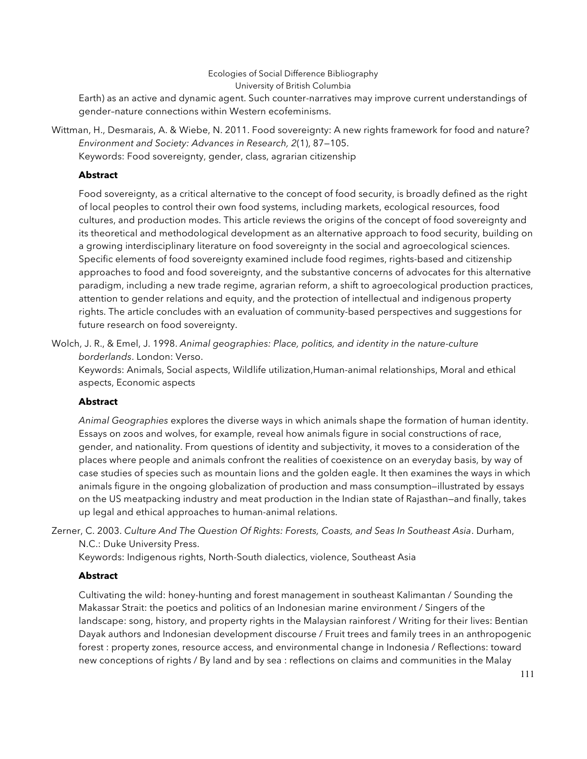Earth) as an active and dynamic agent. Such counter-narratives may improve current understandings of gender–nature connections within Western ecofeminisms.

Wittman, H., Desmarais, A. & Wiebe, N. 2011. Food sovereignty: A new rights framework for food and nature? *Environment and Society: Advances in Research, 2*(1), 87—105. Keywords: Food sovereignty, gender, class, agrarian citizenship

### **Abstract**

Food sovereignty, as a critical alternative to the concept of food security, is broadly defined as the right of local peoples to control their own food systems, including markets, ecological resources, food cultures, and production modes. This article reviews the origins of the concept of food sovereignty and its theoretical and methodological development as an alternative approach to food security, building on a growing interdisciplinary literature on food sovereignty in the social and agroecological sciences. Specific elements of food sovereignty examined include food regimes, rights-based and citizenship approaches to food and food sovereignty, and the substantive concerns of advocates for this alternative paradigm, including a new trade regime, agrarian reform, a shift to agroecological production practices, attention to gender relations and equity, and the protection of intellectual and indigenous property rights. The article concludes with an evaluation of community-based perspectives and suggestions for future research on food sovereignty.

Wolch, J. R., & Emel, J. 1998. *Animal geographies: Place, politics, and identity in the nature-culture borderlands*. London: Verso.

Keywords: Animals, Social aspects, Wildlife utilization,Human-animal relationships, Moral and ethical aspects, Economic aspects

### **Abstract**

*Animal Geographies* explores the diverse ways in which animals shape the formation of human identity. Essays on zoos and wolves, for example, reveal how animals figure in social constructions of race, gender, and nationality. From questions of identity and subjectivity, it moves to a consideration of the places where people and animals confront the realities of coexistence on an everyday basis, by way of case studies of species such as mountain lions and the golden eagle. It then examines the ways in which animals figure in the ongoing globalization of production and mass consumption—illustrated by essays on the US meatpacking industry and meat production in the Indian state of Rajasthan—and finally, takes up legal and ethical approaches to human-animal relations.

Zerner, C. 2003. *Culture And The Question Of Rights: Forests, Coasts, and Seas In Southeast Asia*. Durham, N.C.: Duke University Press.

Keywords: Indigenous rights, North-South dialectics, violence, Southeast Asia

### **Abstract**

Cultivating the wild: honey-hunting and forest management in southeast Kalimantan / Sounding the Makassar Strait: the poetics and politics of an Indonesian marine environment / Singers of the landscape: song, history, and property rights in the Malaysian rainforest / Writing for their lives: Bentian Dayak authors and Indonesian development discourse / Fruit trees and family trees in an anthropogenic forest : property zones, resource access, and environmental change in Indonesia / Reflections: toward new conceptions of rights / By land and by sea : reflections on claims and communities in the Malay